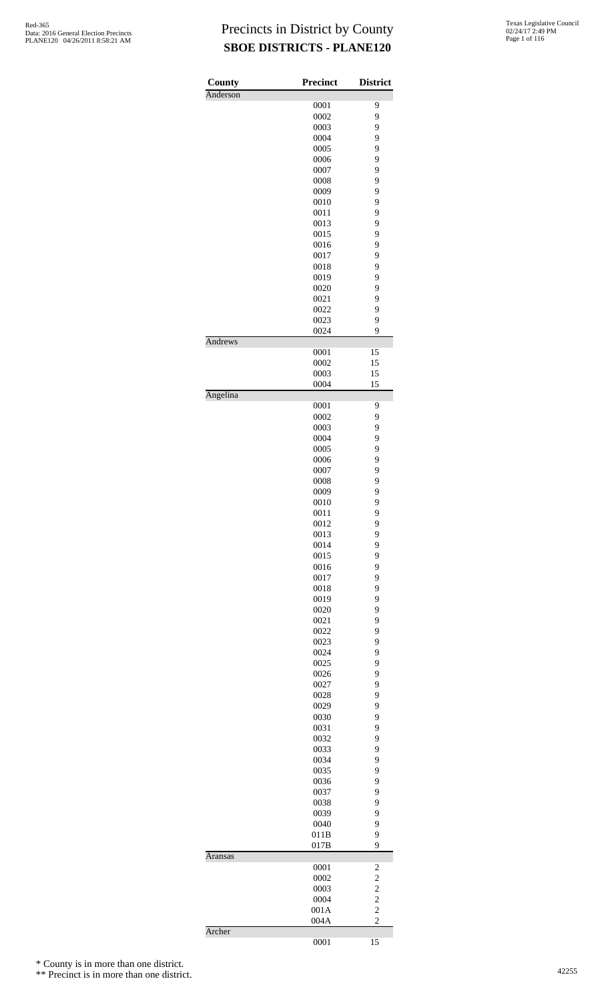| County   | <b>Precinct</b> | <b>District</b>         |
|----------|-----------------|-------------------------|
| Anderson |                 |                         |
|          | 0001            | 9                       |
|          | 0002            | 9                       |
|          | 0003            | 9                       |
|          | 0004            | 9<br>9                  |
|          | 0005            |                         |
|          | 0006            | 9                       |
|          | 0007            | 9                       |
|          | 0008            | 9                       |
|          | 0009            | 9                       |
|          | 0010            | 9                       |
|          | 0011            | 9                       |
|          | 0013            | 9                       |
|          | 0015            | 9                       |
|          | 0016            | 9                       |
|          | 0017            | 9                       |
|          | 0018            | 9                       |
|          | 0019            | 9                       |
|          | 0020            | 9                       |
|          | 0021            | 9                       |
|          | 0022            | 9                       |
|          | 0023            | 9                       |
|          | 0024            | 9                       |
| Andrews  | 0001            | 15                      |
|          | 0002            | 15                      |
|          | 0003            | 15                      |
|          | 0004            | 15                      |
| Angelina |                 |                         |
|          | 0001            | 9                       |
|          | 0002            | 9                       |
|          | 0003            | 9                       |
|          | 0004            | 9                       |
|          | 0005            | 9                       |
|          | 0006            | 9                       |
|          | 0007            | 9                       |
|          | 0008            | 9                       |
|          | 0009            | 9                       |
|          | 0010            | 9                       |
|          | 0011            | 9                       |
|          | 0012            | 9                       |
|          | 0013            | 9                       |
|          | 0014            | 9                       |
|          | 0015            | 9                       |
|          | 0016            | 9                       |
|          | 0017            | 9                       |
|          | 0018            | 9                       |
|          | 0019            | 9                       |
|          | 0020            | 9                       |
|          | 0021            | 9                       |
|          | 0022            | 9                       |
|          | 0023            | 9                       |
|          | 0024            | 9                       |
|          | 0025            | 9                       |
|          | 0026            | 9                       |
|          | 0027            | 9                       |
|          | 0028            | 9                       |
|          | 0029            | 9                       |
|          | 0030            | 9                       |
|          | 0031            | 9                       |
|          | 0032            | 9                       |
|          | 0033            | 9                       |
|          | 0034            | 9                       |
|          | 0035            | 9                       |
|          | 0036            | 9                       |
|          | 0037            | 9                       |
|          | 0038            | 9                       |
|          | 0039            | 9                       |
|          | 0040            | 9                       |
|          | 011B            | 9                       |
|          | 017B            | 9                       |
| Aransas  | 0001            | $\overline{\mathbf{c}}$ |
|          | 0002            | $\overline{\mathbf{c}}$ |
|          | 0003            |                         |
|          | 0004            | $\frac{2}{2}$           |
|          | 001A            | $\overline{c}$          |
|          | 004A            | $\overline{c}$          |
| Archer   |                 |                         |
|          | 0001            | 15                      |

\* County is in more than one district.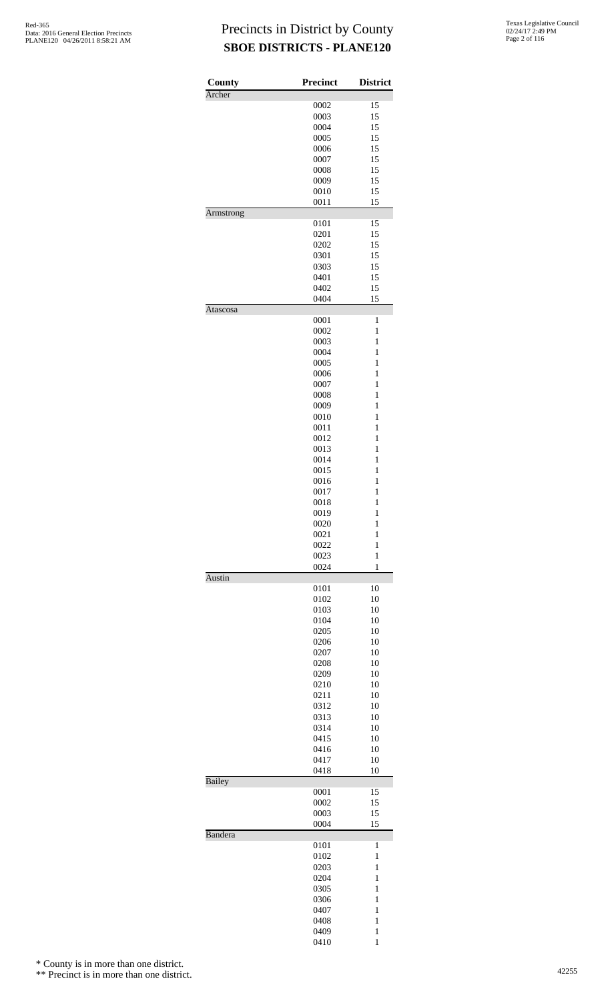| County         | <b>Precinct</b> | <b>District</b>   |
|----------------|-----------------|-------------------|
| Archer         | 0002            | 15                |
|                | 0003            | 15                |
|                | 0004            | 15                |
|                | 0005            | 15                |
|                | 0006            | 15                |
|                | 0007            | 15                |
|                | 0008            | 15                |
|                | 0009            | 15                |
|                | 0010            | 15                |
|                | 0011            | 15                |
| Armstrong      |                 |                   |
|                | 0101            | 15                |
|                | 0201            | 15                |
|                | 0202<br>0301    | 15<br>15          |
|                | 0303            | 15                |
|                | 0401            | 15                |
|                |                 |                   |
|                | 0402<br>0404    | 15<br>15          |
| Atascosa       |                 |                   |
|                | 0001            | 1                 |
|                | 0002            | $\mathbf{1}$      |
|                | 0003            | $\mathbf{1}$      |
|                | 0004            | 1                 |
|                | 0005            | $\mathbf{1}$      |
|                | 0006            | $\mathbf{1}$      |
|                | 0007            | $\mathbf{1}$      |
|                | 0008            | $\mathbf{1}$      |
|                | 0009            | 1                 |
|                | 0010            | $\mathbf{1}$      |
|                | 0011            | $\mathbf{1}$      |
|                | 0012            | $\mathbf{1}$      |
|                | 0013            | $\mathbf{1}$      |
|                | 0014            | 1                 |
|                | 0015            | $\mathbf{1}$      |
|                | 0016            | $\mathbf{1}$      |
|                | 0017            | $\mathbf{1}$      |
|                | 0018            | $\mathbf{1}$      |
|                | 0019            | 1                 |
|                | 0020            | $\mathbf{1}$      |
|                | 0021            | $\mathbf{1}$      |
|                | 0022            | $\mathbf{1}$      |
|                | 0023            | $\mathbf{1}$      |
| <b>Austin</b>  | 0024            | 1                 |
|                | 0101<br>0102    | 10                |
|                | 0103            | 10<br>10          |
|                |                 | 10                |
|                | 0104            | 10                |
|                | 0205            |                   |
|                | 0206            | 10<br>10          |
|                | 0207            |                   |
|                | 0208<br>0209    | 10<br>10          |
|                |                 | 10                |
|                | 0210            |                   |
|                | 0211            | 10                |
|                | 0312<br>0313    | 10<br>10          |
|                | 0314            | 10                |
|                |                 | 10                |
|                | 0415<br>0416    | 10                |
|                | 0417            | 10                |
|                | 0418            | 10                |
| <b>Bailey</b>  |                 |                   |
|                | 0001            | 15                |
|                | 0002            | 15                |
|                | 0003<br>0004    | 15<br>15          |
| <b>Bandera</b> |                 |                   |
|                | 0101            | 1                 |
|                | 0102            | 1                 |
|                | 0203            | 1                 |
|                | 0204            | $\mathbf{1}$<br>1 |
|                | 0305            | $\mathbf{1}$      |
|                | 0306            | $\mathbf{1}$      |
|                | 0407            |                   |
|                | 0408            | 1<br>$\mathbf{1}$ |
|                | 0409<br>0410    | 1                 |
|                |                 |                   |

\* County is in more than one district.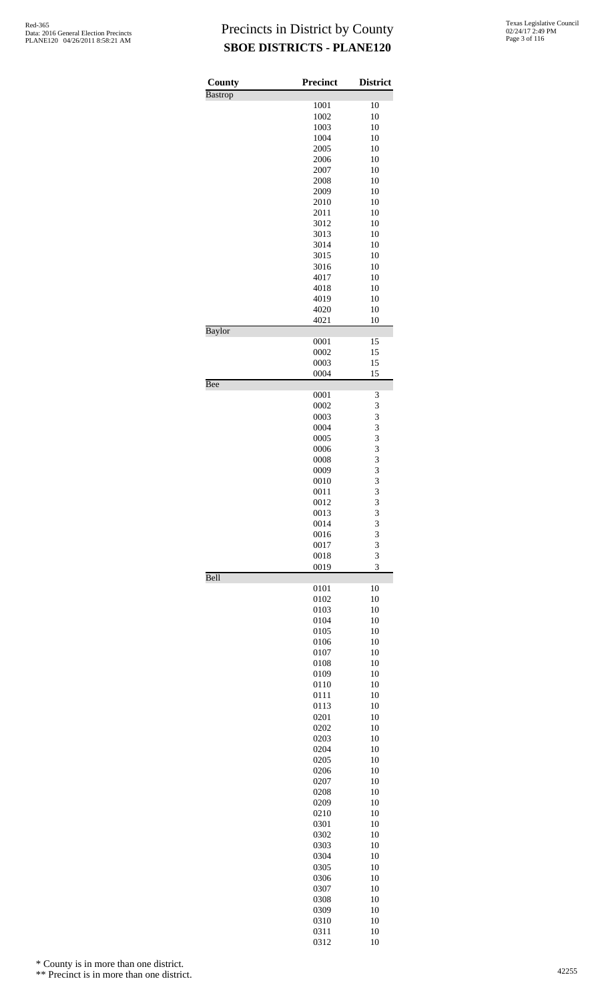| County         | <b>Precinct</b> | <b>District</b> |
|----------------|-----------------|-----------------|
| <b>Bastrop</b> |                 |                 |
|                | 1001<br>1002    | 10              |
|                | 1003            | 10<br>10        |
|                | 1004            | 10              |
|                | 2005            | 10              |
|                | 2006            | 10              |
|                | 2007            | 10              |
|                | 2008            | 10              |
|                | 2009            | 10              |
|                | 2010            | 10              |
|                | 2011<br>3012    | 10<br>10        |
|                | 3013            | 10              |
|                | 3014            | 10              |
|                | 3015            | 10              |
|                | 3016            | 10              |
|                | 4017            | 10              |
|                | 4018            | 10              |
|                | 4019<br>4020    | 10<br>10        |
|                | 4021            | 10              |
| Baylor         |                 |                 |
|                | 0001            | 15              |
|                | 0002            | 15              |
|                | 0003            | 15              |
|                | 0004            | 15              |
| Bee            | 0001            | 3               |
|                | 0002            | 3               |
|                | 0003            | 3               |
|                | 0004            | 3               |
|                | 0005            | 3               |
|                | 0006            | 3               |
|                | 0008            | 3               |
|                | 0009<br>0010    | 3<br>3          |
|                | 0011            | 3               |
|                | 0012            | 3               |
|                | 0013            | 3               |
|                | 0014            | 3               |
|                | 0016            | 3               |
|                | 0017            | 3               |
|                | 0018<br>0019    | 3<br>3          |
| Bell           |                 |                 |
|                | 0101            | 10              |
|                | 0102            | 10              |
|                | 0103            | 10              |
|                | 0104            | 10              |
|                | 0105<br>0106    | 10<br>10        |
|                | 0107            | 10              |
|                | 0108            | 10              |
|                | 0109            | 10              |
|                | 0110            | 10              |
|                | 0111            | 10              |
|                | 0113            | 10              |
|                | 0201<br>0202    | 10<br>10        |
|                | 0203            | 10              |
|                | 0204            | 10              |
|                | 0205            | 10              |
|                | 0206            | 10              |
|                | 0207            | 10              |
|                | 0208            | 10              |
|                | 0209            | 10<br>10        |
|                | 0210<br>0301    | 10              |
|                | 0302            | 10              |
|                | 0303            | 10              |
|                | 0304            | 10              |
|                | 0305            | 10              |
|                | 0306            | 10              |
|                | 0307            | 10              |
|                | 0308            | 10<br>10        |
|                | 0309<br>0310    | 10              |
|                | 0311            | 10              |

10

\* County is in more than one district.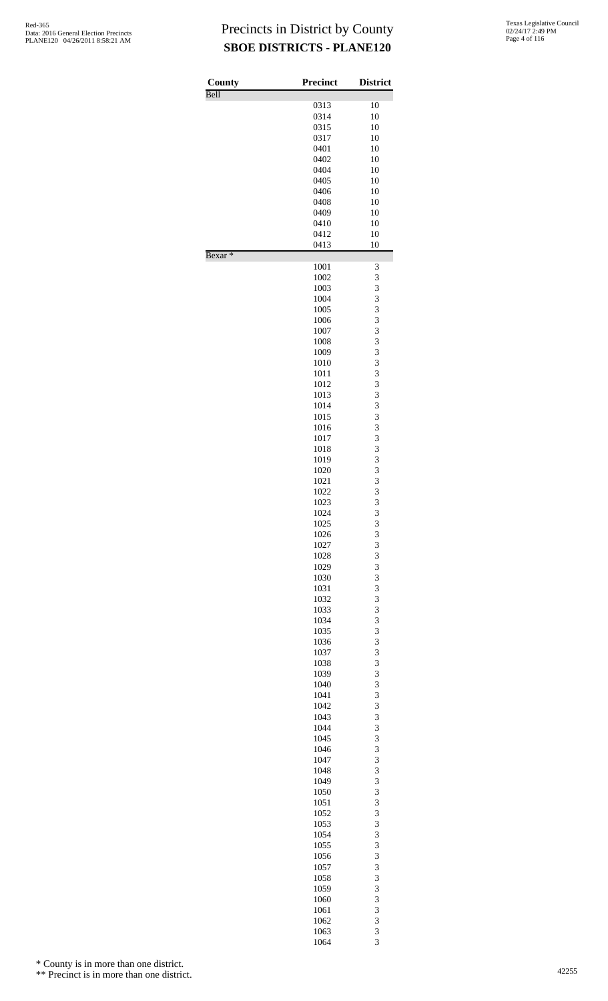| County             | <b>Precinct</b> | <b>District</b> |
|--------------------|-----------------|-----------------|
| Bell               | 0313            | 10              |
|                    | 0314            | 10              |
|                    | 0315            | 10              |
|                    | 0317            | 10              |
|                    | 0401<br>0402    | 10<br>10        |
|                    | 0404            | 10              |
|                    | 0405            | 10              |
|                    | 0406            | 10              |
|                    | 0408            | 10              |
|                    | 0409            | 10<br>10        |
|                    | 0410<br>0412    | 10              |
|                    | 0413            | 10              |
| Bexar <sup>*</sup> |                 |                 |
|                    | 1001<br>1002    | 3<br>3          |
|                    | 1003            | 3               |
|                    | 1004            | 3               |
|                    | 1005            | 3               |
|                    | 1006            | 3               |
|                    | 1007            | 3<br>3          |
|                    | 1008<br>1009    | 3               |
|                    | 1010            | 3               |
|                    | 1011            | 3               |
|                    | 1012            | 3               |
|                    | 1013            | 3               |
|                    | 1014<br>1015    | 3<br>3          |
|                    | 1016            | 3               |
|                    | 1017            | 3               |
|                    | 1018            | 3               |
|                    | 1019            | 3               |
|                    | 1020<br>1021    | 3               |
|                    | 1022            | 3<br>3          |
|                    | 1023            | 3               |
|                    | 1024            | $\overline{3}$  |
|                    | 1025            | 3               |
|                    | 1026            | 3               |
|                    | 1027<br>1028    | 3<br>3          |
|                    | 1029            | 3               |
|                    | 1030            | 3               |
|                    | 1031            | 3               |
|                    | 1032            | 3               |
|                    | 1033<br>1034    | 3<br>3          |
|                    | 1035            | 3               |
|                    | 1036            | 3               |
|                    | 1037            | 3               |
|                    | 1038            | 3               |
|                    | 1039            | 3               |
|                    | 1040<br>1041    | 3<br>3          |
|                    | 1042            | 3               |
|                    | 1043            | 3               |
|                    | 1044            | 3               |
|                    | 1045            | 3               |
|                    | 1046<br>1047    | 3<br>3          |
|                    | 1048            | 3               |
|                    | 1049            | 3               |
|                    | 1050            | 3               |
|                    | 1051            | 3               |
|                    | 1052            | 3               |
|                    | 1053<br>1054    | 3<br>3          |
|                    | 1055            | 3               |
|                    | 1056            | 3               |
|                    | 1057            | 3               |
|                    | 1058            | 3               |
|                    | 1059<br>1060    | 3<br>3          |
|                    | 1061            | 3               |
|                    | 1062            | 3               |
|                    | 1063            | 3               |

3

\* County is in more than one district.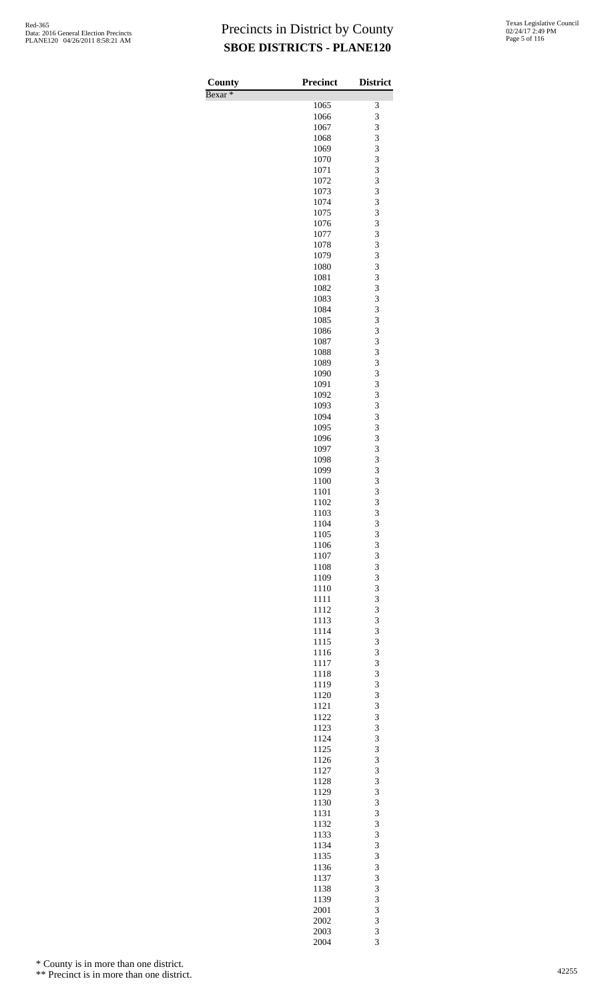| County             | <b>Precinct</b> | <b>District</b> |
|--------------------|-----------------|-----------------|
| Bexar <sup>*</sup> | 1065            | 3               |
|                    | 1066            | 3               |
|                    | 1067            | 3               |
|                    | 1068<br>1069    | 3<br>3          |
|                    | 1070            | 3               |
|                    | 1071            | 3               |
|                    | 1072            | 3               |
|                    | 1073            | 3               |
|                    | 1074<br>1075    | 3<br>3          |
|                    | 1076            | 3               |
|                    | 1077            | 3               |
|                    | 1078            | 3               |
|                    | 1079<br>1080    | 3<br>3          |
|                    | 1081            | 3               |
|                    | 1082            | 3               |
|                    | 1083            | 3               |
|                    | 1084            | 3               |
|                    | 1085<br>1086    | 3<br>3          |
|                    | 1087            | 3               |
|                    | 1088            | 3               |
|                    | 1089            | 3               |
|                    | 1090<br>1091    | 3<br>3          |
|                    | 1092            | 3               |
|                    | 1093            | 3               |
|                    | 1094            | 3               |
|                    | 1095            | 3               |
|                    | 1096<br>1097    | 3<br>3          |
|                    | 1098            | 3               |
|                    | 1099            | 3               |
|                    | 1100            | 3               |
|                    | 1101<br>1102    | 3<br>3          |
|                    | 1103            | 3               |
|                    | 1104            |                 |
|                    | 1105            | $\frac{3}{3}$   |
|                    | 1106            | 3               |
|                    | 1107<br>1108    | 3<br>3          |
|                    | 1109            | 3               |
|                    | 1110            | 3               |
|                    | 1111            | 3               |
|                    | 1112<br>1113    | 3<br>3          |
|                    | 1114            | 3               |
|                    | 1115            | 3               |
|                    | 1116            | 3               |
|                    | 1117            | 3               |
|                    | 1118<br>1119    | 3<br>3          |
|                    | 1120            | 3               |
|                    | 1121            | 3               |
|                    | 1122            | 3               |
|                    | 1123<br>1124    | 3<br>3          |
|                    | 1125            | 3               |
|                    | 1126            | 3               |
|                    | 1127            | 3               |
|                    | 1128            | 3               |
|                    | 1129<br>1130    | 3<br>3          |
|                    | 1131            | 3               |
|                    | 1132            | 3               |
|                    | 1133            | 3               |
|                    | 1134<br>1135    | 3<br>3          |
|                    | 1136            | 3               |
|                    | 1137            | 3               |
|                    | 1138            | 3               |
|                    | 1139            | 3<br>3          |
|                    | 2001<br>2002    | 3               |
|                    | 2003            | 3               |
|                    | 2004            | 3               |

\* County is in more than one district.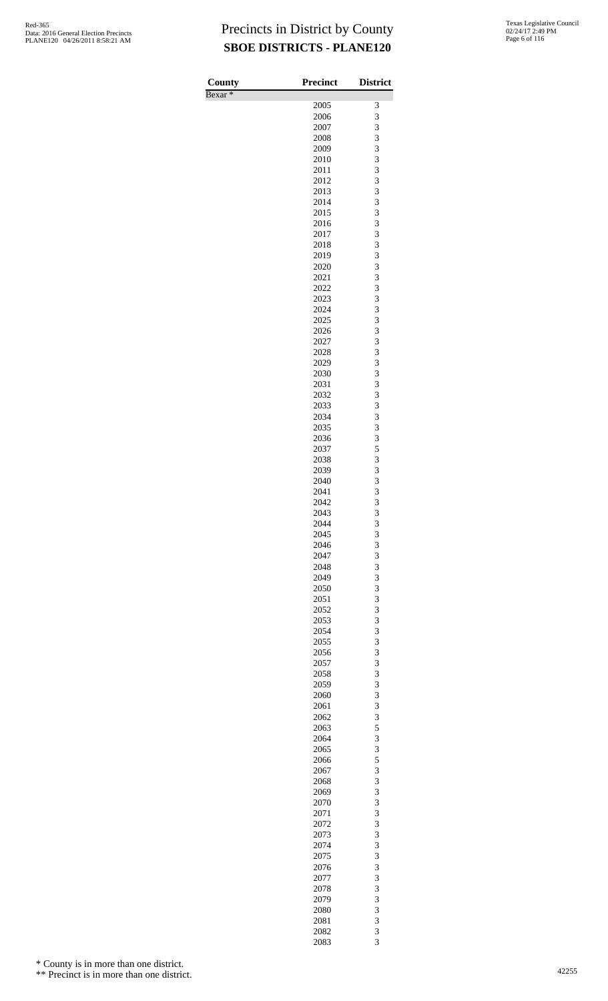| County             | <b>Precinct</b> | <b>District</b> |
|--------------------|-----------------|-----------------|
| Bexar <sup>*</sup> |                 |                 |
|                    | 2005            | 3               |
|                    | 2006            | 3               |
|                    | 2007<br>2008    | 3<br>3          |
|                    | 2009            | 3               |
|                    | 2010            | 3               |
|                    | 2011            | 3               |
|                    | 2012            | 3               |
|                    | 2013            | 3               |
|                    | 2014<br>2015    | 3<br>3          |
|                    | 2016            | 3               |
|                    | 2017            | 3               |
|                    | 2018            | 3               |
|                    | 2019            | 3               |
|                    | 2020            | 3               |
|                    | 2021            | 3<br>3          |
|                    | 2022<br>2023    | 3               |
|                    | 2024            | 3               |
|                    | 2025            | 3               |
|                    | 2026            | 3               |
|                    | 2027            | 3               |
|                    | 2028            | 3               |
|                    | 2029<br>2030    | 3<br>3          |
|                    | 2031            | 3               |
|                    | 2032            | 3               |
|                    | 2033            | 3               |
|                    | 2034            | 3               |
|                    | 2035            | 3               |
|                    | 2036            | 3               |
|                    | 2037<br>2038    | 5<br>3          |
|                    | 2039            | 3               |
|                    | 2040            | 3               |
|                    | 2041            | 3               |
|                    | 2042            | 3               |
|                    | 2043            | 3               |
|                    | 2044<br>2045    | 3<br>3          |
|                    | 2046            | 3               |
|                    | 2047            | 3               |
|                    | 2048            | 3               |
|                    | 2049            | 3               |
|                    | 2050            | 3               |
|                    | 2051            | 3               |
|                    | 2052<br>2053    | 3<br>3          |
|                    | 2054            | 3               |
|                    | 2055            | 3               |
|                    | 2056            | 3               |
|                    | 2057            | 3               |
|                    | 2058            | 3               |
|                    | 2059<br>2060    | 3<br>3          |
|                    | 2061            | 3               |
|                    | 2062            | 3               |
|                    | 2063            | 5               |
|                    | 2064            | 3               |
|                    | 2065            | 3               |
|                    | 2066            | 5<br>3          |
|                    | 2067<br>2068    | 3               |
|                    | 2069            | 3               |
|                    | 2070            | 3               |
|                    | 2071            | 3               |
|                    | 2072            | 3               |
|                    | 2073            | 3               |
|                    | 2074<br>2075    | 3<br>3          |
|                    | 2076            | 3               |
|                    | 2077            | 3               |
|                    | 2078            | 3               |
|                    | 2079            | 3               |
|                    | 2080            | 3               |
|                    | 2081            | 3               |
|                    | 2082<br>2083    | 3<br>3          |
|                    |                 |                 |

\* County is in more than one district.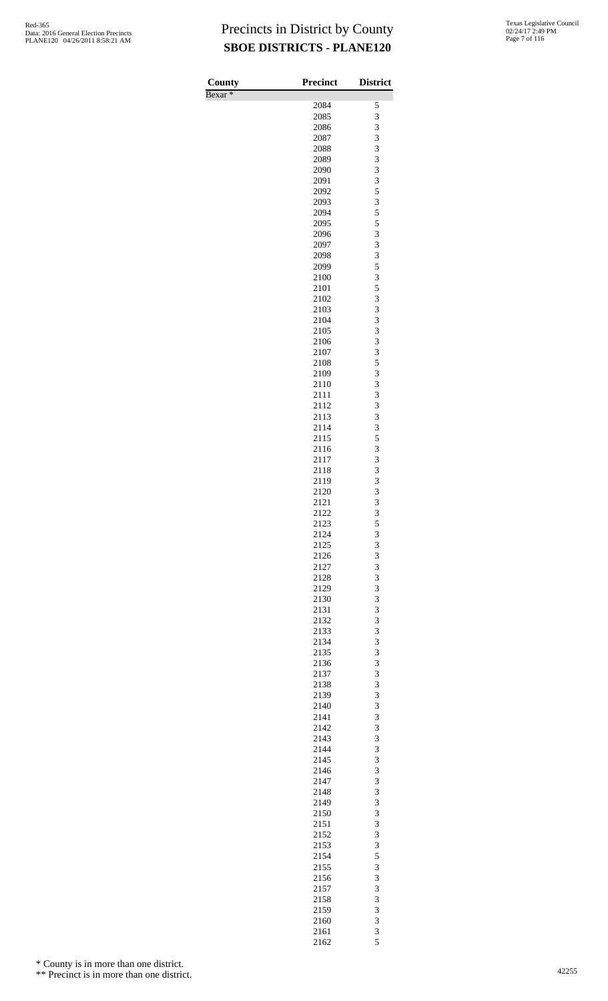| County             | <b>Precinct</b> | <b>District</b> |
|--------------------|-----------------|-----------------|
| Bexar <sup>*</sup> | 2084            | 5               |
|                    | 2085            | 3               |
|                    | 2086            | 3               |
|                    | 2087            | 3               |
|                    | 2088            | 3               |
|                    | 2089            | 3               |
|                    | 2090<br>2091    | 3<br>3          |
|                    | 2092            | 5               |
|                    | 2093            | 3               |
|                    | 2094            | 5               |
|                    | 2095            | 5               |
|                    | 2096            | 3               |
|                    | 2097            | 3<br>3          |
|                    | 2098<br>2099    | 5               |
|                    | 2100            | 3               |
|                    | 2101            | 5               |
|                    | 2102            | 3               |
|                    | 2103            | 3               |
|                    | 2104            | 3               |
|                    | 2105<br>2106    | 3<br>3          |
|                    | 2107            | 3               |
|                    | 2108            | 5               |
|                    | 2109            | 3               |
|                    | 2110            | 3               |
|                    | 2111            | 3<br>3          |
|                    | 2112<br>2113    | 3               |
|                    | 2114            | 3               |
|                    | 2115            | 5               |
|                    | 2116            | 3               |
|                    | 2117            | 3               |
|                    | 2118<br>2119    | 3<br>3          |
|                    | 2120            | 3               |
|                    | 2121            | 3               |
|                    | 2122            | 3               |
|                    | 2123            | 5               |
|                    | 2124            | 3               |
|                    | 2125<br>2126    | 3<br>3          |
|                    | 2127            | 3               |
|                    | 2128            | 3               |
|                    | 2129            | 3               |
|                    | 2130            | 3               |
|                    | 2131            | 3               |
|                    | 2132<br>2133    | 3<br>3          |
|                    | 2134            | 3               |
|                    | 2135            | 3               |
|                    | 2136            | 3               |
|                    | 2137            | 3               |
|                    | 2138            | 3               |
|                    | 2139<br>2140    | 3<br>3          |
|                    | 2141            | 3               |
|                    | 2142            | 3               |
|                    | 2143            | 3               |
|                    | 2144            | 3               |
|                    | 2145            | 3               |
|                    | 2146<br>2147    | 3<br>3          |
|                    | 2148            | 3               |
|                    | 2149            | 3               |
|                    | 2150            | 3               |
|                    | 2151            | 3               |
|                    | 2152            | 3<br>3          |
|                    | 2153<br>2154    | 5               |
|                    | 2155            | 3               |
|                    | 2156            | 3               |
|                    | 2157            | 3               |
|                    | 2158            | 3               |
|                    | 2159            | 3               |
|                    | 2160<br>2161    | 3<br>3          |
|                    | 2162            | 5               |

\* County is in more than one district.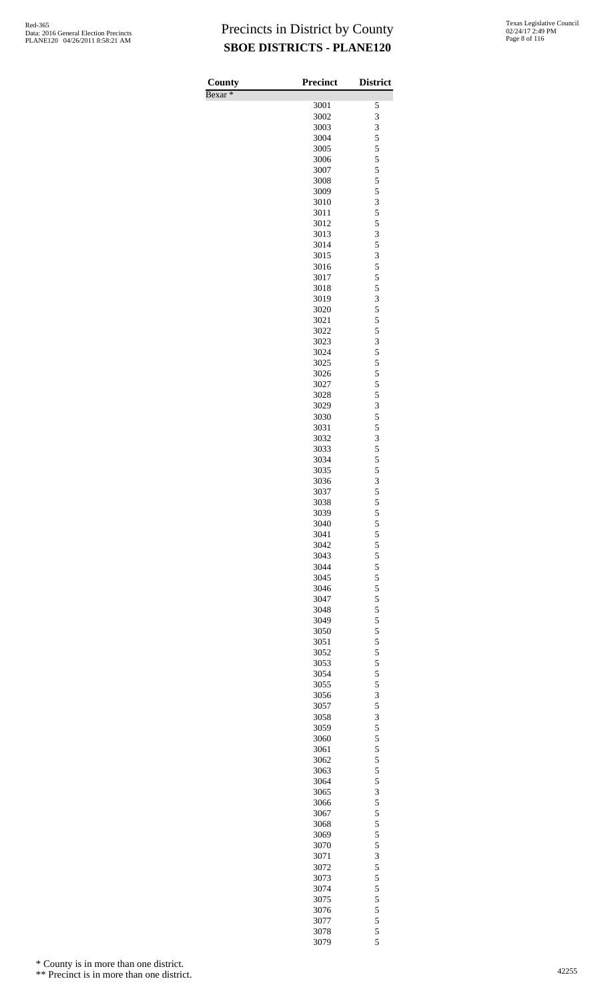| County             | <b>Precinct</b> | <b>District</b>         |
|--------------------|-----------------|-------------------------|
| Bexar <sup>*</sup> |                 |                         |
|                    | 3001            | 5                       |
|                    | 3002            | 3                       |
|                    | 3003            | 3                       |
|                    | 3004            | 5<br>5                  |
|                    | 3005<br>3006    | 5                       |
|                    | 3007            | 5                       |
|                    | 3008            | 5                       |
|                    | 3009            | 5                       |
|                    | 3010            | 3                       |
|                    | 3011            | 5                       |
|                    | 3012            | 5                       |
|                    | 3013<br>3014    | 3<br>5                  |
|                    | 3015            | 3                       |
|                    | 3016            | 5                       |
|                    | 3017            | 5                       |
|                    | 3018            | 5                       |
|                    | 3019            | $\overline{\mathbf{3}}$ |
|                    | 3020            | 5                       |
|                    | 3021            | 5                       |
|                    | 3022<br>3023    | 5<br>3                  |
|                    | 3024            | 5                       |
|                    | 3025            | 5                       |
|                    | 3026            | 5                       |
|                    | 3027            | 5                       |
|                    | 3028            | 5                       |
|                    | 3029            | $\overline{\mathbf{3}}$ |
|                    | 3030            | 5                       |
|                    | 3031            | 5<br>3                  |
|                    | 3032<br>3033    | 5                       |
|                    | 3034            | 5                       |
|                    | 3035            | 5                       |
|                    | 3036            | 3                       |
|                    | 3037            | 5                       |
|                    | 3038            | 5                       |
|                    | 3039            | 5                       |
|                    | 3040            | 5                       |
|                    | 3041<br>3042    | 5<br>5                  |
|                    | 3043            | 5                       |
|                    | 3044            | 5                       |
|                    | 3045            | 5                       |
|                    | 3046            | 5                       |
|                    | 3047            | 5                       |
|                    | 3048            | 5                       |
|                    | 3049            | 5                       |
|                    | 3050<br>3051    | 5<br>5                  |
|                    | 3052            | 5                       |
|                    | 3053            | 5                       |
|                    | 3054            | 5                       |
|                    | 3055            | 5                       |
|                    | 3056            | 3                       |
|                    | 3057            | 5                       |
|                    | 3058            | 3                       |
|                    | 3059            | 5                       |
|                    | 3060<br>3061    | 5<br>5                  |
|                    | 3062            | 5                       |
|                    | 3063            | 5                       |
|                    | 3064            | 5                       |
|                    | 3065            | 3                       |
|                    | 3066            | 5                       |
|                    | 3067            | 5                       |
|                    | 3068            | 5<br>5                  |
|                    | 3069<br>3070    | 5                       |
|                    | 3071            | 3                       |
|                    | 3072            | 5                       |
|                    | 3073            | 5                       |
|                    | 3074            | 5                       |
|                    | 3075            | 5                       |
|                    | 3076            | 5                       |
|                    | 3077            | 5                       |
|                    | 3078<br>3079    | 5<br>5                  |
|                    |                 |                         |

\* County is in more than one district.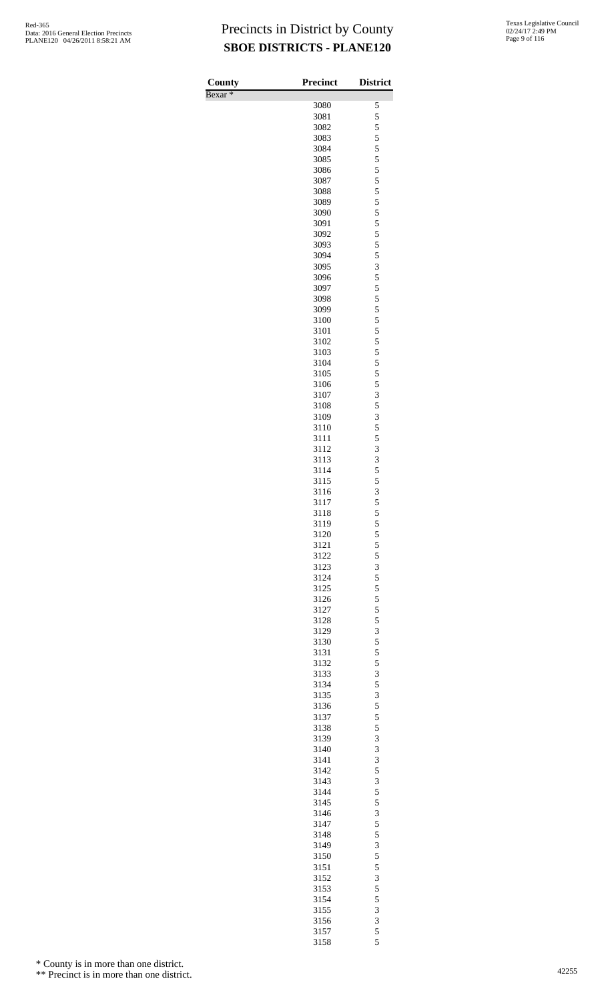Bexar \*

| County<br>$Bexar *$ | <b>Precinct</b> | <b>District</b>              |
|---------------------|-----------------|------------------------------|
|                     | 3080            | 5                            |
|                     | 3081            | 5                            |
|                     | 3082            | 5                            |
|                     | 3083            | 5                            |
|                     | 3084            | 5                            |
|                     | 3085            | 5                            |
|                     | 3086<br>3087    | 5<br>5                       |
|                     | 3088            | 5                            |
|                     | 3089            | 5                            |
|                     | 3090            | 5                            |
|                     | 3091            |                              |
|                     | 3092            | $\frac{5}{5}$                |
|                     | 3093            | 5                            |
|                     | 3094            | 5                            |
|                     | 3095<br>3096    | $\overline{\mathbf{3}}$<br>5 |
|                     | 3097            | 5                            |
|                     | 3098            | 5                            |
|                     | 3099            | 5                            |
|                     | 3100            | $\overline{5}$               |
|                     | 3101            | $\frac{5}{5}$                |
|                     | 3102            |                              |
|                     | 3103            | 5                            |
|                     | 3104            | 5<br>$\overline{5}$          |
|                     | 3105<br>3106    | 5                            |
|                     | 3107            | 3                            |
|                     | 3108            | 5                            |
|                     | 3109            | 3                            |
|                     | 3110            | 5                            |
|                     | 3111            | 5                            |
|                     | 3112            | 3                            |
|                     | 3113            | 3<br>5                       |
|                     | 3114<br>3115    | 5                            |
|                     | 3116            | 3                            |
|                     | 3117            | 5                            |
|                     | 3118            | 5                            |
|                     | 3119            |                              |
|                     | 3120            | $\frac{5}{5}$                |
|                     | 3121            | 5                            |
|                     | 3122            | 5                            |
|                     | 3123<br>3124    | 3<br>5                       |
|                     | 3125            | 5                            |
|                     | 3126            |                              |
|                     | 3127            | $\frac{5}{5}$                |
|                     | 3128            | 5                            |
|                     | 3129            | $\frac{3}{5}$                |
|                     | 3130            |                              |
|                     | 3131            | 5                            |
|                     | 3132            | 5                            |
|                     | 3133<br>3134    | 3<br>5                       |
|                     | 3135            | 3                            |
|                     | 3136            | 5                            |
|                     | 3137            | 5                            |
|                     | 3138            | 5                            |
|                     | 3139            | 3                            |
|                     | 3140            | 3                            |
|                     | 3141            | 3                            |
|                     | 3142<br>3143    | 5<br>3                       |
|                     | 3144            | 5                            |
|                     | 3145            | 5                            |
|                     | 3146            |                              |
|                     | 3147            | $rac{3}{5}$                  |
|                     | 3148            | 5                            |
|                     | 3149            | 3                            |
|                     | 3150            | 5                            |
|                     | 3151            | 5                            |
|                     | 3152<br>3153    | 3<br>5                       |
|                     | 3154            | 5                            |
|                     | 3155            | 3                            |
|                     | 3156            | 3                            |
|                     | 3157            | 5                            |
|                     | 3158            | 5                            |

\* County is in more than one district.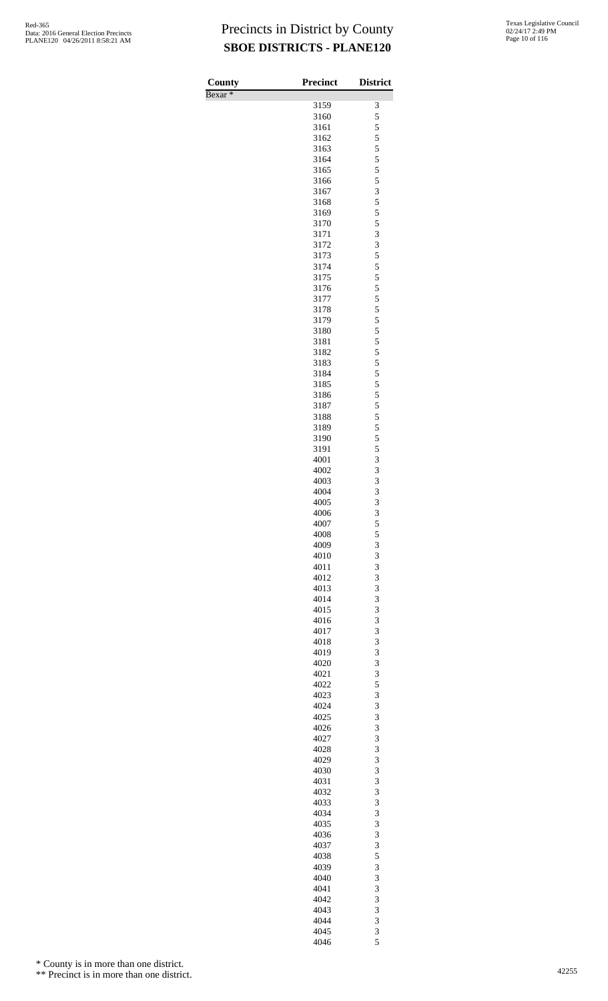| County             | Precinct     | <b>District</b> |
|--------------------|--------------|-----------------|
| Bexar <sup>*</sup> | 3159         | 3               |
|                    | 3160         | 5               |
|                    | 3161         | 5               |
|                    | 3162         | 5<br>5          |
|                    | 3163<br>3164 | 5               |
|                    | 3165         | 5               |
|                    | 3166         | 5               |
|                    | 3167         | 3               |
|                    | 3168<br>3169 | 5<br>5          |
|                    | 3170         | 5               |
|                    | 3171         | 3               |
|                    | 3172         | 3               |
|                    | 3173<br>3174 | 5<br>5          |
|                    | 3175         | 5               |
|                    | 3176         | 5               |
|                    | 3177         | 5               |
|                    | 3178         | 5               |
|                    | 3179<br>3180 | 5<br>5          |
|                    | 3181         | 5               |
|                    | 3182         | 5               |
|                    | 3183         | 5               |
|                    | 3184<br>3185 | 5<br>5          |
|                    | 3186         | 5               |
|                    | 3187         | 5               |
|                    | 3188         | 5               |
|                    | 3189         | 5<br>5          |
|                    | 3190<br>3191 | 5               |
|                    | 4001         | 3               |
|                    | 4002         | 3               |
|                    | 4003         | 3               |
|                    | 4004<br>4005 | 3<br>3          |
|                    | 4006         | 3               |
|                    | 4007         | 5               |
|                    | 4008         | 5               |
|                    | 4009<br>4010 | 3<br>3          |
|                    | 4011         | 3               |
|                    | 4012         | 3               |
|                    | 4013         | 3               |
|                    | 4014<br>4015 | 3<br>3          |
|                    | 4016         | 3               |
|                    | 4017         | 3               |
|                    | 4018         | 3               |
|                    | 4019<br>4020 | 3<br>3          |
|                    | 4021         | 3               |
|                    | 4022         | 5               |
|                    | 4023         | 3               |
|                    | 4024<br>4025 | 3<br>3          |
|                    | 4026         | 3               |
|                    | 4027         | 3               |
|                    | 4028         | 3               |
|                    | 4029<br>4030 | 3<br>3          |
|                    | 4031         | 3               |
|                    | 4032         | 3               |
|                    | 4033         | 3               |
|                    | 4034<br>4035 | 3<br>3          |
|                    | 4036         | 3               |
|                    | 4037         | 3               |
|                    | 4038         | 5               |
|                    | 4039         | 3               |
|                    | 4040<br>4041 | 3<br>3          |
|                    | 4042         | 3               |
|                    | 4043         | 3               |
|                    | 4044         | 3               |
|                    | 4045<br>4046 | 3<br>5          |
|                    |              |                 |

\* County is in more than one district.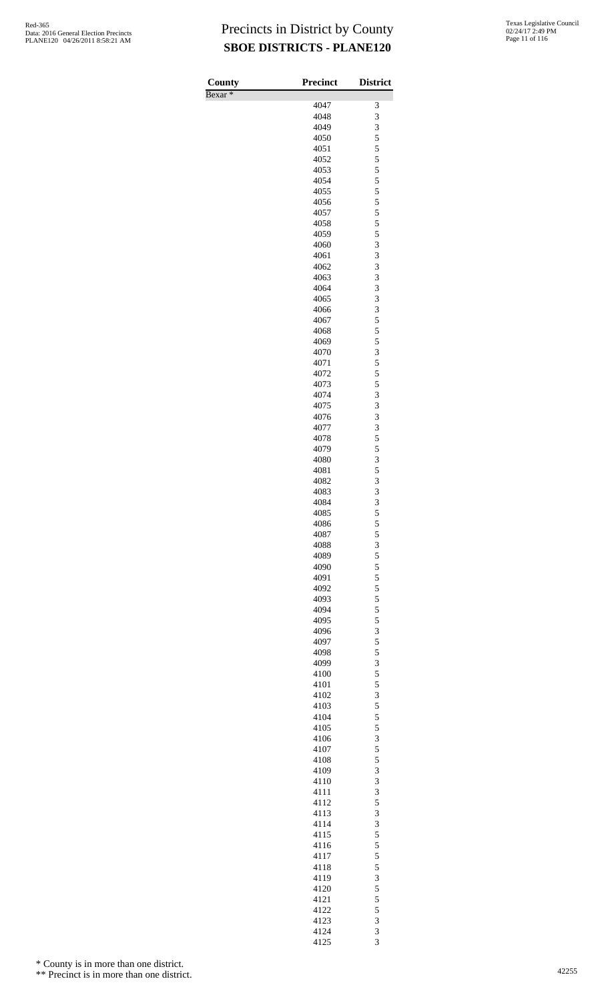| <b>County</b>      | Precinct     | <b>District</b> |
|--------------------|--------------|-----------------|
| Bexar <sup>*</sup> | 4047         | 3               |
|                    | 4048         | 3               |
|                    | 4049         | 3               |
|                    | 4050<br>4051 | 5<br>5          |
|                    | 4052         | 5               |
|                    | 4053         | 5               |
|                    | 4054<br>4055 | 5<br>5          |
|                    | 4056         | 5               |
|                    | 4057         | 5               |
|                    | 4058         | 5               |
|                    | 4059<br>4060 | 5<br>3          |
|                    | 4061         | 3               |
|                    | 4062         | 3               |
|                    | 4063<br>4064 | 3<br>3          |
|                    | 4065         | 3               |
|                    | 4066         | 3               |
|                    | 4067         | 5               |
|                    | 4068<br>4069 | 5<br>5          |
|                    | 4070         | 3               |
|                    | 4071         | 5               |
|                    | 4072<br>4073 | 5<br>5          |
|                    | 4074         | 3               |
|                    | 4075         | 3               |
|                    | 4076         | 3               |
|                    | 4077<br>4078 | 3<br>5          |
|                    | 4079         | 5               |
|                    | 4080         | 3               |
|                    | 4081         | 5               |
|                    | 4082<br>4083 | 3<br>3          |
|                    | 4084         | 3               |
|                    | 4085         | 5               |
|                    | 4086<br>4087 | $\frac{5}{5}$   |
|                    | 4088         | 3               |
|                    | 4089         | $\frac{5}{5}$   |
|                    | 4090         |                 |
|                    | 4091<br>4092 | 5<br>5          |
|                    | 4093         | 5               |
|                    | 4094         | 5               |
|                    | 4095<br>4096 | 5<br>3          |
|                    | 4097         | 5               |
|                    | 4098         | 5               |
|                    | 4099         | 3<br>5          |
|                    | 4100<br>4101 | 5               |
|                    | 4102         | 3               |
|                    | 4103         | 5               |
|                    | 4104<br>4105 | 5<br>5          |
|                    | 4106         | 3               |
|                    | 4107         | 5               |
|                    | 4108         | 5               |
|                    | 4109<br>4110 | 3<br>3          |
|                    | 4111         | 3               |
|                    | 4112         | 5               |
|                    | 4113         | 3<br>3          |
|                    | 4114<br>4115 | 5               |
|                    | 4116         | 5               |
|                    | 4117         | 5               |
|                    | 4118<br>4119 | 5<br>3          |
|                    | 4120         | 5               |
|                    | 4121         | 5               |
|                    | 4122         | 5               |
|                    | 4123<br>4124 | 3<br>3          |
|                    | 4125         | 3               |

\* County is in more than one district.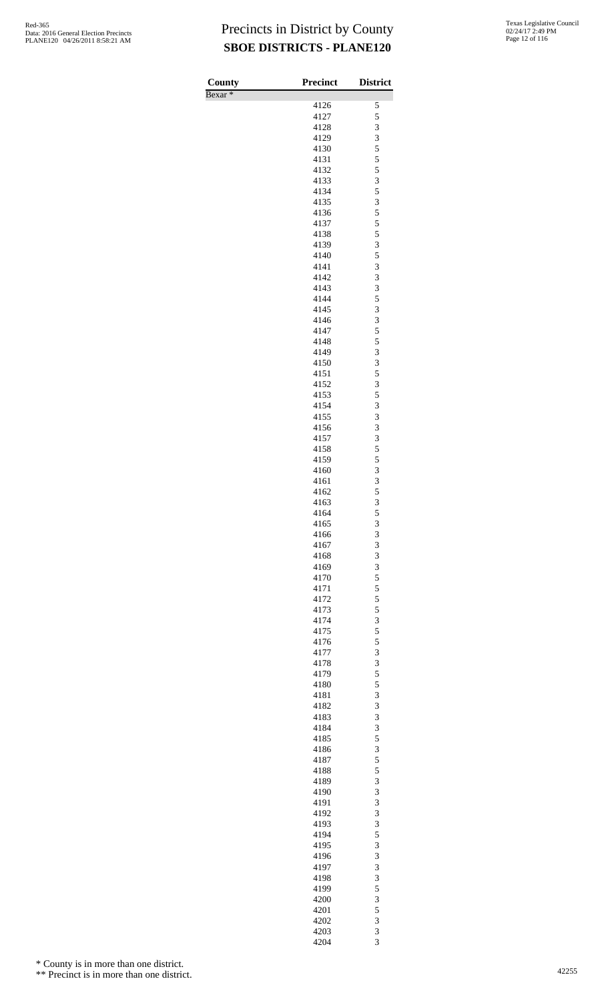| County<br>Bexar <sup>*</sup> | <b>Precinct</b> | <b>District</b> |
|------------------------------|-----------------|-----------------|
|                              | 4126            | 5               |
|                              | 4127            | 5               |
|                              | 4128            | 3               |
|                              | 4129<br>4130    | 3<br>5          |
|                              | 4131            | 5               |
|                              | 4132            | 5               |
|                              | 4133            | 3               |
|                              | 4134<br>4135    | 5<br>3          |
|                              | 4136            | 5               |
|                              | 4137            | 5               |
|                              | 4138            | 5               |
|                              | 4139<br>4140    | 3<br>5          |
|                              | 4141            | 3               |
|                              | 4142            | 3               |
|                              | 4143            | 3               |
|                              | 4144<br>4145    | 5<br>3          |
|                              | 4146            | 3               |
|                              | 4147            | 5               |
|                              | 4148            | 5               |
|                              | 4149            | 3               |
|                              | 4150<br>4151    | 3<br>5          |
|                              | 4152            | 3               |
|                              | 4153            | 5               |
|                              | 4154            | 3               |
|                              | 4155<br>4156    | 3<br>3          |
|                              | 4157            | 3               |
|                              | 4158            | 5               |
|                              | 4159            | 5               |
|                              | 4160<br>4161    | 3<br>3          |
|                              | 4162            | 5               |
|                              | 4163            | 3               |
|                              | 4164            | 5               |
|                              | 4165            | 3<br>3          |
|                              | 4166<br>4167    | 3               |
|                              | 4168            | 3               |
|                              | 4169            | 3               |
|                              | 4170            | 5               |
|                              | 4171<br>4172    | 5<br>5          |
|                              | 4173            | 5               |
|                              | 4174            | 3               |
|                              | 4175            | 5               |
|                              | 4176<br>4177    | 5<br>3          |
|                              | 4178            | 3               |
|                              | 4179            | 5               |
|                              | 4180            | 5               |
|                              | 4181<br>4182    | 3<br>3          |
|                              | 4183            | 3               |
|                              | 4184            | 3               |
|                              | 4185            | 5               |
|                              | 4186<br>4187    | 3<br>5          |
|                              | 4188            | 5               |
|                              | 4189            | 3               |
|                              | 4190            | 3               |
|                              | 4191<br>4192    | 3<br>3          |
|                              | 4193            | 3               |
|                              | 4194            | 5               |
|                              | 4195            | 3               |
|                              | 4196<br>4197    | 3<br>3          |
|                              | 4198            | 3               |
|                              | 4199            | 5               |
|                              | 4200            | 3               |
|                              | 4201            | 5               |
|                              | 4202<br>4203    | 3<br>3          |
|                              | 4204            | 3               |

\* County is in more than one district.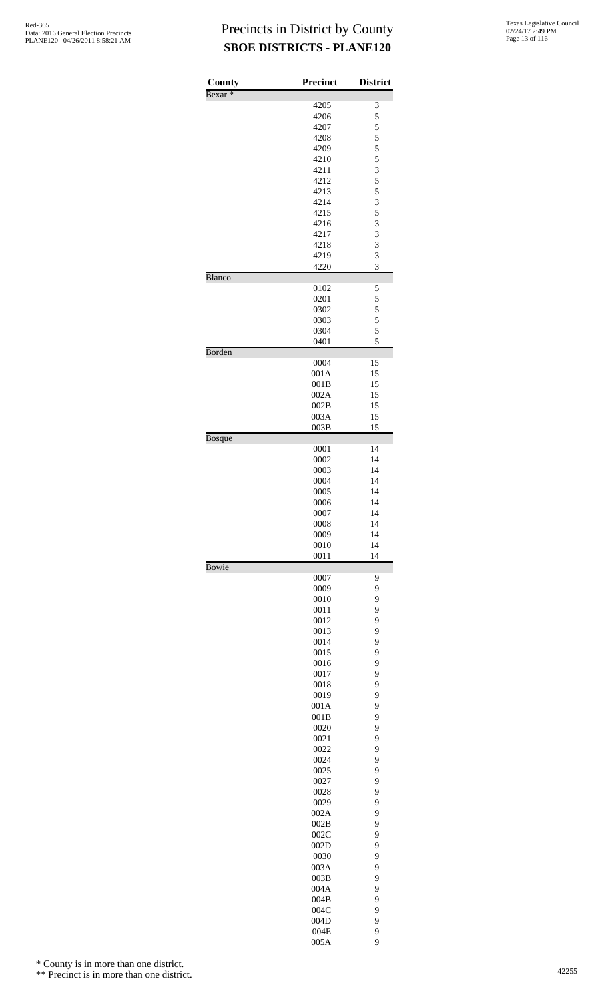| County             | <b>Precinct</b> | <b>District</b>         |
|--------------------|-----------------|-------------------------|
| Bexar <sup>*</sup> |                 |                         |
|                    | 4205            | 3                       |
|                    | 4206            | 5                       |
|                    | 4207<br>4208    | $\frac{5}{5}$           |
|                    | 4209            | 5                       |
|                    | 4210            | 5                       |
|                    | 4211            | $\overline{\mathbf{3}}$ |
|                    | 4212            | 5                       |
|                    | 4213            | 5                       |
|                    | 4214<br>4215    | 3<br>5                  |
|                    | 4216            | 3                       |
|                    | 4217            | 3                       |
|                    | 4218            | 3                       |
|                    | 4219            | 3                       |
|                    | 4220            | 3                       |
| Blanco             |                 |                         |
|                    | 0102<br>0201    | 5<br>5                  |
|                    | 0302            | 5                       |
|                    | 0303            | 5                       |
|                    | 0304            | 5                       |
|                    | 0401            | 5                       |
| Borden             |                 |                         |
|                    | 0004<br>001A    | 15<br>15                |
|                    | 001B            | 15                      |
|                    | 002A            | 15                      |
|                    | 002B            | 15                      |
|                    | 003A            | 15                      |
|                    | 003B            | 15                      |
| <b>Bosque</b>      |                 |                         |
|                    | 0001<br>0002    | 14<br>14                |
|                    | 0003            | 14                      |
|                    | 0004            | 14                      |
|                    | 0005            | 14                      |
|                    | 0006            | 14                      |
|                    | 0007            | 14                      |
|                    | 0008<br>0009    | 14<br>14                |
|                    | 0010            | 14                      |
|                    | 0011            | 14                      |
| <b>Bowie</b>       |                 |                         |
|                    | 0007            | 9                       |
|                    | 0009<br>0010    | 9<br>9                  |
|                    | 0011            | 9                       |
|                    | 0012            | 9                       |
|                    | 0013            | 9                       |
|                    | 0014            | 9                       |
|                    | 0015            | 9                       |
|                    | 0016            | 9                       |
|                    | 0017<br>0018    | 9<br>9                  |
|                    | 0019            | 9                       |
|                    | 001A            | 9                       |
|                    | 001B            | 9                       |
|                    | 0020            | 9                       |
|                    | 0021            | 9                       |
|                    | 0022<br>0024    | 9<br>9                  |
|                    | 0025            | 9                       |
|                    | 0027            | 9                       |
|                    | 0028            | 9                       |
|                    | 0029            | 9                       |
|                    | 002A            | 9                       |
|                    | 002B            | 9                       |
|                    | 002C<br>002D    | 9<br>9                  |
|                    | 0030            | 9                       |
|                    | 003A            | 9                       |
|                    | 003B            | 9                       |
|                    | 004A            | 9                       |
|                    | 004B            | 9                       |
|                    | 004C            | 9                       |
|                    | 004D<br>004E    | 9<br>9                  |
|                    | 005A            | 9                       |

\* County is in more than one district.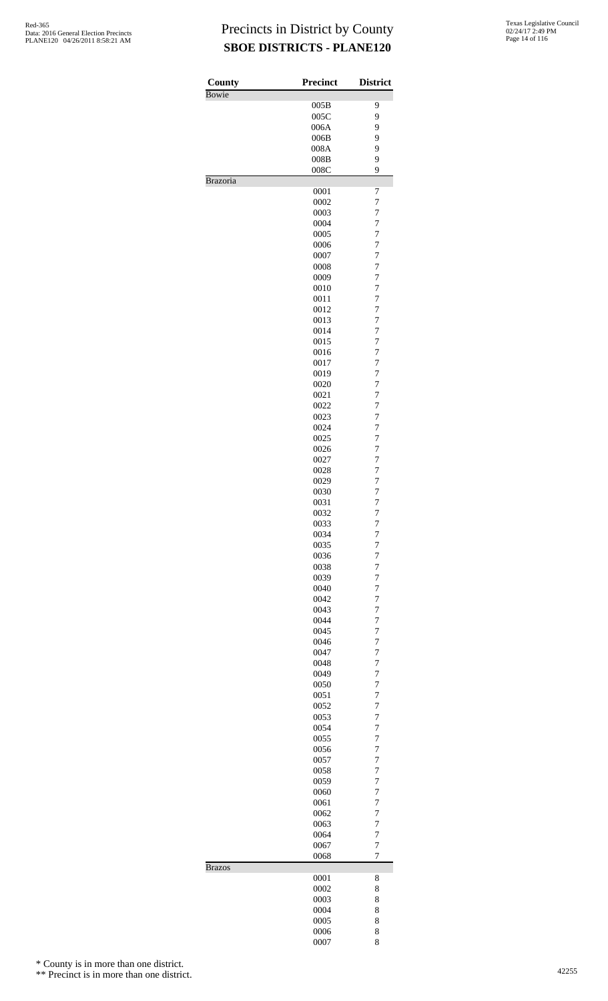| County        | <b>Precinct</b> | <b>District</b>                  |
|---------------|-----------------|----------------------------------|
| Bowie         |                 |                                  |
|               | 005B<br>005C    | 9<br>9                           |
|               | 006A            | 9                                |
|               | 006B            | 9                                |
|               | 008A            | 9                                |
|               | 008B            | 9                                |
|               | 008C            | 9                                |
| Brazoria      |                 |                                  |
|               | 0001            | 7                                |
|               | 0002            | $\overline{7}$                   |
|               | 0003            | $\overline{7}$                   |
|               | 0004            | $\overline{7}$                   |
|               | 0005            | $\overline{7}$                   |
|               | 0006            | $\overline{7}$                   |
|               | 0007            | $\overline{7}$                   |
|               | 0008            | $\overline{7}$                   |
|               | 0009            | $\overline{7}$                   |
|               | 0010            | $\overline{7}$                   |
|               | 0011            | $\overline{7}$                   |
|               | 0012            | $\overline{7}$                   |
|               | 0013            | $\overline{7}$                   |
|               | 0014            | $\overline{7}$                   |
|               | 0015            | $\overline{7}$                   |
|               | 0016            | $\overline{7}$                   |
|               | 0017            | $\overline{7}$                   |
|               | 0019            | $\overline{7}$                   |
|               | 0020            | $\overline{7}$                   |
|               | 0021            | $\overline{7}$                   |
|               | 0022            | $\overline{7}$                   |
|               | 0023            | $\overline{7}$                   |
|               | 0024            | $\overline{7}$                   |
|               | 0025            | $\overline{7}$                   |
|               | 0026            | $\overline{7}$                   |
|               | 0027            | $\overline{7}$                   |
|               | 0028            | $\overline{7}$                   |
|               | 0029            | $\overline{7}$                   |
|               | 0030            | 7                                |
|               | 0031            | $\overline{7}$                   |
|               | 0032            | 7                                |
|               | 0033            | 7                                |
|               | 0034            | $\overline{7}$<br>7              |
|               | 0035            |                                  |
|               | 0036            | $\overline{7}$                   |
|               | 0038<br>0039    | $\overline{7}$<br>$\overline{7}$ |
|               | 0040            | $\overline{7}$                   |
|               | 0042            | $\overline{7}$                   |
|               | 0043            | $\overline{7}$                   |
|               | 0044            | $\overline{7}$                   |
|               | 0045            | $\overline{7}$                   |
|               | 0046            | $\overline{7}$                   |
|               | 0047            | $\overline{7}$                   |
|               | 0048            | $\overline{7}$                   |
|               | 0049            | $\overline{7}$                   |
|               | 0050            | $\overline{7}$                   |
|               | 0051            | $\overline{7}$                   |
|               | 0052            | $\overline{7}$                   |
|               | 0053            | $\overline{7}$                   |
|               | 0054            | $\overline{7}$                   |
|               | 0055            | $\overline{7}$                   |
|               | 0056            | $\overline{7}$                   |
|               | 0057            | $\overline{7}$                   |
|               | 0058            | $\overline{7}$                   |
|               | 0059            | $\overline{7}$                   |
|               | 0060            | $\overline{7}$                   |
|               | 0061            | $\overline{7}$                   |
|               | 0062            | $\overline{7}$                   |
|               | 0063            | $\overline{7}$                   |
|               | 0064            | $\overline{7}$                   |
|               | 0067            | $\overline{7}$                   |
|               | 0068            | $\overline{7}$                   |
| <b>Brazos</b> |                 |                                  |
|               | 0001            | 8                                |
|               | 0002            | 8                                |
|               | 0003            | 8                                |
|               | 0004            | 8                                |
|               | 0005            | 8                                |
|               | 0006            | 8                                |
|               | 0007            | 8                                |

\* County is in more than one district.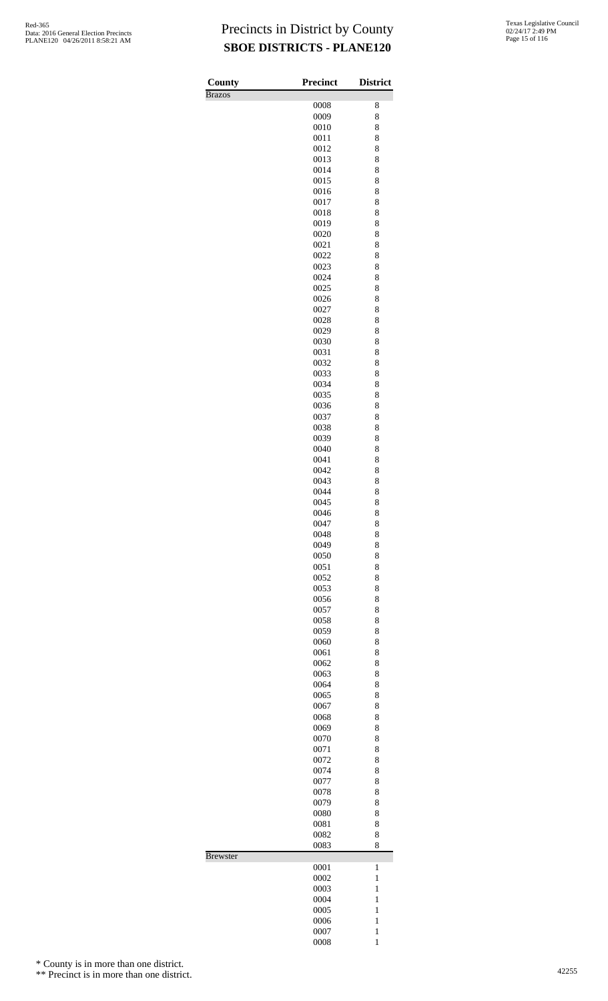| County          | <b>Precinct</b> | <b>District</b>              |
|-----------------|-----------------|------------------------------|
| <b>Brazos</b>   |                 |                              |
|                 | 0008            | 8                            |
|                 | 0009<br>0010    | 8<br>8                       |
|                 | 0011            | 8                            |
|                 | 0012            | 8                            |
|                 | 0013            | 8                            |
|                 | 0014            | 8                            |
|                 | 0015<br>0016    | 8<br>8                       |
|                 | 0017            | 8                            |
|                 | 0018            | 8                            |
|                 | 0019            | 8                            |
|                 | 0020            | 8                            |
|                 | 0021<br>0022    | 8<br>8                       |
|                 | 0023            | 8                            |
|                 | 0024            | 8                            |
|                 | 0025            | 8                            |
|                 | 0026            | 8                            |
|                 | 0027            | 8                            |
|                 | 0028<br>0029    | 8<br>8                       |
|                 | 0030            | 8                            |
|                 | 0031            | 8                            |
|                 | 0032            | 8                            |
|                 | 0033            | 8                            |
|                 | 0034<br>0035    | 8<br>8                       |
|                 | 0036            | 8                            |
|                 | 0037            | 8                            |
|                 | 0038            | 8                            |
|                 | 0039            | 8                            |
|                 | 0040<br>0041    | 8<br>8                       |
|                 | 0042            | 8                            |
|                 | 0043            | 8                            |
|                 | 0044            | 8                            |
|                 | 0045            | 8                            |
|                 | 0046<br>0047    | 8                            |
|                 | 0048            | 8<br>8                       |
|                 | 0049            | 8                            |
|                 | 0050            | 8                            |
|                 | 0051            | 8                            |
|                 | 0052            | 8                            |
|                 | 0053<br>0056    | 8<br>8                       |
|                 | 0057            | 8                            |
|                 | 0058            | 8                            |
|                 | 0059            | 8                            |
|                 | 0060            | 8                            |
|                 | 0061<br>0062    | 8<br>8                       |
|                 | 0063            | 8                            |
|                 | 0064            | 8                            |
|                 | 0065            | 8                            |
|                 | 0067            | 8                            |
|                 | 0068<br>0069    | 8<br>8                       |
|                 | 0070            | 8                            |
|                 | 0071            | 8                            |
|                 | 0072            | 8                            |
|                 | 0074            | 8                            |
|                 | 0077<br>0078    | 8<br>8                       |
|                 | 0079            | 8                            |
|                 | 0080            | 8                            |
|                 | 0081            | 8                            |
|                 | 0082            | 8                            |
| <b>Brewster</b> | 0083            | 8                            |
|                 | 0001            | $\mathbf{1}$                 |
|                 | 0002            | $\mathbf{1}$                 |
|                 | 0003            | $\mathbf{1}$                 |
|                 | 0004            | $\mathbf{1}$                 |
|                 | 0005            | $\mathbf{1}$<br>$\mathbf{1}$ |
|                 | 0006<br>0007    | $\mathbf{1}$                 |
|                 | 0008            | $\mathbf{1}$                 |

\* County is in more than one district.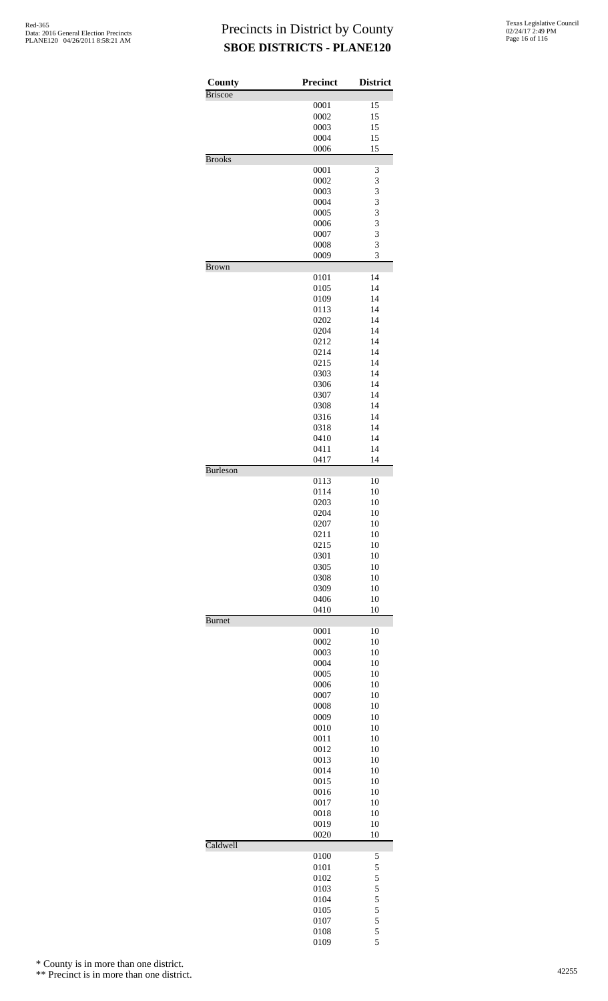| County          | <b>Precinct</b> | <b>District</b>                            |
|-----------------|-----------------|--------------------------------------------|
| <b>Briscoe</b>  |                 |                                            |
|                 | 0001<br>0002    | 15<br>15                                   |
|                 | 0003            | 15                                         |
|                 | 0004            | 15                                         |
|                 | 0006            | 15                                         |
| <b>Brooks</b>   |                 |                                            |
|                 | 0001            | 3                                          |
|                 | 0002            | 3<br>3                                     |
|                 | 0003<br>0004    | 3                                          |
|                 | 0005            | 3                                          |
|                 | 0006            | 3                                          |
|                 | 0007            | 3                                          |
|                 | 0008            | 3                                          |
|                 | 0009            | 3                                          |
| <b>Brown</b>    | 0101            | 14                                         |
|                 | 0105            | 14                                         |
|                 | 0109            | 14                                         |
|                 | 0113            | 14                                         |
|                 | 0202            | 14                                         |
|                 | 0204            | 14                                         |
|                 | 0212<br>0214    | 14<br>14                                   |
|                 | 0215            | 14                                         |
|                 | 0303            | 14                                         |
|                 | 0306            | 14                                         |
|                 | 0307            | 14                                         |
|                 | 0308            | 14                                         |
|                 | 0316            | 14                                         |
|                 | 0318            | 14<br>14                                   |
|                 | 0410<br>0411    | 14                                         |
|                 | 0417            | 14                                         |
| <b>Burleson</b> |                 |                                            |
|                 | 0113            | 10                                         |
|                 | 0114            | 10                                         |
|                 | 0203<br>0204    | 10<br>10                                   |
|                 | 0207            | 10                                         |
|                 | 0211            | 10                                         |
|                 | 0215            | 10                                         |
|                 | 0301            | 10                                         |
|                 | 0305            | 10                                         |
|                 | 0308            | 10                                         |
|                 | 0309<br>0406    | 10<br>10                                   |
|                 | 0410            | 10                                         |
| <b>Burnet</b>   |                 |                                            |
|                 | 0001            | 10                                         |
|                 | 0002<br>0003    | 10<br>10                                   |
|                 | 0004            | 10                                         |
|                 | 0005            | 10                                         |
|                 | 0006            | 10                                         |
|                 | 0007            | 10                                         |
|                 | 0008            | 10                                         |
|                 | 0009<br>0010    | 10<br>10                                   |
|                 | 0011            | 10                                         |
|                 | 0012            | 10                                         |
|                 | 0013            | 10                                         |
|                 | 0014            | 10                                         |
|                 | 0015            | 10                                         |
|                 | 0016<br>0017    | 10<br>10                                   |
|                 | 0018            | 10                                         |
|                 | 0019            | 10                                         |
|                 | 0020            | 10                                         |
| Caldwell        |                 |                                            |
|                 | 0100            | 5                                          |
|                 | 0101<br>0102    | 5<br>5                                     |
|                 | 0103            | 5                                          |
|                 | 0104            |                                            |
|                 | 0105            | $\begin{array}{c} 5 \\ 5 \\ 5 \end{array}$ |
|                 | 0107            |                                            |
|                 | 0108            | 5                                          |
|                 | 0109            | 5                                          |

\* County is in more than one district.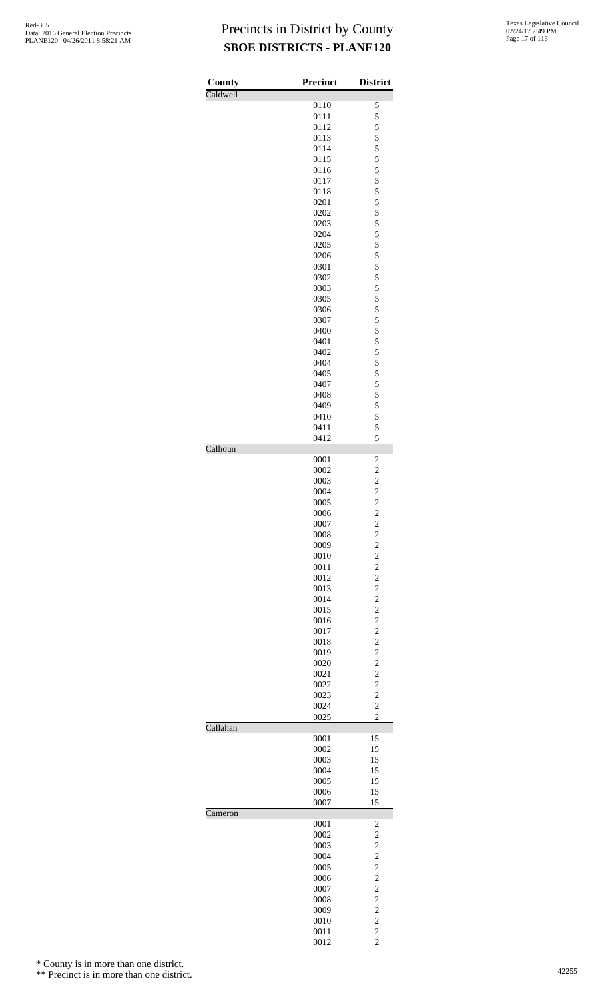| County   | <b>Precinct</b> | <b>District</b>                  |
|----------|-----------------|----------------------------------|
| Caldwell |                 |                                  |
|          | 0110<br>0111    | 5<br>5                           |
|          | 0112            | 5                                |
|          | 0113            | 5                                |
|          | 0114            | 5                                |
|          | 0115            | 5                                |
|          | 0116            | 5                                |
|          | 0117<br>0118    | 5<br>5                           |
|          | 0201            | 5                                |
|          | 0202            | 5                                |
|          | 0203            | 5                                |
|          | 0204            | 5                                |
|          | 0205            | 5                                |
|          | 0206<br>0301    | 5<br>5                           |
|          | 0302            | 5                                |
|          | 0303            | 5                                |
|          | 0305            | 5                                |
|          | 0306            | 5                                |
|          | 0307            | 5                                |
|          | 0400<br>0401    | 5<br>5                           |
|          | 0402            | 5                                |
|          | 0404            | 5                                |
|          | 0405            | 5                                |
|          | 0407            | 5                                |
|          | 0408            | 5                                |
|          | 0409            | 5<br>5                           |
|          | 0410<br>0411    | 5                                |
|          | 0412            | 5                                |
| Calhoun  | 0001            | 2                                |
|          | 0002            | $\overline{c}$                   |
|          | 0003            | $\overline{c}$                   |
|          | 0004            | $\overline{\mathbf{c}}$          |
|          | 0005            | $\overline{c}$                   |
|          | 0006            | $\overline{c}$                   |
|          | 0007            | $\frac{2}{2}$                    |
|          | 0008<br>0009    | $\overline{\mathbf{c}}$          |
|          | 0010            | $\overline{c}$                   |
|          | 0011            | $\overline{c}$                   |
|          | 0012            | $\overline{c}$                   |
|          | 0013            | $\overline{c}$                   |
|          | 0014<br>0015    | $\overline{c}$<br>$\overline{c}$ |
|          | 0016            | $\overline{c}$                   |
|          | 0017            | $\overline{c}$                   |
|          | 0018            | $\overline{c}$                   |
|          | 0019            | $\overline{c}$                   |
|          | 0020            | $\overline{c}$<br>$\overline{c}$ |
|          | 0021<br>0022    | $\overline{c}$                   |
|          | 0023            | $\overline{c}$                   |
|          | 0024            | $\overline{c}$                   |
| Callahan | 0025            | $\overline{c}$                   |
|          | 0001            | 15                               |
|          | 0002            | 15                               |
|          | 0003            | 15                               |
|          | 0004<br>0005    | 15<br>15                         |
|          | 0006            | 15                               |
|          | 0007            | 15                               |
| Cameron  | 0001            | $\overline{\mathbf{c}}$          |
|          | 0002            | $\overline{c}$                   |
|          | 0003            | $\overline{c}$                   |
|          | 0004            | $\overline{c}$                   |
|          | 0005            | $\overline{c}$                   |
|          | 0006<br>0007    | $\overline{c}$<br>$\overline{c}$ |
|          | 0008            | $\overline{c}$                   |
|          | 0009            | $\overline{c}$                   |
|          | 0010            | $\overline{\mathbf{c}}$          |
|          | 0011            | $\overline{c}$                   |
|          | 0012            | $\overline{c}$                   |

\* County is in more than one district.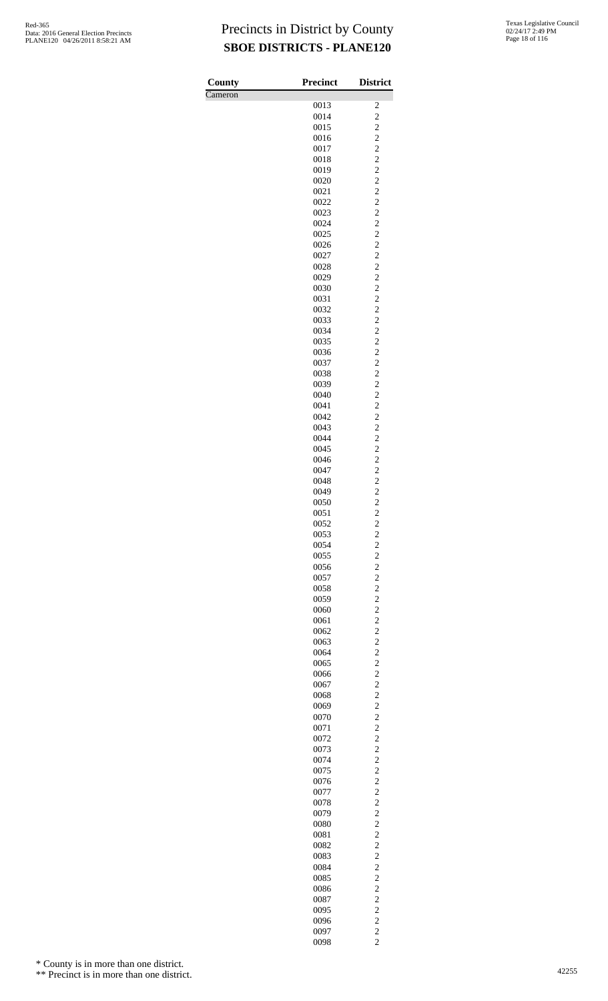| County  | Precinct     | <b>District</b>                  |
|---------|--------------|----------------------------------|
| Cameron |              |                                  |
|         | 0013         | $\overline{\mathbf{c}}$          |
|         | 0014<br>0015 | $\overline{c}$<br>$\overline{c}$ |
|         | 0016         | $\overline{c}$                   |
|         | 0017         | $\overline{c}$                   |
|         | 0018         | $\overline{c}$                   |
|         | 0019         | $\overline{c}$                   |
|         | 0020         | $\overline{c}$                   |
|         | 0021         | $\overline{c}$<br>$\overline{c}$ |
|         | 0022<br>0023 | $\overline{c}$                   |
|         | 0024         | $\overline{c}$                   |
|         | 0025         | $\overline{c}$                   |
|         | 0026         | $\overline{c}$                   |
|         | 0027         | $\overline{c}$                   |
|         | 0028<br>0029 | $\overline{c}$<br>$\overline{c}$ |
|         | 0030         | $\overline{c}$                   |
|         | 0031         | $\overline{c}$                   |
|         | 0032         | $\overline{c}$                   |
|         | 0033         | $\overline{c}$                   |
|         | 0034         | $\overline{c}$                   |
|         | 0035<br>0036 | $\overline{c}$<br>$\overline{c}$ |
|         | 0037         | $\overline{c}$                   |
|         | 0038         | $\overline{c}$                   |
|         | 0039         | $\overline{c}$                   |
|         | 0040         | $\overline{c}$                   |
|         | 0041         | $\overline{c}$                   |
|         | 0042<br>0043 | $\overline{c}$<br>$\overline{c}$ |
|         | 0044         | $\overline{c}$                   |
|         | 0045         | $\overline{c}$                   |
|         | 0046         | $\overline{c}$                   |
|         | 0047         | $\overline{c}$                   |
|         | 0048         | $\overline{c}$                   |
|         | 0049<br>0050 | $\overline{c}$<br>$\overline{c}$ |
|         | 0051         | $\overline{c}$                   |
|         | 0052         | $\overline{\mathbf{c}}$          |
|         | 0053         | $\overline{\mathbf{c}}$          |
|         | 0054         | $\overline{c}$                   |
|         | 0055<br>0056 | $\overline{c}$<br>$\overline{c}$ |
|         | 0057         | $\overline{c}$                   |
|         | 0058         | $\overline{c}$                   |
|         | 0059         | $\overline{c}$                   |
|         | 0060         | $\overline{c}$                   |
|         | 0061<br>0062 | $\overline{c}$<br>$\overline{c}$ |
|         | 0063         | $\overline{c}$                   |
|         | 0064         | $\overline{c}$                   |
|         | 0065         | $\overline{c}$                   |
|         | 0066         | $\overline{c}$                   |
|         | 0067<br>0068 | $\overline{c}$<br>$\overline{c}$ |
|         | 0069         | $\overline{c}$                   |
|         | 0070         | $\overline{c}$                   |
|         | 0071         | $\overline{c}$                   |
|         | 0072         | $\overline{c}$                   |
|         | 0073<br>0074 | $\overline{c}$<br>$\overline{c}$ |
|         | 0075         | $\overline{c}$                   |
|         | 0076         | $\overline{c}$                   |
|         | 0077         | $\overline{c}$                   |
|         | 0078         | $\overline{c}$                   |
|         | 0079<br>0080 | $\overline{c}$<br>$\overline{c}$ |
|         | 0081         | $\overline{c}$                   |
|         | 0082         | $\overline{c}$                   |
|         | 0083         | $\overline{c}$                   |
|         | 0084         | $\overline{c}$                   |
|         | 0085         | $\overline{c}$                   |
|         | 0086<br>0087 | $\overline{c}$<br>$\overline{c}$ |
|         | 0095         | $\overline{c}$                   |
|         | 0096         | $\overline{c}$                   |
|         | 0097         | $\overline{c}$                   |
|         | 0098         | $\overline{c}$                   |

\* County is in more than one district.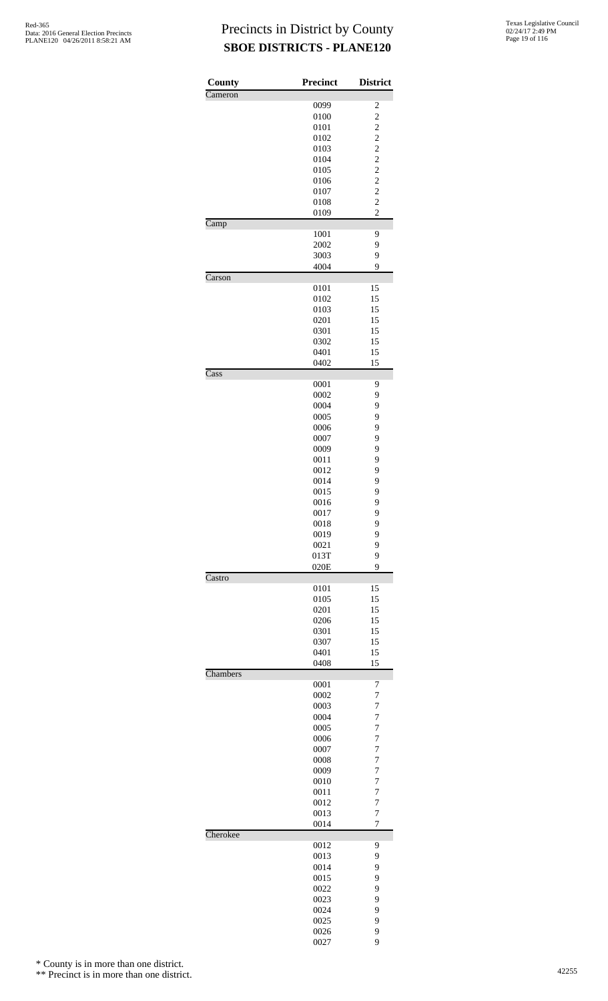| County   | Precinct     | <b>District</b>         |
|----------|--------------|-------------------------|
| Cameron  |              |                         |
|          | 0099         | $\overline{\mathbf{c}}$ |
|          | 0100         | $\overline{\mathbf{c}}$ |
|          | 0101         | $\overline{c}$          |
|          | 0102         | $\frac{2}{2}$           |
|          | 0103         |                         |
|          | 0104         | $\overline{c}$          |
|          | 0105         | $\overline{\mathbf{c}}$ |
|          | 0106<br>0107 | $\overline{c}$          |
|          | 0108         | $\frac{2}{2}$           |
|          | 0109         | $\overline{c}$          |
| Camp     |              |                         |
|          | 1001         | 9                       |
|          | 2002         | 9                       |
|          | 3003         | 9                       |
|          | 4004         | 9                       |
| Carson   |              |                         |
|          | 0101         | 15                      |
|          | 0102         | 15                      |
|          | 0103         | 15                      |
|          | 0201         | 15                      |
|          | 0301         | 15                      |
|          | 0302         | 15                      |
|          | 0401<br>0402 | 15<br>15                |
| Cass     |              |                         |
|          | 0001         | 9                       |
|          | 0002         | 9                       |
|          | 0004         | 9                       |
|          | 0005         | 9                       |
|          | 0006         | 9                       |
|          | 0007         | 9                       |
|          | 0009         | 9                       |
|          | 0011         | 9                       |
|          | 0012         | 9                       |
|          | 0014         | 9                       |
|          | 0015         | 9                       |
|          | 0016         | 9                       |
|          | 0017         | 9                       |
|          | 0018         | 9                       |
|          | 0019         | 9                       |
|          | 0021<br>013T | 9<br>9                  |
|          | 020E         | 9                       |
| Castro   |              |                         |
|          | 0101         | 15                      |
|          | 0105         | 15                      |
|          | 0201         | 15                      |
|          | 0206         | 15                      |
|          | 0301         | 15                      |
|          | 0307         | 15                      |
|          | 0401         | 15                      |
|          | 0408         | 15                      |
| Chambers | 0001         | 7                       |
|          | 0002         | $\overline{7}$          |
|          | 0003         | $\overline{7}$          |
|          | 0004         | $\overline{7}$          |
|          | 0005         | $\overline{7}$          |
|          | 0006         | $\overline{7}$          |
|          | 0007         | $\overline{7}$          |
|          | 0008         | $\overline{7}$          |
|          | 0009         | $\overline{7}$          |
|          | 0010         | $\overline{7}$          |
|          | 0011         | $\overline{7}$          |
|          | 0012         | $\overline{7}$          |
|          | 0013         | $\overline{7}$          |
| Cherokee | 0014         | $\overline{7}$          |
|          | 0012         | 9                       |
|          | 0013         | 9                       |
|          | 0014         | 9                       |
|          | 0015         | 9                       |
|          | 0022         | 9                       |
|          | 0023         | 9                       |
|          | 0024         | 9                       |
|          | 0025         | 9                       |
|          | 0026         | 9                       |
|          | 0027         | 9                       |

\* County is in more than one district.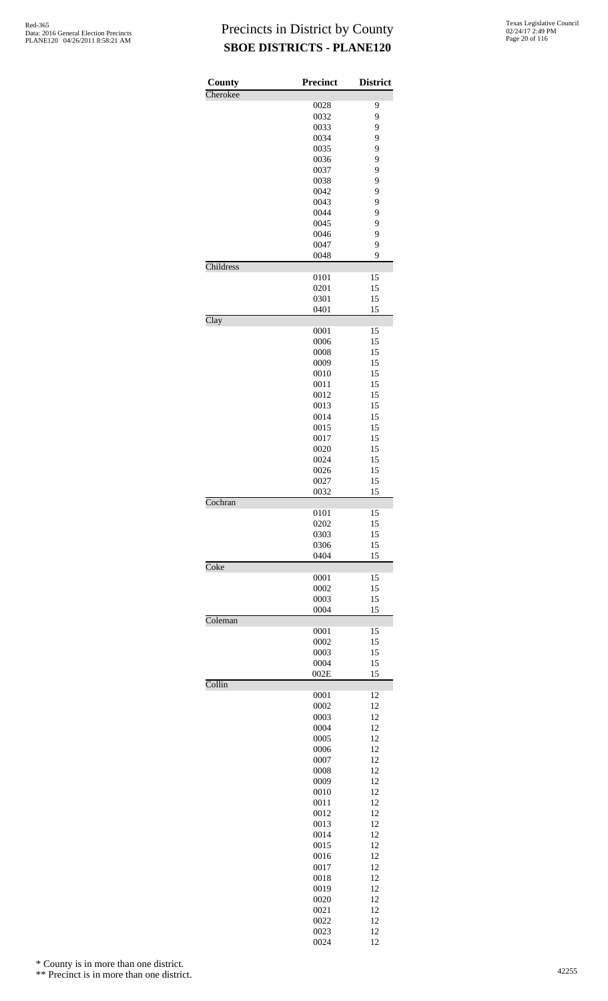| County    | Precinct     | <b>District</b> |
|-----------|--------------|-----------------|
| Cherokee  |              |                 |
|           | 0028<br>0032 | 9<br>9          |
|           | 0033         | 9               |
|           | 0034         | 9               |
|           | 0035         | 9               |
|           | 0036         | 9               |
|           | 0037         | 9               |
|           | 0038         | 9               |
|           | 0042         | 9               |
|           | 0043         | 9               |
|           | 0044         | 9               |
|           | 0045         | 9               |
|           | 0046         | 9               |
|           | 0047         | 9               |
|           | 0048         | 9               |
| Childress |              |                 |
|           | 0101<br>0201 | 15<br>15        |
|           | 0301         | 15              |
|           | 0401         | 15              |
| Clay      |              |                 |
|           | 0001         | 15              |
|           | 0006         | 15              |
|           | 0008         | 15              |
|           | 0009         | 15              |
|           | 0010         | 15              |
|           | 0011         | 15              |
|           | 0012         | 15              |
|           | 0013         | 15              |
|           | 0014         | 15              |
|           | 0015         | 15              |
|           | 0017         | 15              |
|           | 0020<br>0024 | 15<br>15        |
|           | 0026         | 15              |
|           | 0027         | 15              |
|           | 0032         | 15              |
| Cochran   |              |                 |
|           | 0101         | 15              |
|           | 0202         | 15              |
|           | 0303         | 15              |
|           | 0306         | 15              |
|           | 0404         | 15              |
| Coke      |              |                 |
|           | 0001         | 15              |
|           | 0002         | 15              |
|           | 0003<br>0004 | 15<br>15        |
| Coleman   |              |                 |
|           | 0001         | 15              |
|           | 0002         | 15              |
|           | 0003         | 15              |
|           | 0004         | 15              |
|           | 002E         | 15              |
| Collin    |              |                 |
|           | 0001         | 12              |
|           | 0002         | 12              |
|           | 0003         | 12              |
|           | 0004         | 12              |
|           | 0005<br>0006 | 12<br>12        |
|           | 0007         | 12              |
|           | 0008         | 12              |
|           | 0009         | 12              |
|           | 0010         | 12              |
|           | 0011         | 12              |
|           | 0012         | 12              |
|           | 0013         | 12              |
|           | 0014         | 12              |
|           | 0015         | 12              |
|           | 0016         | 12              |
|           | 0017         | 12              |
|           | 0018         | 12              |
|           | 0019         | 12              |
|           | 0020         | 12              |
|           | 0021         | 12              |
|           | 0022         | 12<br>12        |
|           | 0023<br>0024 | 12              |

\* County is in more than one district.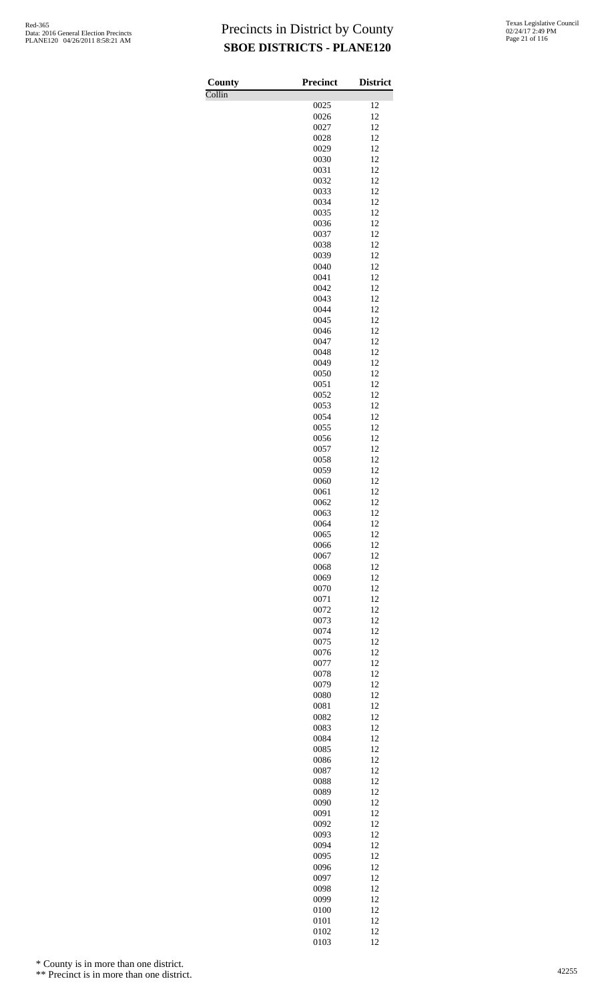Collin

| County                     | <b>Precinct</b> | <b>District</b> |
|----------------------------|-----------------|-----------------|
| $\overline{\text{Collin}}$ |                 |                 |
|                            | 0025<br>0026    | 12<br>12        |
|                            | 0027            | 12              |
|                            | 0028            | 12              |
|                            | 0029            | 12              |
|                            | 0030            | 12              |
|                            | 0031            | 12              |
|                            | 0032            | 12              |
|                            | 0033<br>0034    | 12<br>12        |
|                            | 0035            | 12              |
|                            | 0036            | 12              |
|                            | 0037            | 12              |
|                            | 0038            | 12              |
|                            | 0039            | 12              |
|                            | 0040<br>0041    | 12<br>12        |
|                            | 0042            | 12              |
|                            | 0043            | 12              |
|                            | 0044            | 12              |
|                            | 0045            | 12              |
|                            | 0046            | 12              |
|                            | 0047            | 12<br>12        |
|                            | 0048<br>0049    | 12              |
|                            | 0050            | 12              |
|                            | 0051            | 12              |
|                            | 0052            | 12              |
|                            | 0053            | 12              |
|                            | 0054            | 12              |
|                            | 0055            | 12              |
|                            | 0056<br>0057    | 12<br>12        |
|                            | 0058            | 12              |
|                            | 0059            | 12              |
|                            | 0060            | 12              |
|                            | 0061            | 12              |
|                            | 0062            | 12              |
|                            | 0063<br>0064    | 12<br>12        |
|                            | 0065            | 12              |
|                            | 0066            | 12              |
|                            | 0067            | 12              |
|                            | 0068            | 12              |
|                            | 0069            | 12              |
|                            | 0070<br>0071    | 12<br>12        |
|                            | 0072            | 12              |
|                            | 0073            | 12              |
|                            | 0074            | 12              |
|                            | 0075            | 12              |
|                            | 0076            | 12              |
|                            | 0077            | 12              |
|                            | 0078<br>0079    | 12<br>12        |
|                            | 0080            | 12              |
|                            | 0081            | 12              |
|                            | 0082            | 12              |
|                            | 0083            | 12              |
|                            | 0084            | 12              |
|                            | 0085            | 12              |
|                            | 0086<br>0087    | 12<br>12        |
|                            | 0088            | 12              |
|                            | 0089            | 12              |
|                            | 0090            | 12              |
|                            | 0091            | 12              |
|                            | 0092            | 12              |
|                            | 0093            | 12              |
|                            | 0094<br>0095    | 12<br>12        |
|                            | 0096            | 12              |
|                            | 0097            | 12              |
|                            | 0098            | 12              |
|                            | 0099            | 12              |
|                            | 0100            | 12              |
|                            | 0101            | 12              |
|                            | 0102<br>0103    | 12<br>12        |
|                            |                 |                 |

\* County is in more than one district.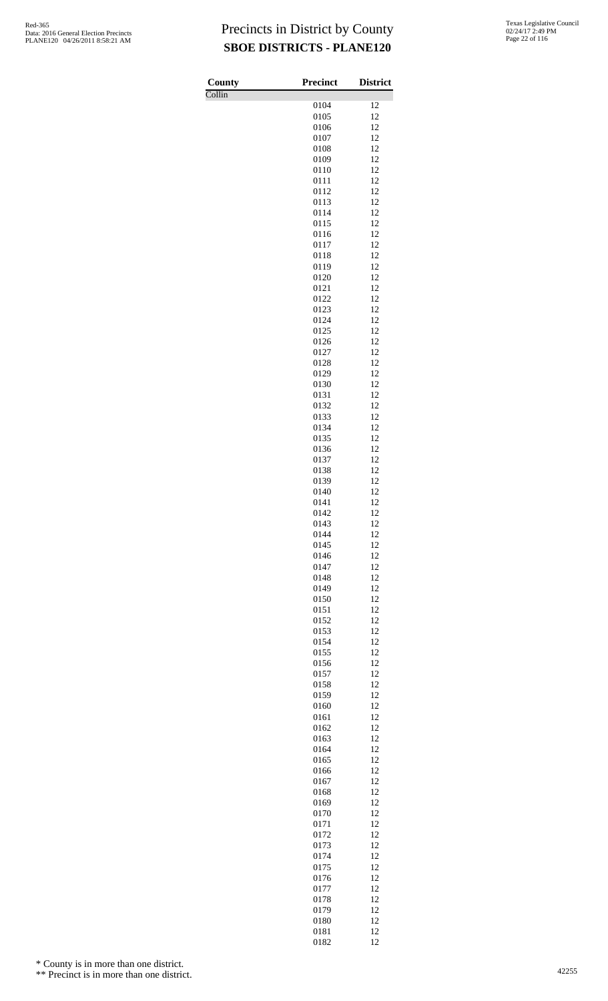Collin

| County                     | <b>Precinct</b> | <b>District</b> |
|----------------------------|-----------------|-----------------|
| $\overline{\text{Collin}}$ |                 |                 |
|                            | 0104<br>0105    | 12<br>12        |
|                            | 0106            | 12              |
|                            | 0107            | 12              |
|                            | 0108            | 12              |
|                            | 0109            | 12              |
|                            | 0110<br>0111    | 12<br>12        |
|                            | 0112            | 12              |
|                            | 0113            | 12              |
|                            | 0114            | 12              |
|                            | 0115            | 12              |
|                            | 0116<br>0117    | 12<br>12        |
|                            | 0118            | 12              |
|                            | 0119            | 12              |
|                            | 0120            | 12              |
|                            | 0121            | 12              |
|                            | 0122<br>0123    | 12<br>12        |
|                            | 0124            | 12              |
|                            | 0125            | 12              |
|                            | 0126            | 12              |
|                            | 0127            | 12              |
|                            | 0128<br>0129    | 12<br>12        |
|                            | 0130            | 12              |
|                            | 0131            | 12              |
|                            | 0132            | 12              |
|                            | 0133            | 12              |
|                            | 0134<br>0135    | 12<br>12        |
|                            | 0136            | 12              |
|                            | 0137            | 12              |
|                            | 0138            | 12              |
|                            | 0139            | 12              |
|                            | 0140<br>0141    | 12<br>12        |
|                            | 0142            | 12              |
|                            | 0143            | 12              |
|                            | 0144            | 12              |
|                            | 0145            | 12              |
|                            | 0146<br>0147    | 12<br>12        |
|                            | 0148            | 12              |
|                            | 0149            | 12              |
|                            | 0150            | 12              |
|                            | 0151            | 12              |
|                            | 0152            | 12<br>12        |
|                            | 0153<br>0154    | 12              |
|                            | 0155            | 12              |
|                            | 0156            | 12              |
|                            | 0157            | 12              |
|                            | 0158<br>0159    | 12<br>12        |
|                            | 0160            | 12              |
|                            | 0161            | 12              |
|                            | 0162            | 12              |
|                            | 0163            | 12              |
|                            | 0164<br>0165    | 12<br>12        |
|                            | 0166            | 12              |
|                            | 0167            | 12              |
|                            | 0168            | 12              |
|                            | 0169            | 12              |
|                            | 0170            | 12              |
|                            | 0171<br>0172    | 12<br>12        |
|                            | 0173            | 12              |
|                            | 0174            | 12              |
|                            | 0175            | 12              |
|                            | 0176            | 12              |
|                            | 0177            | 12              |
|                            | 0178<br>0179    | 12<br>12        |
|                            | 0180            | 12              |
|                            | 0181            | 12              |
|                            | 0182            | 12              |

\* County is in more than one district.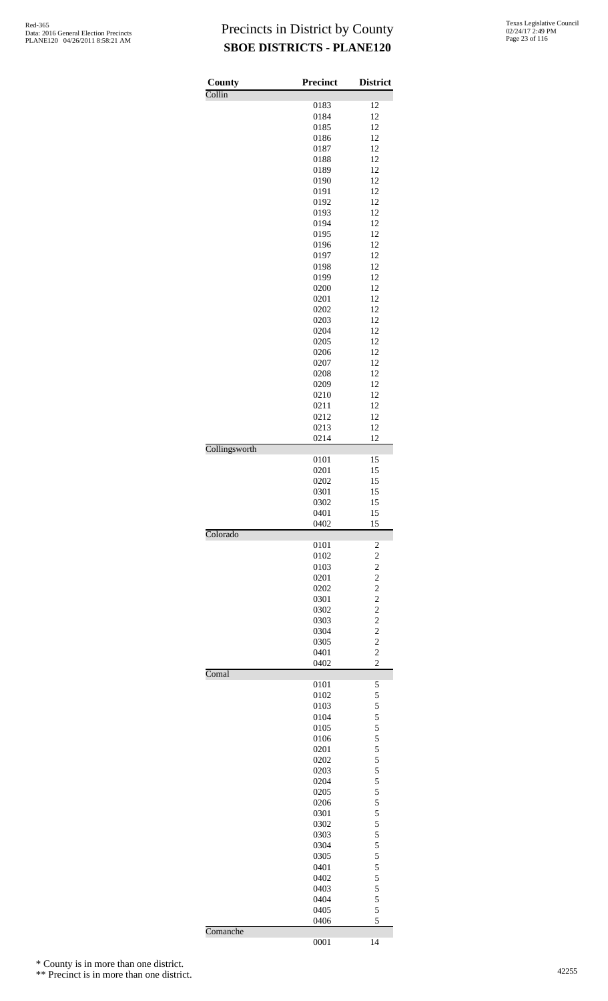| Texas Legislative Council |
|---------------------------|
| 02/24/17 2:49 PM          |
| Page 23 of 116            |

| County        | <b>Precinct</b> | <b>District</b>         |
|---------------|-----------------|-------------------------|
| Collin        |                 |                         |
|               | 0183            | 12<br>12                |
|               | 0184            |                         |
|               | 0185<br>0186    | 12<br>12                |
|               | 0187            | 12                      |
|               | 0188            | 12                      |
|               | 0189            | 12                      |
|               | 0190            | 12                      |
|               | 0191            | 12                      |
|               | 0192            | 12                      |
|               | 0193            | 12                      |
|               | 0194            | 12                      |
|               | 0195            | 12                      |
|               | 0196            | 12                      |
|               | 0197            | 12                      |
|               | 0198            | 12                      |
|               | 0199            | 12                      |
|               | 0200            | 12                      |
|               | 0201            | 12                      |
|               | 0202            | 12                      |
|               | 0203            | 12                      |
|               | 0204            | 12                      |
|               | 0205            | 12                      |
|               | 0206            | 12                      |
|               | 0207            | 12                      |
|               | 0208            | 12                      |
|               | 0209            | 12                      |
|               | 0210            | 12                      |
|               | 0211            | 12                      |
|               | 0212            | 12                      |
|               | 0213            | 12                      |
| Collingsworth | 0214            | 12                      |
|               | 0101            | 15                      |
|               | 0201            | 15                      |
|               | 0202            | 15                      |
|               | 0301            | 15                      |
|               | 0302            | 15                      |
|               | 0401            | 15                      |
|               | 0402            | 15                      |
| Colorado      | 0101            | $\overline{\mathbf{c}}$ |
|               | 0102            | $\overline{\mathbf{c}}$ |
|               | 0103            | $\overline{c}$          |
|               | 0201            | $\overline{c}$          |
|               | 0202            | $\overline{c}$          |
|               | 0301            | $\overline{c}$          |
|               | 0302            | $\overline{c}$          |
|               | 0303            | $\overline{c}$          |
|               | 0304            | $\overline{c}$          |
|               | 0305            | $\overline{c}$          |
|               | 0401            | $\overline{c}$          |
|               | 0402            | $\overline{c}$          |
| Comal         | 0101            |                         |
|               | 0102            | 5<br>5                  |
|               | 0103            | 5                       |
|               | 0104            | 5                       |
|               | 0105            | 5                       |
|               | 0106            | 5                       |
|               | 0201            | 5                       |
|               | 0202            | 5                       |
|               | 0203            | 5                       |
|               | 0204            | 5                       |
|               | 0205            | 5                       |
|               | 0206            | 5                       |
|               | 0301            | 5                       |
|               | 0302            | 5                       |
|               | 0303            | 5                       |
|               | 0304            | 5                       |
|               | 0305            | 5                       |
|               | 0401            | 5                       |
|               | 0402            | 5                       |
|               | 0403            | 5                       |
|               | 0404            | 5                       |
|               | 0405            | 5                       |
| Comanche      | 0406            | 5                       |
|               | 0001            | 14                      |

\* County is in more than one district.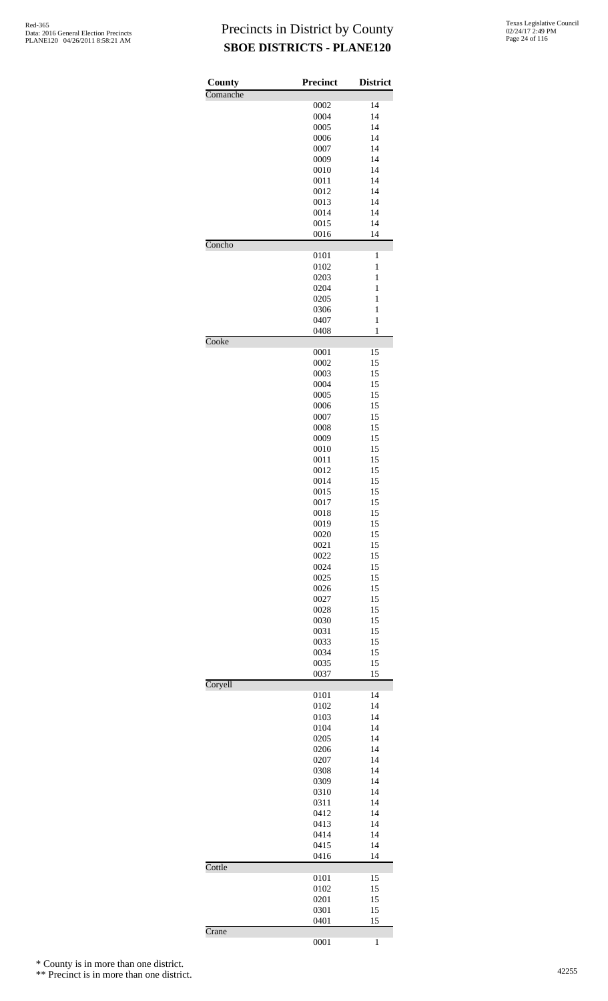| County   | <b>Precinct</b> | <b>District</b> |
|----------|-----------------|-----------------|
| Comanche |                 |                 |
|          | 0002            | 14              |
|          | 0004            | 14              |
|          | 0005<br>0006    | 14<br>14        |
|          | 0007            | 14              |
|          | 0009            | 14              |
|          | 0010            | 14              |
|          | 0011            | 14              |
|          | 0012            | 14              |
|          | 0013            | 14              |
|          | 0014            | 14              |
|          | 0015            | 14              |
| Concho   | 0016            | 14              |
|          | 0101            | 1               |
|          | 0102            | 1               |
|          | 0203            | 1               |
|          | 0204            | $\mathbf{1}$    |
|          | 0205            | 1               |
|          | 0306            | 1               |
|          | 0407            | 1               |
| Cooke    | 0408            | $\mathbf{1}$    |
|          | 0001            | 15              |
|          | 0002            | 15              |
|          | 0003            | 15              |
|          | 0004            | 15              |
|          | 0005            | 15              |
|          | 0006            | 15              |
|          | 0007            | 15              |
|          | 0008            | 15              |
|          | 0009<br>0010    | 15<br>15        |
|          | 0011            | 15              |
|          | 0012            | 15              |
|          | 0014            | 15              |
|          | 0015            | 15              |
|          | 0017            | 15              |
|          | 0018            | 15              |
|          | 0019            | 15              |
|          | 0020            | 15<br>15        |
|          | 0021<br>0022    | 15              |
|          | 0024            | 15              |
|          | 0025            | 15              |
|          | 0026            | 15              |
|          | 0027            | 15              |
|          | 0028            | 15              |
|          | 0030            | 15              |
|          | 0031            | 15              |
|          | 0033<br>0034    | 15<br>15        |
|          | 0035            | 15              |
|          | 0037            | 15              |
| Coryell  |                 |                 |
|          | 0101            | 14              |
|          | 0102            | 14              |
|          | 0103            | 14              |
|          | 0104            | 14<br>14        |
|          | 0205<br>0206    | 14              |
|          | 0207            | 14              |
|          | 0308            | 14              |
|          | 0309            | 14              |
|          | 0310            | 14              |
|          | 0311            | 14              |
|          | 0412            | 14              |
|          | 0413            | 14              |
|          | 0414<br>0415    | 14<br>14        |
|          | 0416            | 14              |
| Cottle   |                 |                 |
|          | 0101            | 15              |
|          | 0102            | 15              |
|          | 0201            | 15              |
|          | 0301            | 15              |
|          | 0401            | 15              |
| Crane    | 0001            |                 |
|          |                 | $\mathbf{1}$    |

\* County is in more than one district.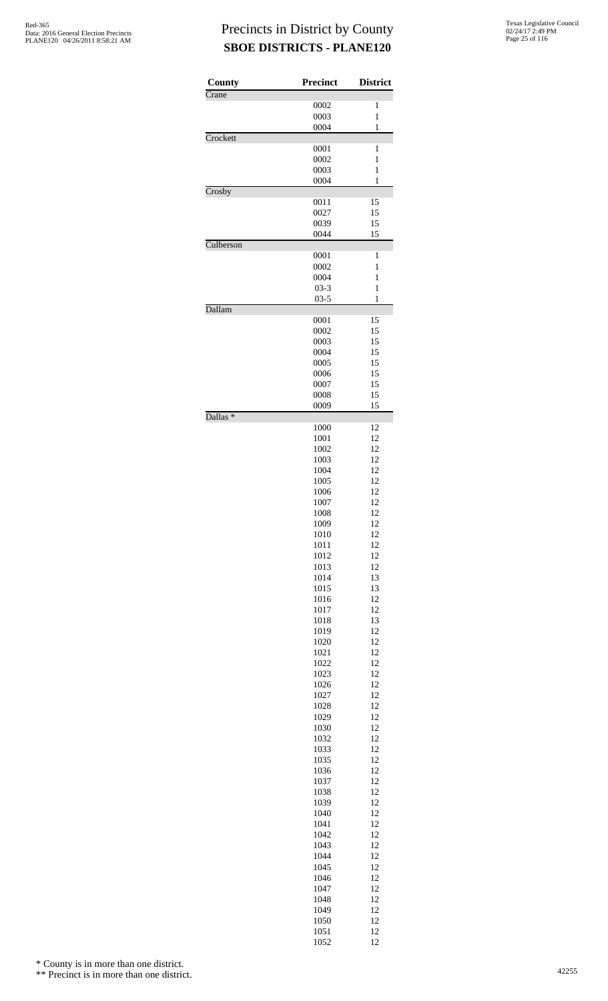| County              | <b>Precinct</b> | <b>District</b> |
|---------------------|-----------------|-----------------|
| Crane               | 0002            | 1               |
|                     | 0003            | $\mathbf{1}$    |
|                     | 0004            | 1               |
| Crockett            |                 |                 |
|                     | 0001            | 1               |
|                     | 0002            | $\mathbf{1}$    |
|                     | 0003            | $\mathbf{1}$    |
|                     | 0004            | 1               |
| Crosby              | 0011            | 15              |
|                     | 0027            | 15              |
|                     | 0039            | 15              |
|                     | 0044            | 15              |
| Culberson           |                 |                 |
|                     | 0001            | 1               |
|                     | 0002            | $\mathbf{1}$    |
|                     | 0004            | $\mathbf{1}$    |
|                     | $03 - 3$        | 1               |
|                     | $03 - 5$        | 1               |
| Dallam              |                 |                 |
|                     | 0001            | 15              |
|                     | 0002<br>0003    | 15<br>15        |
|                     | 0004            | 15              |
|                     | 0005            | 15              |
|                     | 0006            | 15              |
|                     | 0007            | 15              |
|                     | 0008            | 15              |
|                     | 0009            | 15              |
| Dallas <sup>*</sup> |                 |                 |
|                     | 1000            | 12              |
|                     | 1001            | 12              |
|                     | 1002            | 12              |
|                     | 1003            | 12<br>12        |
|                     | 1004<br>1005    | 12              |
|                     | 1006            | 12              |
|                     | 1007            | 12              |
|                     | 1008            | 12              |
|                     | 1009            | 12              |
|                     | 1010            | 12              |
|                     | 1011            | 12              |
|                     | 1012            | 12              |
|                     | 1013            | 12              |
|                     | 1014            | 13              |
|                     | 1015            | 13              |
|                     | 1016            | 12              |
|                     | 1017            | 12<br>13        |
|                     | 1018<br>1019    | 12              |
|                     | 1020            | 12              |
|                     | 1021            | 12              |
|                     | 1022            | 12              |
|                     | 1023            | 12              |
|                     | 1026            | 12              |
|                     | 1027            | 12              |
|                     | 1028            | 12              |
|                     | 1029            | 12              |
|                     | 1030            | 12              |
|                     | 1032            | 12              |
|                     | 1033            | 12              |
|                     | 1035            | 12<br>12        |
|                     | 1036<br>1037    | 12              |
|                     | 1038            | 12              |
|                     | 1039            | 12              |
|                     | 1040            | 12              |
|                     | 1041            | 12              |
|                     | 1042            | 12              |
|                     | 1043            | 12              |
|                     | 1044            | 12              |
|                     | 1045            | 12              |
|                     | 1046            | 12              |
|                     | 1047            | 12              |
|                     | 1048            | 12              |
|                     | 1049            | 12              |
|                     | 1050            | 12<br>12        |
|                     | 1051<br>1052    | 12              |

\* County is in more than one district.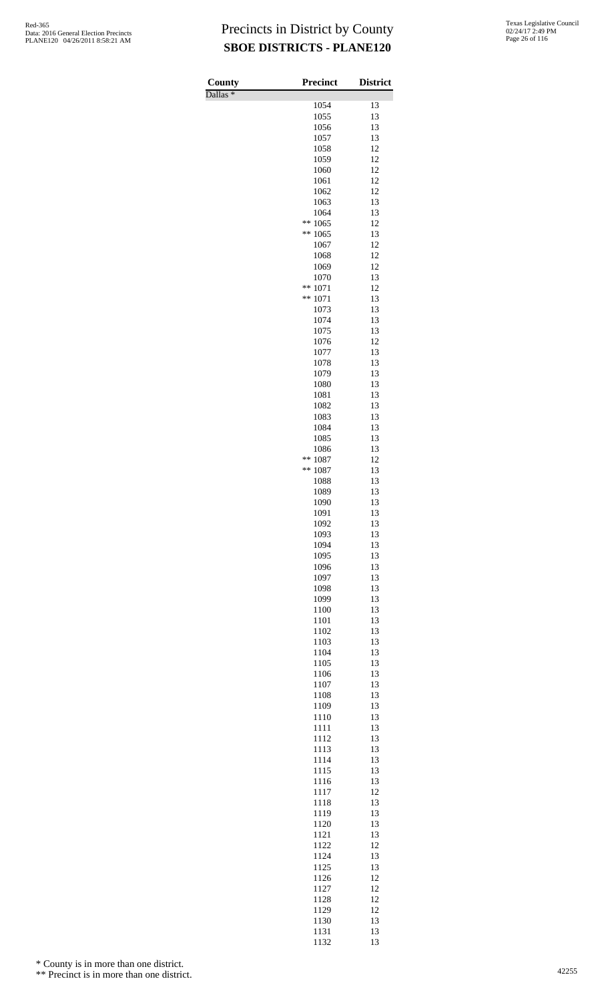Dallas \*

| County<br>$D$ allas $*$ | Precinct     | <b>District</b> |
|-------------------------|--------------|-----------------|
|                         | 1054         | 13              |
|                         | 1055         | 13              |
|                         | 1056         | 13              |
|                         | 1057<br>1058 | 13<br>12        |
|                         | 1059         | 12              |
|                         | 1060         | 12              |
|                         | 1061         | 12              |
|                         | 1062<br>1063 | 12<br>13        |
|                         | 1064         | 13              |
|                         | 1065<br>**   | 12              |
|                         | 1065<br>**   | 13              |
|                         | 1067         | 12              |
|                         | 1068<br>1069 | 12<br>12        |
|                         | 1070         | 13              |
|                         | **<br>1071   | 12              |
|                         | **<br>1071   | 13              |
|                         | 1073         | 13              |
|                         | 1074<br>1075 | 13<br>13        |
|                         | 1076         | 12              |
|                         | 1077         | 13              |
|                         | 1078         | 13              |
|                         | 1079<br>1080 | 13<br>13        |
|                         | 1081         | 13              |
|                         | 1082         | 13              |
|                         | 1083         | 13              |
|                         | 1084         | 13              |
|                         | 1085<br>1086 | 13<br>13        |
|                         | **<br>1087   | 12              |
|                         | **<br>1087   | 13              |
|                         | 1088         | 13              |
|                         | 1089<br>1090 | 13<br>13        |
|                         | 1091         | 13              |
|                         | 1092         | 13              |
|                         | 1093         | 13              |
|                         | 1094         | 13              |
|                         | 1095<br>1096 | 13<br>13        |
|                         | 1097         | 13              |
|                         | 1098         | 13              |
|                         | 1099         | 13              |
|                         | 1100         | 13<br>13        |
|                         | 1101<br>1102 | 13              |
|                         | 1103         | 13              |
|                         | 1104         | 13              |
|                         | 1105         | 13              |
|                         | 1106<br>1107 | 13<br>13        |
|                         | 1108         | 13              |
|                         | 1109         | 13              |
|                         | 1110         | 13              |
|                         | 1111         | 13              |
|                         | 1112         | 13<br>13        |
|                         | 1113<br>1114 | 13              |
|                         | 1115         | 13              |
|                         | 1116         | 13              |
|                         | 1117         | 12              |
|                         | 1118<br>1119 | 13<br>13        |
|                         | 1120         | 13              |
|                         | 1121         | 13              |
|                         | 1122         | 12              |
|                         | 1124         | 13              |
|                         | 1125         | 13<br>12        |
|                         | 1126<br>1127 | 12              |
|                         | 1128         | 12              |
|                         | 1129         | 12              |
|                         | 1130         | 13              |
|                         | 1131<br>1132 | 13<br>13        |

\* County is in more than one district.

<sup>\*\*</sup> Precinct is in more than one district.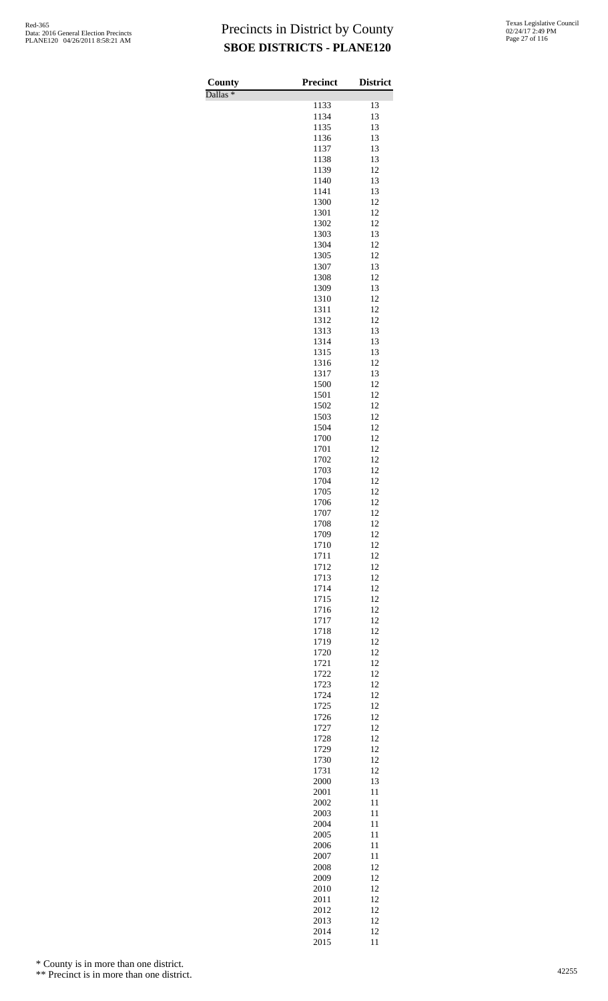| County              | Precinct     | <b>District</b> |
|---------------------|--------------|-----------------|
| Dallas <sup>*</sup> | 1133         | 13              |
|                     | 1134         | 13              |
|                     | 1135         | 13              |
|                     | 1136         | 13              |
|                     | 1137<br>1138 | 13<br>13        |
|                     | 1139         | 12              |
|                     | 1140         | 13              |
|                     | 1141         | 13              |
|                     | 1300<br>1301 | 12<br>12        |
|                     | 1302         | 12              |
|                     | 1303         | 13              |
|                     | 1304         | 12              |
|                     | 1305<br>1307 | 12<br>13        |
|                     | 1308         | 12              |
|                     | 1309         | 13              |
|                     | 1310         | 12              |
|                     | 1311         | 12              |
|                     | 1312<br>1313 | 12<br>13        |
|                     | 1314         | 13              |
|                     | 1315         | 13              |
|                     | 1316         | 12              |
|                     | 1317<br>1500 | 13<br>12        |
|                     | 1501         | 12              |
|                     | 1502         | 12              |
|                     | 1503         | 12              |
|                     | 1504         | 12<br>12        |
|                     | 1700<br>1701 | 12              |
|                     | 1702         | 12              |
|                     | 1703         | 12              |
|                     | 1704         | 12              |
|                     | 1705<br>1706 | 12<br>12        |
|                     | 1707         | 12              |
|                     | 1708         | 12              |
|                     | 1709         | 12              |
|                     | 1710<br>1711 | 12<br>12        |
|                     | 1712         | 12              |
|                     | 1713         | 12              |
|                     | 1714         | 12              |
|                     | 1715<br>1716 | 12<br>12        |
|                     | 1717         | 12              |
|                     | 1718         | 12              |
|                     | 1719         | 12              |
|                     | 1720<br>1721 | 12<br>12        |
|                     | 1722         | 12              |
|                     | 1723         | 12              |
|                     | 1724         | 12              |
|                     | 1725<br>1726 | 12<br>12        |
|                     | 1727         | 12              |
|                     | 1728         | 12              |
|                     | 1729         | 12              |
|                     | 1730         | 12<br>12        |
|                     | 1731<br>2000 | 13              |
|                     | 2001         | 11              |
|                     | 2002         | 11              |
|                     | 2003<br>2004 | 11<br>11        |
|                     | 2005         | 11              |
|                     | 2006         | 11              |
|                     | 2007         | 11              |
|                     | 2008         | 12              |
|                     | 2009<br>2010 | 12<br>12        |
|                     | 2011         | 12              |
|                     | 2012         | 12              |
|                     | 2013         | 12              |
|                     | 2014<br>2015 | 12<br>11        |

\* County is in more than one district.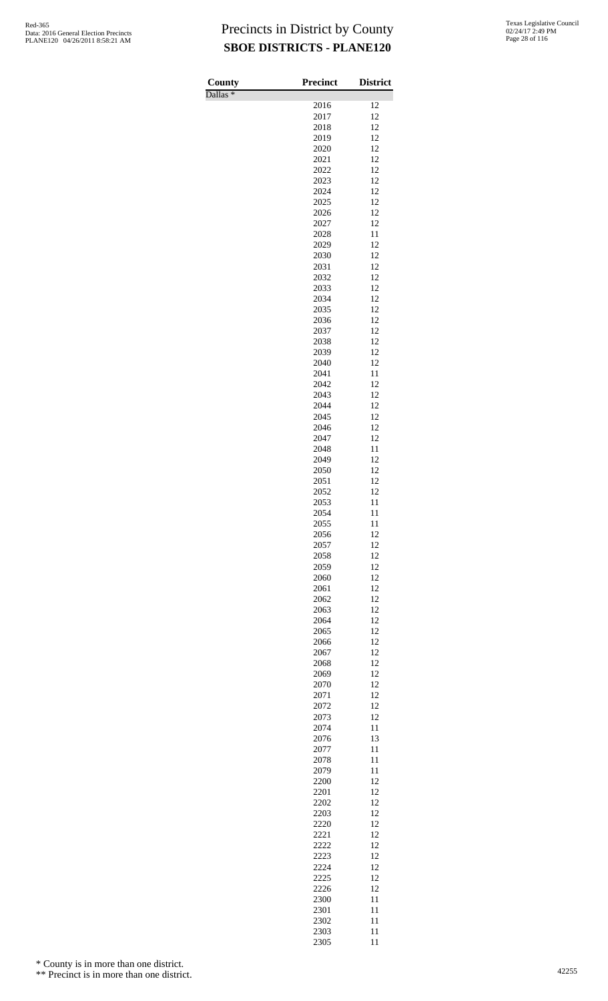Dallas \*

| County              | <b>Precinct</b> | <b>District</b> |
|---------------------|-----------------|-----------------|
| Dallas <sup>*</sup> | 2016            | 12              |
|                     | 2017            | 12              |
|                     | 2018            | 12              |
|                     | 2019            | 12              |
|                     | 2020            | 12              |
|                     | 2021<br>2022    | 12<br>12        |
|                     | 2023            | 12              |
|                     | 2024            | 12              |
|                     | 2025            | 12              |
|                     | 2026            | 12              |
|                     | 2027<br>2028    | 12<br>11        |
|                     | 2029            | 12              |
|                     | 2030            | 12              |
|                     | 2031            | 12              |
|                     | 2032            | 12              |
|                     | 2033<br>2034    | 12<br>12        |
|                     | 2035            | 12              |
|                     | 2036            | 12              |
|                     | 2037            | 12              |
|                     | 2038            | 12              |
|                     | 2039            | 12              |
|                     | 2040<br>2041    | 12<br>11        |
|                     | 2042            | 12              |
|                     | 2043            | 12              |
|                     | 2044            | 12              |
|                     | 2045            | 12              |
|                     | 2046<br>2047    | 12<br>12        |
|                     | 2048            | 11              |
|                     | 2049            | 12              |
|                     | 2050            | 12              |
|                     | 2051            | 12              |
|                     | 2052<br>2053    | 12<br>11        |
|                     | 2054            | 11              |
|                     | 2055            | 11              |
|                     | 2056            | 12              |
|                     | 2057            | 12              |
|                     | 2058<br>2059    | 12<br>12        |
|                     | 2060            | 12              |
|                     | 2061            | 12              |
|                     | 2062            | 12              |
|                     | 2063            | 12              |
|                     | 2064<br>2065    | 12<br>12        |
|                     | 2066            | 12              |
|                     | 2067            | 12              |
|                     | 2068            | 12              |
|                     | 2069            | 12              |
|                     | 2070<br>2071    | 12<br>12        |
|                     | 2072            | 12              |
|                     | 2073            | 12              |
|                     | 2074            | 11              |
|                     | 2076            | 13              |
|                     | 2077            | 11<br>11        |
|                     | 2078<br>2079    | 11              |
|                     | 2200            | 12              |
|                     | 2201            | 12              |
|                     | 2202            | 12              |
|                     | 2203<br>2220    | 12<br>12        |
|                     | 2221            | 12              |
|                     | 2222            | 12              |
|                     | 2223            | 12              |
|                     | 2224            | 12              |
|                     | 2225            | 12              |
|                     | 2226<br>2300    | 12<br>11        |
|                     | 2301            | 11              |
|                     | 2302            | 11              |
|                     | 2303            | 11              |
|                     | 2305            | 11              |

\* County is in more than one district.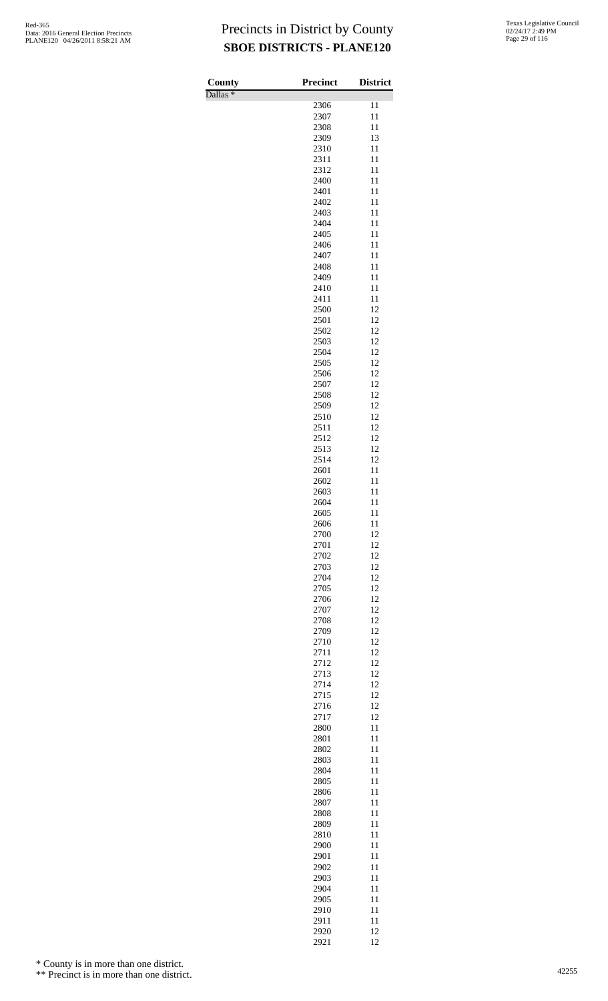Dallas \*

| County<br>$\overline{\text{Dallas}}$ * | <b>Precinct</b> | <b>District</b> |
|----------------------------------------|-----------------|-----------------|
|                                        | 2306            | 11              |
|                                        | 2307            | 11              |
|                                        | 2308            | 11              |
|                                        | 2309            | 13              |
|                                        | 2310            | 11              |
|                                        | 2311<br>2312    | 11<br>11        |
|                                        | 2400            | 11              |
|                                        | 2401            | 11              |
|                                        | 2402            | 11              |
|                                        | 2403            | 11              |
|                                        | 2404            | 11              |
|                                        | 2405            | 11              |
|                                        | 2406<br>2407    | 11<br>11        |
|                                        | 2408            | 11              |
|                                        | 2409            | 11              |
|                                        | 2410            | 11              |
|                                        | 2411            | 11              |
|                                        | 2500            | 12              |
|                                        | 2501<br>2502    | 12<br>12        |
|                                        | 2503            | 12              |
|                                        | 2504            | 12              |
|                                        | 2505            | 12              |
|                                        | 2506            | 12              |
|                                        | 2507            | 12              |
|                                        | 2508            | 12<br>12        |
|                                        | 2509<br>2510    | 12              |
|                                        | 2511            | 12              |
|                                        | 2512            | 12              |
|                                        | 2513            | 12              |
|                                        | 2514            | 12              |
|                                        | 2601            | 11              |
|                                        | 2602<br>2603    | 11<br>11        |
|                                        | 2604            | 11              |
|                                        | 2605            | 11              |
|                                        | 2606            | 11              |
|                                        | 2700            | 12              |
|                                        | 2701            | 12              |
|                                        | 2702            | 12              |
|                                        | 2703<br>2704    | 12<br>12        |
|                                        | 2705            | 12              |
|                                        | 2706            | 12              |
|                                        | 2707            | 12              |
|                                        | 2708            | 12              |
|                                        | 2709            | 12              |
|                                        | 2710<br>2711    | 12<br>12        |
|                                        | 2712            | 12              |
|                                        | 2713            | 12              |
|                                        | 2714            | 12              |
|                                        | 2715            | 12              |
|                                        | 2716            | 12              |
|                                        | 2717            | 12              |
|                                        | 2800<br>2801    | 11<br>11        |
|                                        | 2802            | 11              |
|                                        | 2803            | 11              |
|                                        | 2804            | 11              |
|                                        | 2805            | 11              |
|                                        | 2806            | 11              |
|                                        | 2807            | 11              |
|                                        | 2808<br>2809    | 11<br>11        |
|                                        | 2810            | 11              |
|                                        | 2900            | 11              |
|                                        | 2901            | 11              |
|                                        | 2902            | 11              |
|                                        | 2903            | 11              |
|                                        | 2904            | 11              |
|                                        | 2905            | 11<br>11        |
|                                        | 2910<br>2911    | 11              |
|                                        | 2920            | 12              |
|                                        | 2921            | 12              |

\* County is in more than one district.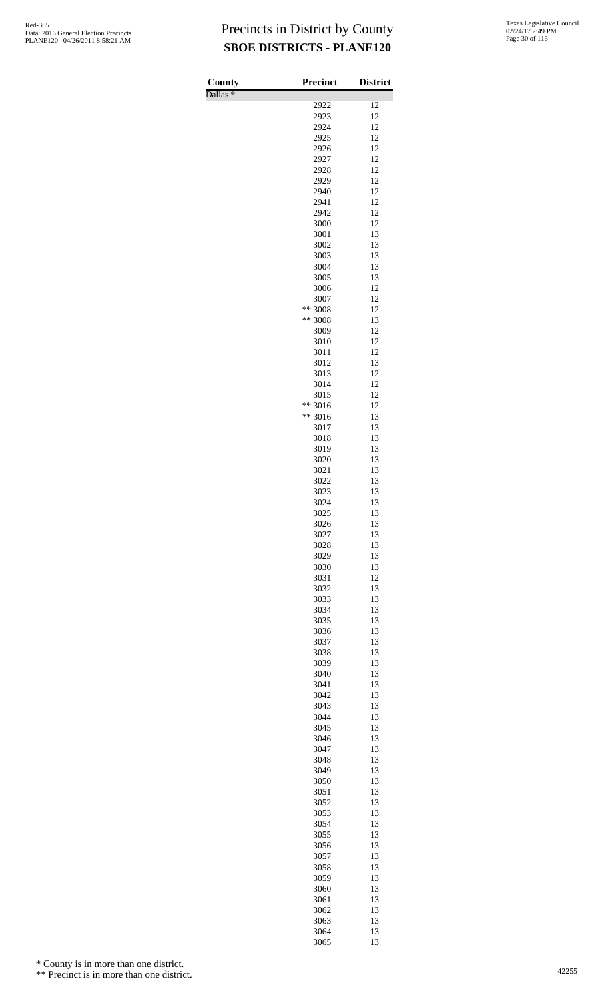Dallas \*

| County<br>Dallas $*$ | <b>Precinct</b> | <b>District</b> |
|----------------------|-----------------|-----------------|
|                      | 2922            | 12              |
|                      | 2923            | 12              |
|                      | 2924            | 12              |
|                      | 2925            | 12              |
|                      | 2926            | 12              |
|                      | 2927            | 12              |
|                      | 2928            | 12              |
|                      | 2929<br>2940    | 12<br>12        |
|                      | 2941            | 12              |
|                      | 2942            | 12              |
|                      | 3000            | 12              |
|                      | 3001            | 13              |
|                      | 3002            | 13              |
|                      | 3003            | 13              |
|                      | 3004            | 13              |
|                      | 3005            | 13              |
|                      | 3006<br>3007    | 12<br>12        |
|                      | ** 3008         | 12              |
|                      | ** 3008         | 13              |
|                      | 3009            | 12              |
|                      | 3010            | 12              |
|                      | 3011            | 12              |
|                      | 3012            | 13              |
|                      | 3013            | 12              |
|                      | 3014<br>3015    | 12<br>12        |
|                      | ** 3016         | 12              |
|                      | ** 3016         | 13              |
|                      | 3017            | 13              |
|                      | 3018            | 13              |
|                      | 3019            | 13              |
|                      | 3020            | 13              |
|                      | 3021            | 13              |
|                      | 3022            | 13              |
|                      | 3023<br>3024    | 13<br>13        |
|                      | 3025            | 13              |
|                      | 3026            | 13              |
|                      | 3027            | 13              |
|                      | 3028            | 13              |
|                      | 3029            | 13              |
|                      | 3030            | 13              |
|                      | 3031            | 12              |
|                      | 3032            | 13<br>13        |
|                      | 3033<br>3034    | 13              |
|                      | 3035            | 13              |
|                      | 3036            | 13              |
|                      | 3037            | 13              |
|                      | 3038            | 13              |
|                      | 3039            | 13              |
|                      | 3040            | 13              |
|                      | 3041            | 13              |
|                      | 3042<br>3043    | 13<br>13        |
|                      | 3044            | 13              |
|                      | 3045            | 13              |
|                      | 3046            | 13              |
|                      | 3047            | 13              |
|                      | 3048            | 13              |
|                      | 3049            | 13              |
|                      | 3050            | 13              |
|                      | 3051<br>3052    | 13<br>13        |
|                      | 3053            | 13              |
|                      | 3054            | 13              |
|                      | 3055            | 13              |
|                      | 3056            | 13              |
|                      | 3057            | 13              |
|                      | 3058            | 13              |
|                      | 3059            | 13              |
|                      | 3060            | 13              |
|                      | 3061            | 13              |
|                      | 3062<br>3063    | 13<br>13        |
|                      | 3064            | 13              |
|                      | 3065            | 13              |

\* County is in more than one district.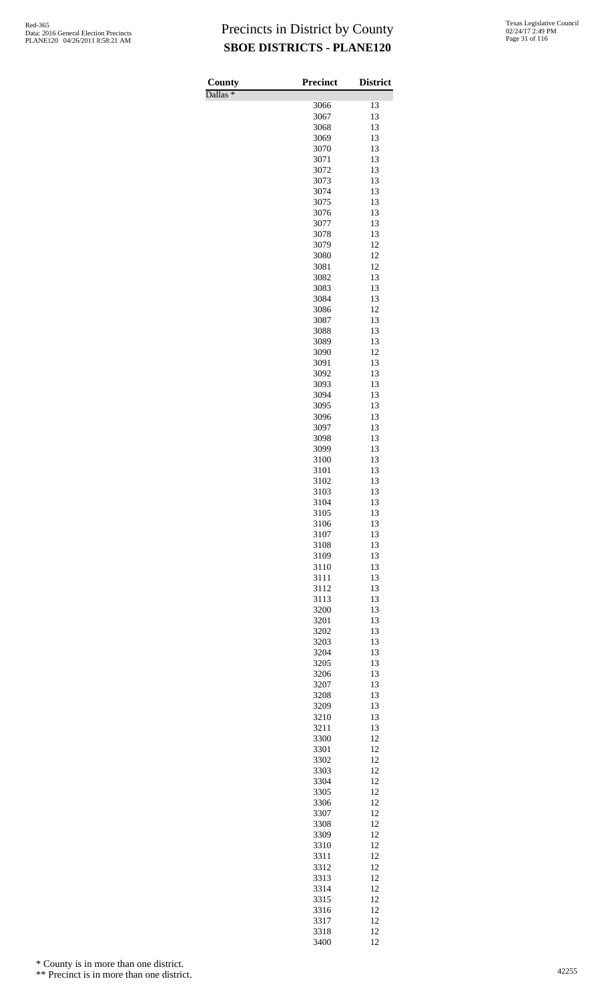Dallas \*

| County<br>$\overline{\text{Dallas}}$ $*$ | <b>Precinct</b> | <b>District</b> |
|------------------------------------------|-----------------|-----------------|
|                                          | 3066            | 13              |
|                                          | 3067            | 13              |
|                                          | 3068            | 13              |
|                                          | 3069            | 13              |
|                                          | 3070            | 13              |
|                                          | 3071            | 13              |
|                                          | 3072            | 13<br>13        |
|                                          | 3073<br>3074    | 13              |
|                                          | 3075            | 13              |
|                                          | 3076            | 13              |
|                                          | 3077            | 13              |
|                                          | 3078            | 13              |
|                                          | 3079            | 12              |
|                                          | 3080            | 12              |
|                                          | 3081<br>3082    | 12<br>13        |
|                                          | 3083            | 13              |
|                                          | 3084            | 13              |
|                                          | 3086            | 12              |
|                                          | 3087            | 13              |
|                                          | 3088            | 13              |
|                                          | 3089            | 13              |
|                                          | 3090            | 12              |
|                                          | 3091<br>3092    | 13<br>13        |
|                                          | 3093            | 13              |
|                                          | 3094            | 13              |
|                                          | 3095            | 13              |
|                                          | 3096            | 13              |
|                                          | 3097            | 13              |
|                                          | 3098            | 13              |
|                                          | 3099            | 13              |
|                                          | 3100<br>3101    | 13<br>13        |
|                                          | 3102            | 13              |
|                                          | 3103            | 13              |
|                                          | 3104            | 13              |
|                                          | 3105            | 13              |
|                                          | 3106            | 13              |
|                                          | 3107            | 13              |
|                                          | 3108            | 13              |
|                                          | 3109            | 13              |
|                                          | 3110<br>3111    | 13<br>13        |
|                                          | 3112            | 13              |
|                                          | 3113            | 13              |
|                                          | 3200            | 13              |
|                                          | 3201            | 13              |
|                                          | 3202            | 13              |
|                                          | 3203            | 13              |
|                                          | 3204            | 13              |
|                                          | 3205            | 13<br>13        |
|                                          | 3206<br>3207    | 13              |
|                                          | 3208            | 13              |
|                                          | 3209            | 13              |
|                                          | 3210            | 13              |
|                                          | 3211            | 13              |
|                                          | 3300            | 12              |
|                                          | 3301            | 12              |
|                                          | 3302<br>3303    | 12<br>12        |
|                                          | 3304            | 12              |
|                                          | 3305            | 12              |
|                                          | 3306            | 12              |
|                                          | 3307            | 12              |
|                                          | 3308            | 12              |
|                                          | 3309            | 12              |
|                                          | 3310            | 12              |
|                                          | 3311            | 12              |
|                                          | 3312<br>3313    | 12<br>12        |
|                                          | 3314            | 12              |
|                                          | 3315            | 12              |
|                                          | 3316            | 12              |
|                                          | 3317            | 12              |
|                                          | 3318            | 12              |
|                                          | 3400            | 12              |

\* County is in more than one district.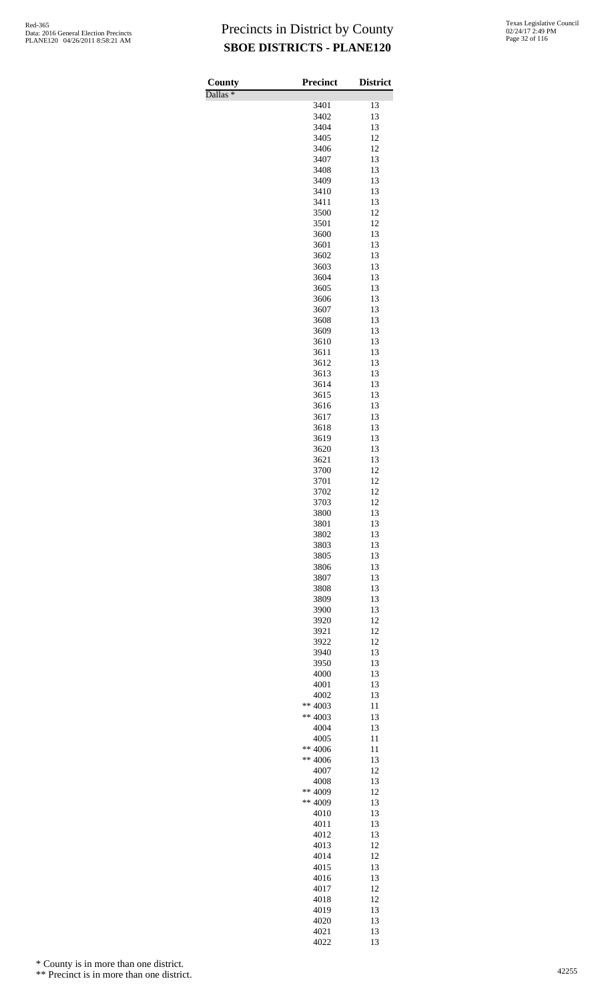Dallas \*

| County<br>$\overline{\text{Dallas}}$ $*$ | <b>Precinct</b>      | <b>District</b> |
|------------------------------------------|----------------------|-----------------|
|                                          | 3401                 | 13              |
|                                          | 3402                 | 13              |
|                                          | 3404                 | 13              |
|                                          | 3405                 | 12              |
|                                          | 3406<br>3407         | 12<br>13        |
|                                          | 3408                 | 13              |
|                                          | 3409                 | 13              |
|                                          | 3410                 | 13              |
|                                          | 3411                 | 13              |
|                                          | 3500                 | 12              |
|                                          | 3501<br>3600         | 12<br>13        |
|                                          | 3601                 | 13              |
|                                          | 3602                 | 13              |
|                                          | 3603                 | 13              |
|                                          | 3604                 | 13              |
|                                          | 3605<br>3606         | 13<br>13        |
|                                          | 3607                 | 13              |
|                                          | 3608                 | 13              |
|                                          | 3609                 | 13              |
|                                          | 3610                 | 13              |
|                                          | 3611                 | 13              |
|                                          | 3612<br>3613         | 13<br>13        |
|                                          | 3614                 | 13              |
|                                          | 3615                 | 13              |
|                                          | 3616                 | 13              |
|                                          | 3617                 | 13              |
|                                          | 3618                 | 13              |
|                                          | 3619<br>3620         | 13<br>13        |
|                                          | 3621                 | 13              |
|                                          | 3700                 | 12              |
|                                          | 3701                 | 12              |
|                                          | 3702                 | 12              |
|                                          | 3703<br>3800         | 12<br>13        |
|                                          | 3801                 | 13              |
|                                          | 3802                 | 13              |
|                                          | 3803                 | 13              |
|                                          | 3805                 | 13              |
|                                          | 3806<br>3807         | 13<br>13        |
|                                          | 3808                 | 13              |
|                                          | 3809                 | 13              |
|                                          | 3900                 | 13              |
|                                          | 3920                 | 12              |
|                                          | 3921<br>3922         | 12<br>12        |
|                                          | 3940                 | 13              |
|                                          | 3950                 | 13              |
|                                          | 4000                 | 13              |
|                                          | 4001                 | 13              |
|                                          | 4002                 | 13              |
|                                          | ** 4003<br>** $4003$ | 11<br>13        |
|                                          | 4004                 | 13              |
|                                          | 4005                 | 11              |
|                                          | $** 4006$            | 11              |
|                                          | $** 4006$            | 13              |
|                                          | 4007<br>4008         | 12<br>13        |
|                                          | ** 4009              | 12              |
|                                          | ** 4009              | 13              |
|                                          | 4010                 | 13              |
|                                          | 4011                 | 13              |
|                                          | 4012                 | 13<br>12        |
|                                          | 4013<br>4014         | 12              |
|                                          | 4015                 | 13              |
|                                          | 4016                 | 13              |
|                                          | 4017                 | 12              |
|                                          | 4018                 | 12              |
|                                          | 4019<br>4020         | 13<br>13        |
|                                          | 4021                 | 13              |
|                                          | 4022                 | 13              |

\* County is in more than one district.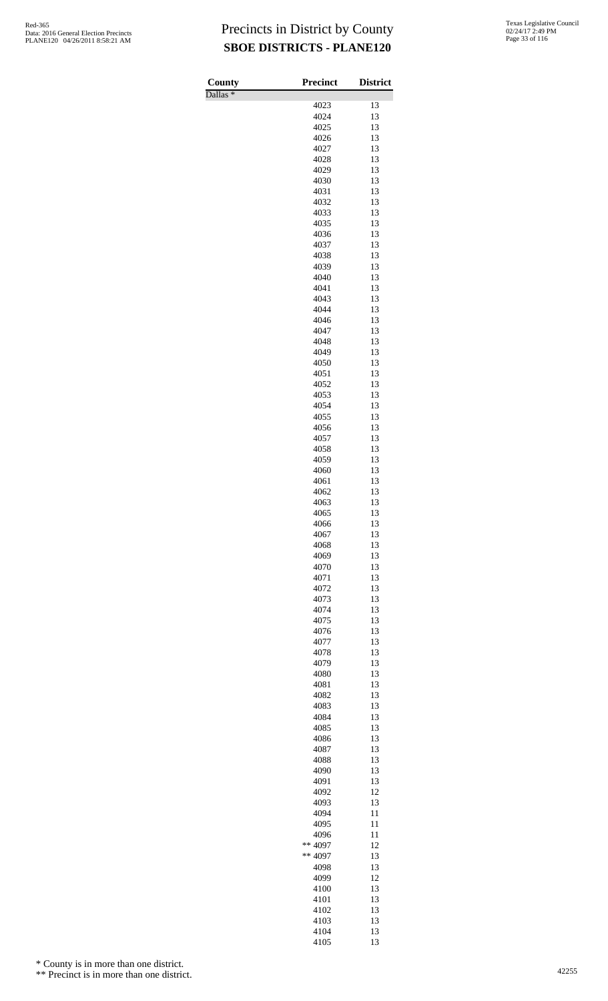Dallas \*

| County        | Precinct     | <b>District</b> |
|---------------|--------------|-----------------|
| $D$ allas $*$ | 4023         | 13              |
|               | 4024         | 13              |
|               | 4025         | 13              |
|               | 4026         | 13              |
|               | 4027         | 13              |
|               | 4028         | 13              |
|               | 4029         | 13              |
|               | 4030         | 13<br>13        |
|               | 4031<br>4032 | 13              |
|               | 4033         | 13              |
|               | 4035         | 13              |
|               | 4036         | 13              |
|               | 4037         | 13              |
|               | 4038         | 13              |
|               | 4039         | 13              |
|               | 4040         | 13              |
|               | 4041<br>4043 | 13<br>13        |
|               | 4044         | 13              |
|               | 4046         | 13              |
|               | 4047         | 13              |
|               | 4048         | 13              |
|               | 4049         | 13              |
|               | 4050         | 13              |
|               | 4051         | 13              |
|               | 4052<br>4053 | 13<br>13        |
|               | 4054         | 13              |
|               | 4055         | 13              |
|               | 4056         | 13              |
|               | 4057         | 13              |
|               | 4058         | 13              |
|               | 4059         | 13              |
|               | 4060         | 13              |
|               | 4061         | 13              |
|               | 4062<br>4063 | 13<br>13        |
|               | 4065         | 13              |
|               | 4066         | 13              |
|               | 4067         | 13              |
|               | 4068         | 13              |
|               | 4069         | 13              |
|               | 4070         | 13              |
|               | 4071         | 13              |
|               | 4072<br>4073 | 13<br>13        |
|               | 4074         | 13              |
|               | 4075         | 13              |
|               | 4076         | 13              |
|               | 4077         | 13              |
|               | 4078         | 13              |
|               | 4079         | 13              |
|               | 4080         | 13              |
|               | 4081         | 13<br>13        |
|               | 4082         | 13              |
|               | 4083<br>4084 | 13              |
|               | 4085         | 13              |
|               | 4086         | 13              |
|               | 4087         | 13              |
|               | 4088         | 13              |
|               | 4090         | 13              |
|               | 4091         | 13              |
|               | 4092<br>4093 | 12<br>13        |
|               | 4094         | 11              |
|               | 4095         | 11              |
|               | 4096         | 11              |
|               | ** 4097      | 12              |
|               | ** 4097      | 13              |
|               | 4098         | 13              |
|               | 4099         | 12              |
|               | 4100         | 13              |
|               | 4101         | 13              |
|               | 4102<br>4103 | 13<br>13        |
|               | 4104         | 13              |
|               | 4105         | 13              |

\* County is in more than one district.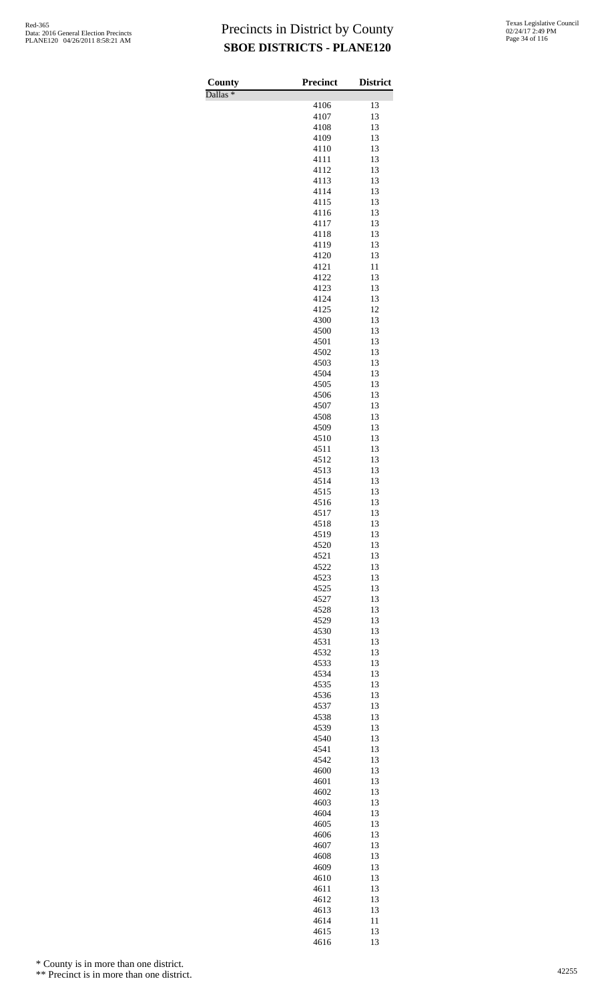Dallas \*

| County              | Precinct     | <b>District</b> |
|---------------------|--------------|-----------------|
| Dallas <sup>*</sup> | 4106         | 13              |
|                     | 4107         | 13              |
|                     | 4108         | 13              |
|                     | 4109         | 13              |
|                     | 4110         | 13              |
|                     | 4111<br>4112 | 13<br>13        |
|                     | 4113         | 13              |
|                     | 4114         | 13              |
|                     | 4115         | 13              |
|                     | 4116         | 13              |
|                     | 4117<br>4118 | 13<br>13        |
|                     | 4119         | 13              |
|                     | 4120         | 13              |
|                     | 4121         | 11              |
|                     | 4122         | 13              |
|                     | 4123<br>4124 | 13<br>13        |
|                     | 4125         | 12              |
|                     | 4300         | 13              |
|                     | 4500         | 13              |
|                     | 4501         | 13              |
|                     | 4502<br>4503 | 13<br>13        |
|                     | 4504         | 13              |
|                     | 4505         | 13              |
|                     | 4506         | 13              |
|                     | 4507         | 13              |
|                     | 4508<br>4509 | 13<br>13        |
|                     | 4510         | 13              |
|                     | 4511         | 13              |
|                     | 4512         | 13              |
|                     | 4513         | 13              |
|                     | 4514<br>4515 | 13<br>13        |
|                     | 4516         | 13              |
|                     | 4517         | 13              |
|                     | 4518         | 13              |
|                     | 4519         | 13              |
|                     | 4520<br>4521 | 13<br>13        |
|                     | 4522         | 13              |
|                     | 4523         | 13              |
|                     | 4525         | 13              |
|                     | 4527         | 13              |
|                     | 4528<br>4529 | 13<br>13        |
|                     | 4530         | 13              |
|                     | 4531         | 13              |
|                     | 4532         | 13              |
|                     | 4533         | 13              |
|                     | 4534<br>4535 | 13<br>13        |
|                     | 4536         | 13              |
|                     | 4537         | 13              |
|                     | 4538         | 13              |
|                     | 4539         | 13              |
|                     | 4540<br>4541 | 13<br>13        |
|                     | 4542         | 13              |
|                     | 4600         | 13              |
|                     | 4601         | 13              |
|                     | 4602         | 13              |
|                     | 4603<br>4604 | 13<br>13        |
|                     | 4605         | 13              |
|                     | 4606         | 13              |
|                     | 4607         | 13              |
|                     | 4608         | 13              |
|                     | 4609<br>4610 | 13<br>13        |
|                     | 4611         | 13              |
|                     | 4612         | 13              |
|                     | 4613         | 13              |
|                     | 4614         | 11              |
|                     | 4615<br>4616 | 13<br>13        |
|                     |              |                 |

\* County is in more than one district.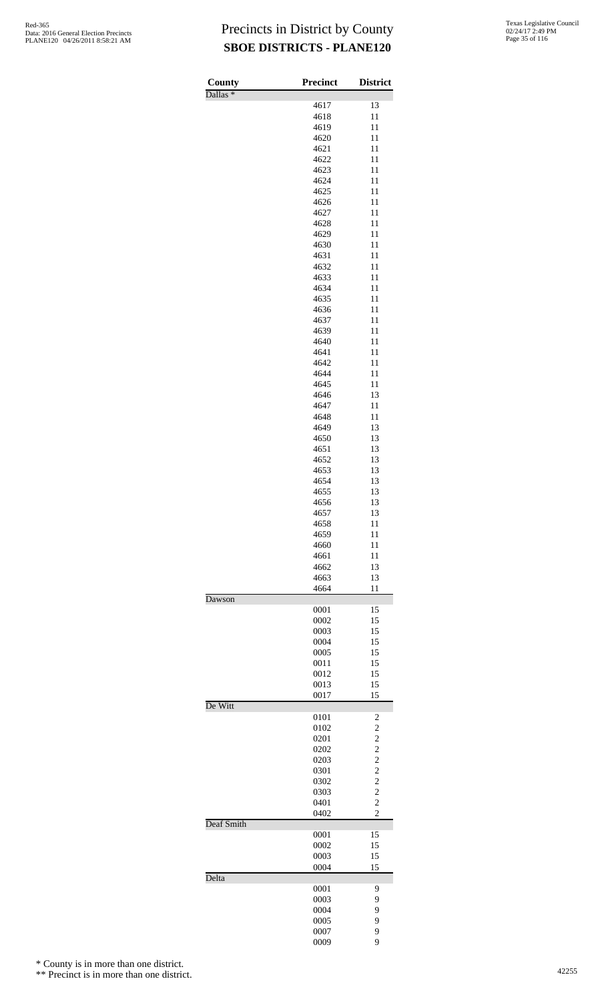| County              | <b>Precinct</b> | <b>District</b>                  |
|---------------------|-----------------|----------------------------------|
| Dallas <sup>*</sup> | 4617            | 13                               |
|                     | 4618            | 11                               |
|                     | 4619            | 11                               |
|                     | 4620<br>4621    | 11<br>11                         |
|                     | 4622            | 11                               |
|                     | 4623            | 11                               |
|                     | 4624            | 11                               |
|                     | 4625<br>4626    | 11<br>11                         |
|                     | 4627            | 11                               |
|                     | 4628            | 11                               |
|                     | 4629<br>4630    | 11<br>11                         |
|                     | 4631            | 11                               |
|                     | 4632            | 11                               |
|                     | 4633            | 11                               |
|                     | 4634<br>4635    | 11<br>11                         |
|                     | 4636            | 11                               |
|                     | 4637            | 11                               |
|                     | 4639            | 11                               |
|                     | 4640<br>4641    | 11<br>11                         |
|                     | 4642            | 11                               |
|                     | 4644            | 11                               |
|                     | 4645<br>4646    | 11<br>13                         |
|                     | 4647            | 11                               |
|                     | 4648            | 11                               |
|                     | 4649            | 13                               |
|                     | 4650<br>4651    | 13<br>13                         |
|                     | 4652            | 13                               |
|                     | 4653            | 13                               |
|                     | 4654<br>4655    | 13<br>13                         |
|                     | 4656            | 13                               |
|                     | 4657            | 13                               |
|                     | 4658            | 11                               |
|                     | 4659<br>4660    | 11<br>11                         |
|                     | 4661            | 11                               |
|                     | 4662            | 13                               |
|                     | 4663<br>4664    | 13<br>11                         |
| Dawson              |                 |                                  |
|                     | 0001<br>0002    | 15<br>15                         |
|                     | 0003            | 15                               |
|                     | 0004            | 15                               |
|                     | 0005            | 15                               |
|                     | 0011<br>0012    | 15<br>15                         |
|                     | 0013            | 15                               |
| De Witt             | 0017            | 15                               |
|                     | 0101            | $\overline{\mathbf{c}}$          |
|                     | 0102            | $\overline{c}$                   |
|                     | 0201<br>0202    | $\overline{c}$<br>$\overline{c}$ |
|                     | 0203            | $\overline{c}$                   |
|                     | 0301            | $\frac{2}{2}$                    |
|                     | 0302            |                                  |
|                     | 0303<br>0401    | $\overline{2}$<br>$\overline{c}$ |
|                     | 0402            | $\overline{2}$                   |
| Deaf Smith          |                 | 15                               |
|                     | 0001<br>0002    | 15                               |
|                     | 0003            | 15                               |
| Delta               | 0004            | 15                               |
|                     | 0001            | 9                                |
|                     | 0003            | 9                                |
|                     | 0004            | 9                                |
|                     | 0005<br>0007    | 9<br>9                           |
|                     | 0009            | 9                                |

\* County is in more than one district.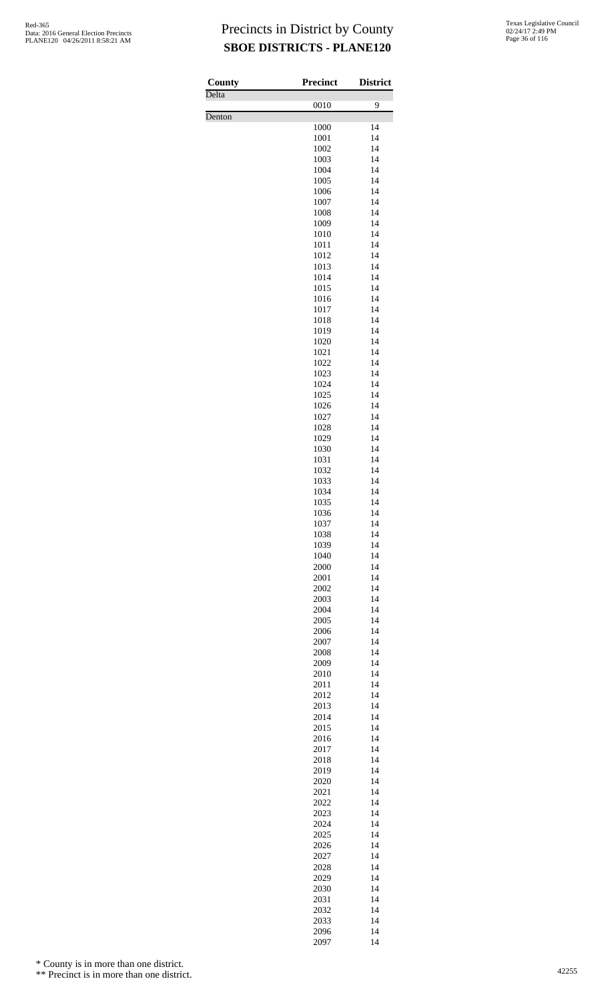Delta<sup>1</sup>

Denton

| County | <b>Precinct</b> | <b>District</b> |
|--------|-----------------|-----------------|
| Delta  | 0010            | 9               |
| Denton |                 |                 |
|        | 1000<br>1001    | 14<br>14        |
|        | 1002            | 14              |
|        | 1003            | 14              |
|        | 1004<br>1005    | 14<br>14        |
|        | 1006            | 14              |
|        | 1007            | 14              |
|        | 1008            | 14<br>14        |
|        | 1009<br>1010    | 14              |
|        | 1011            | 14              |
|        | 1012            | 14              |
|        | 1013<br>1014    | 14<br>14        |
|        | 1015            | 14              |
|        | 1016            | 14              |
|        | 1017<br>1018    | 14<br>14        |
|        | 1019            | 14              |
|        | 1020            | 14              |
|        | 1021            | 14              |
|        | 1022<br>1023    | 14<br>14        |
|        | 1024            | 14              |
|        | 1025            | 14              |
|        | 1026<br>1027    | 14<br>14        |
|        | 1028            | 14              |
|        | 1029            | 14              |
|        | 1030            | 14              |
|        | 1031<br>1032    | 14<br>14        |
|        | 1033            | 14              |
|        | 1034            | 14              |
|        | 1035            | 14              |
|        | 1036<br>1037    | 14<br>14        |
|        | 1038            | 14              |
|        | 1039            | 14              |
|        | 1040<br>2000    | 14<br>14        |
|        | 2001            | 14              |
|        | 2002            | 14              |
|        | 2003            | 14              |
|        | 2004<br>2005    | 14<br>14        |
|        | 2006            | 14              |
|        | 2007            | 14              |
|        | 2008            | 14              |
|        | 2009<br>2010    | 14<br>14        |
|        | 2011            | 14              |
|        | 2012            | 14              |
|        | 2013<br>2014    | 14<br>14        |
|        | 2015            | 14              |
|        | 2016            | 14              |
|        | 2017            | 14              |
|        | 2018<br>2019    | 14<br>14        |
|        | 2020            | 14              |
|        | 2021            | 14              |
|        | 2022            | 14              |
|        | 2023<br>2024    | 14<br>14        |
|        | 2025            | 14              |
|        | 2026            | 14              |
|        | 2027<br>2028    | 14<br>14        |
|        | 2029            | 14              |
|        | 2030            | 14              |
|        | 2031            | 14              |
|        | 2032<br>2033    | 14<br>14        |
|        | 2096            | 14              |
|        | 2097            | 14              |

\* County is in more than one district.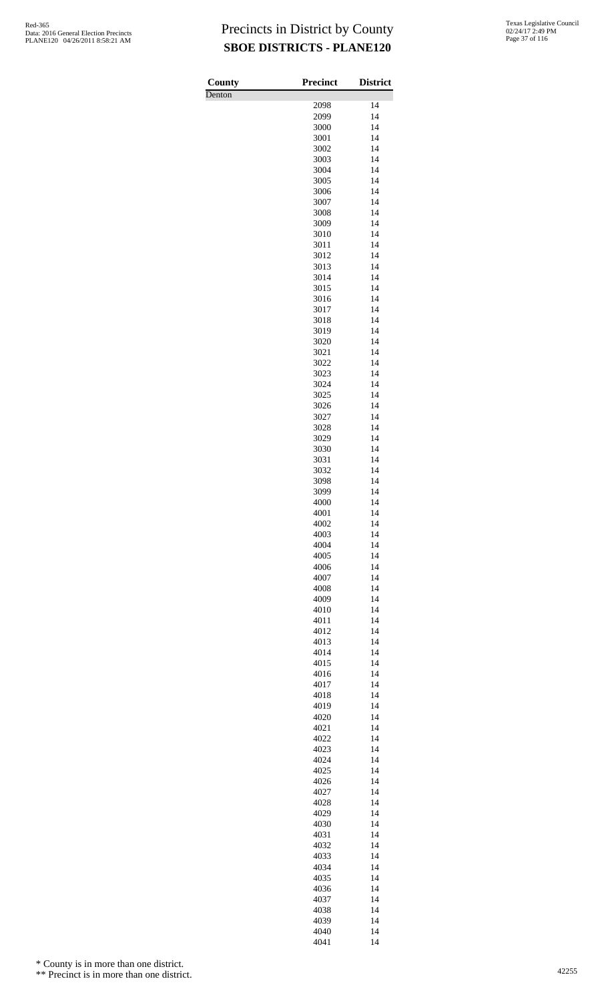| County | <b>Precinct</b> | <b>District</b> |
|--------|-----------------|-----------------|
| Denton |                 |                 |
|        | 2098            | 14              |
|        | 2099<br>3000    | 14<br>14        |
|        | 3001            | 14              |
|        | 3002            | 14              |
|        | 3003            | 14              |
|        | 3004            | 14              |
|        | 3005            | 14              |
|        | 3006            | 14              |
|        | 3007<br>3008    | 14<br>14        |
|        | 3009            | 14              |
|        | 3010            | 14              |
|        | 3011            | 14              |
|        | 3012            | 14              |
|        | 3013            | 14              |
|        | 3014<br>3015    | 14<br>14        |
|        | 3016            | 14              |
|        | 3017            | 14              |
|        | 3018            | 14              |
|        | 3019            | 14              |
|        | 3020            | 14              |
|        | 3021            | 14<br>14        |
|        | 3022<br>3023    | 14              |
|        | 3024            | 14              |
|        | 3025            | 14              |
|        | 3026            | 14              |
|        | 3027            | 14              |
|        | 3028            | 14              |
|        | 3029<br>3030    | 14<br>14        |
|        | 3031            | 14              |
|        | 3032            | 14              |
|        | 3098            | 14              |
|        | 3099            | 14              |
|        | 4000            | 14              |
|        | 4001<br>4002    | 14<br>14        |
|        | 4003            | 14              |
|        | 4004            | 14              |
|        | 4005            | 14              |
|        | 4006            | 14              |
|        | 4007            | 14              |
|        | 4008            | 14<br>14        |
|        | 4009<br>4010    | 14              |
|        | 4011            | 14              |
|        | 4012            | 14              |
|        | 4013            | 14              |
|        | 4014            | 14              |
|        | 4015            | 14              |
|        | 4016<br>4017    | 14<br>14        |
|        | 4018            | 14              |
|        | 4019            | 14              |
|        | 4020            | 14              |
|        | 4021            | 14              |
|        | 4022<br>4023    | 14<br>14        |
|        | 4024            | 14              |
|        | 4025            | 14              |
|        | 4026            | 14              |
|        | 4027            | 14              |
|        | 4028            | 14              |
|        | 4029            | 14              |
|        | 4030<br>4031    | 14<br>14        |
|        | 4032            | 14              |
|        | 4033            | 14              |
|        | 4034            | 14              |
|        | 4035            | 14              |
|        | 4036            | 14              |
|        | 4037<br>4038    | 14<br>14        |
|        | 4039            | 14              |
|        | 4040            | 14              |
|        | 4041            | 14              |

\* County is in more than one district.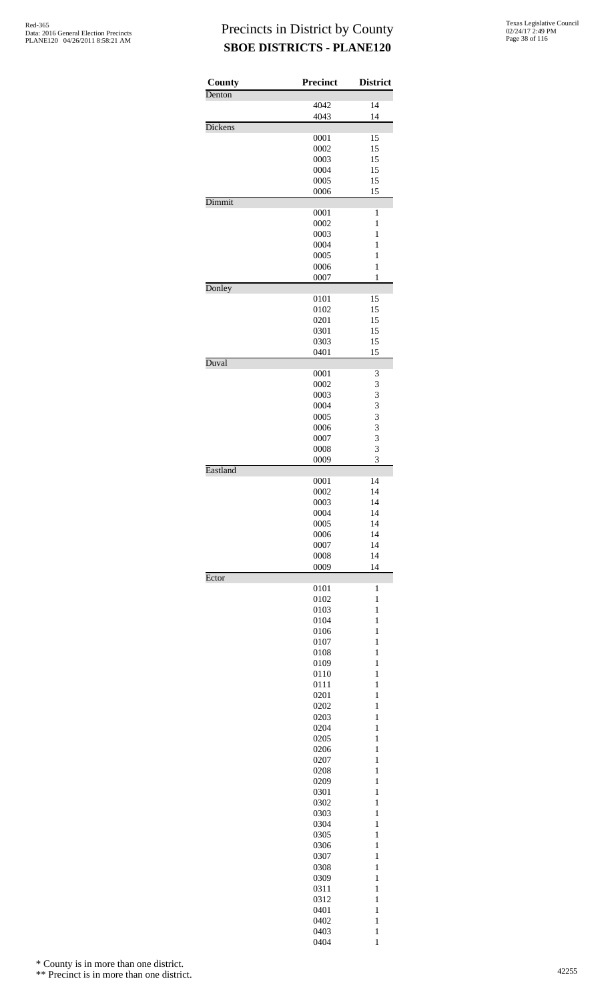| County   | <b>Precinct</b> | <b>District</b>              |
|----------|-----------------|------------------------------|
| Denton   |                 |                              |
|          | 4042<br>4043    | 14<br>14                     |
| Dickens  |                 |                              |
|          | 0001            | 15                           |
|          | 0002            | 15                           |
|          | 0003            | 15                           |
|          | 0004<br>0005    | 15<br>15                     |
|          | 0006            | 15                           |
| Dimmit   |                 |                              |
|          | 0001            | 1                            |
|          | 0002<br>0003    | 1<br>$\mathbf{1}$            |
|          | 0004            | $\mathbf{1}$                 |
|          | 0005            | 1                            |
|          | 0006            | $\mathbf{1}$                 |
| Donley   | 0007            | 1                            |
|          | 0101            | 15                           |
|          | 0102            | 15                           |
|          | 0201            | 15                           |
|          | 0301            | 15                           |
|          | 0303<br>0401    | 15<br>15                     |
| Duval    |                 |                              |
|          | 0001            | 3                            |
|          | 0002            | 3                            |
|          | 0003<br>0004    | 3<br>3                       |
|          | 0005            | 3                            |
|          | 0006            | 3                            |
|          | 0007            | 3                            |
|          | 0008            | $\overline{\mathbf{3}}$      |
| Eastland | 0009            | 3                            |
|          | 0001            | 14                           |
|          | 0002            | 14                           |
|          | 0003            | 14                           |
|          | 0004<br>0005    | 14<br>14                     |
|          | 0006            | 14                           |
|          | 0007            | 14                           |
|          | 0008            | 14                           |
| Ector    | 0009            | 14                           |
|          | 0101            | 1                            |
|          | 0102            | 1                            |
|          | 0103            | $\mathbf{1}$                 |
|          | 0104            | $\mathbf{1}$                 |
|          | 0106<br>0107    | 1<br>$\mathbf{1}$            |
|          | 0108            | $\mathbf{1}$                 |
|          | 0109            | $\mathbf{1}$                 |
|          | 0110            | $\mathbf{1}$                 |
|          | 0111<br>0201    | 1<br>1                       |
|          | 0202            | 1                            |
|          | 0203            | $\mathbf{1}$                 |
|          | 0204            | $\mathbf{1}$                 |
|          | 0205<br>0206    | 1<br>$\mathbf{1}$            |
|          | 0207            | $\mathbf{1}$                 |
|          | 0208            | $\mathbf{1}$                 |
|          | 0209            | $\mathbf{1}$                 |
|          | 0301            | 1                            |
|          | 0302<br>0303    | $\mathbf{1}$<br>1            |
|          | 0304            | $\mathbf{1}$                 |
|          | 0305            | $\mathbf{1}$                 |
|          | 0306            | 1                            |
|          | 0307            | $\mathbf{1}$                 |
|          | 0308<br>0309    | $\mathbf{1}$<br>$\mathbf{1}$ |
|          | 0311            | $\mathbf{1}$                 |
|          | 0312            | 1                            |
|          | 0401            | 1                            |
|          | 0402            | 1                            |
|          | 0403<br>0404    | $\mathbf{1}$<br>$\mathbf{1}$ |

\* County is in more than one district.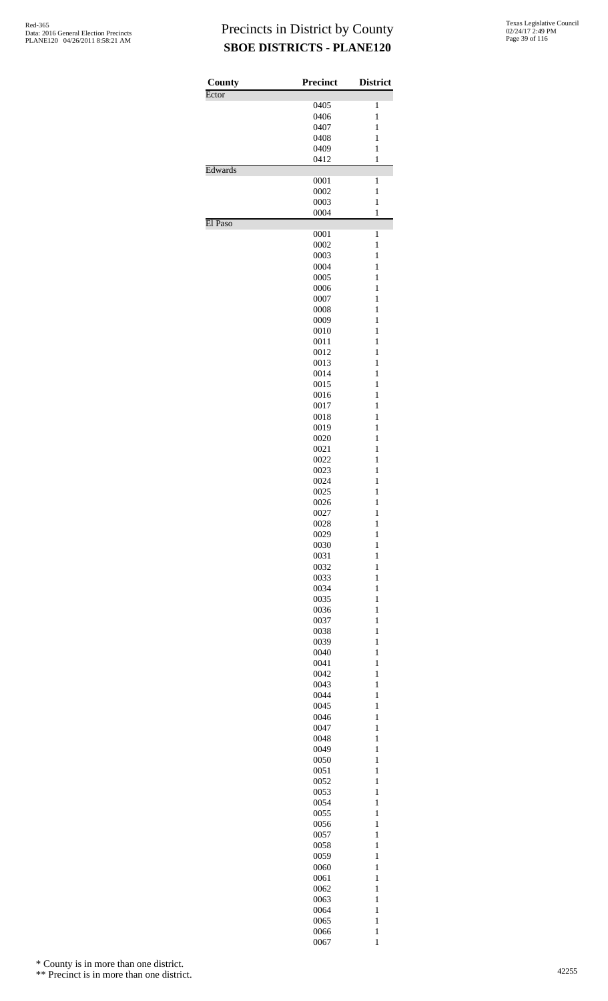| County  | <b>Precinct</b> | <b>District</b>              |
|---------|-----------------|------------------------------|
| Ector   |                 | $\mathbf{1}$                 |
|         | 0405<br>0406    | $\mathbf{1}$                 |
|         |                 |                              |
|         | 0407            | 1                            |
|         | 0408            | $\mathbf{1}$<br>$\mathbf{1}$ |
|         | 0409<br>0412    | $\,1$                        |
| Edwards |                 |                              |
|         | 0001            | $\mathbf{1}$                 |
|         | 0002            | $\mathbf{1}$                 |
|         | 0003            | $\mathbf{1}$                 |
|         | 0004            | $\,1$                        |
| El Paso |                 | $\mathbf{1}$                 |
|         | 0001<br>0002    | $\,1$                        |
|         | 0003            | $\mathbf{1}$                 |
|         | 0004            | $\mathbf{1}$                 |
|         | 0005            | $\mathbf{1}$                 |
|         | 0006            | $\mathbf{1}$                 |
|         | 0007            | $\mathbf{1}$                 |
|         | 0008            | $\mathbf{1}$                 |
|         | 0009            | $\mathbf{1}$                 |
|         | 0010            |                              |
|         |                 | $\mathbf{1}$                 |
|         | 0011<br>0012    | 1<br>$\mathbf{1}$            |
|         |                 | $\mathbf{1}$                 |
|         | 0013            |                              |
|         | 0014            | $\mathbf{1}$                 |
|         | 0015            | $\mathbf{1}$                 |
|         | 0016            | $\mathbf{1}$                 |
|         | 0017            | $\mathbf{1}$                 |
|         | 0018            | $\mathbf{1}$                 |
|         | 0019            | $\mathbf{1}$                 |
|         | 0020            | $\mathbf{1}$                 |
|         | 0021            | 1                            |
|         | 0022            | $\mathbf{1}$                 |
|         | 0023            | $\mathbf{1}$                 |
|         | 0024            | $\mathbf{1}$                 |
|         | 0025            | $\mathbf{1}$                 |
|         | 0026            | $\mathbf{1}$                 |
|         | 0027            | 1                            |
|         | 0028            | $\mathbf{1}$                 |
|         | 0029            | $\mathbf{1}$                 |
|         | 0030            | $\mathbf{1}$                 |
|         | 0031            | $\mathbf{1}$                 |
|         | 0032            | $\mathbf{1}$                 |
|         | 0033            | $\mathbf{1}$                 |
|         | 0034            | $\mathbf{1}$                 |
|         | 0035            | $\mathbf{1}$                 |
|         | 0036            | 1                            |
|         | 0037            | $\mathbf{1}$                 |
|         | 0038            | $\mathbf{1}$                 |
|         | 0039            | $\mathbf{1}$                 |
|         | 0040            | $\mathbf{1}$                 |
|         | 0041            | $\mathbf{1}$                 |
|         | 0042            | $\mathbf{1}$                 |
|         | 0043            | $\mathbf{1}$                 |
|         | 0044            | $\mathbf{1}$                 |
|         | 0045            | $\mathbf{1}$                 |
|         | 0046            | 1                            |
|         | 0047            | $\mathbf{1}$                 |
|         | 0048            | $\mathbf{1}$                 |
|         | 0049            | $\mathbf{1}$                 |
|         | 0050            | $\mathbf{1}$                 |
|         | 0051            | $\mathbf{1}$                 |
|         | 0052            | $\mathbf{1}$                 |
|         | 0053            | $\mathbf{1}$                 |
|         | 0054            | $\mathbf{1}$                 |
|         | 0055            | $\mathbf{1}$                 |
|         |                 |                              |
|         | 0056            | $\mathbf{1}$                 |
|         | 0057            | $\mathbf{1}$                 |
|         | 0058            | $\mathbf{1}$                 |
|         | 0059            | $\mathbf{1}$                 |
|         | 0060            | $\mathbf{1}$                 |
|         | 0061            | $\mathbf{1}$                 |
|         | 0062            | $\mathbf{1}$                 |
|         | 0063            | $\mathbf{1}$                 |
|         | 0064            | $\mathbf{1}$                 |
|         | 0065            | $\mathbf{1}$                 |
|         | 0066            | $\mathbf{1}$                 |
|         | 0067            | $\mathbf{1}$                 |

\* County is in more than one district.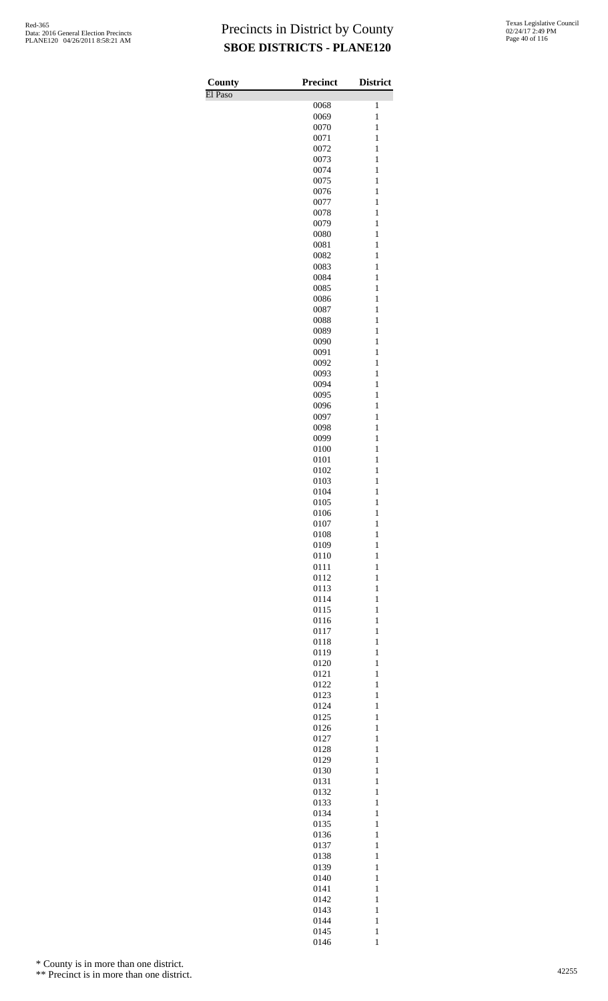| County  | <b>Precinct</b> | <b>District</b>              |
|---------|-----------------|------------------------------|
| El Paso |                 |                              |
|         | 0068<br>0069    | 1<br>$\mathbf{1}$            |
|         | 0070            | $\mathbf{1}$                 |
|         | 0071            | 1                            |
|         | 0072            | $\mathbf{1}$                 |
|         | 0073<br>0074    | $\mathbf{1}$<br>$\mathbf{1}$ |
|         | 0075            | $\mathbf{1}$                 |
|         | 0076            | $\mathbf{1}$                 |
|         | 0077            | $\mathbf{1}$                 |
|         | 0078            | $\mathbf{1}$                 |
|         | 0079<br>0080    | $\mathbf{1}$<br>$\mathbf{1}$ |
|         | 0081            | $\mathbf{1}$                 |
|         | 0082            | $\mathbf{1}$                 |
|         | 0083            | $\mathbf{1}$                 |
|         | 0084            | $\mathbf{1}$                 |
|         | 0085            | $\mathbf{1}$<br>$\mathbf{1}$ |
|         | 0086<br>0087    | $\mathbf{1}$                 |
|         | 0088            | $\mathbf{1}$                 |
|         | 0089            | $\mathbf{1}$                 |
|         | 0090            | $\mathbf{1}$                 |
|         | 0091<br>0092    | 1<br>$\mathbf{1}$            |
|         | 0093            | $\mathbf{1}$                 |
|         | 0094            | $\mathbf{1}$                 |
|         | 0095            | $\mathbf{1}$                 |
|         | 0096            | $\mathbf{1}$                 |
|         | 0097            | $\mathbf{1}$<br>$\mathbf{1}$ |
|         | 0098<br>0099    | $\mathbf{1}$                 |
|         | 0100            | $\mathbf{1}$                 |
|         | 0101            | 1                            |
|         | 0102            | $\mathbf{1}$                 |
|         | 0103            | $\mathbf{1}$<br>$\mathbf{1}$ |
|         | 0104<br>0105    | $\mathbf{1}$                 |
|         | 0106            | $\mathbf{1}$                 |
|         | 0107            | $\mathbf{1}$                 |
|         | 0108            | $\mathbf{1}$                 |
|         | 0109            | $\mathbf{1}$<br>$\mathbf{1}$ |
|         | 0110<br>0111    | $\mathbf{1}$                 |
|         | 0112            | $\mathbf{1}$                 |
|         | 0113            | $\mathbf{1}$                 |
|         | 0114            | $\mathbf{1}$                 |
|         | 0115            | $\mathbf{1}$<br>$\mathbf{1}$ |
|         | 0116<br>0117    | $\mathbf{1}$                 |
|         | 0118            | $\mathbf{1}$                 |
|         | 0119            | $\mathbf{1}$                 |
|         | 0120            | $\mathbf{1}$                 |
|         | 0121            | $\mathbf{1}$<br>$\mathbf{1}$ |
|         | 0122<br>0123    | $\mathbf{1}$                 |
|         | 0124            | $\mathbf{1}$                 |
|         | 0125            | $\mathbf{1}$                 |
|         | 0126            | $\mathbf{1}$                 |
|         | 0127            | $\mathbf{1}$                 |
|         | 0128<br>0129    | $\mathbf{1}$<br>$\mathbf{1}$ |
|         | 0130            | $\mathbf{1}$                 |
|         | 0131            | $\mathbf{1}$                 |
|         | 0132            | $\mathbf{1}$                 |
|         | 0133<br>0134    | $\mathbf{1}$<br>$\mathbf{1}$ |
|         | 0135            | $\mathbf{1}$                 |
|         | 0136            | $\mathbf{1}$                 |
|         | 0137            | $\mathbf{1}$                 |
|         | 0138            | $\mathbf{1}$                 |
|         | 0139            | $\mathbf{1}$                 |
|         | 0140<br>0141    | $\mathbf{1}$<br>$\mathbf{1}$ |
|         | 0142            | $\mathbf{1}$                 |
|         | 0143            | $\mathbf{1}$                 |
|         | 0144            | $\mathbf{1}$                 |
|         | 0145            | $\mathbf{1}$                 |
|         | 0146            | $\mathbf 1$                  |

\* County is in more than one district.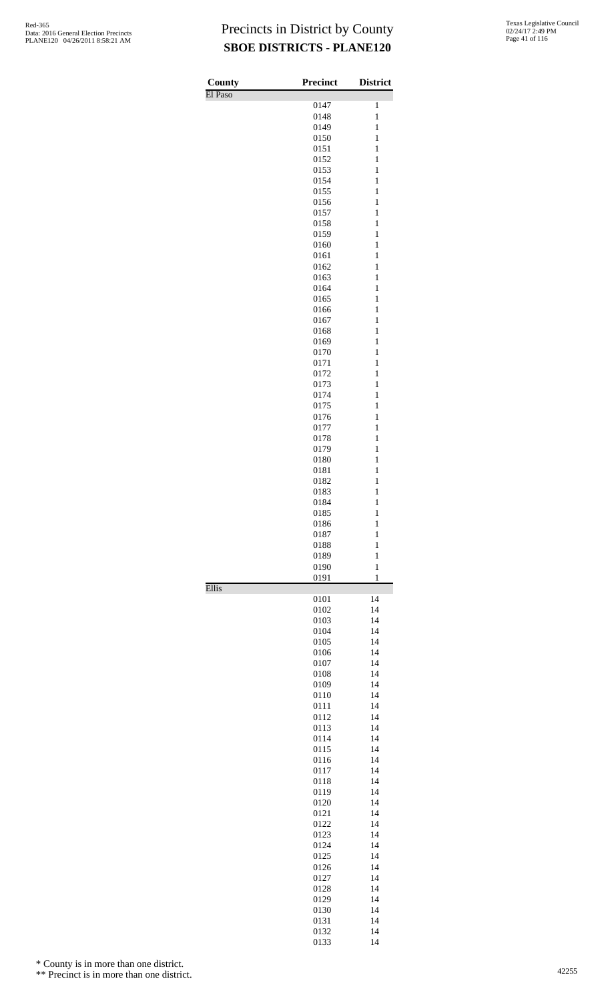| County  | <b>Precinct</b> | <b>District</b>              |
|---------|-----------------|------------------------------|
| El Paso | 0147            | 1                            |
|         | 0148            | $\mathbf{1}$                 |
|         | 0149            | $\mathbf{1}$                 |
|         | 0150            | $\mathbf{1}$                 |
|         | 0151<br>0152    | $\mathbf{1}$<br>$\mathbf{1}$ |
|         | 0153            | $\mathbf{1}$                 |
|         | 0154            | $\mathbf{1}$                 |
|         | 0155            | $\mathbf{1}$                 |
|         | 0156            | $\mathbf{1}$                 |
|         | 0157<br>0158    | $\mathbf{1}$<br>$\mathbf{1}$ |
|         | 0159            | $\mathbf{1}$                 |
|         | 0160            | $\mathbf{1}$                 |
|         | 0161            | $\mathbf{1}$                 |
|         | 0162<br>0163    | $\mathbf{1}$<br>$\mathbf{1}$ |
|         | 0164            | $\mathbf{1}$                 |
|         | 0165            | $\mathbf{1}$                 |
|         | 0166            | $\mathbf{1}$                 |
|         | 0167            | $\mathbf{1}$                 |
|         | 0168<br>0169    | $\mathbf{1}$<br>$\mathbf{1}$ |
|         | 0170            | $\mathbf{1}$                 |
|         | 0171            | $\mathbf{1}$                 |
|         | 0172            | $\mathbf{1}$                 |
|         | 0173            | $\mathbf{1}$                 |
|         | 0174<br>0175    | $\mathbf{1}$<br>$\mathbf{1}$ |
|         | 0176            | $\mathbf{1}$                 |
|         | 0177            | $\mathbf{1}$                 |
|         | 0178            | $\mathbf{1}$                 |
|         | 0179            | $\mathbf{1}$                 |
|         | 0180            | $\mathbf{1}$<br>$\mathbf{1}$ |
|         | 0181<br>0182    | $\mathbf{1}$                 |
|         | 0183            | $\mathbf{1}$                 |
|         | 0184            | $\mathbf{1}$                 |
|         | 0185            | 1                            |
|         | 0186            | 1<br>$\mathbf{1}$            |
|         | 0187<br>0188    | $\mathbf{1}$                 |
|         | 0189            | $\mathbf{1}$                 |
|         | 0190            | $\mathbf{1}$                 |
|         | 0191            | $\mathbf{1}$                 |
| Ellis   | 0101            | 14                           |
|         | 0102            | 14                           |
|         | 0103            | 14                           |
|         | 0104            | 14                           |
|         | 0105            | 14                           |
|         | 0106<br>0107    | 14<br>14                     |
|         | 0108            | 14                           |
|         | 0109            | 14                           |
|         | 0110            | 14                           |
|         | 0111            | 14                           |
|         | 0112<br>0113    | 14<br>14                     |
|         | 0114            | 14                           |
|         | 0115            | 14                           |
|         | 0116            | 14                           |
|         | 0117            | 14                           |
|         | 0118<br>0119    | 14<br>14                     |
|         | 0120            | 14                           |
|         | 0121            | 14                           |
|         | 0122            | 14                           |
|         | 0123            | 14                           |
|         | 0124<br>0125    | 14<br>14                     |
|         | 0126            | 14                           |
|         | 0127            | 14                           |
|         | 0128            | 14                           |
|         | 0129            | 14                           |
|         | 0130<br>0131    | 14<br>14                     |
|         | 0132            | 14                           |
|         | 0133            | 14                           |

\* County is in more than one district.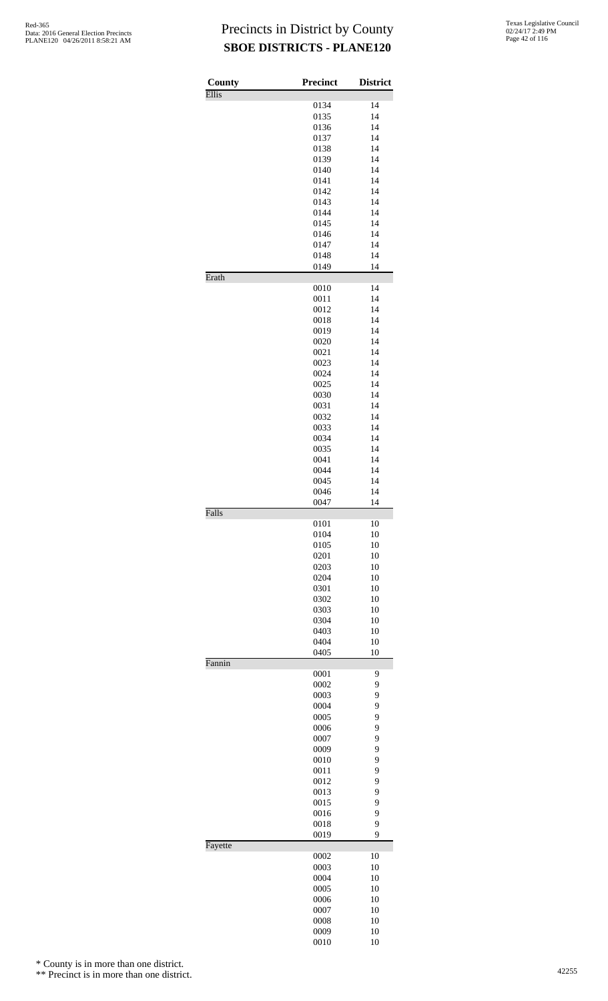| County  | Precinct     | <b>District</b> |
|---------|--------------|-----------------|
| Ellis   |              |                 |
|         | 0134         | 14              |
|         | 0135         | 14              |
|         | 0136<br>0137 | 14<br>14        |
|         | 0138         | 14              |
|         | 0139         | 14              |
|         | 0140         | 14              |
|         | 0141         | 14              |
|         | 0142         | 14              |
|         | 0143         | 14              |
|         | 0144         | 14<br>14        |
|         | 0145<br>0146 | 14              |
|         | 0147         | 14              |
|         | 0148         | 14              |
|         | 0149         | 14              |
| Erath   |              |                 |
|         | 0010         | 14              |
|         | 0011<br>0012 | 14<br>14        |
|         | 0018         | 14              |
|         | 0019         | 14              |
|         | 0020         | 14              |
|         | 0021         | 14              |
|         | 0023         | 14              |
|         | 0024         | 14              |
|         | 0025         | 14              |
|         | 0030<br>0031 | 14<br>14        |
|         | 0032         | 14              |
|         | 0033         | 14              |
|         | 0034         | 14              |
|         | 0035         | 14              |
|         | 0041         | 14              |
|         | 0044         | 14              |
|         | 0045<br>0046 | 14<br>14        |
|         | 0047         | 14              |
| Falls   |              |                 |
|         | 0101         | 10              |
|         | 0104         | 10              |
|         | 0105         | 10<br>10        |
|         | 0201<br>0203 | 10              |
|         | 0204         | 10              |
|         | 0301         | 10              |
|         | 0302         | 10              |
|         | 0303         | 10              |
|         | 0304         | 10              |
|         | 0403         | 10              |
|         | 0404<br>0405 | 10<br>10        |
| Fannin  |              |                 |
|         | 0001         | 9               |
|         | 0002         | 9               |
|         | 0003         | 9               |
|         | 0004         | 9               |
|         | 0005<br>0006 | 9<br>9          |
|         | 0007         | 9               |
|         | 0009         | 9               |
|         | 0010         | 9               |
|         | 0011         | 9               |
|         | 0012         | 9               |
|         | 0013         | 9               |
|         | 0015         | 9               |
|         | 0016<br>0018 | 9<br>9          |
|         | 0019         | 9               |
| Fayette |              |                 |
|         | 0002         | 10              |
|         | 0003         | 10              |
|         | 0004         | 10<br>10        |
|         | 0005<br>0006 | 10              |
|         | 0007         | 10              |
|         | 0008         | 10              |
|         | 0009         | 10              |
|         | 0010         | 10              |

\* County is in more than one district.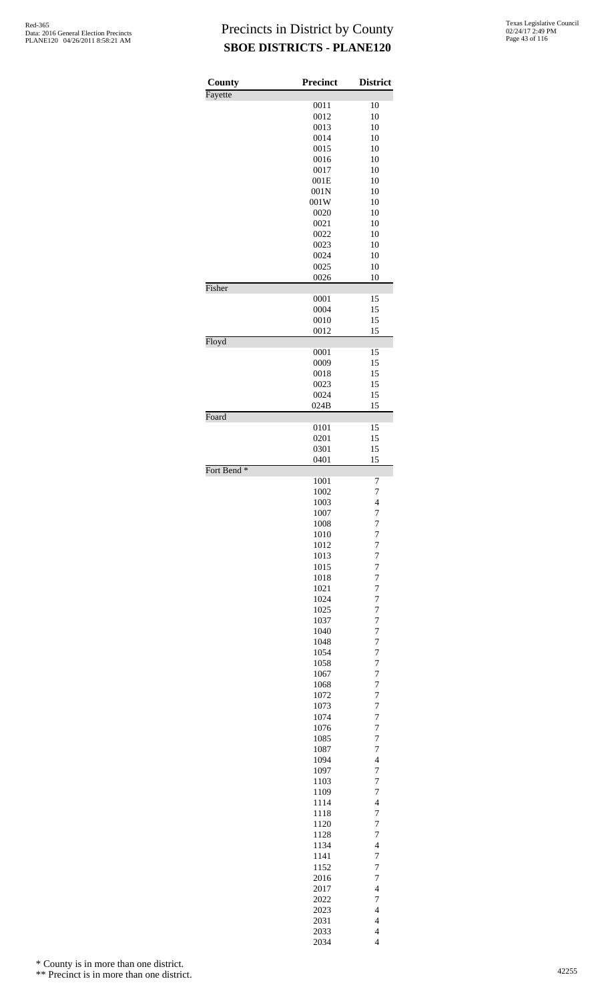| County                 | <b>Precinct</b> | <b>District</b>                                     |
|------------------------|-----------------|-----------------------------------------------------|
| Fayette                | 0011            | 10                                                  |
|                        | 0012            | 10                                                  |
|                        | 0013            | 10                                                  |
|                        | 0014            | 10                                                  |
|                        | 0015            | 10                                                  |
|                        | 0016            | 10                                                  |
|                        | 0017            | 10                                                  |
|                        | 001E<br>001N    | 10<br>10                                            |
|                        | 001W            | 10                                                  |
|                        | 0020            | 10                                                  |
|                        | 0021            | 10                                                  |
|                        | 0022            | 10                                                  |
|                        | 0023            | 10                                                  |
|                        | 0024<br>0025    | 10<br>10                                            |
|                        | 0026            | 10                                                  |
| Fisher                 |                 |                                                     |
|                        | 0001            | 15                                                  |
|                        | 0004            | 15                                                  |
|                        | 0010            | 15                                                  |
|                        | 0012            | 15                                                  |
| Floyd                  | 0001            | 15                                                  |
|                        | 0009            | 15                                                  |
|                        | 0018            | 15                                                  |
|                        | 0023            | 15                                                  |
|                        | 0024            | 15                                                  |
|                        | 024B            | 15                                                  |
| Foard                  |                 |                                                     |
|                        | 0101<br>0201    | 15<br>15                                            |
|                        | 0301            | 15                                                  |
|                        | 0401            | 15                                                  |
| Fort Bend <sup>*</sup> |                 |                                                     |
|                        | 1001            | 7                                                   |
|                        | 1002<br>1003    | $\overline{7}$<br>$\overline{\mathbf{4}}$           |
|                        | 1007            | 7                                                   |
|                        | 1008            | 7                                                   |
|                        | 1010            | $\overline{7}$                                      |
|                        | 1012            | $\overline{7}$                                      |
|                        | 1013            | $\overline{7}$                                      |
|                        | 1015            | 7                                                   |
|                        | 1018<br>1021    | 7<br>$\overline{7}$                                 |
|                        | 1024            | 7                                                   |
|                        | 1025            | $\overline{7}$                                      |
|                        | 1037            | 7                                                   |
|                        | 1040            | 7                                                   |
|                        | 1048            | $\overline{7}$                                      |
|                        | 1054            | $\overline{7}$                                      |
|                        | 1058<br>1067    | $\overline{7}$<br>7                                 |
|                        | 1068            | 7                                                   |
|                        | 1072            | $\overline{7}$                                      |
|                        | 1073            | 7                                                   |
|                        | 1074            | $\overline{7}$                                      |
|                        | 1076            | 7                                                   |
|                        | 1085            | 7<br>$\overline{7}$                                 |
|                        | 1087<br>1094    | $\overline{\mathcal{L}}$                            |
|                        | 1097            | $\overline{7}$                                      |
|                        | 1103            | 7                                                   |
|                        | 1109            | 7                                                   |
|                        | 1114            | $\overline{4}$                                      |
|                        | 1118            | 7                                                   |
|                        | 1120            | $\overline{7}$<br>7                                 |
|                        | 1128<br>1134    | $\overline{4}$                                      |
|                        | 1141            | $\overline{7}$                                      |
|                        | 1152            | 7                                                   |
|                        | 2016            | $\overline{7}$                                      |
|                        | 2017            | $\overline{4}$                                      |
|                        | 2022            | 7                                                   |
|                        | 2023<br>2031    | $\overline{\mathcal{L}}$<br>$\overline{\mathbf{4}}$ |
|                        | 2033            | $\overline{4}$                                      |
|                        | 2034            | $\overline{4}$                                      |

\* County is in more than one district.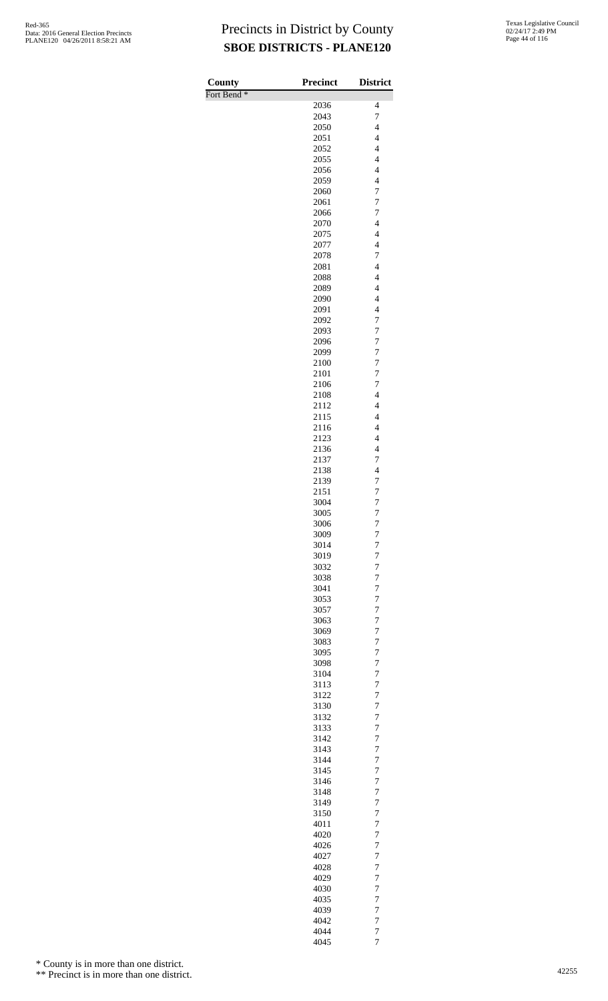| County                 | <b>Precinct</b> | <b>District</b>                                      |
|------------------------|-----------------|------------------------------------------------------|
| Fort Bend <sup>*</sup> |                 |                                                      |
|                        | 2036            | $\overline{4}$                                       |
|                        | 2043            | 7                                                    |
|                        | 2050<br>2051    | $\overline{4}$<br>$\overline{4}$                     |
|                        | 2052            | $\overline{4}$                                       |
|                        | 2055            | $\overline{\mathcal{L}}$                             |
|                        | 2056            | $\overline{4}$                                       |
|                        | 2059            | $\overline{4}$                                       |
|                        | 2060            | 7                                                    |
|                        | 2061            | $\overline{7}$                                       |
|                        | 2066            | 7                                                    |
|                        | 2070<br>2075    | $\overline{\mathcal{L}}$<br>$\overline{\mathcal{L}}$ |
|                        | 2077            | $\overline{4}$                                       |
|                        | 2078            | $\overline{7}$                                       |
|                        | 2081            | $\overline{4}$                                       |
|                        | 2088            | $\overline{4}$                                       |
|                        | 2089            | $\overline{4}$                                       |
|                        | 2090            | $\overline{4}$                                       |
|                        | 2091            | $\overline{4}$                                       |
|                        | 2092            | 7                                                    |
|                        | 2093<br>2096    | $\overline{7}$<br>$\overline{7}$                     |
|                        | 2099            | $\overline{7}$                                       |
|                        | 2100            | $\overline{7}$                                       |
|                        | 2101            | 7                                                    |
|                        | 2106            | 7                                                    |
|                        | 2108            | $\overline{4}$                                       |
|                        | 2112            | $\overline{4}$                                       |
|                        | 2115            | $\overline{4}$                                       |
|                        | 2116<br>2123    | $\overline{4}$<br>$\overline{4}$                     |
|                        | 2136            | $\overline{\mathcal{L}}$                             |
|                        | 2137            | 7                                                    |
|                        | 2138            | $\overline{4}$                                       |
|                        | 2139            | 7                                                    |
|                        | 2151            | $\overline{7}$                                       |
|                        | 3004            | $\overline{7}$                                       |
|                        | 3005            | $\overline{7}$                                       |
|                        | 3006<br>3009    | 7<br>$\overline{7}$                                  |
|                        | 3014            | $\overline{7}$                                       |
|                        | 3019            | $\overline{7}$                                       |
|                        | 3032            | 7                                                    |
|                        | 3038            | $\overline{7}$                                       |
|                        | 3041            | 7                                                    |
|                        | 3053            | $\overline{7}$                                       |
|                        | 3057            | $\overline{7}$                                       |
|                        | 3063            | $\overline{7}$                                       |
|                        | 3069            | $\overline{7}$<br>$\overline{7}$                     |
|                        | 3083<br>3095    | $\overline{7}$                                       |
|                        | 3098            | $\overline{7}$                                       |
|                        | 3104            | 7                                                    |
|                        | 3113            | $\overline{7}$                                       |
|                        | 3122            | 7                                                    |
|                        | 3130            | $\overline{7}$                                       |
|                        | 3132            | $\overline{7}$                                       |
|                        | 3133            | $\overline{7}$                                       |
|                        | 3142<br>3143    | $\overline{7}$<br>$\overline{7}$                     |
|                        | 3144            | $\overline{7}$                                       |
|                        | 3145            | $\overline{7}$                                       |
|                        | 3146            | 7                                                    |
|                        | 3148            | $\overline{7}$                                       |
|                        | 3149            | 7                                                    |
|                        | 3150            | $\overline{7}$                                       |
|                        | 4011<br>4020    | $\overline{7}$<br>$\overline{7}$                     |
|                        |                 | $\overline{7}$                                       |
|                        | 4026<br>4027    | $\overline{7}$                                       |
|                        | 4028            | $\overline{7}$                                       |
|                        | 4029            | $\overline{7}$                                       |
|                        | 4030            | 7                                                    |
|                        | 4035            | $\overline{7}$                                       |
|                        | 4039            | 7                                                    |
|                        | 4042            | $\overline{7}$                                       |
|                        | 4044            | $\overline{7}$                                       |
|                        | 4045            | $\overline{7}$                                       |

\* County is in more than one district.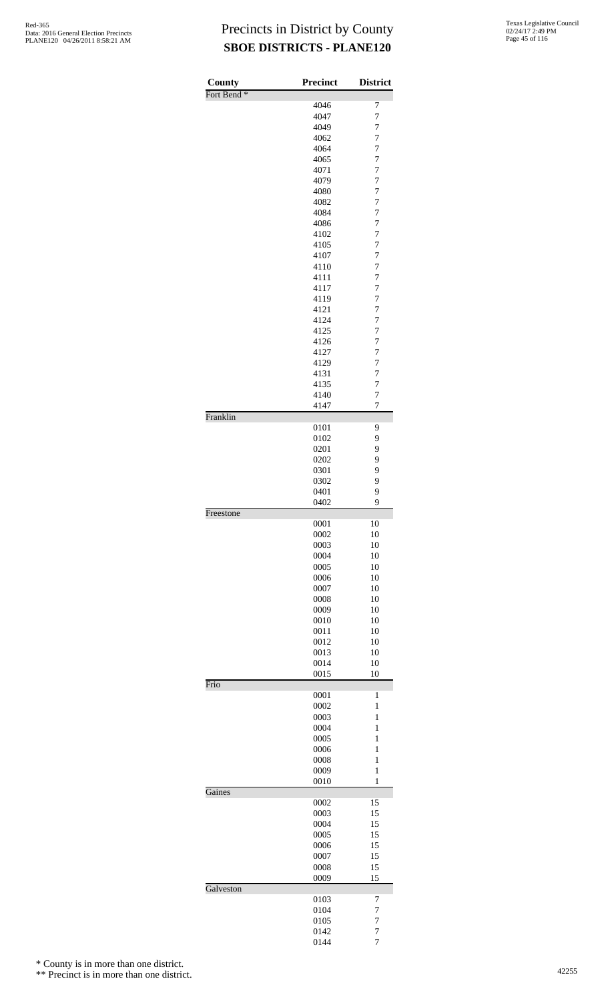| County                 | <b>Precinct</b> | <b>District</b>     |
|------------------------|-----------------|---------------------|
| Fort Bend <sup>*</sup> |                 |                     |
|                        | 4046            | 7                   |
|                        | 4047<br>4049    | $\overline{7}$<br>7 |
|                        | 4062            | 7                   |
|                        | 4064            | $\overline{7}$      |
|                        | 4065            | $\overline{7}$      |
|                        | 4071            | $\overline{7}$      |
|                        | 4079            | 7                   |
|                        | 4080            | 7                   |
|                        | 4082<br>4084    | $\overline{7}$<br>7 |
|                        | 4086            | $\overline{7}$      |
|                        | 4102            | 7                   |
|                        | 4105            | 7                   |
|                        | 4107            | $\overline{7}$      |
|                        | 4110            | $\overline{7}$      |
|                        | 4111            | $\overline{7}$      |
|                        | 4117<br>4119    | 7<br>7              |
|                        | 4121            | $\overline{7}$      |
|                        | 4124            | 7                   |
|                        | 4125            | $\overline{7}$      |
|                        | 4126            | 7                   |
|                        | 4127            | 7                   |
|                        | 4129            | $\overline{7}$      |
|                        | 4131            | $\overline{7}$      |
|                        | 4135<br>4140    | $\overline{7}$<br>7 |
|                        | 4147            | $\overline{7}$      |
| Franklin               |                 |                     |
|                        | 0101            | 9                   |
|                        | 0102            | 9                   |
|                        | 0201<br>0202    | 9<br>9              |
|                        | 0301            | 9                   |
|                        | 0302            | 9                   |
|                        | 0401            | 9                   |
|                        | 0402            | 9                   |
| Freestone              |                 |                     |
|                        | 0001<br>0002    | 10<br>10            |
|                        | 0003            | 10                  |
|                        | 0004            | 10                  |
|                        | 0005            | 10                  |
|                        | 0006            | 10                  |
|                        | 0007            | 10                  |
|                        | 0008<br>0009    | 10<br>10            |
|                        | 0010            | 10                  |
|                        | 0011            | 10                  |
|                        | 0012            | 10                  |
|                        | 0013            | 10                  |
|                        | 0014            | 10                  |
| Frio                   | 0015            | 10                  |
|                        | 0001            | $\mathbf{1}$        |
|                        | 0002            | 1                   |
|                        | 0003            | 1                   |
|                        | 0004            | $\mathbf{1}$        |
|                        | 0005            | $\mathbf{1}$        |
|                        | 0006<br>0008    | 1<br>1              |
|                        | 0009            | $\mathbf{1}$        |
|                        | 0010            | $\mathbf{1}$        |
| Gaines                 |                 |                     |
|                        | 0002            | 15                  |
|                        | 0003<br>0004    | 15<br>15            |
|                        | 0005            | 15                  |
|                        | 0006            | 15                  |
|                        | 0007            | 15                  |
|                        | 0008            | 15                  |
|                        | 0009            | 15                  |
| Galveston              | 0103            | 7                   |
|                        | 0104            | 7                   |
|                        | 0105            | $\overline{7}$      |
|                        | 0142            | 7                   |
|                        | 0144            | $\overline{7}$      |

\* County is in more than one district.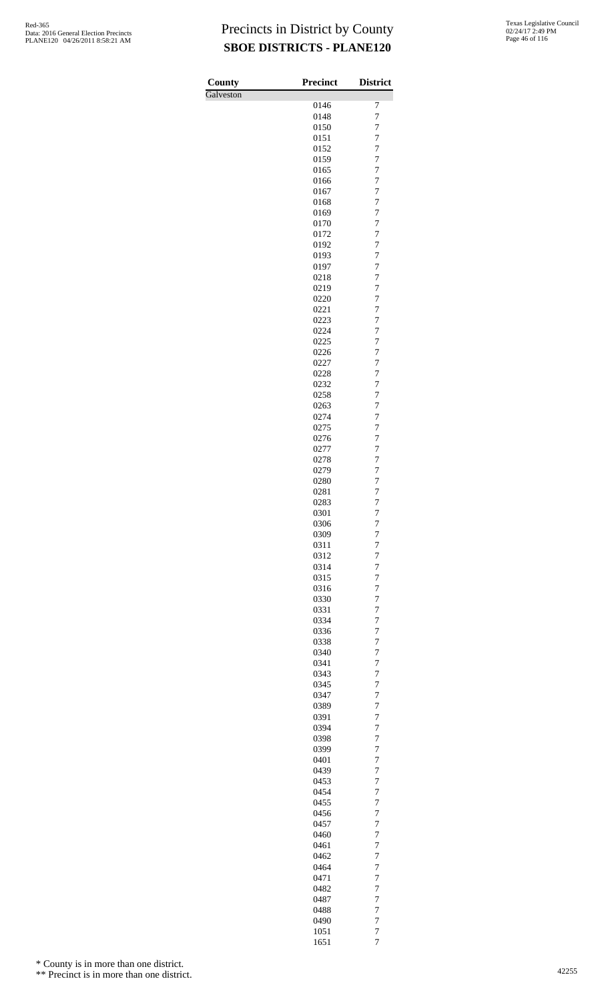| County    | <b>Precinct</b> | <b>District</b>                  |
|-----------|-----------------|----------------------------------|
| Galveston |                 |                                  |
|           | 0146<br>0148    | 7<br>$\overline{7}$              |
|           | 0150            | 7                                |
|           | 0151            | $\overline{7}$                   |
|           | 0152            | 7                                |
|           | 0159            | 7                                |
|           | 0165            | $\overline{7}$                   |
|           | 0166            | 7                                |
|           | 0167<br>0168    | $\overline{7}$<br>7              |
|           | 0169            | 7                                |
|           | 0170            | $\overline{7}$                   |
|           | 0172            | 7                                |
|           | 0192            | $\overline{7}$                   |
|           | 0193<br>0197    | 7<br>7                           |
|           | 0218            | $\overline{7}$                   |
|           | 0219            | 7                                |
|           | 0220            | $\overline{7}$                   |
|           | 0221            | 7                                |
|           | 0223            | 7                                |
|           | 0224<br>0225    | $\overline{7}$<br>7              |
|           | 0226            | $\overline{7}$                   |
|           | 0227            | 7                                |
|           | 0228            | 7                                |
|           | 0232            | $\overline{7}$                   |
|           | 0258            | 7<br>$\overline{7}$              |
|           | 0263<br>0274    | 7                                |
|           | 0275            | 7                                |
|           | 0276            | $\overline{7}$                   |
|           | 0277            | 7                                |
|           | 0278            | $\overline{7}$                   |
|           | 0279<br>0280    | 7<br>7                           |
|           | 0281            | $\overline{7}$                   |
|           | 0283            | $\overline{7}$                   |
|           | 0301            | 7                                |
|           | 0306            | 7                                |
|           | 0309<br>0311    | $\overline{7}$<br>7              |
|           | 0312            | $\overline{7}$                   |
|           | 0314            | $\overline{7}$                   |
|           | 0315            | 7                                |
|           | 0316            | 7                                |
|           | 0330<br>0331    | $\overline{7}$<br>$\overline{7}$ |
|           | 0334            | $\overline{7}$                   |
|           | 0336            | 7                                |
|           | 0338            | 7                                |
|           | 0340            | $\overline{7}$                   |
|           | 0341<br>0343    | $\overline{7}$<br>$\overline{7}$ |
|           | 0345            | 7                                |
|           | 0347            | 7                                |
|           | 0389            | $\overline{7}$                   |
|           | 0391            | $\overline{7}$                   |
|           | 0394<br>0398    | $\overline{7}$<br>7              |
|           | 0399            | 7                                |
|           | 0401            | $\overline{7}$                   |
|           | 0439            | $\overline{7}$                   |
|           | 0453<br>0454    | $\overline{7}$<br>7              |
|           | 0455            | 7                                |
|           | 0456            | $\overline{7}$                   |
|           | 0457            | $\overline{7}$                   |
|           | 0460            | $\overline{7}$                   |
|           | 0461<br>0462    | 7<br>7                           |
|           | 0464            | $\overline{7}$                   |
|           | 0471            | 7                                |
|           | 0482            | $\overline{7}$                   |
|           | 0487            | 7                                |
|           | 0488<br>0490    | 7<br>$\overline{7}$              |
|           | 1051            | $\overline{7}$                   |
|           | 1651            | $\overline{7}$                   |

\* County is in more than one district.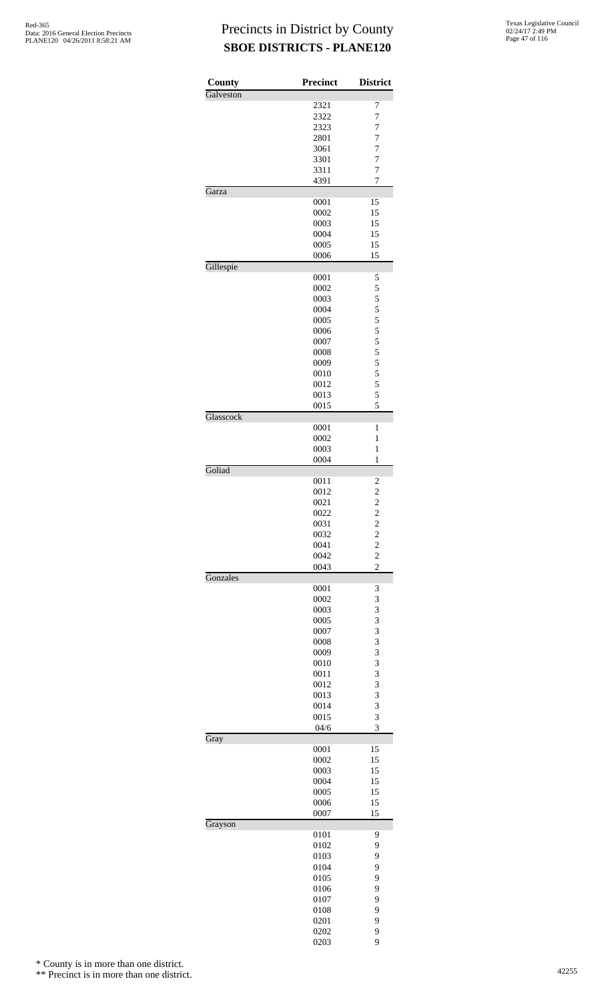| County    | Precinct     | <b>District</b>                            |
|-----------|--------------|--------------------------------------------|
| Galveston |              |                                            |
|           | 2321         | 7                                          |
|           | 2322         | $\overline{7}$                             |
|           | 2323<br>2801 | 7<br>$\overline{7}$                        |
|           | 3061         | $\overline{7}$                             |
|           | 3301         | $\overline{7}$                             |
|           | 3311         | $\overline{7}$                             |
|           | 4391         | 7                                          |
| Garza     |              |                                            |
|           | 0001         | 15                                         |
|           | 0002         | 15<br>15                                   |
|           | 0003<br>0004 | 15                                         |
|           | 0005         | 15                                         |
|           | 0006         | 15                                         |
| Gillespie |              |                                            |
|           | 0001         | 5                                          |
|           | 0002         | 5                                          |
|           | 0003         | 5                                          |
|           | 0004<br>0005 | 5<br>5                                     |
|           | 0006         | 5                                          |
|           | 0007         |                                            |
|           | 0008         | $\frac{5}{5}$                              |
|           | 0009         | 5                                          |
|           | 0010         | 5                                          |
|           | 0012         | 5                                          |
|           | 0013         | 5                                          |
|           | 0015         | 5                                          |
| Glasscock | 0001         | 1                                          |
|           | 0002         | 1                                          |
|           | 0003         | 1                                          |
|           | 0004         | 1                                          |
| Goliad    |              |                                            |
|           | 0011         | $\overline{\mathbf{c}}$                    |
|           | 0012         | $\begin{array}{c} 2 \\ 2 \\ 2 \end{array}$ |
|           | 0021<br>0022 |                                            |
|           | 0031         | $\overline{\mathbf{c}}$                    |
|           | 0032         |                                            |
|           | 0041         |                                            |
|           | 0042         | $\begin{array}{c} 2 \\ 2 \\ 2 \end{array}$ |
|           | 0043         |                                            |
| Gonzales  |              |                                            |
|           | 0001         | 3                                          |
|           | 0002<br>0003 | 3<br>3                                     |
|           | 0005         | 3                                          |
|           | 0007         | 3                                          |
|           | 0008         | 3                                          |
|           | 0009         | 3                                          |
|           | 0010         | 3                                          |
|           | 0011         | 3                                          |
|           | 0012         | 3<br>3                                     |
|           | 0013<br>0014 | 3                                          |
|           | 0015         | 3                                          |
|           | 04/6         | 3                                          |
| Gray      |              |                                            |
|           | 0001         | 15                                         |
|           | 0002         | 15                                         |
|           | 0003<br>0004 | 15<br>15                                   |
|           | 0005         | 15                                         |
|           | 0006         | 15                                         |
|           | 0007         | 15                                         |
| Grayson   |              |                                            |
|           | 0101         | 9                                          |
|           | 0102         | 9                                          |
|           | 0103         | 9                                          |
|           | 0104         | 9                                          |
|           | 0105<br>0106 | 9<br>9                                     |
|           | 0107         | 9                                          |
|           | 0108         | 9                                          |
|           | 0201         | 9                                          |
|           | 0202         | 9                                          |
|           | 0203         | 9                                          |

\* County is in more than one district.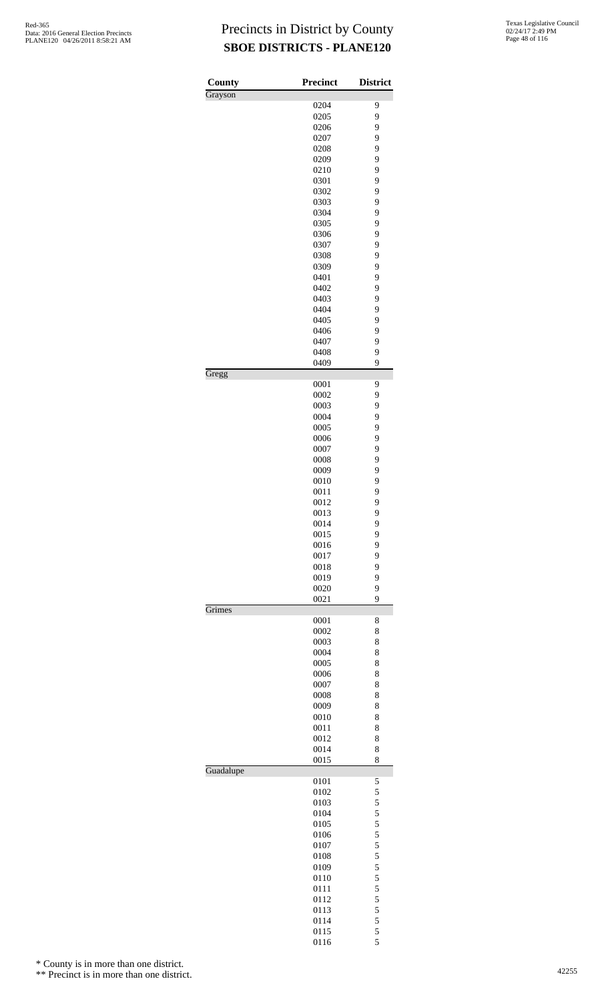| County    | <b>Precinct</b> | <b>District</b> |
|-----------|-----------------|-----------------|
| Grayson   |                 |                 |
|           | 0204<br>0205    | 9<br>9          |
|           | 0206            | 9               |
|           | 0207            | 9               |
|           | 0208            | 9               |
|           | 0209            | 9               |
|           | 0210            | 9               |
|           | 0301            | 9               |
|           | 0302            | 9               |
|           | 0303            | 9               |
|           | 0304            | 9               |
|           | 0305            | 9               |
|           | 0306            | 9               |
|           | 0307            | 9               |
|           | 0308            | 9               |
|           | 0309            | 9               |
|           | 0401            | 9               |
|           | 0402            | 9               |
|           | 0403            | 9               |
|           | 0404            | 9               |
|           | 0405            | 9               |
|           | 0406            | 9               |
|           | 0407            | 9               |
|           | 0408            | 9<br>9          |
| Gregg     | 0409            |                 |
|           | 0001            | 9               |
|           | 0002<br>0003    | 9<br>9          |
|           | 0004            | 9               |
|           | 0005            | 9               |
|           | 0006            | 9               |
|           | 0007            | 9               |
|           | 0008            | 9               |
|           | 0009            | 9               |
|           | 0010            | 9               |
|           | 0011            | 9               |
|           | 0012            | 9               |
|           | 0013            | 9               |
|           | 0014            | 9               |
|           | 0015            | 9               |
|           | 0016            | 9               |
|           | 0017            | 9               |
|           | 0018            | 9               |
|           | 0019            | 9               |
|           | 0020            | 9               |
| Grimes    | 0021            | 9               |
|           | 0001            | 8               |
|           | 0002            | 8               |
|           | 0003            | 8               |
|           | 0004            | 8               |
|           | 0005            | 8               |
|           | 0006            | 8               |
|           | 0007            | 8               |
|           | 0008            | 8               |
|           | 0009            | 8               |
|           | 0010            | 8               |
|           | 0011            | 8               |
|           | 0012            | 8               |
|           | 0014            | 8               |
| Guadalupe | 0015            | 8               |
|           | 0101            | 5               |
|           | 0102            | 5               |
|           | 0103            | 5               |
|           | 0104            | 5               |
|           | 0105            | 5               |
|           | 0106            | 5               |
|           | 0107            | 5               |
|           | 0108            | 5               |
|           | 0109            | 5               |
|           | 0110            | 5               |
|           | 0111            | 5<br>5          |
|           | 0112<br>0113    | 5               |
|           | 0114            | 5               |
|           | 0115            | 5               |
|           | 0116            | 5               |

\* County is in more than one district.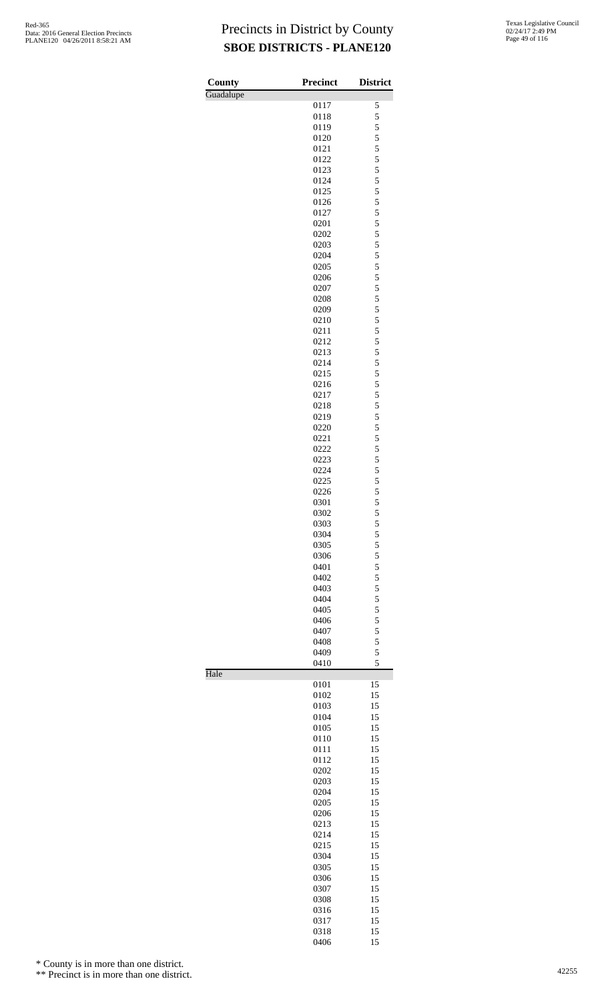| County    | <b>Precinct</b> | <b>District</b> |
|-----------|-----------------|-----------------|
| Guadalupe |                 |                 |
|           | 0117            | 5               |
|           | 0118            | 5               |
|           | 0119            | 5               |
|           | 0120            | 5               |
|           | 0121            | 5<br>5          |
|           | 0122            | 5               |
|           | 0123<br>0124    | 5               |
|           | 0125            | 5               |
|           | 0126            | 5               |
|           | 0127            | 5               |
|           | 0201            | 5               |
|           | 0202            | 5               |
|           | 0203            | 5               |
|           | 0204            | 5               |
|           | 0205            | 5               |
|           | 0206            | 5               |
|           | 0207            | 5               |
|           | 0208            | 5               |
|           | 0209            | 5               |
|           | 0210            | 5               |
|           | 0211            | 5               |
|           | 0212            | 5               |
|           | 0213            | 5               |
|           | 0214            | 5               |
|           | 0215            | 5               |
|           | 0216            | 5               |
|           | 0217            | 5               |
|           | 0218            | 5               |
|           | 0219            | 5               |
|           | 0220            | 5               |
|           | 0221            | 5               |
|           | 0222            | 5               |
|           | 0223            | 5               |
|           | 0224            | 5               |
|           | 0225            | 5               |
|           | 0226            | 5               |
|           | 0301            | 5<br>5          |
|           | 0302<br>0303    |                 |
|           | 0304            | 5<br>5          |
|           | 0305            | 5               |
|           | 0306            | 5               |
|           | 0401            | 5               |
|           | 0402            | 5               |
|           | 0403            | 5               |
|           | 0404            | 5               |
|           | 0405            | 5               |
|           | 0406            | 5               |
|           | 0407            | 5               |
|           | 0408            | 5               |
|           | 0409            | 5               |
|           | 0410            | 5               |
| Hale      |                 |                 |
|           | 0101            | 15              |
|           | 0102            | 15              |
|           | 0103            | 15              |
|           | 0104            | 15              |
|           | 0105            | 15              |
|           | 0110            | 15              |
|           | 0111            | 15              |
|           | 0112            | 15              |
|           | 0202<br>0203    | 15              |
|           | 0204            | 15<br>15        |
|           | 0205            | 15              |
|           | 0206            | 15              |
|           | 0213            | 15              |
|           | 0214            | 15              |
|           | 0215            | 15              |
|           | 0304            | 15              |
|           | 0305            | 15              |
|           | 0306            | 15              |
|           | 0307            | 15              |
|           | 0308            | 15              |
|           | 0316            | 15              |
|           | 0317            | 15              |
|           | 0318            | 15              |

15

\* County is in more than one district.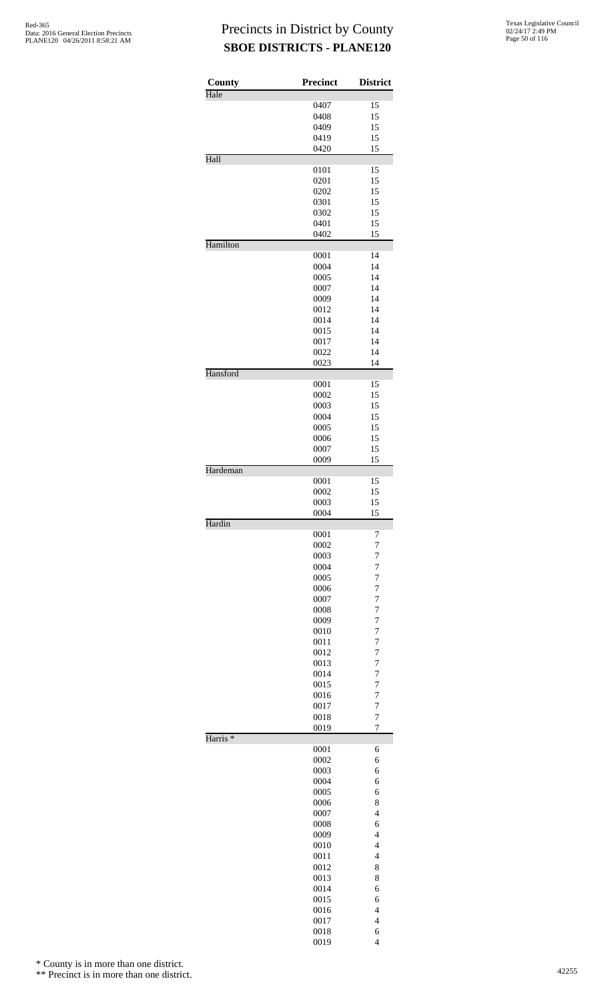| County              | Precinct     | <b>District</b>                  |
|---------------------|--------------|----------------------------------|
| Hale                |              |                                  |
|                     | 0407         | 15                               |
|                     | 0408<br>0409 | 15<br>15                         |
|                     | 0419         | 15                               |
|                     | 0420         | 15                               |
| Hall                |              |                                  |
|                     | 0101<br>0201 | 15<br>15                         |
|                     | 0202         | 15                               |
|                     | 0301         | 15                               |
|                     | 0302         | 15                               |
|                     | 0401         | 15                               |
| Hamilton            | 0402         | 15                               |
|                     | 0001         | 14                               |
|                     | 0004         | 14                               |
|                     | 0005         | 14                               |
|                     | 0007         | 14                               |
|                     | 0009<br>0012 | 14<br>14                         |
|                     | 0014         | 14                               |
|                     | 0015         | 14                               |
|                     | 0017         | 14                               |
|                     | 0022         | 14                               |
| Hansford            | 0023         | 14                               |
|                     | 0001         | 15                               |
|                     | 0002         | 15                               |
|                     | 0003         | 15                               |
|                     | 0004         | 15                               |
|                     | 0005<br>0006 | 15<br>15                         |
|                     | 0007         | 15                               |
|                     | 0009         | 15                               |
| Hardeman            |              |                                  |
|                     | 0001<br>0002 | 15<br>15                         |
|                     | 0003         | 15                               |
|                     | 0004         | 15                               |
| Hardin              | 0001         | 7                                |
|                     | 0002         | $\overline{7}$                   |
|                     | 0003         | 7                                |
|                     | 0004         | $\overline{7}$                   |
|                     | 0005         | $\overline{7}$                   |
|                     | 0006<br>0007 | $\overline{7}$<br>$\overline{7}$ |
|                     | 0008         | $\overline{7}$                   |
|                     | 0009         | $\overline{7}$                   |
|                     | 0010         | $\overline{7}$                   |
|                     | 0011         | $\overline{7}$                   |
|                     | 0012         | $\overline{7}$                   |
|                     | 0013<br>0014 | $\overline{7}$<br>$\overline{7}$ |
|                     | 0015         | $\overline{7}$                   |
|                     | 0016         | $\overline{7}$                   |
|                     | 0017         | $\overline{7}$                   |
|                     | 0018         | 7<br>$\overline{7}$              |
| Harris <sup>*</sup> | 0019         |                                  |
|                     | 0001         | 6                                |
|                     | 0002         | 6                                |
|                     | 0003<br>0004 | 6<br>6                           |
|                     | 0005         | 6                                |
|                     | 0006         | 8                                |
|                     | 0007         | $\overline{4}$                   |
|                     | 0008         | 6                                |
|                     | 0009         | $\overline{4}$                   |
|                     | 0010         | $\overline{4}$                   |
|                     | 0011<br>0012 | $\overline{4}$<br>8              |
|                     | 0013         | 8                                |
|                     | 0014         | 6                                |
|                     | 0015         | 6                                |
|                     | 0016         | $\overline{4}$                   |
|                     | 0017<br>0018 | $\overline{4}$<br>6              |
|                     | 0019         | $\overline{\mathcal{L}}$         |

\* County is in more than one district.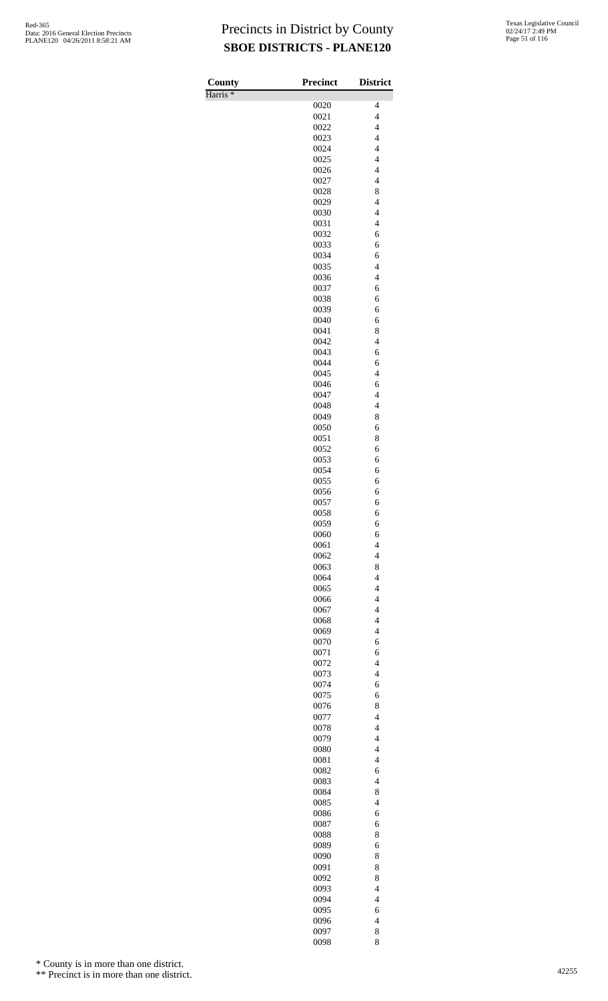Harris \*

| County              | Precinct     | <b>District</b>                                      |
|---------------------|--------------|------------------------------------------------------|
| Harris <sup>*</sup> |              |                                                      |
|                     | 0020<br>0021 | 4<br>$\overline{4}$                                  |
|                     | 0022         | $\overline{\mathcal{L}}$                             |
|                     | 0023         | $\overline{\mathcal{L}}$                             |
|                     | 0024         | $\overline{4}$                                       |
|                     | 0025         | $\overline{\mathcal{L}}$                             |
|                     | 0026<br>0027 | $\overline{\mathcal{L}}$<br>$\overline{\mathcal{L}}$ |
|                     | 0028         | 8                                                    |
|                     | 0029         | $\overline{4}$                                       |
|                     | 0030         | $\overline{\mathcal{L}}$                             |
|                     | 0031         | $\overline{\mathcal{L}}$                             |
|                     | 0032<br>0033 | 6<br>6                                               |
|                     | 0034         | 6                                                    |
|                     | 0035         | $\overline{\mathcal{L}}$                             |
|                     | 0036         | $\overline{\mathcal{L}}$                             |
|                     | 0037         | 6                                                    |
|                     | 0038<br>0039 | 6<br>6                                               |
|                     | 0040         | 6                                                    |
|                     | 0041         | 8                                                    |
|                     | 0042         | $\overline{\mathcal{L}}$                             |
|                     | 0043         | 6                                                    |
|                     | 0044         | 6                                                    |
|                     | 0045<br>0046 | $\overline{4}$<br>6                                  |
|                     | 0047         | $\overline{4}$                                       |
|                     | 0048         | $\overline{4}$                                       |
|                     | 0049         | 8                                                    |
|                     | 0050         | 6                                                    |
|                     | 0051<br>0052 | 8<br>6                                               |
|                     | 0053         | 6                                                    |
|                     | 0054         | 6                                                    |
|                     | 0055         | 6                                                    |
|                     | 0056<br>0057 | 6<br>6                                               |
|                     | 0058         | 6                                                    |
|                     | 0059         | 6                                                    |
|                     | 0060         | 6                                                    |
|                     | 0061         | $\overline{\mathcal{L}}$                             |
|                     | 0062<br>0063 | $\overline{\mathcal{L}}$<br>8                        |
|                     | 0064         | $\overline{4}$                                       |
|                     | 0065         | $\overline{\mathcal{L}}$                             |
|                     | 0066         | $\overline{\mathcal{L}}$                             |
|                     | 0067         | $\overline{4}$<br>$\overline{\mathcal{L}}$           |
|                     | 0068<br>0069 | $\overline{4}$                                       |
|                     | 0070         | 6                                                    |
|                     | 0071         | 6                                                    |
|                     | 0072         | $\overline{4}$                                       |
|                     | 0073<br>0074 | $\overline{\mathcal{L}}$                             |
|                     | 0075         | 6<br>6                                               |
|                     | 0076         | 8                                                    |
|                     | 0077         | $\overline{4}$                                       |
|                     | 0078         | $\overline{\mathcal{L}}$                             |
|                     | 0079<br>0080 | $\overline{4}$<br>$\overline{\mathcal{L}}$           |
|                     | 0081         | $\overline{\mathcal{L}}$                             |
|                     | 0082         | 6                                                    |
|                     | 0083         | $\overline{\mathcal{L}}$                             |
|                     | 0084         | 8<br>$\overline{4}$                                  |
|                     | 0085<br>0086 | 6                                                    |
|                     | 0087         | 6                                                    |
|                     | 0088         | 8                                                    |
|                     | 0089         | 6                                                    |
|                     | 0090         | 8                                                    |
|                     | 0091<br>0092 | 8<br>8                                               |
|                     | 0093         | $\overline{\mathcal{L}}$                             |
|                     | 0094         | $\overline{4}$                                       |
|                     | 0095         | 6                                                    |
|                     | 0096<br>0097 | $\overline{\mathcal{L}}$<br>8                        |
|                     | 0098         | 8                                                    |

\* County is in more than one district.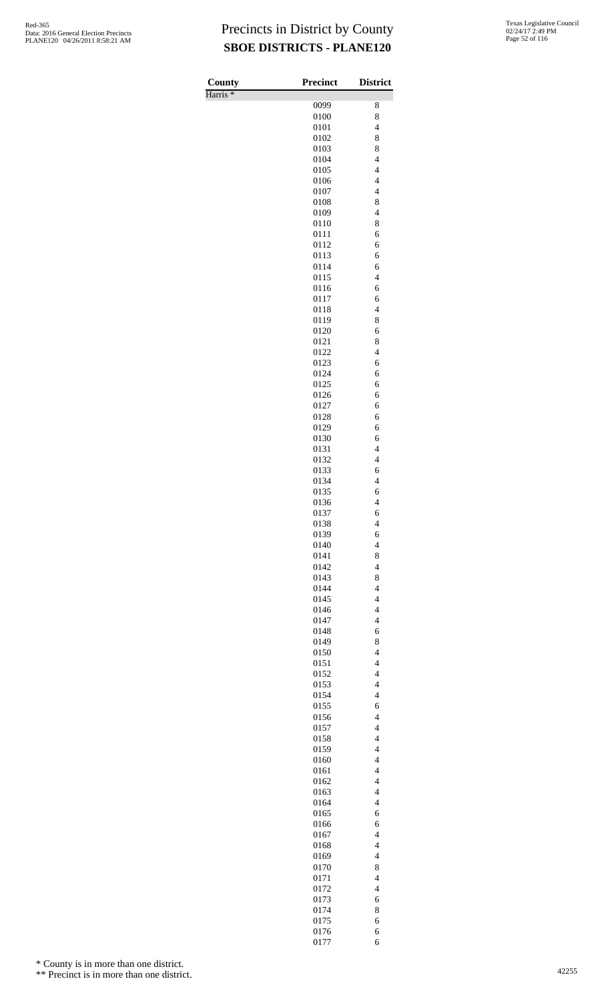Harris \*

| County              | <b>Precinct</b> | <b>District</b>                                      |
|---------------------|-----------------|------------------------------------------------------|
| Harris <sup>*</sup> |                 |                                                      |
|                     | 0099<br>0100    | 8<br>8                                               |
|                     | 0101            | $\overline{\mathcal{L}}$                             |
|                     | 0102            | 8                                                    |
|                     | 0103            | 8                                                    |
|                     | 0104            | $\overline{\mathcal{L}}$                             |
|                     | 0105<br>0106    | $\overline{\mathcal{L}}$<br>$\overline{4}$           |
|                     | 0107            | $\overline{4}$                                       |
|                     | 0108            | 8                                                    |
|                     | 0109            | $\overline{4}$                                       |
|                     | 0110            | 8                                                    |
|                     | 0111            | 6                                                    |
|                     | 0112<br>0113    | 6<br>6                                               |
|                     | 0114            | 6                                                    |
|                     | 0115            | $\overline{\mathcal{L}}$                             |
|                     | 0116            | 6                                                    |
|                     | 0117            | 6                                                    |
|                     | 0118<br>0119    | $\overline{4}$<br>8                                  |
|                     | 0120            | 6                                                    |
|                     | 0121            | 8                                                    |
|                     | 0122            | $\overline{\mathcal{L}}$                             |
|                     | 0123            | 6                                                    |
|                     | 0124            | 6                                                    |
|                     | 0125<br>0126    | 6<br>6                                               |
|                     | 0127            | 6                                                    |
|                     | 0128            | 6                                                    |
|                     | 0129            | 6                                                    |
|                     | 0130            | 6                                                    |
|                     | 0131            | $\overline{\mathcal{L}}$<br>$\overline{4}$           |
|                     | 0132<br>0133    | 6                                                    |
|                     | 0134            | $\overline{\mathcal{L}}$                             |
|                     | 0135            | 6                                                    |
|                     | 0136            | $\overline{\mathcal{L}}$                             |
|                     | 0137            | 6                                                    |
|                     | 0138<br>0139    | 4<br>6                                               |
|                     | 0140            | $\overline{4}$                                       |
|                     | 0141            | 8                                                    |
|                     | 0142            | $\overline{\mathcal{L}}$                             |
|                     | 0143            | 8                                                    |
|                     | 0144<br>0145    | $\overline{4}$<br>$\overline{\mathcal{L}}$           |
|                     | 0146            | $\overline{\mathcal{L}}$                             |
|                     | 0147            | $\overline{\mathcal{L}}$                             |
|                     | 0148            | 6                                                    |
|                     | 0149            | 8                                                    |
|                     | 0150<br>0151    | $\overline{4}$<br>$\overline{\mathcal{L}}$           |
|                     | 0152            | $\overline{\mathcal{L}}$                             |
|                     | 0153            | $\overline{4}$                                       |
|                     | 0154            | $\overline{4}$                                       |
|                     | 0155            | 6                                                    |
|                     | 0156<br>0157    | $\overline{\mathcal{L}}$<br>$\overline{\mathcal{L}}$ |
|                     | 0158            | $\overline{\mathcal{L}}$                             |
|                     | 0159            | $\overline{\mathcal{L}}$                             |
|                     | 0160            | $\overline{\mathcal{L}}$                             |
|                     | 0161            | $\overline{\mathcal{L}}$                             |
|                     | 0162            | $\overline{\mathcal{L}}$<br>$\overline{4}$           |
|                     | 0163<br>0164    | $\overline{4}$                                       |
|                     | 0165            | 6                                                    |
|                     | 0166            | 6                                                    |
|                     | 0167            | $\overline{\mathcal{L}}$                             |
|                     | 0168            | $\overline{4}$                                       |
|                     | 0169<br>0170    | $\overline{4}$<br>8                                  |
|                     | 0171            | $\overline{\mathcal{L}}$                             |
|                     | 0172            | $\overline{\mathcal{L}}$                             |
|                     | 0173            | 6                                                    |
|                     | 0174            | 8                                                    |
|                     | 0175<br>0176    | 6<br>6                                               |
|                     | 0177            | 6                                                    |

\* County is in more than one district.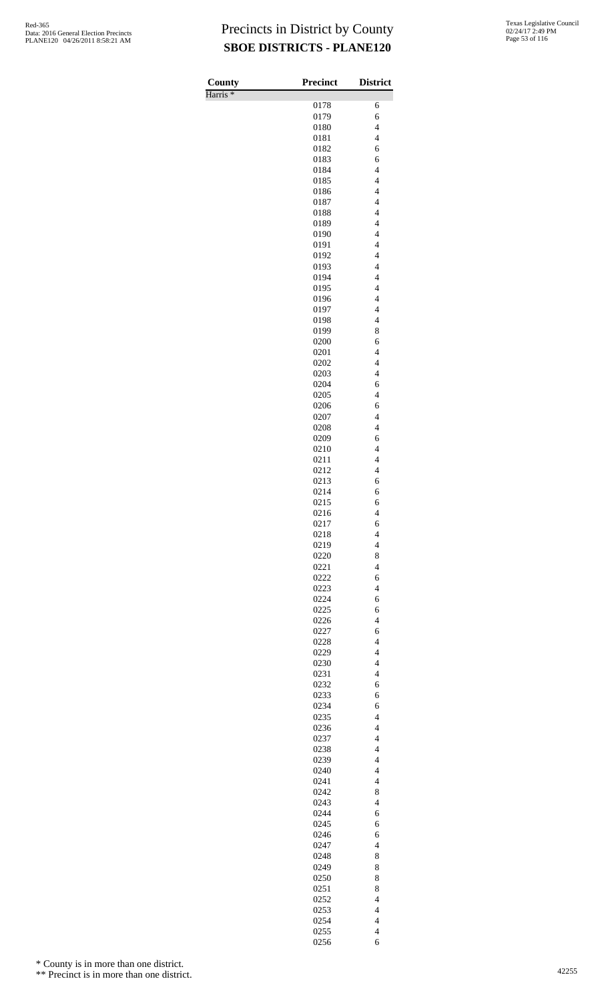| County              | Precinct     | <b>District</b>                                      |
|---------------------|--------------|------------------------------------------------------|
| Harris <sup>*</sup> | 0178         | 6                                                    |
|                     | 0179         | 6                                                    |
|                     | 0180         | $\overline{\mathcal{L}}$                             |
|                     | 0181         | $\overline{4}$                                       |
|                     | 0182         | 6                                                    |
|                     | 0183<br>0184 | 6<br>$\overline{\mathcal{L}}$                        |
|                     | 0185         | $\overline{\mathcal{L}}$                             |
|                     | 0186         | $\overline{4}$                                       |
|                     | 0187         | $\overline{\mathcal{L}}$                             |
|                     | 0188         | $\overline{\mathcal{L}}$                             |
|                     | 0189         | $\overline{\mathcal{L}}$<br>$\overline{\mathcal{L}}$ |
|                     | 0190<br>0191 | $\overline{\mathcal{L}}$                             |
|                     | 0192         | $\overline{\mathbf{4}}$                              |
|                     | 0193         | $\overline{\mathbf{4}}$                              |
|                     | 0194         | $\overline{\mathcal{L}}$                             |
|                     | 0195<br>0196 | $\overline{\mathcal{L}}$<br>$\overline{\mathcal{L}}$ |
|                     | 0197         | $\overline{4}$                                       |
|                     | 0198         | $\overline{4}$                                       |
|                     | 0199         | 8                                                    |
|                     | 0200         | 6<br>$\overline{4}$                                  |
|                     | 0201<br>0202 | $\overline{\mathbf{4}}$                              |
|                     | 0203         | $\overline{\mathbf{4}}$                              |
|                     | 0204         | 6                                                    |
|                     | 0205         | $\overline{4}$                                       |
|                     | 0206<br>0207 | 6<br>$\overline{4}$                                  |
|                     | 0208         | $\overline{\mathcal{L}}$                             |
|                     | 0209         | 6                                                    |
|                     | 0210         | $\overline{\mathcal{L}}$                             |
|                     | 0211         | $\overline{4}$                                       |
|                     | 0212<br>0213 | $\overline{\mathbf{4}}$<br>6                         |
|                     | 0214         | 6                                                    |
|                     | 0215         | 6                                                    |
|                     | 0216         | $\overline{4}$                                       |
|                     | 0217<br>0218 | 6<br>$\overline{\mathcal{L}}$                        |
|                     | 0219         | $\overline{\mathcal{L}}$                             |
|                     | 0220         | 8                                                    |
|                     | 0221         | $\overline{\mathcal{L}}$                             |
|                     | 0222         | 6<br>$\overline{4}$                                  |
|                     | 0223<br>0224 | 6                                                    |
|                     | 0225         | 6                                                    |
|                     | 0226         | $\overline{4}$                                       |
|                     | 0227         | 6                                                    |
|                     | 0228<br>0229 | $\overline{\mathbf{4}}$<br>$\overline{4}$            |
|                     | 0230         | $\overline{\mathcal{L}}$                             |
|                     | 0231         | $\overline{\mathcal{L}}$                             |
|                     | 0232         | 6                                                    |
|                     | 0233         | 6                                                    |
|                     | 0234<br>0235 | 6<br>$\overline{\mathcal{L}}$                        |
|                     | 0236         | $\overline{4}$                                       |
|                     | 0237         | $\overline{\mathbf{4}}$                              |
|                     | 0238         | $\overline{\mathbf{4}}$                              |
|                     | 0239<br>0240 | $\overline{4}$<br>$\overline{\mathcal{L}}$           |
|                     | 0241         | $\overline{\mathcal{L}}$                             |
|                     | 0242         | 8                                                    |
|                     | 0243         | $\overline{\mathbf{4}}$                              |
|                     | 0244         | 6                                                    |
|                     | 0245<br>0246 | 6<br>6                                               |
|                     | 0247         | $\overline{4}$                                       |
|                     | 0248         | 8                                                    |
|                     | 0249         | 8                                                    |
|                     | 0250<br>0251 | 8<br>8                                               |
|                     | 0252         | $\overline{4}$                                       |
|                     | 0253         | $\overline{\mathbf{4}}$                              |
|                     | 0254         | $\overline{\mathcal{L}}$                             |
|                     | 0255         | $\overline{\mathcal{L}}$                             |
|                     | 0256         | 6                                                    |

\* County is in more than one district.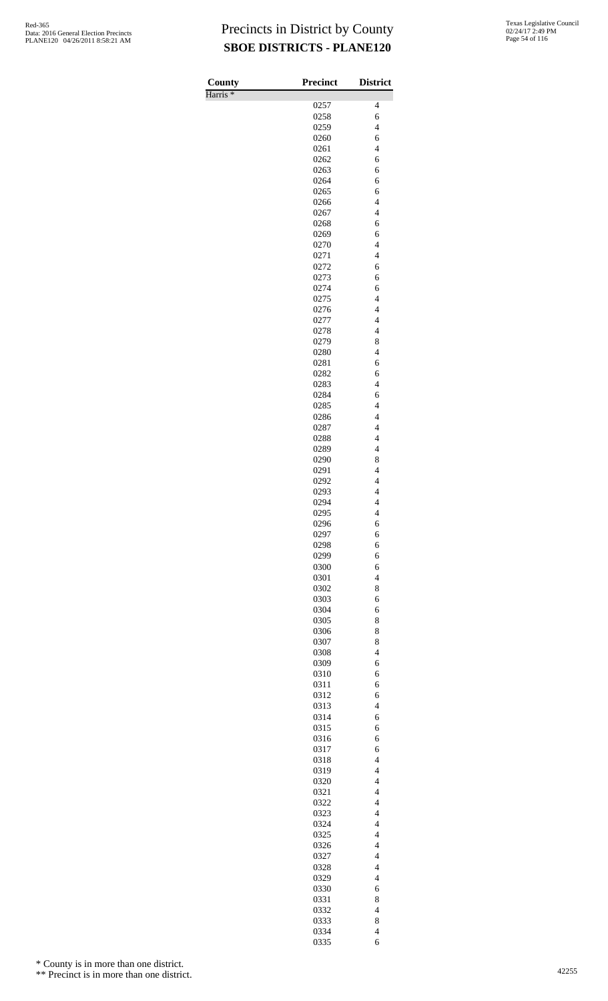| County              | <b>Precinct</b> | <b>District</b>                                      |
|---------------------|-----------------|------------------------------------------------------|
| Harris <sup>*</sup> |                 |                                                      |
|                     | 0257            | 4                                                    |
|                     | 0258<br>0259    | 6<br>$\overline{\mathcal{L}}$                        |
|                     | 0260            | 6                                                    |
|                     | 0261            | $\overline{4}$                                       |
|                     | 0262            | 6                                                    |
|                     | 0263            | 6                                                    |
|                     | 0264            | 6                                                    |
|                     | 0265            | 6<br>$\overline{4}$                                  |
|                     | 0266<br>0267    | $\overline{\mathcal{L}}$                             |
|                     | 0268            | 6                                                    |
|                     | 0269            | 6                                                    |
|                     | 0270            | $\overline{4}$                                       |
|                     | 0271            | $\overline{4}$                                       |
|                     | 0272<br>0273    | 6<br>6                                               |
|                     | 0274            | 6                                                    |
|                     | 0275            | $\overline{4}$                                       |
|                     | 0276            | $\overline{4}$                                       |
|                     | 0277            | $\overline{4}$                                       |
|                     | 0278            | $\overline{\mathcal{L}}$                             |
|                     | 0279<br>0280    | 8<br>$\overline{4}$                                  |
|                     | 0281            | 6                                                    |
|                     | 0282            | 6                                                    |
|                     | 0283            | $\overline{\mathcal{L}}$                             |
|                     | 0284            | 6                                                    |
|                     | 0285            | $\overline{4}$                                       |
|                     | 0286<br>0287    | $\overline{4}$<br>$\overline{4}$                     |
|                     | 0288            | $\overline{\mathcal{L}}$                             |
|                     | 0289            | $\overline{4}$                                       |
|                     | 0290            | 8                                                    |
|                     | 0291            | $\overline{4}$                                       |
|                     | 0292            | $\overline{\mathbf{4}}$<br>$\overline{\mathcal{L}}$  |
|                     | 0293<br>0294    | $\overline{\mathcal{L}}$                             |
|                     | 0295            | 4                                                    |
|                     | 0296            | 6                                                    |
|                     | 0297            | 6                                                    |
|                     | 0298            | 6                                                    |
|                     | 0299<br>0300    | 6<br>6                                               |
|                     | 0301            | $\overline{4}$                                       |
|                     | 0302            | 8                                                    |
|                     | 0303            | 6                                                    |
|                     | 0304            | 6                                                    |
|                     | 0305            | 8                                                    |
|                     | 0306<br>0307    | 8<br>8                                               |
|                     | 0308            | $\overline{\mathcal{L}}$                             |
|                     | 0309            | 6                                                    |
|                     | 0310            | 6                                                    |
|                     | 0311            | 6                                                    |
|                     | 0312<br>0313    | 6<br>$\overline{4}$                                  |
|                     | 0314            | 6                                                    |
|                     | 0315            | 6                                                    |
|                     | 0316            | 6                                                    |
|                     | 0317            | 6                                                    |
|                     | 0318            | $\overline{\mathcal{L}}$<br>$\overline{\mathcal{L}}$ |
|                     | 0319<br>0320    | $\overline{4}$                                       |
|                     | 0321            | $\overline{4}$                                       |
|                     | 0322            | $\overline{\mathcal{L}}$                             |
|                     | 0323            | $\overline{\mathcal{L}}$                             |
|                     | 0324            | $\overline{\mathcal{L}}$                             |
|                     | 0325<br>0326    | $\overline{4}$<br>$\overline{4}$                     |
|                     | 0327            | $\overline{\mathcal{L}}$                             |
|                     | 0328            | $\overline{\mathcal{L}}$                             |
|                     | 0329            | $\overline{4}$                                       |
|                     | 0330            | 6                                                    |
|                     | 0331            | 8                                                    |
|                     | 0332<br>0333    | $\overline{\mathcal{L}}$<br>8                        |
|                     | 0334            | $\overline{\mathcal{L}}$                             |
|                     | 0335            | 6                                                    |

\* County is in more than one district.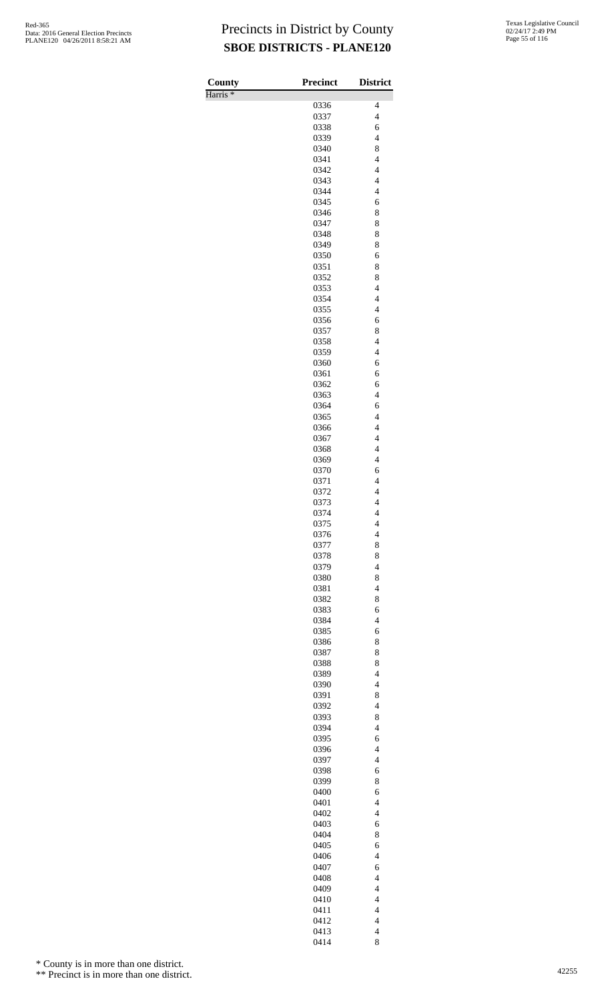| County              | <b>Precinct</b> | <b>District</b>                                     |
|---------------------|-----------------|-----------------------------------------------------|
| Harris <sup>*</sup> |                 |                                                     |
|                     | 0336<br>0337    | 4<br>$\overline{\mathbf{4}}$                        |
|                     | 0338            | 6                                                   |
|                     | 0339            | $\overline{4}$                                      |
|                     | 0340            | 8                                                   |
|                     | 0341            | $\overline{\mathbf{4}}$                             |
|                     | 0342<br>0343    | $\overline{\mathbf{4}}$<br>$\overline{\mathcal{L}}$ |
|                     | 0344            | $\overline{4}$                                      |
|                     | 0345            | 6                                                   |
|                     | 0346            | 8                                                   |
|                     | 0347<br>0348    | 8<br>8                                              |
|                     | 0349            | 8                                                   |
|                     | 0350            | 6                                                   |
|                     | 0351            | 8                                                   |
|                     | 0352<br>0353    | 8<br>$\overline{\mathcal{L}}$                       |
|                     | 0354            | $\overline{4}$                                      |
|                     | 0355            | $\overline{4}$                                      |
|                     | 0356            | 6                                                   |
|                     | 0357<br>0358    | 8<br>$\overline{\mathcal{L}}$                       |
|                     | 0359            | $\overline{4}$                                      |
|                     | 0360            | 6                                                   |
|                     | 0361            | 6                                                   |
|                     | 0362<br>0363    | 6<br>$\overline{4}$                                 |
|                     | 0364            | 6                                                   |
|                     | 0365            | $\overline{4}$                                      |
|                     | 0366            | $\overline{4}$                                      |
|                     | 0367            | $\overline{\mathcal{L}}$                            |
|                     | 0368<br>0369    | $\overline{4}$<br>$\overline{4}$                    |
|                     | 0370            | 6                                                   |
|                     | 0371            | $\overline{\mathbf{4}}$                             |
|                     | 0372            | $\overline{\mathbf{4}}$                             |
|                     | 0373<br>0374    | $\overline{\mathcal{L}}$<br>4                       |
|                     | 0375            | 4                                                   |
|                     | 0376            | $\overline{\mathcal{L}}$                            |
|                     | 0377            | 8                                                   |
|                     | 0378<br>0379    | 8<br>$\overline{4}$                                 |
|                     | 0380            | 8                                                   |
|                     | 0381            | $\overline{\mathcal{L}}$                            |
|                     | 0382            | 8                                                   |
|                     | 0383<br>0384    | 6<br>$\overline{4}$                                 |
|                     | 0385            | 6                                                   |
|                     | 0386            | 8                                                   |
|                     | 0387            | 8                                                   |
|                     | 0388            | 8<br>$\overline{4}$                                 |
|                     | 0389<br>0390    | $\overline{4}$                                      |
|                     | 0391            | 8                                                   |
|                     | 0392            | $\overline{\mathcal{L}}$                            |
|                     | 0393            | 8<br>$\overline{4}$                                 |
|                     | 0394<br>0395    | 6                                                   |
|                     | 0396            | $\overline{\mathcal{L}}$                            |
|                     | 0397            | $\overline{\mathcal{L}}$                            |
|                     | 0398            | 6<br>8                                              |
|                     | 0399<br>0400    | 6                                                   |
|                     | 0401            | $\overline{\mathcal{L}}$                            |
|                     | 0402            | $\overline{\mathcal{L}}$                            |
|                     | 0403            | 6<br>8                                              |
|                     | 0404<br>0405    | 6                                                   |
|                     | 0406            | $\overline{\mathcal{L}}$                            |
|                     | 0407            | 6                                                   |
|                     | 0408            | $\overline{4}$                                      |
|                     | 0409<br>0410    | $\overline{4}$<br>$\overline{4}$                    |
|                     | 0411            | $\overline{\mathbf{4}}$                             |
|                     | 0412            | $\overline{\mathbf{4}}$                             |
|                     | 0413            | $\overline{\mathcal{L}}$                            |
|                     | 0414            | 8                                                   |

\* County is in more than one district.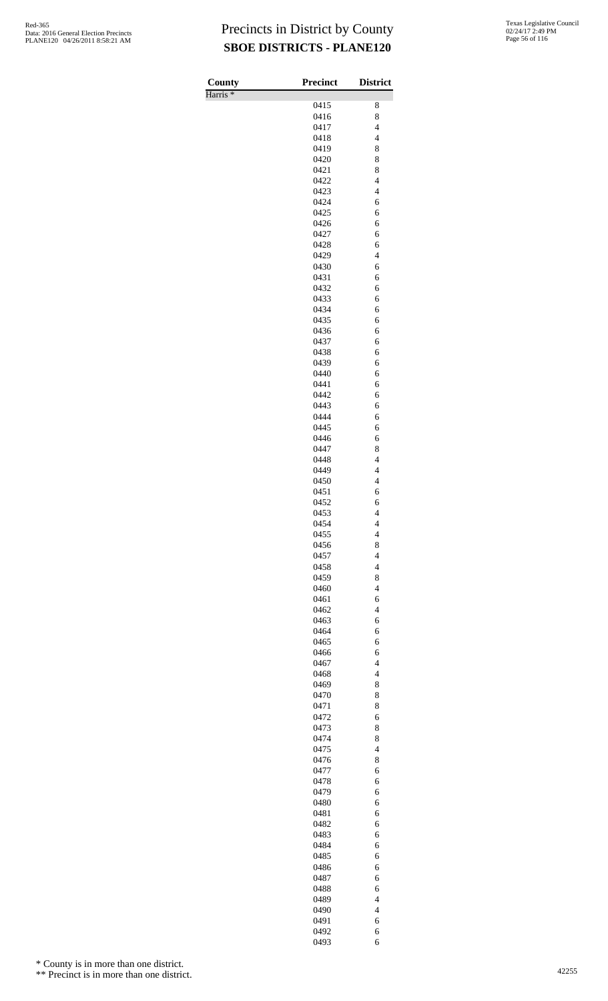| County              | <b>Precinct</b> | <b>District</b>               |
|---------------------|-----------------|-------------------------------|
| Harris <sup>*</sup> |                 |                               |
|                     | 0415            | 8                             |
|                     | 0416<br>0417    | 8<br>$\overline{\mathcal{L}}$ |
|                     | 0418            | $\overline{4}$                |
|                     | 0419            | 8                             |
|                     | 0420            | 8                             |
|                     | 0421            | 8                             |
|                     | 0422            | $\overline{\mathcal{L}}$      |
|                     | 0423            | $\overline{\mathcal{L}}$      |
|                     | 0424            | 6                             |
|                     | 0425<br>0426    | 6<br>6                        |
|                     | 0427            | 6                             |
|                     | 0428            | 6                             |
|                     | 0429            | $\overline{4}$                |
|                     | 0430            | 6                             |
|                     | 0431            | 6                             |
|                     | 0432            | 6                             |
|                     | 0433<br>0434    | 6<br>6                        |
|                     | 0435            | 6                             |
|                     | 0436            | 6                             |
|                     | 0437            | 6                             |
|                     | 0438            | 6                             |
|                     | 0439            | 6                             |
|                     | 0440            | 6                             |
|                     | 0441            | 6                             |
|                     | 0442            | 6                             |
|                     | 0443<br>0444    | 6<br>6                        |
|                     | 0445            | 6                             |
|                     | 0446            | 6                             |
|                     | 0447            | 8                             |
|                     | 0448            | $\overline{\mathcal{L}}$      |
|                     | 0449            | $\overline{4}$                |
|                     | 0450            | $\overline{\mathbf{4}}$       |
|                     | 0451            | 6                             |
|                     | 0452<br>0453    | 6                             |
|                     | 0454            | 4<br>4                        |
|                     | 0455            | $\overline{\mathcal{L}}$      |
|                     | 0456            | 8                             |
|                     | 0457            | $\overline{\mathcal{L}}$      |
|                     | 0458            | $\overline{4}$                |
|                     | 0459            | 8                             |
|                     | 0460            | $\overline{\mathbf{4}}$       |
|                     | 0461            | 6                             |
|                     | 0462<br>0463    | $\overline{4}$<br>6           |
|                     | 0464            | 6                             |
|                     | 0465            | 6                             |
|                     | 0466            | 6                             |
|                     | 0467            | $\overline{4}$                |
|                     | 0468            | $\overline{4}$                |
|                     | 0469            | 8                             |
|                     | 0470            | 8                             |
|                     | 0471            | 8                             |
|                     | 0472<br>0473    | 6<br>8                        |
|                     | 0474            | 8                             |
|                     | 0475            | $\overline{\mathbf{4}}$       |
|                     | 0476            | 8                             |
|                     | 0477            | 6                             |
|                     | 0478            | 6                             |
|                     | 0479            | 6                             |
|                     | 0480            | 6                             |
|                     | 0481<br>0482    | 6<br>6                        |
|                     | 0483            | 6                             |
|                     | 0484            | 6                             |
|                     | 0485            | 6                             |
|                     | 0486            | 6                             |
|                     | 0487            | 6                             |
|                     | 0488            | 6                             |
|                     | 0489            | $\overline{4}$                |
|                     | 0490            | $\overline{\mathbf{4}}$       |
|                     | 0491<br>0492    | 6<br>6                        |
|                     | 0493            | 6                             |

\* County is in more than one district.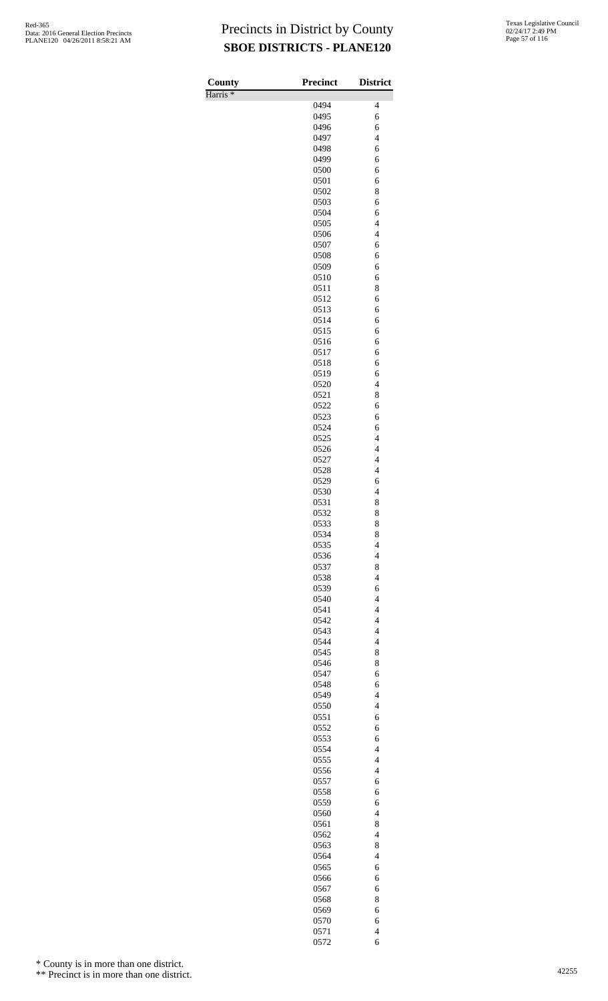Harris \*

| County              | <b>Precinct</b> | <b>District</b>                            |
|---------------------|-----------------|--------------------------------------------|
| Harris <sup>*</sup> |                 |                                            |
|                     | 0494<br>0495    | 4<br>6                                     |
|                     | 0496            | 6                                          |
|                     | 0497            | $\overline{4}$                             |
|                     | 0498            | 6                                          |
|                     | 0499            | 6                                          |
|                     | 0500            | 6                                          |
|                     | 0501            | 6                                          |
|                     | 0502            | 8                                          |
|                     | 0503<br>0504    | 6<br>6                                     |
|                     | 0505            | $\overline{\mathcal{L}}$                   |
|                     | 0506            | $\overline{\mathcal{L}}$                   |
|                     | 0507            | 6                                          |
|                     | 0508            | 6                                          |
|                     | 0509            | 6                                          |
|                     | 0510            | 6                                          |
|                     | 0511            | 8                                          |
|                     | 0512            | 6                                          |
|                     | 0513<br>0514    | 6<br>6                                     |
|                     | 0515            | 6                                          |
|                     | 0516            | 6                                          |
|                     | 0517            | 6                                          |
|                     | 0518            | 6                                          |
|                     | 0519            | 6                                          |
|                     | 0520            | $\overline{\mathcal{L}}$                   |
|                     | 0521            | 8                                          |
|                     | 0522            | 6                                          |
|                     | 0523<br>0524    | 6<br>6                                     |
|                     | 0525            | $\overline{\mathcal{L}}$                   |
|                     | 0526            | $\overline{\mathcal{L}}$                   |
|                     | 0527            | $\overline{4}$                             |
|                     | 0528            | $\overline{\mathcal{L}}$                   |
|                     | 0529            | 6                                          |
|                     | 0530            | $\overline{4}$                             |
|                     | 0531            | 8                                          |
|                     | 0532<br>0533    | 8<br>8                                     |
|                     | 0534            | 8                                          |
|                     | 0535            | $\overline{\mathcal{L}}$                   |
|                     | 0536            | $\overline{\mathcal{L}}$                   |
|                     | 0537            | 8                                          |
|                     | 0538            | $\overline{4}$                             |
|                     | 0539            | 6                                          |
|                     | 0540            | $\overline{\mathcal{L}}$                   |
|                     | 0541            | $\overline{\mathcal{L}}$<br>$\overline{4}$ |
|                     | 0542<br>0543    | $\overline{4}$                             |
|                     | 0544            | $\overline{\mathcal{L}}$                   |
|                     | 0545            | 8                                          |
|                     | 0546            | 8                                          |
|                     | 0547            | 6                                          |
|                     | 0548            | 6                                          |
|                     | 0549            | $\overline{4}$                             |
|                     | 0550            | $\overline{4}$                             |
|                     | 0551            | 6                                          |
|                     | 0552<br>0553    | 6<br>6                                     |
|                     | 0554            | $\overline{4}$                             |
|                     | 0555            | $\overline{\mathcal{L}}$                   |
|                     | 0556            | $\overline{4}$                             |
|                     | 0557            | 6                                          |
|                     | 0558            | 6                                          |
|                     | 0559            | 6                                          |
|                     | 0560            | $\overline{4}$                             |
|                     | 0561<br>0562    | 8<br>$\overline{4}$                        |
|                     | 0563            | 8                                          |
|                     | 0564            | $\overline{\mathcal{L}}$                   |
|                     | 0565            | 6                                          |
|                     | 0566            | 6                                          |
|                     | 0567            | 6                                          |
|                     | 0568            | 8                                          |
|                     | 0569            | 6                                          |
|                     | 0570            | 6                                          |
|                     | 0571<br>0572    | $\overline{\mathcal{L}}$<br>6              |
|                     |                 |                                            |

\* County is in more than one district.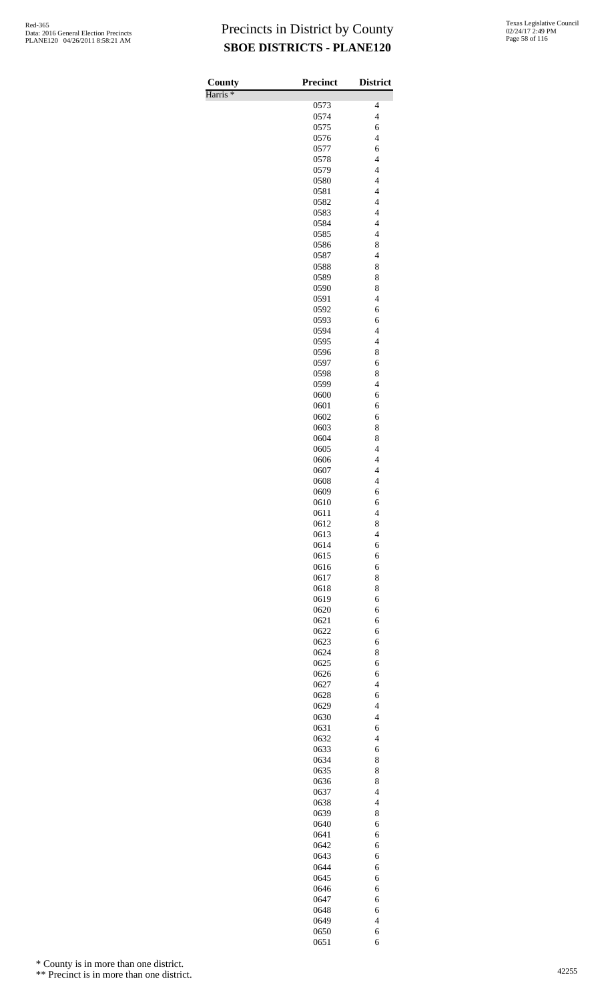| County              | <b>Precinct</b> | <b>District</b>                            |
|---------------------|-----------------|--------------------------------------------|
| Harris <sup>*</sup> |                 |                                            |
|                     | 0573            | 4                                          |
|                     | 0574<br>0575    | $\overline{\mathbf{4}}$<br>6               |
|                     | 0576            | $\overline{4}$                             |
|                     | 0577            | 6                                          |
|                     | 0578            | $\overline{\mathbf{4}}$                    |
|                     | 0579            | $\overline{\mathbf{4}}$                    |
|                     | 0580            | $\overline{\mathcal{L}}$                   |
|                     | 0581<br>0582    | $\overline{4}$<br>$\overline{4}$           |
|                     | 0583            | $\overline{\mathbf{4}}$                    |
|                     | 0584            | $\overline{\mathcal{L}}$                   |
|                     | 0585            | $\overline{4}$                             |
|                     | 0586            | 8                                          |
|                     | 0587            | $\overline{4}$                             |
|                     | 0588<br>0589    | 8<br>8                                     |
|                     | 0590            | 8                                          |
|                     | 0591            | $\overline{4}$                             |
|                     | 0592            | 6                                          |
|                     | 0593            | 6                                          |
|                     | 0594<br>0595    | $\overline{\mathcal{L}}$<br>$\overline{4}$ |
|                     | 0596            | 8                                          |
|                     | 0597            | 6                                          |
|                     | 0598            | 8                                          |
|                     | 0599            | $\overline{\mathbf{4}}$                    |
|                     | 0600            | 6                                          |
|                     | 0601<br>0602    | 6<br>6                                     |
|                     | 0603            | 8                                          |
|                     | 0604            | 8                                          |
|                     | 0605            | $\overline{\mathcal{L}}$                   |
|                     | 0606            | $\overline{4}$                             |
|                     | 0607<br>0608    | $\overline{4}$<br>$\overline{\mathbf{4}}$  |
|                     | 0609            | 6                                          |
|                     | 0610            | 6                                          |
|                     | 0611            | 4                                          |
|                     | 0612            | 8                                          |
|                     | 0613<br>0614    | $\overline{\mathcal{L}}$<br>6              |
|                     | 0615            | 6                                          |
|                     | 0616            | 6                                          |
|                     | 0617            | 8                                          |
|                     | 0618            | 8                                          |
|                     | 0619<br>0620    | 6<br>6                                     |
|                     | 0621            | 6                                          |
|                     | 0622            | 6                                          |
|                     | 0623            | 6                                          |
|                     | 0624<br>0625    | 8<br>6                                     |
|                     | 0626            | 6                                          |
|                     | 0627            | $\overline{4}$                             |
|                     | 0628            | 6                                          |
|                     | 0629            | $\overline{4}$                             |
|                     | 0630            | $\overline{4}$                             |
|                     | 0631<br>0632    | 6<br>$\overline{4}$                        |
|                     | 0633            | 6                                          |
|                     | 0634            | 8                                          |
|                     | 0635            | 8                                          |
|                     | 0636            | 8<br>$\overline{4}$                        |
|                     | 0637<br>0638    | $\overline{\mathcal{L}}$                   |
|                     | 0639            | 8                                          |
|                     | 0640            | 6                                          |
|                     | 0641            | 6                                          |
|                     | 0642            | 6                                          |
|                     | 0643<br>0644    | 6<br>6                                     |
|                     | 0645            | 6                                          |
|                     | 0646            | 6                                          |
|                     | 0647            | 6                                          |
|                     | 0648            | 6                                          |
|                     | 0649<br>0650    | $\overline{\mathcal{L}}$<br>6              |
|                     | 0651            | 6                                          |

\* County is in more than one district.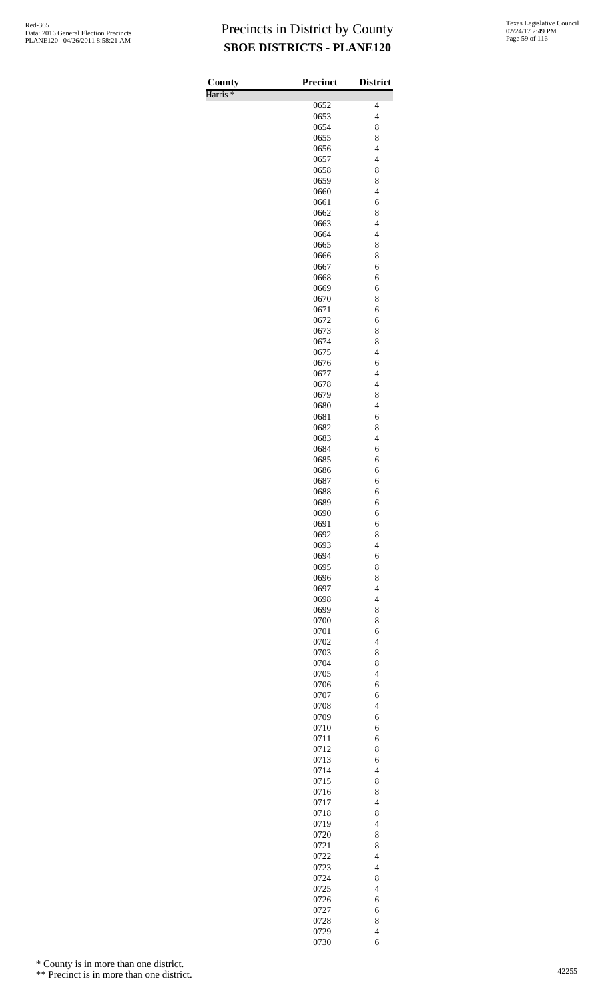Harris \*

| County              | <b>Precinct</b> | <b>District</b>               |
|---------------------|-----------------|-------------------------------|
| Harris <sup>*</sup> |                 |                               |
|                     | 0652            | 4                             |
|                     | 0653            | $\overline{\mathcal{L}}$      |
|                     | 0654            | 8                             |
|                     | 0655            | 8<br>$\overline{4}$           |
|                     | 0656<br>0657    | $\overline{\mathcal{L}}$      |
|                     | 0658            | 8                             |
|                     | 0659            | 8                             |
|                     | 0660            | $\overline{4}$                |
|                     | 0661            | 6                             |
|                     | 0662            | 8                             |
|                     | 0663            | $\overline{\mathcal{L}}$      |
|                     | 0664            | $\overline{4}$                |
|                     | 0665            | 8                             |
|                     | 0666            | 8                             |
|                     | 0667            | 6                             |
|                     | 0668            | 6                             |
|                     | 0669            | 6                             |
|                     | 0670            | 8                             |
|                     | 0671            | 6                             |
|                     | 0672            | 6                             |
|                     | 0673            | 8                             |
|                     | 0674            | 8                             |
|                     | 0675            | $\overline{4}$                |
|                     | 0676            | 6<br>$\overline{\mathcal{L}}$ |
|                     | 0677<br>0678    | $\overline{\mathcal{L}}$      |
|                     | 0679            | 8                             |
|                     | 0680            | $\overline{4}$                |
|                     | 0681            | 6                             |
|                     | 0682            | 8                             |
|                     | 0683            | $\overline{4}$                |
|                     | 0684            | 6                             |
|                     | 0685            | 6                             |
|                     | 0686            | 6                             |
|                     | 0687            | 6                             |
|                     | 0688            | 6                             |
|                     | 0689            | 6                             |
|                     | 0690            | 6                             |
|                     | 0691            | 6                             |
|                     | 0692            | 8                             |
|                     | 0693            | $\overline{\mathcal{L}}$      |
|                     | 0694            | 6                             |
|                     | 0695            | 8                             |
|                     | 0696            | 8                             |
|                     | 0697            | $\overline{\mathcal{L}}$      |
|                     | 0698            | $\overline{\mathcal{L}}$      |
|                     | 0699            | 8                             |
|                     | 0700            | 8                             |
|                     | 0701            | 6<br>$\overline{\mathcal{L}}$ |
|                     | 0702<br>0703    | 8                             |
|                     | 0704            | 8                             |
|                     | 0705            | $\overline{4}$                |
|                     | 0706            | 6                             |
|                     | 0707            | 6                             |
|                     | 0708            | $\overline{\mathcal{L}}$      |
|                     | 0709            | 6                             |
|                     | 0710            | 6                             |
|                     | 0711            | 6                             |
|                     | 0712            | 8                             |
|                     | 0713            | 6                             |
|                     | 0714            | $\overline{4}$                |
|                     | 0715            | 8                             |
|                     | 0716            | 8                             |
|                     | 0717            | $\overline{\mathcal{L}}$      |
|                     | 0718            | 8                             |
|                     | 0719            | $\overline{4}$                |
|                     | 0720            | 8                             |
|                     | 0721            | 8                             |
|                     | 0722            | $\overline{\mathcal{L}}$      |
|                     | 0723            | $\overline{\mathcal{L}}$      |
|                     | 0724            | 8                             |
|                     | 0725            | $\overline{4}$                |
|                     | 0726            | 6                             |
|                     | 0727            | 6                             |
|                     | 0728<br>0729    | 8<br>$\overline{4}$           |
|                     | 0730            | 6                             |
|                     |                 |                               |

\* County is in more than one district.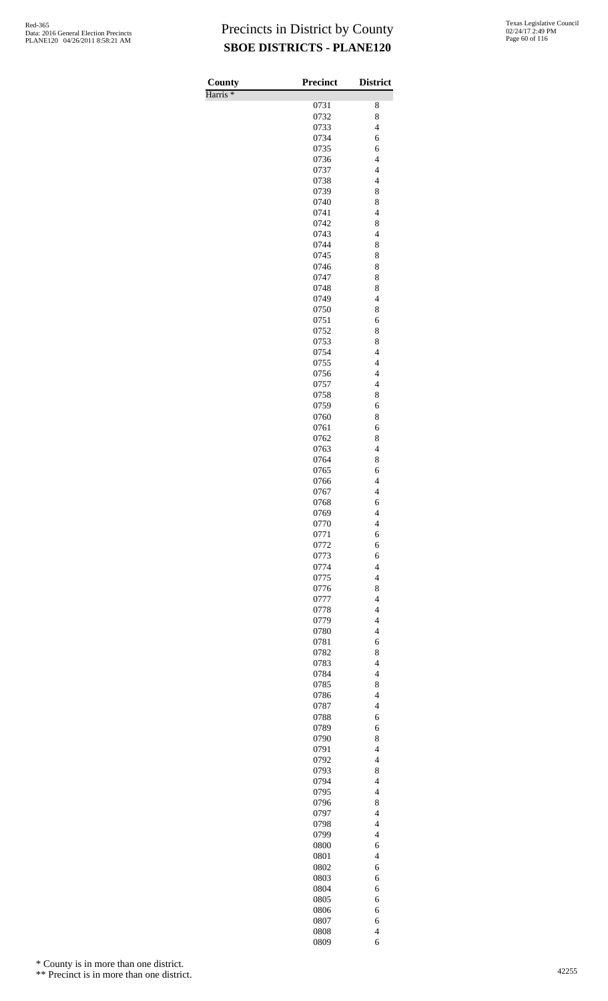Harris \*

| County<br>Harris <sup>*</sup> | <b>Precinct</b> | <b>District</b>                                      |
|-------------------------------|-----------------|------------------------------------------------------|
|                               | 0731            | 8                                                    |
|                               | 0732            | 8                                                    |
|                               | 0733            | $\overline{\mathcal{L}}$                             |
|                               | 0734            | 6                                                    |
|                               | 0735            | 6                                                    |
|                               | 0736            | $\overline{\mathcal{L}}$                             |
|                               | 0737            | $\overline{\mathcal{L}}$                             |
|                               | 0738            | $\overline{\mathcal{L}}$                             |
|                               | 0739            | 8                                                    |
|                               | 0740            | 8                                                    |
|                               | 0741            | $\overline{4}$                                       |
|                               | 0742            | 8                                                    |
|                               | 0743            | $\overline{\mathcal{L}}$                             |
|                               | 0744            | 8                                                    |
|                               | 0745            | 8                                                    |
|                               | 0746            | 8                                                    |
|                               | 0747            | 8                                                    |
|                               | 0748            | 8                                                    |
|                               | 0749            | $\overline{\mathcal{L}}$                             |
|                               | 0750            | 8                                                    |
|                               | 0751            | 6                                                    |
|                               | 0752            | 8                                                    |
|                               | 0753            | 8                                                    |
|                               | 0754            | $\overline{4}$                                       |
|                               | 0755            | $\overline{\mathcal{L}}$<br>$\overline{\mathcal{L}}$ |
|                               | 0756            | $\overline{\mathcal{L}}$                             |
|                               | 0757<br>0758    | 8                                                    |
|                               | 0759            | 6                                                    |
|                               | 0760            | 8                                                    |
|                               | 0761            | 6                                                    |
|                               | 0762            | 8                                                    |
|                               | 0763            | $\overline{\mathcal{L}}$                             |
|                               | 0764            | 8                                                    |
|                               | 0765            | 6                                                    |
|                               | 0766            | $\overline{4}$                                       |
|                               | 0767            | $\overline{4}$                                       |
|                               | 0768            | 6                                                    |
|                               | 0769            | $\overline{4}$                                       |
|                               | 0770            | $\overline{4}$                                       |
|                               | 0771            | 6                                                    |
|                               | 0772            | 6                                                    |
|                               | 0773            | 6                                                    |
|                               | 0774            | $\overline{4}$                                       |
|                               | 0775            | $\overline{4}$                                       |
|                               | 0776            | 8                                                    |
|                               | 0777            | $\overline{4}$                                       |
|                               | 0778            | $\overline{4}$                                       |
|                               | 0779            | $\overline{4}$                                       |
|                               | 0780            | $\overline{\mathcal{L}}$                             |
|                               | 0781            | 6                                                    |
|                               | 0782            | 8                                                    |
|                               | 0783            | $\overline{4}$                                       |
|                               | 0784            | $\overline{4}$<br>8                                  |
|                               | 0785<br>0786    | $\overline{\mathcal{L}}$                             |
|                               | 0787            | $\overline{4}$                                       |
|                               | 0788            | 6                                                    |
|                               | 0789            | 6                                                    |
|                               | 0790            | 8                                                    |
|                               | 0791            | $\overline{\mathcal{L}}$                             |
|                               | 0792            | $\overline{4}$                                       |
|                               | 0793            | 8                                                    |
|                               | 0794            | $\overline{4}$                                       |
|                               | 0795            | $\overline{4}$                                       |
|                               | 0796            | 8                                                    |
|                               | 0797            | $\overline{4}$                                       |
|                               | 0798            | $\overline{4}$                                       |
|                               | 0799            | $\overline{4}$                                       |
|                               | 0800            | 6                                                    |
|                               | 0801            | $\overline{\mathcal{L}}$                             |
|                               | 0802            | 6                                                    |
|                               | 0803            | 6                                                    |
|                               | 0804            | 6                                                    |
|                               | 0805            | 6                                                    |
|                               | 0806            | 6                                                    |
|                               | 0807            | 6                                                    |
|                               | 0808            | $\overline{\mathcal{L}}$                             |
|                               | 0809            | 6                                                    |

\* County is in more than one district.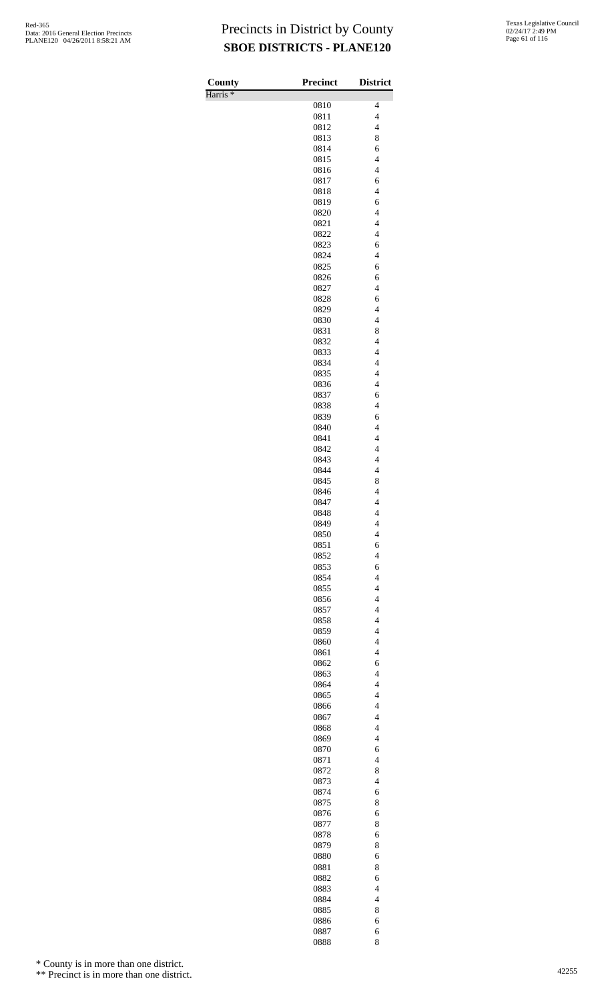| County              | Precinct     | <b>District</b>                                      |
|---------------------|--------------|------------------------------------------------------|
| Harris <sup>*</sup> |              |                                                      |
|                     | 0810         | 4<br>$\overline{\mathcal{L}}$                        |
|                     | 0811<br>0812 | $\overline{\mathcal{L}}$                             |
|                     | 0813         | 8                                                    |
|                     | 0814         | 6                                                    |
|                     | 0815         | $\overline{\mathcal{L}}$                             |
|                     | 0816         | $\overline{\mathcal{L}}$                             |
|                     | 0817         | 6                                                    |
|                     | 0818         | $\overline{\mathcal{L}}$                             |
|                     | 0819         | 6                                                    |
|                     | 0820<br>0821 | $\overline{\mathcal{L}}$<br>$\overline{\mathcal{L}}$ |
|                     | 0822         | $\overline{4}$                                       |
|                     | 0823         | 6                                                    |
|                     | 0824         | $\overline{4}$                                       |
|                     | 0825         | 6                                                    |
|                     | 0826         | 6                                                    |
|                     | 0827         | $\overline{\mathcal{L}}$                             |
|                     | 0828         | 6<br>$\overline{4}$                                  |
|                     | 0829<br>0830 | $\overline{4}$                                       |
|                     | 0831         | 8                                                    |
|                     | 0832         | $\overline{\mathcal{L}}$                             |
|                     | 0833         | $\overline{\mathcal{L}}$                             |
|                     | 0834         | $\overline{4}$                                       |
|                     | 0835         | $\overline{4}$                                       |
|                     | 0836         | $\overline{\mathcal{L}}$                             |
|                     | 0837         | 6                                                    |
|                     | 0838<br>0839 | $\overline{\mathcal{L}}$<br>6                        |
|                     | 0840         | $\overline{\mathcal{L}}$                             |
|                     | 0841         | $\overline{\mathcal{L}}$                             |
|                     | 0842         | $\overline{4}$                                       |
|                     | 0843         | $\overline{\mathcal{L}}$                             |
|                     | 0844         | $\overline{4}$                                       |
|                     | 0845         | 8                                                    |
|                     | 0846         | $\overline{4}$                                       |
|                     | 0847         | $\overline{4}$<br>$\overline{4}$                     |
|                     | 0848<br>0849 | 4                                                    |
|                     | 0850         | $\overline{\mathcal{L}}$                             |
|                     | 0851         | 6                                                    |
|                     | 0852         | $\overline{\mathcal{L}}$                             |
|                     | 0853         | 6                                                    |
|                     | 0854         | $\overline{4}$                                       |
|                     | 0855         | $\overline{\mathcal{L}}$                             |
|                     | 0856         | $\overline{\mathcal{L}}$                             |
|                     | 0857<br>0858 | $\overline{4}$<br>$\overline{\mathcal{L}}$           |
|                     | 0859         | $\overline{4}$                                       |
|                     | 0860         | $\overline{\mathcal{L}}$                             |
|                     | 0861         | $\overline{\mathcal{L}}$                             |
|                     | 0862         | 6                                                    |
|                     | 0863         | $\overline{4}$                                       |
|                     | 0864         | $\overline{4}$                                       |
|                     | 0865         | $\overline{4}$                                       |
|                     | 0866         | $\overline{\mathcal{L}}$                             |
|                     | 0867<br>0868 | $\overline{4}$<br>$\overline{\mathcal{L}}$           |
|                     | 0869         | $\overline{4}$                                       |
|                     | 0870         | 6                                                    |
|                     | 0871         | $\overline{\mathcal{L}}$                             |
|                     | 0872         | 8                                                    |
|                     | 0873         | $\overline{4}$                                       |
|                     | 0874         | 6                                                    |
|                     | 0875         | 8                                                    |
|                     | 0876<br>0877 | 6<br>8                                               |
|                     | 0878         | 6                                                    |
|                     | 0879         | 8                                                    |
|                     | 0880         | 6                                                    |
|                     | 0881         | 8                                                    |
|                     | 0882         | 6                                                    |
|                     | 0883         | 4                                                    |
|                     | 0884         | $\overline{4}$                                       |
|                     | 0885         | 8                                                    |
|                     | 0886<br>0887 | 6                                                    |
|                     | 0888         | 6<br>8                                               |

\* County is in more than one district.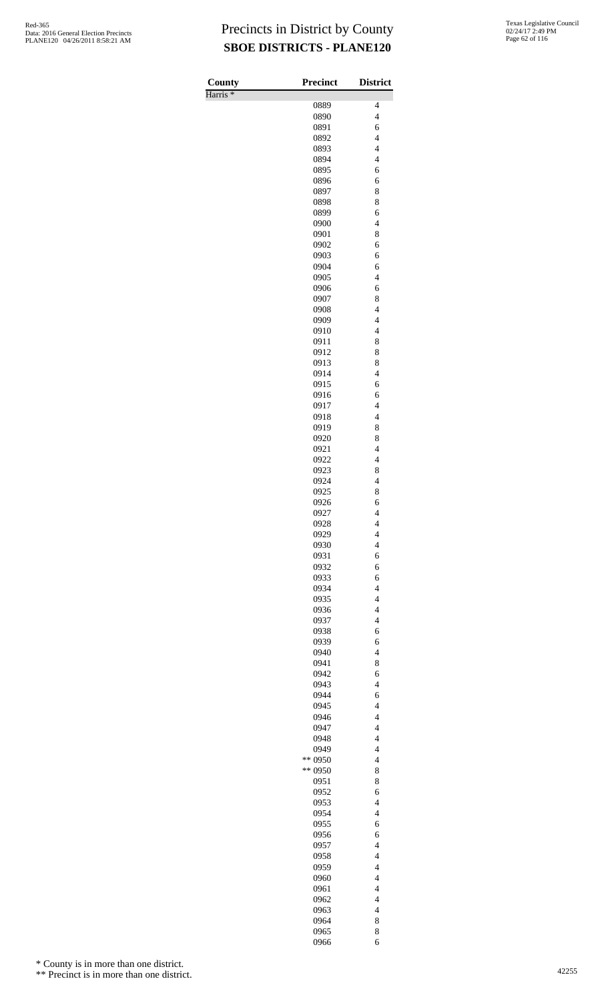Harris \*

| County              | <b>Precinct</b>    | <b>District</b>                                      |
|---------------------|--------------------|------------------------------------------------------|
| Harris <sup>*</sup> |                    |                                                      |
|                     | 0889               | 4                                                    |
|                     | 0890<br>0891       | $\overline{4}$<br>6                                  |
|                     | 0892               | $\overline{4}$                                       |
|                     | 0893               | $\overline{4}$                                       |
|                     | 0894               | $\overline{\mathbf{4}}$                              |
|                     | 0895               | 6                                                    |
|                     | 0896               | 6                                                    |
|                     | 0897               | 8                                                    |
|                     | 0898               | 8                                                    |
|                     | 0899               | 6                                                    |
|                     | 0900<br>0901       | $\overline{\mathcal{L}}$<br>8                        |
|                     | 0902               | 6                                                    |
|                     | 0903               | 6                                                    |
|                     | 0904               | 6                                                    |
|                     | 0905               | $\overline{\mathcal{L}}$                             |
|                     | 0906               | 6                                                    |
|                     | 0907               | 8                                                    |
|                     | 0908               | $\overline{\mathcal{L}}$                             |
|                     | 0909<br>0910       | $\overline{\mathcal{L}}$<br>$\overline{\mathcal{L}}$ |
|                     | 0911               | 8                                                    |
|                     | 0912               | 8                                                    |
|                     | 0913               | 8                                                    |
|                     | 0914               | $\overline{\mathbf{4}}$                              |
|                     | 0915               | 6                                                    |
|                     | 0916               | 6                                                    |
|                     | 0917               | $\overline{\mathcal{L}}$                             |
|                     | 0918               | $\overline{\mathcal{L}}$                             |
|                     | 0919               | 8                                                    |
|                     | 0920               | 8                                                    |
|                     | 0921<br>0922       | $\overline{\mathcal{L}}$<br>$\overline{4}$           |
|                     | 0923               | 8                                                    |
|                     | 0924               | $\overline{\mathbf{4}}$                              |
|                     | 0925               | 8                                                    |
|                     | 0926               | 6                                                    |
|                     | 0927               | 4                                                    |
|                     | 0928               | 4                                                    |
|                     | 0929               | $\overline{\mathcal{L}}$                             |
|                     | 0930<br>0931       | $\overline{4}$<br>6                                  |
|                     | 0932               | 6                                                    |
|                     | 0933               | 6                                                    |
|                     | 0934               | $\overline{\mathcal{L}}$                             |
|                     | 0935               | $\overline{\mathcal{L}}$                             |
|                     | 0936               | $\overline{4}$                                       |
|                     | 0937               | $\overline{4}$                                       |
|                     | 0938               | 6                                                    |
|                     | 0939               | 6<br>$\overline{4}$                                  |
|                     | 0940<br>0941       | 8                                                    |
|                     | 0942               | 6                                                    |
|                     | 0943               | $\overline{\mathcal{L}}$                             |
|                     | 0944               | 6                                                    |
|                     | 0945               | $\overline{4}$                                       |
|                     | 0946               | $\overline{4}$                                       |
|                     | 0947               | $\overline{4}$                                       |
|                     | 0948               | $\overline{4}$                                       |
|                     | 0949               | $\overline{\mathcal{L}}$                             |
|                     | ** 0950<br>** 0950 | $\overline{4}$<br>8                                  |
|                     | 0951               | 8                                                    |
|                     | 0952               | 6                                                    |
|                     | 0953               | $\overline{\mathcal{L}}$                             |
|                     | 0954               | $\overline{4}$                                       |
|                     | 0955               | 6                                                    |
|                     | 0956               | 6                                                    |
|                     | 0957               | $\overline{4}$                                       |
|                     | 0958               | $\overline{\mathcal{L}}$                             |
|                     | 0959               | $\overline{\mathcal{L}}$                             |
|                     | 0960<br>0961       | $\overline{\mathcal{L}}$<br>$\overline{4}$           |
|                     | 0962               | $\overline{4}$                                       |
|                     | 0963               | $\overline{\mathcal{L}}$                             |
|                     | 0964               | 8                                                    |
|                     | 0965               | 8                                                    |
|                     | 0966               | 6                                                    |

\* County is in more than one district.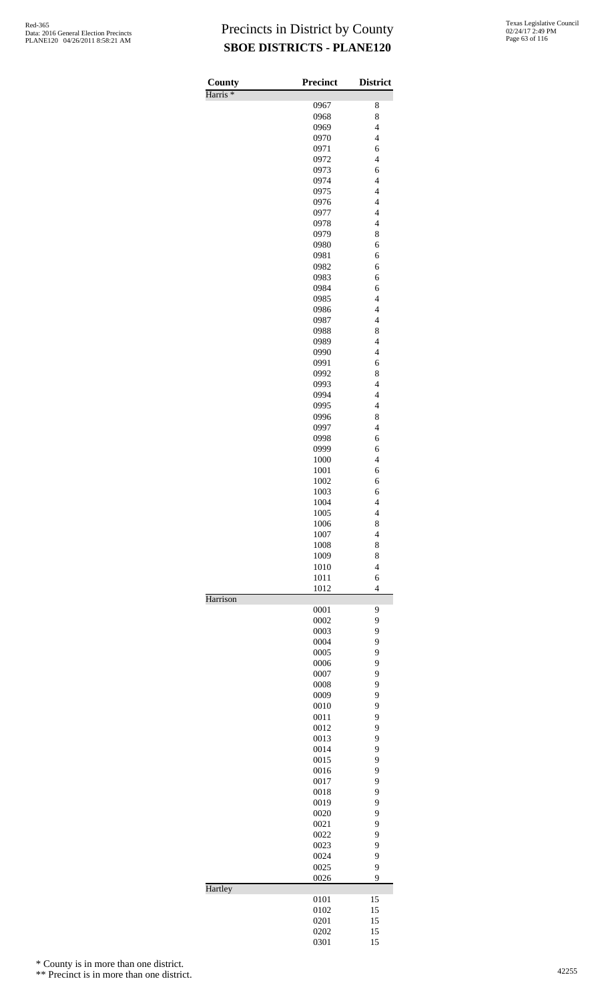| County              | <b>Precinct</b> | <b>District</b>          |
|---------------------|-----------------|--------------------------|
| Harris <sup>*</sup> | 0967            | 8                        |
|                     | 0968            | 8                        |
|                     | 0969            | $\overline{4}$           |
|                     | 0970            | $\overline{4}$           |
|                     | 0971            | 6                        |
|                     | 0972            | $\overline{\mathbf{4}}$  |
|                     | 0973            | 6                        |
|                     | 0974            | $\overline{\mathbf{4}}$  |
|                     | 0975            | $\overline{4}$           |
|                     | 0976            | $\overline{4}$           |
|                     | 0977            | $\overline{\mathcal{L}}$ |
|                     | 0978            | $\overline{4}$           |
|                     | 0979            | 8                        |
|                     | 0980            | 6                        |
|                     | 0981            | 6                        |
|                     | 0982            | 6                        |
|                     | 0983            | 6                        |
|                     | 0984            | 6                        |
|                     | 0985            | $\overline{4}$           |
|                     | 0986            | $\overline{\mathcal{L}}$ |
|                     | 0987            | $\overline{\mathbf{4}}$  |
|                     | 0988            | 8                        |
|                     | 0989            | $\overline{\mathbf{4}}$  |
|                     | 0990            | $\overline{4}$           |
|                     | 0991            | 6                        |
|                     | 0992            | 8                        |
|                     | 0993            | $\overline{\mathcal{L}}$ |
|                     | 0994            | $\overline{4}$           |
|                     | 0995            | $\overline{4}$           |
|                     | 0996            | 8                        |
|                     | 0997            | $\overline{\mathbf{4}}$  |
|                     | 0998            | 6                        |
|                     | 0999<br>1000    | 6<br>$\overline{4}$      |
|                     | 1001            | 6                        |
|                     | 1002            | 6                        |
|                     | 1003            | 6                        |
|                     | 1004            | $\overline{\mathcal{L}}$ |
|                     | 1005            | $\overline{4}$           |
|                     | 1006            | 8                        |
|                     | 1007            | $\overline{4}$           |
|                     | 1008            | 8                        |
|                     | 1009            | 8                        |
|                     | 1010            | $\overline{4}$           |
|                     | 1011            | 6                        |
| Harrison            | 1012            | $\overline{4}$           |
|                     | 0001            | 9                        |
|                     | 0002            | 9                        |
|                     | 0003            | 9                        |
|                     | 0004            | 9                        |
|                     | 0005            | 9                        |
|                     | 0006            | 9                        |
|                     | 0007            | 9                        |
|                     | 0008            | 9                        |
|                     | 0009            | 9                        |
|                     | 0010            | 9                        |
|                     | 0011            | 9                        |
|                     | 0012            | 9                        |
|                     | 0013            | 9                        |
|                     | 0014            | 9                        |
|                     | 0015            | 9                        |
|                     | 0016            | 9                        |
|                     | 0017            | 9                        |
|                     | 0018            | 9<br>9                   |
|                     | 0019            | 9                        |
|                     | 0020<br>0021    | 9                        |
|                     | 0022            | 9                        |
|                     | 0023            | 9                        |
|                     | 0024            | 9                        |
|                     | 0025            | 9                        |
|                     | 0026            | 9                        |
| Hartley             | 0101            | 15                       |
|                     | 0102            | 15                       |
|                     | 0201            | 15                       |
|                     | 0202            | 15                       |
|                     | 0301            | 15                       |

\* County is in more than one district.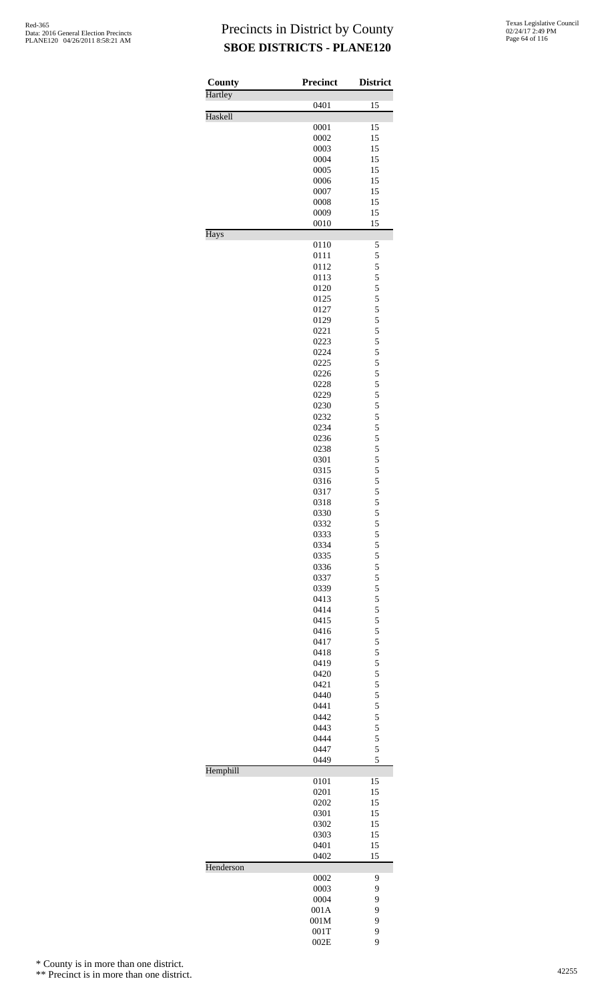| County    | Precinct     | <b>District</b>                            |
|-----------|--------------|--------------------------------------------|
| Hartley   | 0401         | 15                                         |
| Haskell   |              |                                            |
|           | 0001         | 15                                         |
|           | 0002<br>0003 | 15<br>15                                   |
|           | 0004         | 15                                         |
|           | 0005         | 15                                         |
|           | 0006         | 15                                         |
|           | 0007         | 15                                         |
|           | 0008         | 15                                         |
|           | 0009         | 15                                         |
| Hays      | 0010         | 15                                         |
|           | 0110         | 5                                          |
|           | 0111         | 5                                          |
|           | 0112         | 5                                          |
|           | 0113         | 5                                          |
|           | 0120         | 5                                          |
|           | 0125         | 5                                          |
|           | 0127         | 5<br>5                                     |
|           | 0129<br>0221 | 5                                          |
|           | 0223         | 5                                          |
|           | 0224         | 5                                          |
|           | 0225         | 5                                          |
|           | 0226         | 5                                          |
|           | 0228         | 5                                          |
|           | 0229         | 5                                          |
|           | 0230         | 5                                          |
|           | 0232<br>0234 | 5<br>5                                     |
|           | 0236         | 5                                          |
|           | 0238         | 5                                          |
|           | 0301         | 5                                          |
|           | 0315         | 5                                          |
|           | 0316         | 5                                          |
|           | 0317         | 5                                          |
|           | 0318         | 5<br>5                                     |
|           | 0330<br>0332 |                                            |
|           | 0333         | 5                                          |
|           | 0334         | $\frac{5}{5}$                              |
|           | 0335         |                                            |
|           | 0336         | $\begin{array}{c} 5 \\ 5 \\ 5 \end{array}$ |
|           | 0337         |                                            |
|           | 0339         | 5                                          |
|           | 0413         | 5                                          |
|           | 0414<br>0415 | $\frac{5}{5}$                              |
|           | 0416         | 5                                          |
|           | 0417         |                                            |
|           | 0418         | $\frac{5}{5}$                              |
|           | 0419         | 5                                          |
|           | 0420         | 5                                          |
|           | 0421         | 5                                          |
|           | 0440         | 5                                          |
|           | 0441         | 5                                          |
|           | 0442<br>0443 | 5<br>5                                     |
|           | 0444         | 5                                          |
|           | 0447         | 5                                          |
|           | 0449         | 5                                          |
| Hemphill  |              |                                            |
|           | 0101         | 15<br>15                                   |
|           | 0201<br>0202 | 15                                         |
|           | 0301         | 15                                         |
|           | 0302         | 15                                         |
|           | 0303         | 15                                         |
|           | 0401         | 15                                         |
|           | 0402         | 15                                         |
| Henderson | 0002         | 9                                          |
|           | 0003         | 9                                          |
|           | 0004         | 9                                          |
|           | 001A         | 9                                          |
|           | 001M         | 9                                          |
|           | 001T         | 9                                          |
|           | 002E         | 9                                          |

\* County is in more than one district.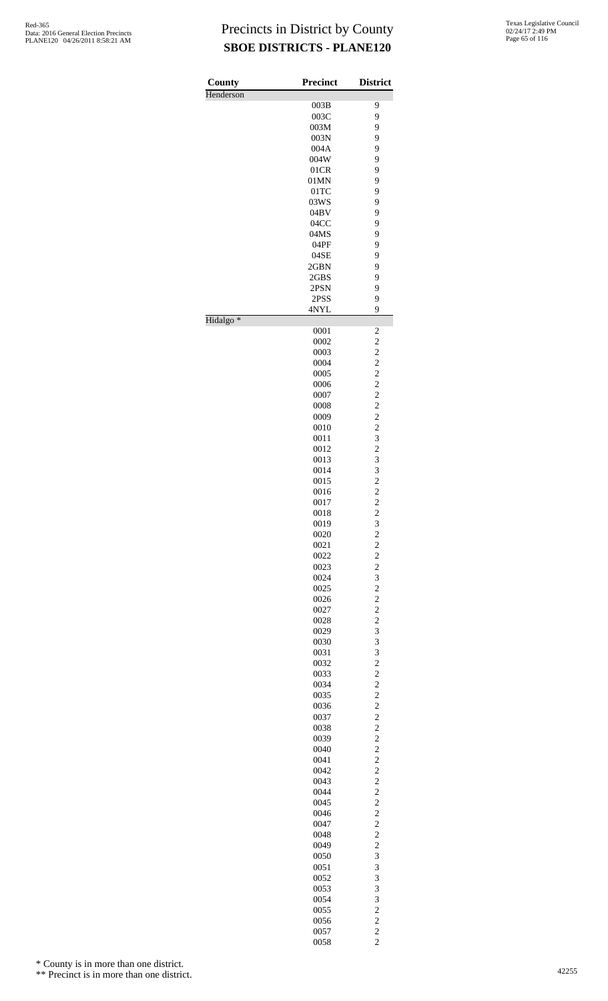| County               | <b>Precinct</b> | <b>District</b>                            |
|----------------------|-----------------|--------------------------------------------|
| Henderson            |                 |                                            |
|                      | 003B            | 9                                          |
|                      | 003C            | 9                                          |
|                      | 003M            | 9                                          |
|                      | 003N            | 9                                          |
|                      | 004A            | 9                                          |
|                      | 004W            | 9                                          |
|                      | 01CR            | 9                                          |
|                      | 01MN            | 9                                          |
|                      | $01$ TC         | 9                                          |
|                      | 03WS            | 9                                          |
|                      | 04BV            | 9                                          |
|                      | 04CC            | 9                                          |
|                      | 04MS            | 9                                          |
|                      | 04PF            | 9                                          |
|                      | 04SE            | 9                                          |
|                      | 2GBN            | 9                                          |
|                      | 2GBS            | 9                                          |
|                      | 2PSN            | 9                                          |
|                      | 2PSS            | 9                                          |
| Hidalgo <sup>*</sup> | 4NYL            | 9                                          |
|                      | 0001            | $\overline{\mathbf{c}}$                    |
|                      | 0002            | $\overline{\mathbf{c}}$                    |
|                      | 0003            | $\overline{c}$                             |
|                      | 0004            | $\overline{c}$                             |
|                      | 0005            | $\overline{c}$                             |
|                      | 0006            | $\overline{c}$                             |
|                      | 0007            | $\frac{2}{2}$                              |
|                      | 0008            |                                            |
|                      | 0009            | $\overline{\mathbf{c}}$                    |
|                      | 0010            | $\overline{c}$                             |
|                      | 0011            | 3                                          |
|                      | 0012            | $\frac{2}{3}$                              |
|                      | 0013            |                                            |
|                      | 0014            | 3                                          |
|                      | 0015            | $\overline{c}$                             |
|                      | 0016            | $\overline{c}$                             |
|                      | 0017            | $\overline{c}$                             |
|                      | 0018            | $\overline{c}$                             |
|                      | 0019            | $3222$<br>$223$                            |
|                      | 0020            |                                            |
|                      | 0021            |                                            |
|                      | 0022            |                                            |
|                      | 0023            |                                            |
|                      | 0024            |                                            |
|                      | 0025            | $\overline{\mathbf{c}}$                    |
|                      | 0026            | $\begin{array}{c} 2 \\ 2 \\ 2 \end{array}$ |
|                      | 0027            |                                            |
|                      | 0028            |                                            |
|                      | 0029            | 3                                          |
|                      | 0030            | 3                                          |
|                      | 0031            |                                            |
|                      | 0032            |                                            |
|                      | 0033            |                                            |
|                      | 0034            |                                            |
|                      | 0035            | 3222222222222222                           |
|                      | 0036            |                                            |
|                      | 0037            |                                            |
|                      | 0038            |                                            |
|                      | 0039            |                                            |
|                      | 0040            |                                            |
|                      | 0041            |                                            |
|                      | 0042            |                                            |
|                      | 0043            |                                            |
|                      | 0044            |                                            |
|                      | 0045            |                                            |
|                      | 0046            |                                            |
|                      | 0047            |                                            |
|                      | 0048            |                                            |
|                      | 0049            | $\overline{\mathbf{c}}$                    |
|                      | 0050            | 3                                          |
|                      | 0051            | 3                                          |
|                      | 0052            | 3                                          |
|                      | 0053            | $\overline{\mathbf{3}}$                    |
|                      | 0054            | 3                                          |
|                      | 0055            |                                            |
|                      | 0056            |                                            |
|                      | 0057            | $\begin{array}{c} 2 \\ 2 \\ 2 \end{array}$ |
|                      | 0058            |                                            |

\* County is in more than one district.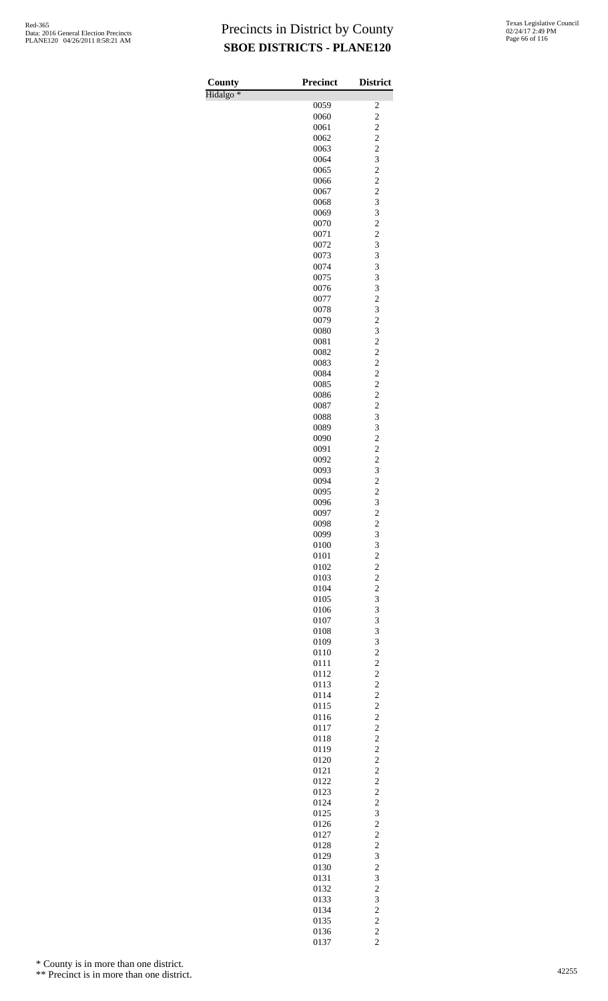| County               | Precinct     | <b>District</b>                                    |
|----------------------|--------------|----------------------------------------------------|
| Hidalgo <sup>*</sup> |              |                                                    |
|                      | 0059         | $\overline{\mathbf{c}}$                            |
|                      | 0060         | $\overline{c}$                                     |
|                      | 0061<br>0062 | $\overline{c}$<br>$\overline{c}$                   |
|                      | 0063         | $\overline{c}$                                     |
|                      | 0064         | 3                                                  |
|                      | 0065         | $\overline{c}$                                     |
|                      | 0066         | $\overline{c}$                                     |
|                      | 0067         | $\overline{c}$                                     |
|                      | 0068         | 3                                                  |
|                      | 0069<br>0070 | 3<br>$\overline{c}$                                |
|                      | 0071         | $\overline{c}$                                     |
|                      | 0072         | 3                                                  |
|                      | 0073         | 3                                                  |
|                      | 0074         | 3                                                  |
|                      | 0075         | 3                                                  |
|                      | 0076         | 3<br>$\overline{c}$                                |
|                      | 0077<br>0078 | 3                                                  |
|                      | 0079         | $\overline{c}$                                     |
|                      | 0080         | 3                                                  |
|                      | 0081         | $\overline{c}$                                     |
|                      | 0082         | $\overline{c}$                                     |
|                      | 0083         | $\overline{c}$                                     |
|                      | 0084<br>0085 | $\overline{c}$<br>$\overline{c}$                   |
|                      | 0086         | $\overline{c}$                                     |
|                      | 0087         | $\overline{c}$                                     |
|                      | 0088         | 3                                                  |
|                      | 0089         | 3                                                  |
|                      | 0090         | $\overline{c}$                                     |
|                      | 0091         | $\overline{c}$                                     |
|                      | 0092         | $\overline{c}$                                     |
|                      | 0093<br>0094 | 3<br>$\overline{c}$                                |
|                      | 0095         | $\overline{\mathbf{c}}$                            |
|                      | 0096         | 3                                                  |
|                      | 0097         | $\overline{c}$                                     |
|                      | 0098         | $\overline{\mathbf{c}}$                            |
|                      | 0099         | 3                                                  |
|                      | 0100         | 3                                                  |
|                      | 0101<br>0102 | $\overline{c}$<br>$\overline{c}$                   |
|                      | 0103         | $\overline{c}$                                     |
|                      | 0104         | $\overline{c}$                                     |
|                      | 0105         | 3                                                  |
|                      | 0106         | 3                                                  |
|                      | 0107         | 3                                                  |
|                      | 0108         | 3                                                  |
|                      | 0109         | 3                                                  |
|                      | 0110<br>0111 | $\overline{c}$<br>$\overline{c}$                   |
|                      | 0112         | $\overline{c}$                                     |
|                      | 0113         | $\overline{c}$                                     |
|                      | 0114         | $\overline{c}$                                     |
|                      | 0115         | $\overline{c}$                                     |
|                      | 0116         | $\overline{c}$                                     |
|                      | 0117         | $\overline{c}$                                     |
|                      | 0118         | $\overline{\mathbf{c}}$<br>$\overline{\mathbf{c}}$ |
|                      | 0119<br>0120 | $\overline{c}$                                     |
|                      | 0121         | $\overline{c}$                                     |
|                      | 0122         | $\overline{c}$                                     |
|                      | 0123         | $\overline{c}$                                     |
|                      | 0124         | $\overline{c}$                                     |
|                      | 0125         | 3                                                  |
|                      | 0126<br>0127 | $\overline{c}$<br>$\overline{c}$                   |
|                      | 0128         | $\overline{\mathbf{c}}$                            |
|                      | 0129         | 3                                                  |
|                      | 0130         | $\overline{\mathbf{c}}$                            |
|                      | 0131         | 3                                                  |
|                      | 0132         | $\overline{c}$                                     |
|                      | 0133         | 3                                                  |
|                      | 0134         | $\overline{c}$                                     |
|                      | 0135<br>0136 | $\overline{c}$<br>$\overline{c}$                   |
|                      | 0137         | $\overline{c}$                                     |
|                      |              |                                                    |

\* County is in more than one district.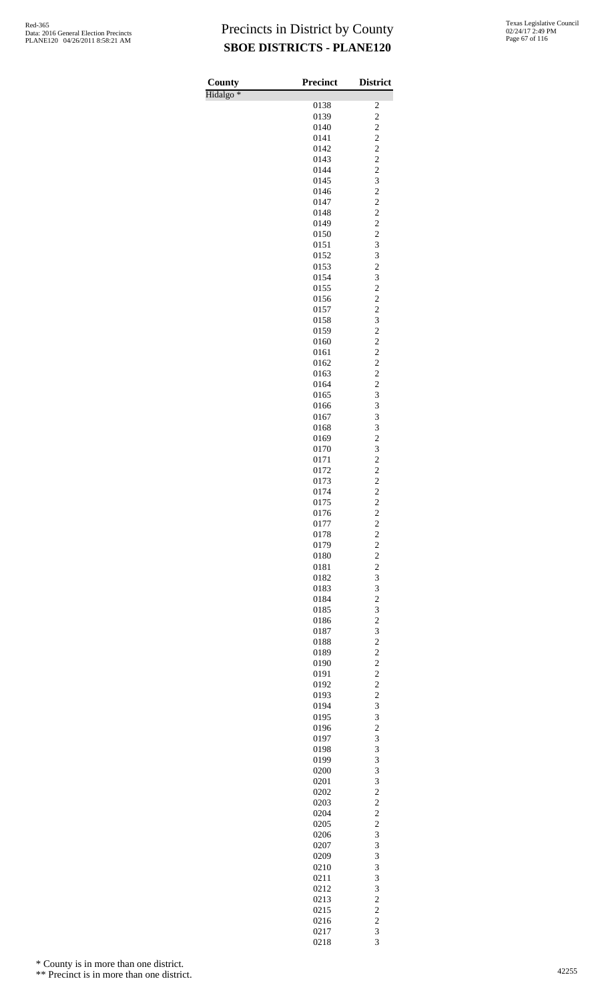| County               | <b>Precinct</b> | <b>District</b>                           |
|----------------------|-----------------|-------------------------------------------|
| Hidalgo <sup>*</sup> |                 |                                           |
|                      | 0138<br>0139    | 2<br>$\overline{c}$                       |
|                      | 0140            |                                           |
|                      | 0141            | $\frac{2}{2}$                             |
|                      | 0142            | $\frac{2}{2}$                             |
|                      | 0143            |                                           |
|                      | 0144            | $\overline{c}$                            |
|                      | 0145            | 3                                         |
|                      | 0146<br>0147    | $\overline{\mathbf{c}}$<br>$\overline{c}$ |
|                      | 0148            | $\overline{c}$                            |
|                      | 0149            | $\overline{c}$                            |
|                      | 0150            | $\frac{2}{3}$                             |
|                      | 0151            |                                           |
|                      | 0152            | 3<br>$\overline{c}$                       |
|                      | 0153<br>0154    | 3                                         |
|                      | 0155            |                                           |
|                      | 0156            | $\frac{2}{2}$                             |
|                      | 0157            | $\overline{\mathbf{c}}$                   |
|                      | 0158            | 3                                         |
|                      | 0159            | $\overline{c}$                            |
|                      | 0160<br>0161    | $\frac{2}{2}$                             |
|                      | 0162            | $\overline{\mathbf{c}}$                   |
|                      | 0163            | $\overline{\mathbf{c}}$                   |
|                      | 0164            | $\overline{c}$                            |
|                      | 0165            | 3                                         |
|                      | 0166<br>0167    | 3<br>3                                    |
|                      | 0168            | 3                                         |
|                      | 0169            | $\overline{c}$                            |
|                      | 0170            | $\frac{3}{2}$                             |
|                      | 0171            |                                           |
|                      | 0172            | $\frac{2}{2}$                             |
|                      | 0173<br>0174    | $\overline{c}$                            |
|                      | 0175            | $\overline{\mathbf{c}}$                   |
|                      | 0176            | $\overline{c}$                            |
|                      | 0177            | $\overline{\mathbf{c}}$                   |
|                      | 0178<br>0179    | $\overline{c}$<br>$\overline{c}$          |
|                      | 0180            |                                           |
|                      | 0181            | $\frac{2}{2}$                             |
|                      | 0182            | $\overline{\mathbf{3}}$                   |
|                      | 0183            | 3                                         |
|                      | 0184            | $\overline{c}$                            |
|                      | 0185<br>0186    | $\frac{3}{2}$                             |
|                      | 0187            | 3                                         |
|                      | 0188            | $\overline{c}$                            |
|                      | 0189            | $\overline{c}$                            |
|                      | 0190            | $\frac{2}{2}$                             |
|                      | 0191<br>0192    | $\overline{c}$                            |
|                      | 0193            | $\overline{c}$                            |
|                      | 0194            | 3                                         |
|                      | 0195            | $\frac{3}{2}$                             |
|                      | 0196            |                                           |
|                      | 0197            | 3<br>3                                    |
|                      | 0198<br>0199    | 3                                         |
|                      | 0200            | 3                                         |
|                      | 0201            | 3                                         |
|                      | 0202            | $\overline{\mathbf{c}}$                   |
|                      | 0203<br>0204    | $\overline{c}$<br>$\overline{c}$          |
|                      | 0205            | $\overline{\mathbf{c}}$                   |
|                      | 0206            | 3                                         |
|                      | 0207            | 3                                         |
|                      | 0209            | 3                                         |
|                      | 0210            | 3                                         |
|                      | 0211<br>0212    | 3<br>3                                    |
|                      | 0213            | $\overline{\mathbf{c}}$                   |
|                      | 0215            | $\overline{c}$                            |
|                      | 0216            | $\overline{c}$                            |
|                      | 0217            | 3<br>$\overline{\mathbf{3}}$              |
|                      | 0218            |                                           |

\* County is in more than one district.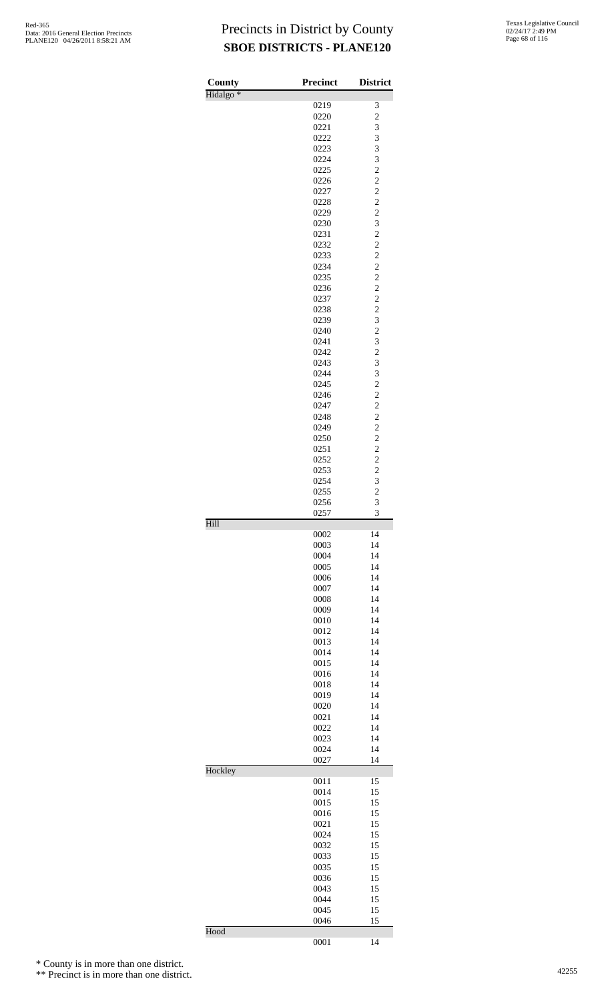| County               | <b>Precinct</b> | <b>District</b>                            |
|----------------------|-----------------|--------------------------------------------|
| Hidalgo <sup>*</sup> |                 |                                            |
|                      | 0219            | 3                                          |
|                      | 0220<br>0221    | $\overline{\mathbf{c}}$<br>3               |
|                      | 0222            | 3                                          |
|                      | 0223            | 3                                          |
|                      | 0224            | 3                                          |
|                      | 0225            |                                            |
|                      | 0226            | $\begin{array}{c} 2 \\ 2 \\ 2 \end{array}$ |
|                      | 0227            |                                            |
|                      | 0228            |                                            |
|                      | 0229            | $\frac{2}{3}$                              |
|                      | 0230            |                                            |
|                      | 0231            |                                            |
|                      | 0232            | $\begin{array}{c} 2 \\ 2 \\ 2 \end{array}$ |
|                      | 0233            |                                            |
|                      | 0234            | $\overline{\mathbf{c}}$                    |
|                      | 0235            | $\begin{array}{c} 2 \\ 2 \\ 2 \end{array}$ |
|                      | 0236<br>0237    |                                            |
|                      | 0238            |                                            |
|                      | 0239            | 3                                          |
|                      | 0240            | $\overline{\mathbf{c}}$                    |
|                      | 0241            | 3                                          |
|                      | 0242            |                                            |
|                      | 0243            | $\frac{2}{3}$                              |
|                      | 0244            | 3                                          |
|                      | 0245            | $\overline{\mathbf{c}}$                    |
|                      | 0246            |                                            |
|                      | 0247            | $\begin{array}{c} 2 \\ 2 \\ 2 \end{array}$ |
|                      | 0248            |                                            |
|                      | 0249            | $\overline{c}$                             |
|                      | 0250            | $\overline{\mathbf{c}}$                    |
|                      | 0251            | $\begin{array}{c} 2 \\ 2 \\ 2 \end{array}$ |
|                      | 0252            |                                            |
|                      | 0253            |                                            |
|                      | 0254            | 3                                          |
|                      | 0255            | $\frac{2}{3}$                              |
|                      | 0256<br>0257    | 3                                          |
| Hill                 |                 |                                            |
|                      | 0002            | 14                                         |
|                      | 0003            | 14                                         |
|                      | 0004            | 14<br>14                                   |
|                      | 0005<br>0006    | 14                                         |
|                      | 0007            | 14                                         |
|                      | 0008            | 14                                         |
|                      | 0009            | 14                                         |
|                      | 0010            | 14                                         |
|                      | 0012            | 14                                         |
|                      | 0013            | 14                                         |
|                      | 0014            | 14                                         |
|                      | 0015            | 14                                         |
|                      | 0016            | 14                                         |
|                      | 0018            | 14                                         |
|                      | 0019            | 14                                         |
|                      | 0020            | 14                                         |
|                      | 0021            | 14                                         |
|                      | 0022            | 14                                         |
|                      | 0023            | 14                                         |
|                      | 0024            | 14                                         |
|                      | 0027            | 14                                         |
| Hockley              | 0011            | 15                                         |
|                      | 0014            | 15                                         |
|                      | 0015            | 15                                         |
|                      | 0016            | 15                                         |
|                      | 0021            | 15                                         |
|                      | 0024            | 15                                         |
|                      | 0032            | 15                                         |
|                      | 0033            | 15                                         |
|                      | 0035            | 15                                         |
|                      | 0036            | 15                                         |
|                      | 0043            | 15                                         |
|                      | 0044            | 15                                         |
|                      | 0045            | 15                                         |
|                      | 0046            | 15                                         |
| Hood                 | 0001            | 14                                         |
|                      |                 |                                            |

\* County is in more than one district.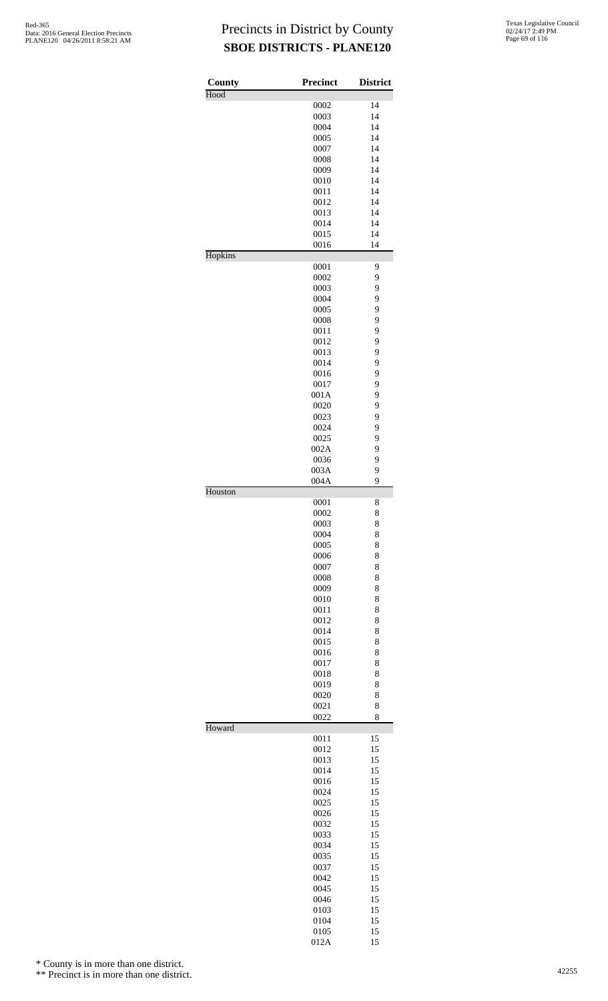| County  | <b>Precinct</b> | <b>District</b> |
|---------|-----------------|-----------------|
| Hood    |                 |                 |
|         | 0002<br>0003    | 14<br>14        |
|         | 0004            | 14              |
|         | 0005            | 14              |
|         | 0007            | 14              |
|         | 0008            | 14              |
|         | 0009            | 14              |
|         | 0010            | 14              |
|         | 0011            | 14              |
|         | 0012            | 14              |
|         | 0013            | 14              |
|         | 0014            | 14              |
|         | 0015<br>0016    | 14<br>14        |
| Hopkins |                 |                 |
|         | 0001            | 9               |
|         | 0002            | 9               |
|         | 0003            | 9               |
|         | 0004            | 9               |
|         | 0005            | 9               |
|         | 0008            | 9               |
|         | 0011            | 9<br>9          |
|         | 0012<br>0013    | 9               |
|         | 0014            | 9               |
|         | 0016            | 9               |
|         | 0017            | 9               |
|         | 001A            | 9               |
|         | 0020            | 9               |
|         | 0023            | 9               |
|         | 0024            | 9               |
|         | 0025            | 9               |
|         | 002A            | 9               |
|         | 0036            | 9               |
|         | 003A            | 9               |
| Houston | 004A            | 9               |
|         | 0001            | 8               |
|         | 0002            | 8               |
|         | 0003            | 8               |
|         | 0004            | 8               |
|         | 0005            | 8<br>8          |
|         | 0006<br>0007    | 8               |
|         | 0008            | 8               |
|         | 0009            | 8               |
|         | 0010            | 8               |
|         | 0011            | 8               |
|         | 0012            | 8               |
|         | 0014            | 8               |
|         | 0015            | 8               |
|         | 0016            | 8               |
|         | 0017            | 8               |
|         | 0018            | 8               |
|         | 0019            | 8               |
|         | 0020<br>0021    | 8<br>8          |
|         | 0022            | 8               |
| Howard  |                 |                 |
|         | 0011            | 15              |
|         | 0012            | 15              |
|         | 0013            | 15              |
|         | 0014<br>0016    | 15<br>15        |
|         | 0024            | 15              |
|         | 0025            | 15              |
|         | 0026            | 15              |
|         | 0032            | 15              |
|         | 0033            | 15              |
|         | 0034            | 15              |
|         | 0035            | 15              |
|         | 0037            | 15              |
|         | 0042            | 15              |
|         | 0045            | 15              |
|         | 0046            | 15              |
|         | 0103            | 15              |
|         | 0104            | 15              |
|         | 0105            | 15              |
|         | 012A            | 15              |

\* County is in more than one district.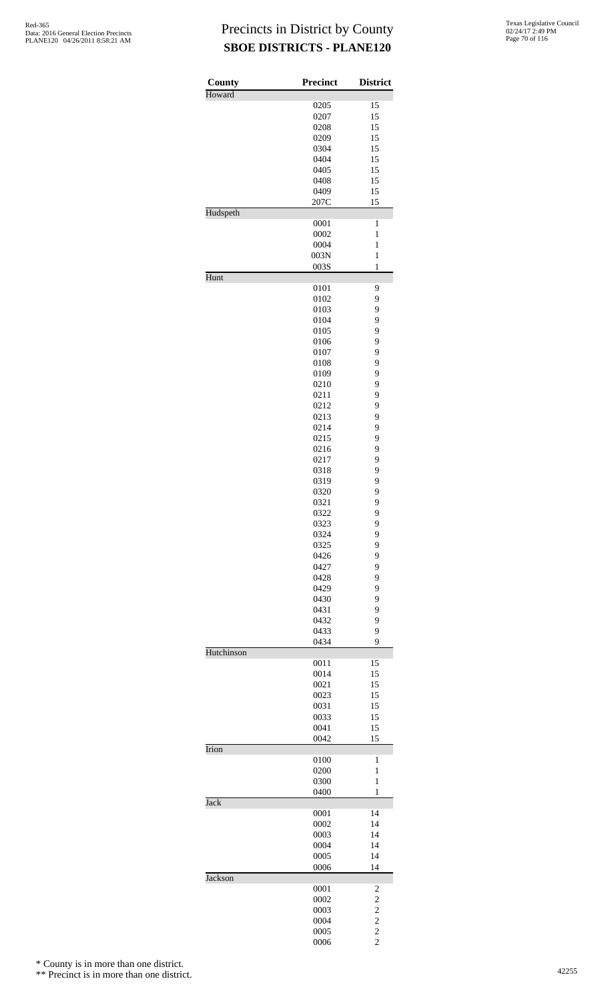| County     | Precinct     | <b>District</b>                            |
|------------|--------------|--------------------------------------------|
| Howard     |              |                                            |
|            | 0205         | 15                                         |
|            | 0207         | 15                                         |
|            | 0208<br>0209 | 15<br>15                                   |
|            | 0304         | 15                                         |
|            | 0404         | 15                                         |
|            | 0405         | 15                                         |
|            | 0408         | 15                                         |
|            | 0409         | 15                                         |
|            | 207C         | 15                                         |
| Hudspeth   | 0001         | $\mathbf{1}$                               |
|            | 0002         | $\mathbf{1}$                               |
|            | 0004         | $\mathbf{1}$                               |
|            | 003N         | $\mathbf{1}$                               |
|            | 003S         | $\mathbf{1}$                               |
| Hunt       |              |                                            |
|            | 0101         | 9                                          |
|            | 0102<br>0103 | 9<br>9                                     |
|            | 0104         | 9                                          |
|            | 0105         | 9                                          |
|            | 0106         | 9                                          |
|            | 0107         | 9                                          |
|            | 0108         | 9                                          |
|            | 0109         | 9                                          |
|            | 0210         | 9                                          |
|            | 0211<br>0212 | 9<br>9                                     |
|            | 0213         | 9                                          |
|            | 0214         | 9                                          |
|            | 0215         | 9                                          |
|            | 0216         | 9                                          |
|            | 0217         | 9                                          |
|            | 0318         | 9                                          |
|            | 0319<br>0320 | 9<br>9                                     |
|            | 0321         | 9                                          |
|            | 0322         | 9                                          |
|            | 0323         | 9                                          |
|            | 0324         | 9                                          |
|            | 0325         | 9                                          |
|            | 0426         | 9                                          |
|            | 0427<br>0428 | 9<br>9                                     |
|            | 0429         | 9                                          |
|            | 0430         | 9                                          |
|            | 0431         | 9                                          |
|            | 0432         | 9                                          |
|            | 0433         | 9                                          |
| Hutchinson | 0434         | 9                                          |
|            | 0011         | 15                                         |
|            | 0014         | 15                                         |
|            | 0021         | 15                                         |
|            | 0023         | 15                                         |
|            | 0031         | 15                                         |
|            | 0033<br>0041 | 15<br>15                                   |
|            | 0042         | 15                                         |
| Irion      |              |                                            |
|            | 0100         | 1                                          |
|            | 0200         | 1                                          |
|            | 0300         | $\mathbf{1}$                               |
| Jack       | 0400         | $\mathbf{1}$                               |
|            | 0001         | 14                                         |
|            | 0002         | 14                                         |
|            | 0003         | 14                                         |
|            | 0004         | 14                                         |
|            | 0005         | 14                                         |
| Jackson    | 0006         | 14                                         |
|            | 0001         | 2                                          |
|            | 0002         | $\overline{\mathbf{c}}$                    |
|            | 0003         |                                            |
|            | 0004         | $\begin{array}{c} 2 \\ 2 \\ 2 \end{array}$ |
|            | 0005         |                                            |
|            | 0006         |                                            |

\* County is in more than one district.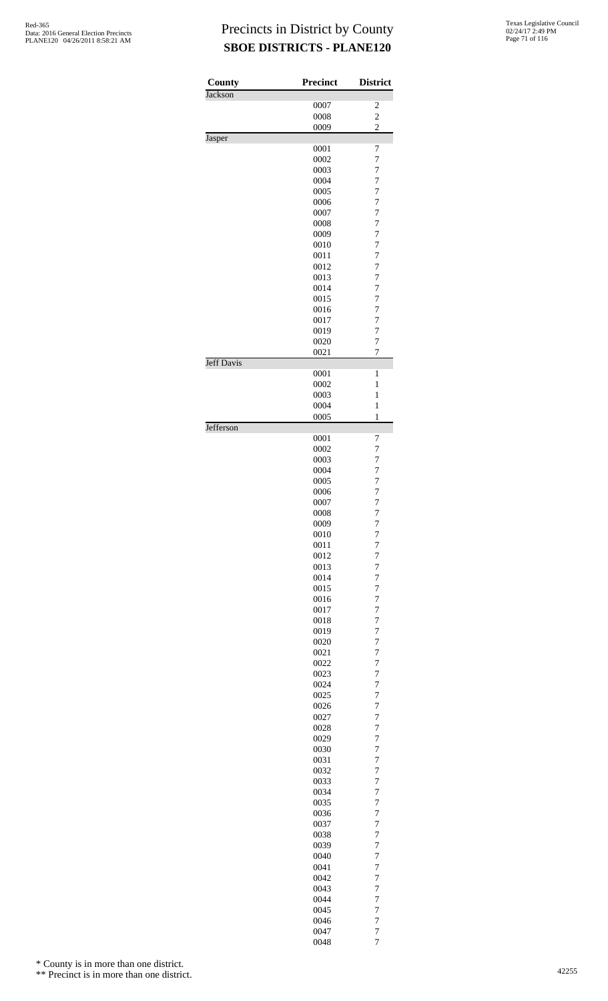| County            | <b>Precinct</b> | <b>District</b>                  |
|-------------------|-----------------|----------------------------------|
| Jackson           |                 |                                  |
|                   | 0007            | 2<br>$\overline{c}$              |
|                   | 0008<br>0009    | $\overline{c}$                   |
| Jasper            |                 |                                  |
|                   | 0001            | 7                                |
|                   | 0002<br>0003    | $\overline{7}$<br>$\overline{7}$ |
|                   | 0004            | $\overline{7}$                   |
|                   | 0005            | $\overline{7}$                   |
|                   | 0006            | $\overline{7}$                   |
|                   | 0007            | $\overline{7}$                   |
|                   | 0008            | $\overline{7}$                   |
|                   | 0009<br>0010    | $\overline{7}$<br>$\overline{7}$ |
|                   | 0011            | $\overline{7}$                   |
|                   | 0012            | $\overline{7}$                   |
|                   | 0013            | $\overline{7}$                   |
|                   | 0014            | $\overline{7}$                   |
|                   | 0015<br>0016    | $\overline{7}$<br>$\overline{7}$ |
|                   | 0017            | $\overline{7}$                   |
|                   | 0019            | $\overline{7}$                   |
|                   | 0020            | $\overline{7}$                   |
| <b>Jeff Davis</b> | 0021            | 7                                |
|                   | 0001            | 1                                |
|                   | 0002            | $\mathbf{1}$                     |
|                   | 0003<br>0004    | $\mathbf{1}$<br>$\mathbf{1}$     |
|                   | 0005            | $\mathbf{1}$                     |
| Jefferson         |                 |                                  |
|                   | 0001            | 7                                |
|                   | 0002<br>0003    | $\overline{7}$<br>$\overline{7}$ |
|                   | 0004            | $\overline{7}$                   |
|                   | 0005            | $\overline{7}$                   |
|                   | 0006            | $\overline{7}$                   |
|                   | 0007            | $\overline{7}$                   |
|                   | 0008            | 7<br>$\overline{7}$              |
|                   | 0009<br>0010    | $\overline{7}$                   |
|                   | 0011            | $\overline{7}$                   |
|                   | 0012            | $\overline{7}$                   |
|                   | 0013            | $\overline{7}$                   |
|                   | 0014<br>0015    | $\overline{7}$<br>$\overline{7}$ |
|                   | 0016            | $\overline{7}$                   |
|                   | 0017            | $\overline{7}$                   |
|                   | 0018            | $\overline{7}$                   |
|                   | 0019            | $\overline{7}$                   |
|                   | 0020            | $\overline{7}$                   |
|                   | 0021<br>0022    | $\overline{7}$<br>$\overline{7}$ |
|                   | 0023            | $\overline{7}$                   |
|                   | 0024            | $\overline{7}$                   |
|                   | 0025            | $\overline{7}$                   |
|                   | 0026            | $\overline{7}$                   |
|                   | 0027            | $\overline{7}$                   |
|                   | 0028<br>0029    | $\overline{7}$<br>$\overline{7}$ |
|                   | 0030            | $\overline{7}$                   |
|                   | 0031            | $\overline{7}$                   |
|                   | 0032            | $\overline{7}$                   |
|                   | 0033            | $\overline{7}$                   |
|                   | 0034<br>0035    | $\overline{7}$<br>$\overline{7}$ |
|                   | 0036            | $\overline{7}$                   |
|                   | 0037            | $\overline{7}$                   |
|                   | 0038            | $\overline{7}$                   |
|                   | 0039            | $\overline{7}$                   |
|                   | 0040            | $\overline{7}$                   |
|                   | 0041<br>0042    | $\overline{7}$<br>$\overline{7}$ |
|                   | 0043            | $\overline{7}$                   |
|                   | 0044            | $\overline{7}$                   |
|                   | 0045            | $\overline{7}$                   |
|                   | 0046            | $\overline{7}$                   |
|                   | 0047<br>0048    | $\overline{7}$<br>$\overline{7}$ |

\* County is in more than one district.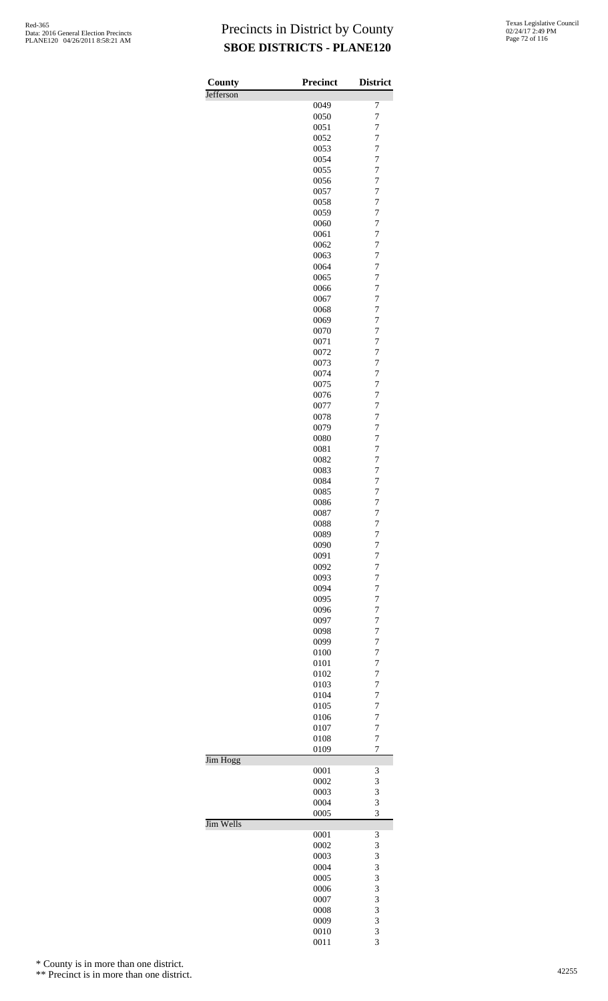| County    | <b>Precinct</b> | <b>District</b>                  |
|-----------|-----------------|----------------------------------|
| Jefferson |                 |                                  |
|           | 0049            | 7                                |
|           | 0050<br>0051    | $\overline{7}$<br>$\overline{7}$ |
|           | 0052            | $\overline{7}$                   |
|           | 0053            | $\overline{7}$                   |
|           | 0054            | $\overline{7}$                   |
|           | 0055            | $\overline{7}$                   |
|           | 0056            | $\overline{7}$                   |
|           | 0057            | $\overline{7}$                   |
|           | 0058<br>0059    | $\overline{7}$<br>$\overline{7}$ |
|           | 0060            | $\overline{7}$                   |
|           | 0061            | $\overline{7}$                   |
|           | 0062            | $\overline{7}$                   |
|           | 0063            | $\overline{7}$                   |
|           | 0064            | $\overline{7}$                   |
|           | 0065            | $\overline{7}$                   |
|           | 0066<br>0067    | $\overline{7}$<br>$\overline{7}$ |
|           | 0068            | $\overline{7}$                   |
|           | 0069            | $\overline{7}$                   |
|           | 0070            | $\overline{7}$                   |
|           | 0071            | $\overline{7}$                   |
|           | 0072            | $\overline{7}$                   |
|           | 0073<br>0074    | $\overline{7}$<br>$\overline{7}$ |
|           | 0075            | $\overline{7}$                   |
|           | 0076            | $\overline{7}$                   |
|           | 0077            | $\overline{7}$                   |
|           | 0078            | $\overline{7}$                   |
|           | 0079            | $\overline{7}$                   |
|           | 0080            | $\overline{7}$                   |
|           | 0081<br>0082    | $\overline{7}$<br>$\overline{7}$ |
|           | 0083            | $\overline{7}$                   |
|           | 0084            | $\overline{7}$                   |
|           | 0085            | $\overline{7}$                   |
|           | 0086            | $\overline{7}$                   |
|           | 0087            | $\overline{7}$                   |
|           | 0088            | 7<br>$\overline{7}$              |
|           | 0089<br>0090    | $\overline{7}$                   |
|           | 0091            | 7                                |
|           | 0092            | $\overline{7}$                   |
|           | 0093            | 7                                |
|           | 0094            | $\overline{7}$                   |
|           | 0095            | $\overline{7}$                   |
|           | 0096<br>0097    | $\overline{7}$<br>$\overline{7}$ |
|           | 0098            | 7                                |
|           | 0099            | $\overline{7}$                   |
|           | 0100            | 7                                |
|           | 0101            | 7                                |
|           | 0102            | $\overline{7}$                   |
|           | 0103<br>0104    | 7<br>$\overline{7}$              |
|           | 0105            | $\overline{7}$                   |
|           | 0106            | $\overline{7}$                   |
|           | 0107            | $\overline{7}$                   |
|           | 0108            | 7                                |
|           | 0109            | $\overline{7}$                   |
| Jim Hogg  | 0001            | 3                                |
|           | 0002            | 3                                |
|           | 0003            | 3                                |
|           | 0004            | 3                                |
|           | 0005            | 3                                |
| Jim Wells | 0001            | 3                                |
|           | 0002            | 3                                |
|           | 0003            | 3                                |
|           | 0004            | 3                                |
|           | 0005            | 3                                |
|           | 0006            | 3                                |
|           | 0007            | 3<br>3                           |
|           | 0008<br>0009    | 3                                |
|           | 0010            | 3                                |

3

\* County is in more than one district.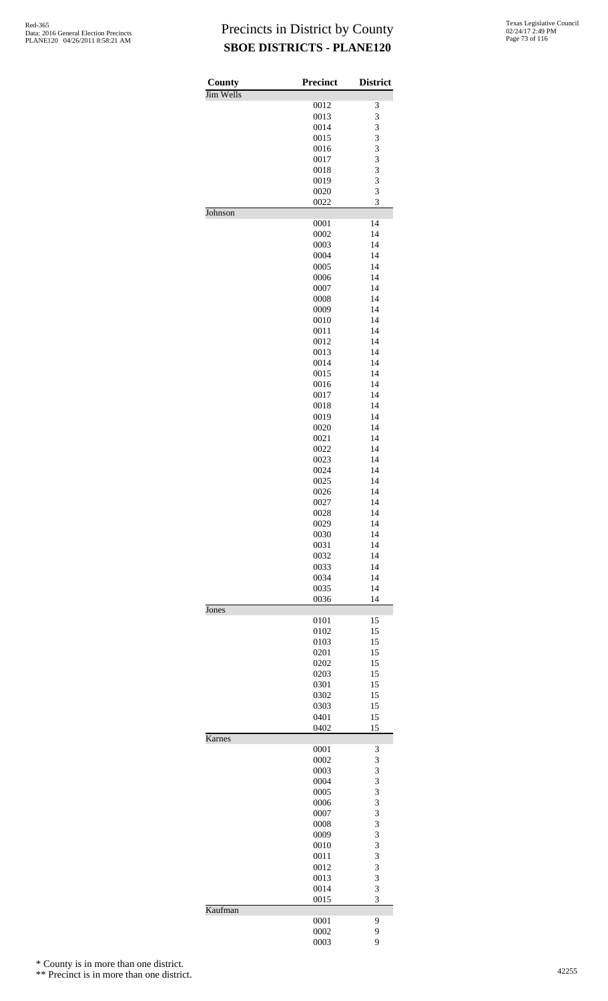| County           | <b>Precinct</b> | <b>District</b> |
|------------------|-----------------|-----------------|
| <b>Jim Wells</b> | 0012            | 3               |
|                  | 0013            | 3               |
|                  | 0014            | 3               |
|                  | 0015            | 3               |
|                  | 0016            | 3               |
|                  | 0017            | 3               |
|                  | 0018            | 3               |
|                  | 0019            | 3               |
|                  | 0020            | 3               |
| Johnson          | 0022            | 3               |
|                  | 0001            | 14              |
|                  | 0002            | 14              |
|                  | 0003            | 14              |
|                  | 0004            | 14              |
|                  | 0005            | 14              |
|                  | 0006            | 14              |
|                  | 0007            | 14              |
|                  | 0008            | 14              |
|                  | 0009            | 14              |
|                  | 0010            | 14              |
|                  | 0011            | 14              |
|                  | 0012<br>0013    | 14<br>14        |
|                  | 0014            | 14              |
|                  | 0015            | 14              |
|                  | 0016            | 14              |
|                  | 0017            | 14              |
|                  | 0018            | 14              |
|                  | 0019            | 14              |
|                  | 0020            | 14              |
|                  | 0021            | 14              |
|                  | 0022            | 14              |
|                  | 0023            | 14              |
|                  | 0024            | 14              |
|                  | 0025            | 14              |
|                  | 0026            | 14              |
|                  | 0027            | 14              |
|                  | 0028            | 14              |
|                  | 0029            | 14              |
|                  | 0030            | 14              |
|                  | 0031            | 14              |
|                  | 0032            | 14              |
|                  | 0033            | 14              |
|                  | 0034            | 14              |
|                  | 0035<br>0036    | 14<br>14        |
| Jones            |                 |                 |
|                  | 0101            | 15              |
|                  | 0102            | 15              |
|                  | 0103            | 15              |
|                  | 0201            | 15              |
|                  | 0202            | 15              |
|                  | 0203            | 15              |
|                  | 0301            | 15              |
|                  | 0302            | 15              |
|                  | 0303            | 15              |
|                  | 0401            | 15              |
|                  | 0402            | 15              |
| Karnes           | 0001            |                 |
|                  | 0002            | 3<br>3          |
|                  | 0003            | 3               |
|                  | 0004            | 3               |
|                  | 0005            | 3               |
|                  | 0006            | 3               |
|                  | 0007            | 3               |
|                  | 0008            | 3               |
|                  | 0009            | 3               |
|                  | 0010            | 3               |
|                  | 0011            | 3               |
|                  | 0012            | 3               |
|                  | 0013            | 3               |
|                  | 0014            | 3               |
|                  | 0015            | 3               |
| Kaufman          |                 |                 |
|                  | 0001<br>0002    | 9<br>9          |
|                  | 0003            | 9               |
|                  |                 |                 |

\* County is in more than one district.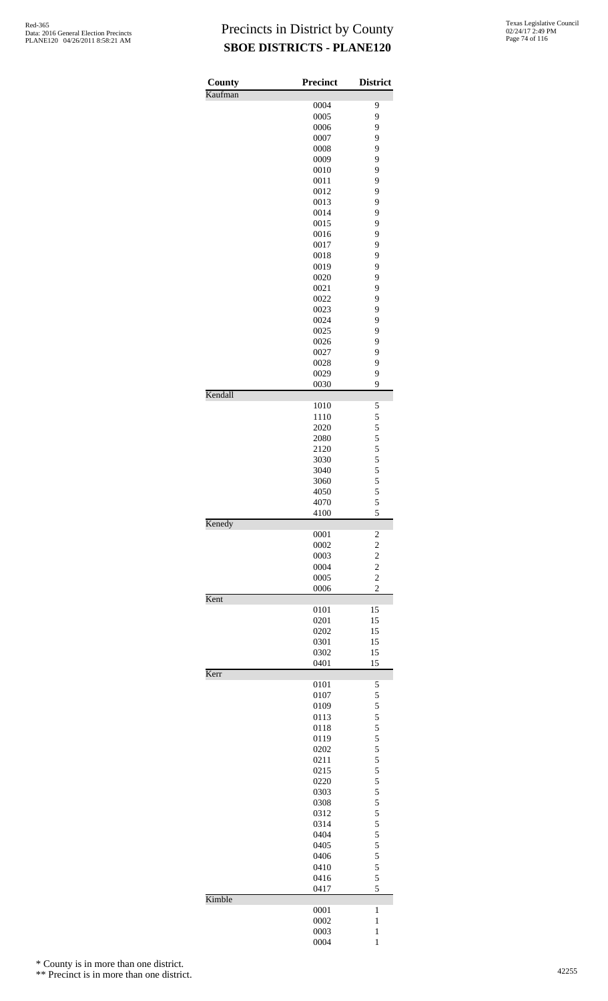| County  | <b>Precinct</b> | <b>District</b>                            |
|---------|-----------------|--------------------------------------------|
| Kaufman |                 |                                            |
|         | 0004<br>0005    | 9<br>9                                     |
|         | 0006            | 9                                          |
|         | 0007            | 9                                          |
|         | 0008            | 9                                          |
|         | 0009            | 9                                          |
|         | 0010            | 9                                          |
|         | 0011            | 9                                          |
|         | 0012            | 9                                          |
|         | 0013            | 9                                          |
|         | 0014            | 9                                          |
|         | 0015            | 9                                          |
|         | 0016            | 9                                          |
|         | 0017            | 9                                          |
|         | 0018            | 9<br>9                                     |
|         | 0019<br>0020    | 9                                          |
|         | 0021            | 9                                          |
|         | 0022            | 9                                          |
|         | 0023            | 9                                          |
|         | 0024            | 9                                          |
|         | 0025            | 9                                          |
|         | 0026            | 9                                          |
|         | 0027            | 9                                          |
|         | 0028            | 9                                          |
|         | 0029            | 9                                          |
| Kendall | 0030            | 9                                          |
|         | 1010            | 5                                          |
|         | 1110            | 5                                          |
|         | 2020            | 5                                          |
|         | 2080            | 5                                          |
|         | 2120            | 5                                          |
|         | 3030            | 5                                          |
|         | 3040            | 5                                          |
|         | 3060            | 5                                          |
|         | 4050            | $\frac{5}{5}$                              |
|         | 4070<br>4100    | 5                                          |
| Kenedy  | 0001            |                                            |
|         | 0002            | $\overline{\mathbf{c}}$                    |
|         | 0003            |                                            |
|         | 0004            | $\begin{array}{c} 2 \\ 2 \\ 2 \end{array}$ |
|         | 0005            |                                            |
|         | 0006            | $\overline{c}$                             |
| Kent    | 0101            | 15                                         |
|         | 0201            | 15                                         |
|         | 0202            | 15                                         |
|         | 0301            | 15                                         |
|         | 0302            | 15                                         |
| Kerr    | 0401            | 15                                         |
|         | 0101            | 5                                          |
|         | 0107            | 5                                          |
|         | 0109            | 5                                          |
|         | 0113            | 5                                          |
|         | 0118            | 5                                          |
|         | 0119            | 5                                          |
|         | 0202            | 5                                          |
|         | 0211            | $\begin{array}{c} 5 \\ 5 \\ 5 \end{array}$ |
|         | 0215<br>0220    |                                            |
|         | 0303            | 5                                          |
|         | 0308            | 5                                          |
|         | 0312            |                                            |
|         | 0314            | $\frac{5}{5}$                              |
|         | 0404            | 5                                          |
|         | 0405            | 5                                          |
|         | 0406            | 5                                          |
|         | 0410            | 5                                          |
|         | 0416            | 5                                          |
| Kimble  | 0417            | 5                                          |
|         | 0001            | 1                                          |
|         | 0002            | $\mathbf{1}$                               |
|         | 0003            | $\mathbf{1}$                               |
|         | 0004            | 1                                          |

\* County is in more than one district.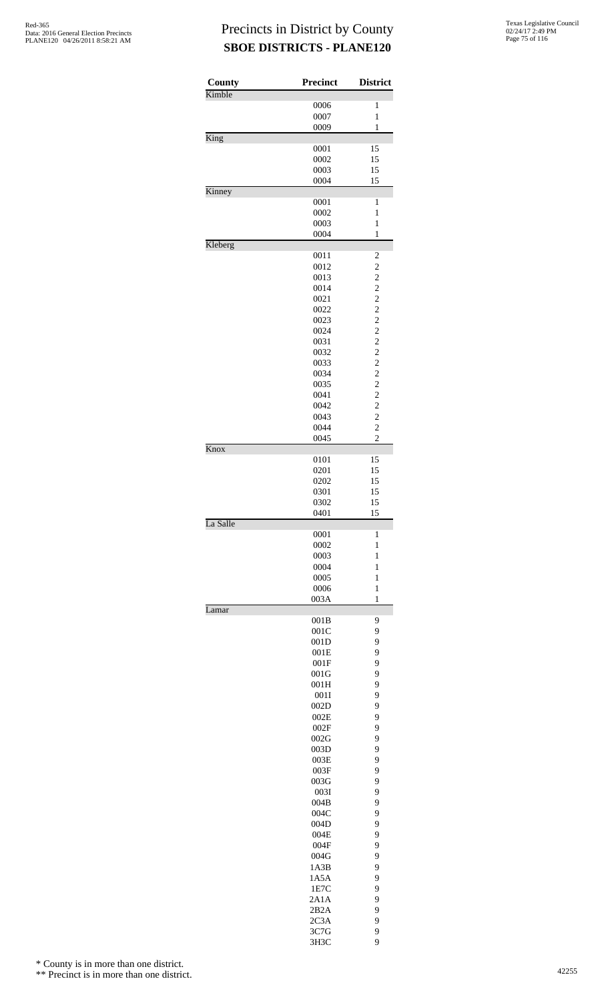| County   | <b>Precinct</b> | <b>District</b>                                 |
|----------|-----------------|-------------------------------------------------|
| Kimble   | 0006            | $\mathbf{1}$                                    |
|          | 0007            | $\mathbf{1}$                                    |
|          | 0009            | $\mathbf{1}$                                    |
| King     |                 |                                                 |
|          | 0001<br>0002    | 15<br>15                                        |
|          | 0003            | 15                                              |
|          | 0004            | 15                                              |
| Kinney   |                 |                                                 |
|          | 0001            | 1                                               |
|          | 0002<br>0003    | $\mathbf{1}$<br>$\mathbf{1}$                    |
|          | 0004            | $\mathbf{1}$                                    |
| Kleberg  |                 |                                                 |
|          | 0011            | $\overline{\mathbf{c}}$                         |
|          | 0012            | $\begin{array}{c} 2 \\ 2 \\ 2 \\ 2 \end{array}$ |
|          | 0013<br>0014    |                                                 |
|          | 0021            |                                                 |
|          | 0022            |                                                 |
|          | 0023            | $\frac{2}{2}$                                   |
|          | 0024            |                                                 |
|          | 0031<br>0032    |                                                 |
|          | 0033            | $\frac{2}{2}$                                   |
|          | 0034            |                                                 |
|          | 0035            | $\frac{2}{2}$                                   |
|          | 0041            | $\frac{2}{2}$                                   |
|          | 0042<br>0043    | $\overline{c}$                                  |
|          | 0044            | $\overline{c}$                                  |
|          | 0045            | $\overline{2}$                                  |
| Knox     |                 |                                                 |
|          | 0101            | 15                                              |
|          | 0201            | 15                                              |
|          | 0202<br>0301    | 15<br>15                                        |
|          | 0302            | 15                                              |
|          | 0401            | 15                                              |
| La Salle |                 |                                                 |
|          | 0001<br>0002    | 1<br>$\mathbf{1}$                               |
|          | 0003            | 1                                               |
|          | 0004            | $\mathbf{1}$                                    |
|          | 0005            | $\mathbf{1}$                                    |
|          | 0006            | $\mathbf{1}$                                    |
| Lamar    | 003A            | $\mathbf{1}$                                    |
|          | 001B            | 9                                               |
|          | 001C            | 9                                               |
|          | 001D            | 9                                               |
|          | 001E            | 9                                               |
|          | 001F<br>001G    | 9<br>9                                          |
|          | 001H            | 9                                               |
|          | 001I            | 9                                               |
|          | 002D            | 9                                               |
|          | 002E            | 9<br>9                                          |
|          | 002F<br>002G    | 9                                               |
|          | 003D            | 9                                               |
|          | 003E            | 9                                               |
|          | 003F            | 9                                               |
|          | 003G            | 9                                               |
|          | 003I<br>004B    | 9<br>9                                          |
|          | 004C            | 9                                               |
|          | 004D            | 9                                               |
|          | 004E            | 9                                               |
|          | 004F            | 9                                               |
|          | 004G<br>1A3B    | 9<br>9                                          |
|          | 1A5A            | 9                                               |
|          | 1E7C            | 9                                               |
|          | 2A1A            | 9                                               |
|          | 2B2A            | 9                                               |
|          | 2C3A            | 9<br>9                                          |
|          | 3C7G            |                                                 |

3H3C 9

\* County is in more than one district.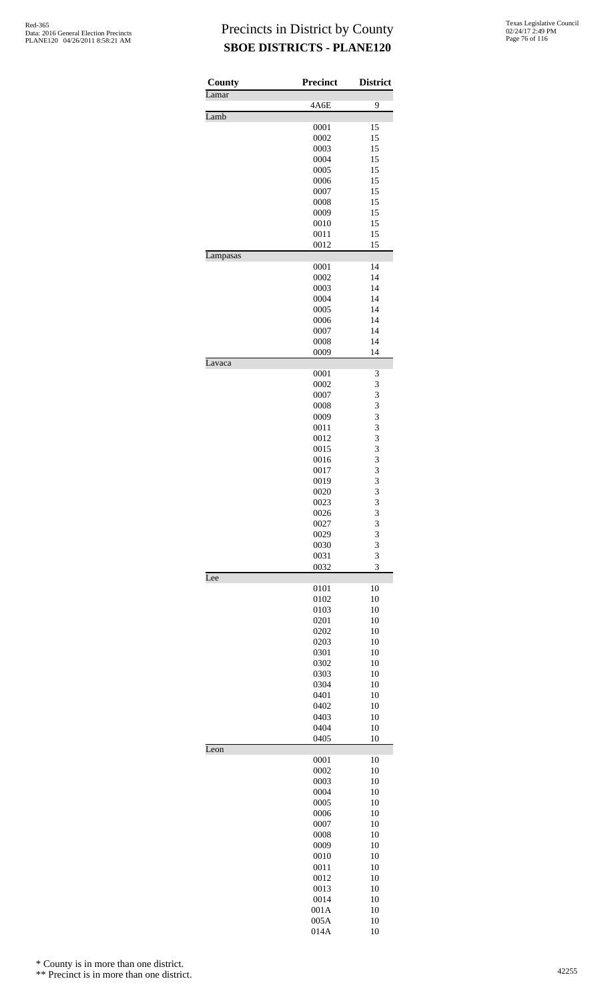| County   | <b>Precinct</b> | <b>District</b> |
|----------|-----------------|-----------------|
| Lamar    | 4A6E            | 9               |
| Lamb     |                 |                 |
|          | 0001            | 15              |
|          | 0002            | 15              |
|          | 0003            | 15              |
|          | 0004<br>0005    | 15<br>15        |
|          | 0006            | 15              |
|          | 0007            | 15              |
|          | 0008            | 15              |
|          | 0009<br>0010    | 15<br>15        |
|          | 0011            | 15              |
|          | 0012            | 15              |
| Lampasas |                 |                 |
|          | 0001            | 14              |
|          | 0002<br>0003    | 14<br>14        |
|          | 0004            | 14              |
|          | 0005            | 14              |
|          | 0006            | 14              |
|          | 0007            | 14              |
|          | 0008<br>0009    | 14<br>14        |
| Lavaca   |                 |                 |
|          | 0001            | 3               |
|          | 0002            | 3               |
|          | 0007            | 3               |
|          | 0008<br>0009    | 3<br>3          |
|          | 0011            | 3               |
|          | 0012            | 3               |
|          | 0015            | 3               |
|          | 0016            | 3               |
|          | 0017<br>0019    | 3<br>3          |
|          | 0020            | 3               |
|          | 0023            | 3               |
|          | 0026            | 3               |
|          | 0027            | 3               |
|          | 0029<br>0030    | 3<br>3          |
|          | 0031            | 3               |
|          | 0032            | 3               |
| Lee      |                 |                 |
|          | 0101<br>0102    | 10<br>10        |
|          | 0103            | 10              |
|          | 0201            | 10              |
|          | 0202            | 10              |
|          | 0203            | 10              |
|          | 0301<br>0302    | 10<br>10        |
|          | 0303            | 10              |
|          | 0304            | 10              |
|          | 0401            | 10              |
|          | 0402            | 10              |
|          | 0403<br>0404    | 10<br>10        |
|          | 0405            | 10              |
| Leon     |                 |                 |
|          | 0001            | 10              |
|          | 0002<br>0003    | 10<br>10        |
|          | 0004            | 10              |
|          | 0005            | 10              |
|          | 0006            | 10              |
|          | 0007            | 10              |
|          | 0008            | 10<br>10        |
|          | 0009<br>0010    | 10              |
|          | 0011            | 10              |
|          | 0012            | 10              |
|          | 0013            | 10              |
|          | 0014            | 10              |
|          | 001A<br>005A    | 10<br>10        |
|          | 014A            | 10              |

\* County is in more than one district.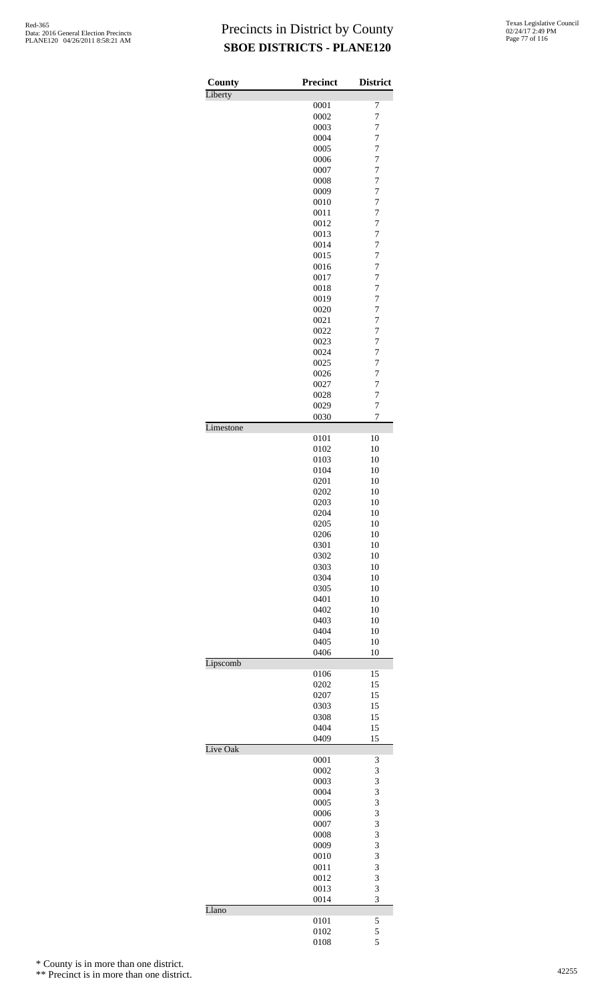| County    | Precinct     | <b>District</b>     |
|-----------|--------------|---------------------|
| Liberty   | 0001         | 7                   |
|           | 0002         | $\overline{7}$      |
|           | 0003         | 7                   |
|           | 0004         | 7                   |
|           | 0005         | 7                   |
|           | 0006         | $\overline{7}$      |
|           | 0007         | $\overline{7}$      |
|           | 0008<br>0009 | 7<br>$\overline{7}$ |
|           | 0010         | $\overline{7}$      |
|           | 0011         | $\overline{7}$      |
|           | 0012         | $\overline{7}$      |
|           | 0013         | 7                   |
|           | 0014         | 7                   |
|           | 0015         | 7                   |
|           | 0016         | $\overline{7}$      |
|           | 0017         | $\overline{7}$      |
|           | 0018<br>0019 | 7<br>$\overline{7}$ |
|           | 0020         | $\overline{7}$      |
|           | 0021         | $\overline{7}$      |
|           | 0022         | $\overline{7}$      |
|           | 0023         | 7                   |
|           | 0024         | 7                   |
|           | 0025         | 7                   |
|           | 0026         | $\overline{7}$      |
|           | 0027         | $\overline{7}$      |
|           | 0028<br>0029 | 7<br>7              |
|           | 0030         | 7                   |
| Limestone |              |                     |
|           | 0101         | 10                  |
|           | 0102         | 10                  |
|           | 0103         | 10                  |
|           | 0104         | 10                  |
|           | 0201         | 10                  |
|           | 0202<br>0203 | 10<br>10            |
|           | 0204         | 10                  |
|           | 0205         | 10                  |
|           | 0206         | 10                  |
|           | 0301         | 10                  |
|           | 0302         | 10                  |
|           | 0303         | 10                  |
|           | 0304<br>0305 | 10<br>10            |
|           | 0401         | 10                  |
|           | 0402         | 10                  |
|           | 0403         | 10                  |
|           | 0404         | 10                  |
|           | 0405         | 10                  |
|           | 0406         | 10                  |
| Lipscomb  |              |                     |
|           | 0106         | 15                  |
|           | 0202         | 15                  |
|           | 0207<br>0303 | 15<br>15            |
|           | 0308         | 15                  |
|           | 0404         | 15                  |
|           | 0409         | 15                  |
| Live Oak  |              |                     |
|           | 0001         | 3                   |
|           | 0002         | 3                   |
|           | 0003         | 3                   |
|           | 0004<br>0005 | 3<br>3              |
|           | 0006         | 3                   |
|           | 0007         | 3                   |
|           | 0008         | 3                   |
|           | 0009         | 3                   |
|           | 0010         | 3                   |
|           | 0011         | 3                   |
|           | 0012         | 3                   |
|           | 0013         | 3<br>3              |
| Llano     | 0014         |                     |
|           | 0101         | 5                   |
|           | 0102         | 5                   |
|           | 0108         | 5                   |

\* County is in more than one district.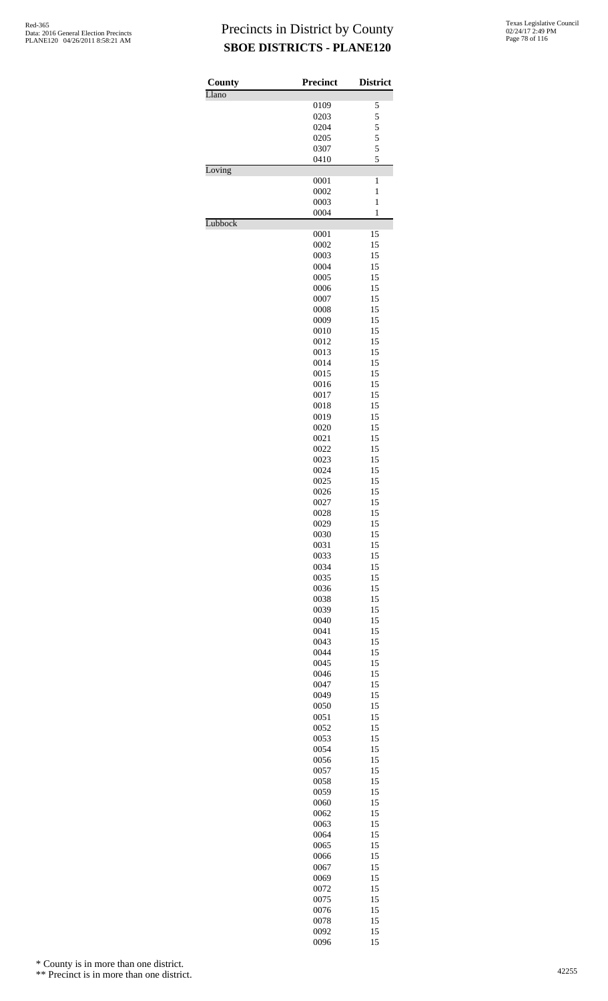| County  | <b>Precinct</b> | <b>District</b> |
|---------|-----------------|-----------------|
| Llano   |                 |                 |
|         | 0109            | 5               |
|         | 0203            | 5               |
|         | 0204            | 5               |
|         | 0205            | 5               |
|         | 0307            | 5               |
|         | 0410            | 5               |
| Loving  | 0001            | $\mathbf{1}$    |
|         | 0002            | $\mathbf{1}$    |
|         | 0003            | $\mathbf{1}$    |
|         | 0004            | $\mathbf{1}$    |
| Lubbock |                 |                 |
|         | 0001            | 15              |
|         | 0002            | 15              |
|         | 0003            | 15              |
|         | 0004            | 15              |
|         | 0005            | 15              |
|         | 0006            | 15              |
|         | 0007            | 15              |
|         | 0008            | 15              |
|         | 0009            | 15              |
|         | 0010            | 15              |
|         | 0012            | 15              |
|         | 0013            | 15              |
|         | 0014            | 15              |
|         | 0015            | 15              |
|         | 0016            | 15              |
|         | 0017            | 15              |
|         | 0018            | 15              |
|         | 0019            | 15              |
|         | 0020            | 15              |
|         | 0021            | 15              |
|         | 0022            | 15              |
|         | 0023            | 15              |
|         | 0024            | 15              |
|         | 0025            | 15              |
|         | 0026            | 15              |
|         | 0027            | 15              |
|         | 0028            | 15              |
|         | 0029            | 15              |
|         | 0030            | 15              |
|         | 0031            | 15              |
|         | 0033            | 15              |
|         | 0034            | 15              |
|         | 0035            | 15              |
|         | 0036            | 15              |
|         | 0038            | 15              |
|         | 0039<br>0040    | 15<br>15        |
|         |                 |                 |
|         | 0041            | 15<br>15        |
|         | 0043<br>0044    | 15              |
|         | 0045            | 15              |
|         | 0046            | 15              |
|         | 0047            | 15              |
|         | 0049            | 15              |
|         | 0050            | 15              |
|         | 0051            | 15              |
|         | 0052            | 15              |
|         | 0053            | 15              |
|         | 0054            | 15              |
|         | 0056            | 15              |
|         | 0057            | 15              |
|         | 0058            | 15              |
|         | 0059            | 15              |
|         | 0060            | 15              |
|         | 0062            | 15              |
|         | 0063            | 15              |
|         | 0064            | 15              |
|         | 0065            | 15              |
|         | 0066            | 15              |
|         | 0067            | 15              |
|         | 0069            | 15              |
|         | 0072            | 15              |
|         | 0075            | 15              |
|         | 0076            | 15              |
|         | 0078            | 15              |
|         | 0092            | 15              |
|         | 0096            | 15              |
|         |                 |                 |

\* County is in more than one district.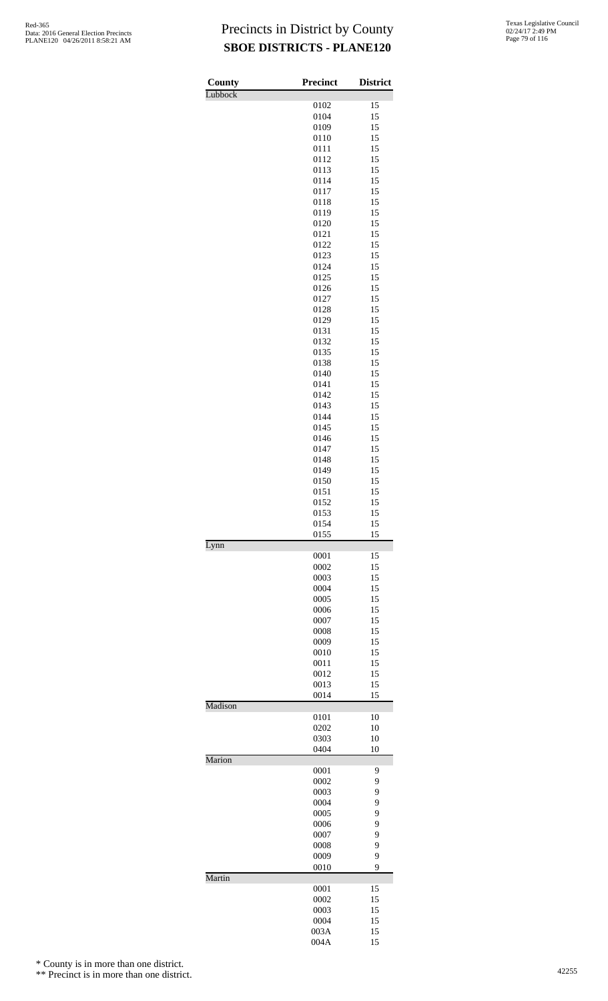| Texas Legislative Council |
|---------------------------|
| 02/24/17 2:49 PM          |
| Page 79 of 116            |

| County  | <b>Precinct</b> | <b>District</b> |
|---------|-----------------|-----------------|
| Lubbock |                 |                 |
|         | 0102<br>0104    | 15<br>15        |
|         | 0109            | 15              |
|         | 0110            | 15              |
|         | 0111            | 15              |
|         | 0112            | 15              |
|         | 0113            | 15              |
|         | 0114            | 15              |
|         | 0117<br>0118    | 15<br>15        |
|         | 0119            | 15              |
|         | 0120            | 15              |
|         | 0121            | 15              |
|         | 0122            | 15              |
|         | 0123            | 15              |
|         | 0124            | 15              |
|         | 0125            | 15              |
|         | 0126<br>0127    | 15<br>15        |
|         | 0128            | 15              |
|         | 0129            | 15              |
|         | 0131            | 15              |
|         | 0132            | 15              |
|         | 0135            | 15              |
|         | 0138            | 15              |
|         | 0140            | 15              |
|         | 0141            | 15<br>15        |
|         | 0142<br>0143    | 15              |
|         | 0144            | 15              |
|         | 0145            | 15              |
|         | 0146            | 15              |
|         | 0147            | 15              |
|         | 0148            | 15              |
|         | 0149            | 15              |
|         | 0150            | 15              |
|         | 0151<br>0152    | 15<br>15        |
|         | 0153            | 15              |
|         | 0154            | 15              |
|         | 0155            | 15              |
| Lynn    |                 |                 |
|         | 0001<br>0002    | 15<br>15        |
|         | 0003            | 15              |
|         | 0004            | 15              |
|         | 0005            | 15              |
|         | 0006            | 15              |
|         | 0007            | 15              |
|         | 0008            | 15              |
|         | 0009            | 15              |
|         | 0010<br>0011    | 15<br>15        |
|         | 0012            | 15              |
|         | 0013            | 15              |
|         | 0014            | 15              |
| Madison |                 |                 |
|         | 0101            | 10              |
|         | 0202<br>0303    | 10<br>10        |
|         | 0404            | 10              |
| Marion  |                 |                 |
|         | 0001            | 9               |
|         | 0002            | 9               |
|         | 0003<br>0004    | 9<br>9          |
|         | 0005            | 9               |
|         | 0006            | 9               |
|         | 0007            | 9               |
|         | 0008            | 9               |
|         | 0009            | 9               |
|         | 0010            | 9               |
| Martin  | 0001            | 15              |
|         | 0002            | 15              |
|         | 0003            | 15              |
|         | 0004            | 15              |
|         | 003A            | 15              |
|         | 004A            | 15              |

\* County is in more than one district.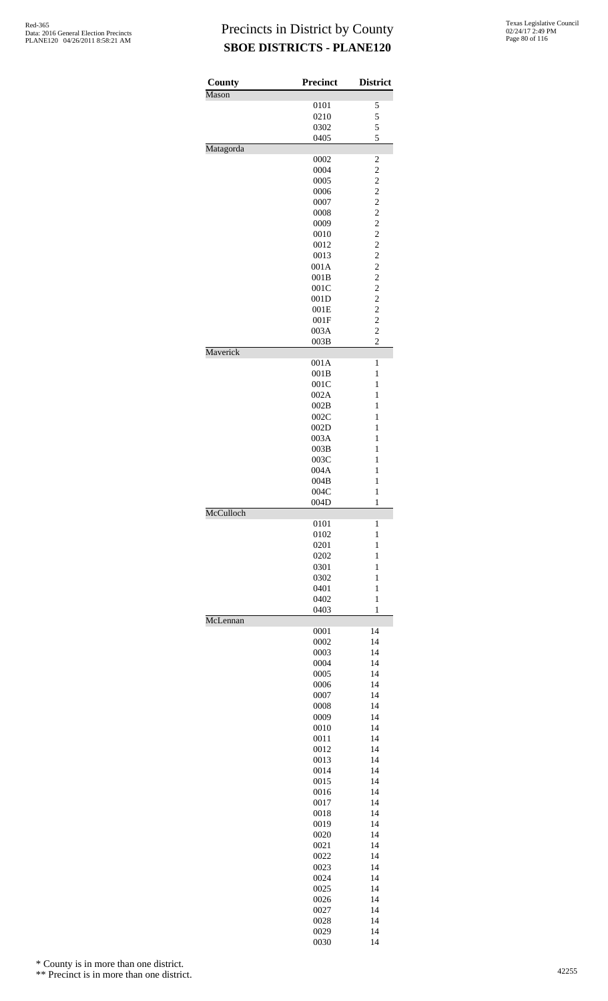| County    | <b>Precinct</b> | <b>District</b>                           |
|-----------|-----------------|-------------------------------------------|
| Mason     |                 |                                           |
|           | 0101<br>0210    | 5<br>5                                    |
|           | 0302            | 5                                         |
|           | 0405            | 5                                         |
| Matagorda |                 |                                           |
|           | 0002            | $\overline{c}$                            |
|           | 0004<br>0005    | $\overline{c}$<br>$\overline{c}$          |
|           | 0006            | $\overline{\mathbf{c}}$                   |
|           | 0007            | $\overline{\mathbf{c}}$                   |
|           | 0008            | $\overline{c}$                            |
|           | 0009            | $\overline{c}$                            |
|           | 0010            | $\overline{c}$                            |
|           | 0012            | $\overline{\mathbf{c}}$                   |
|           | 0013<br>001A    | $\overline{\mathbf{c}}$<br>$\overline{c}$ |
|           | 001B            | $\overline{c}$                            |
|           | 001C            | $\overline{c}$                            |
|           | 001D            | $\overline{c}$                            |
|           | 001E            | $\overline{\mathbf{c}}$                   |
|           | 001F            | $\overline{c}$                            |
|           | 003A            | $\overline{c}$                            |
| Maverick  | 003B            | $\overline{c}$                            |
|           | 001A            | 1                                         |
|           | 001B            | $\mathbf{1}$                              |
|           | 001C            | $\mathbf{1}$                              |
|           | 002A            | $\mathbf{1}$                              |
|           | 002B            | $\mathbf{1}$                              |
|           | 002C<br>002D    | $\mathbf{1}$<br>$\mathbf{1}$              |
|           | 003A            | $\mathbf{1}$                              |
|           | 003B            | $\mathbf{1}$                              |
|           | 003C            | 1                                         |
|           | 004A            | $\mathbf{1}$                              |
|           | 004B            | $\mathbf{1}$                              |
|           | 004C            | $\mathbf{1}$                              |
| McCulloch | 004D            | $\mathbf{1}$                              |
|           | 0101            | 1                                         |
|           | 0102            | $\mathbf{1}$                              |
|           | 0201            | $\mathbf{1}$                              |
|           | 0202            | $\mathbf{1}$                              |
|           | 0301            | 1<br>$\mathbf{1}$                         |
|           | 0302<br>0401    | $\mathbf{1}$                              |
|           | 0402            | $\mathbf{1}$                              |
|           | 0403            | $\mathbf{1}$                              |
| McLennan  |                 |                                           |
|           | 0001            | 14                                        |
|           | 0002            | 14                                        |
|           | 0003<br>0004    | 14<br>14                                  |
|           | 0005            | 14                                        |
|           | 0006            | 14                                        |
|           | 0007            | 14                                        |
|           | 0008            | 14                                        |
|           | 0009            | 14                                        |
|           | 0010            | 14                                        |
|           | 0011<br>0012    | 14<br>14                                  |
|           | 0013            | 14                                        |
|           | 0014            | 14                                        |
|           | 0015            | 14                                        |
|           | 0016            | 14                                        |
|           | 0017            | 14                                        |
|           | 0018            | 14<br>14                                  |
|           | 0019<br>0020    | 14                                        |
|           | 0021            | 14                                        |
|           | 0022            | 14                                        |
|           | 0023            | 14                                        |
|           | 0024            | 14                                        |
|           | 0025            | 14                                        |
|           | 0026            | 14                                        |
|           | 0027<br>0028    | 14<br>14                                  |
|           | 0029            | 14                                        |
|           | 0030            | 14                                        |

\* County is in more than one district.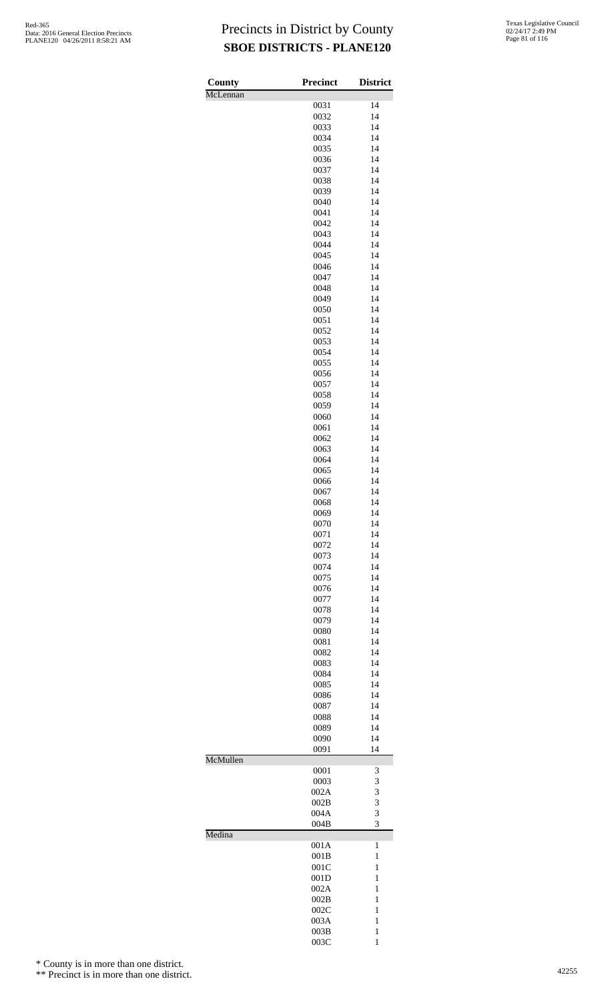| County   | <b>Precinct</b> | <b>District</b>              |
|----------|-----------------|------------------------------|
| McLennan |                 |                              |
|          | 0031<br>0032    | 14<br>14                     |
|          | 0033            | 14                           |
|          | 0034            | 14                           |
|          | 0035            | 14                           |
|          | 0036            | 14                           |
|          | 0037<br>0038    | 14<br>14                     |
|          | 0039            | 14                           |
|          | 0040            | 14                           |
|          | 0041            | 14                           |
|          | 0042            | 14<br>14                     |
|          | 0043<br>0044    | 14                           |
|          | 0045            | 14                           |
|          | 0046            | 14                           |
|          | 0047            | 14                           |
|          | 0048            | 14                           |
|          | 0049<br>0050    | 14<br>14                     |
|          | 0051            | 14                           |
|          | 0052            | 14                           |
|          | 0053            | 14                           |
|          | 0054            | 14                           |
|          | 0055<br>0056    | 14<br>14                     |
|          | 0057            | 14                           |
|          | 0058            | 14                           |
|          | 0059            | 14                           |
|          | 0060            | 14                           |
|          | 0061<br>0062    | 14<br>14                     |
|          | 0063            | 14                           |
|          | 0064            | 14                           |
|          | 0065            | 14                           |
|          | 0066            | 14                           |
|          | 0067<br>0068    | 14<br>14                     |
|          | 0069            | 14                           |
|          | 0070            | 14                           |
|          | 0071            | 14                           |
|          | 0072            | 14                           |
|          | 0073<br>0074    | 14<br>14                     |
|          | 0075            | 14                           |
|          | 0076            | 14                           |
|          | 0077            | 14                           |
|          | 0078            | 14                           |
|          | 0079            | 14                           |
|          | 0080<br>0081    | 14<br>14                     |
|          | 0082            | 14                           |
|          | 0083            | 14                           |
|          | 0084            | 14                           |
|          | 0085            | 14<br>14                     |
|          | 0086<br>0087    | 14                           |
|          | 0088            | 14                           |
|          | 0089            | 14                           |
|          | 0090            | 14                           |
| McMullen | 0091            | 14                           |
|          | 0001            | 3                            |
|          | 0003            | 3                            |
|          | 002A            | 3                            |
|          | 002B<br>004A    | 3<br>3                       |
|          | 004B            | 3                            |
| Medina   |                 |                              |
|          | 001A            | $\mathbf{1}$                 |
|          | 001B            | $\mathbf{1}$                 |
|          | 001C<br>001D    | 1<br>1                       |
|          | 002A            | 1                            |
|          | 002B            | 1                            |
|          | 002C            | 1                            |
|          | 003A            | 1                            |
|          | 003B<br>003C    | $\mathbf{1}$<br>$\mathbf{1}$ |

\* County is in more than one district.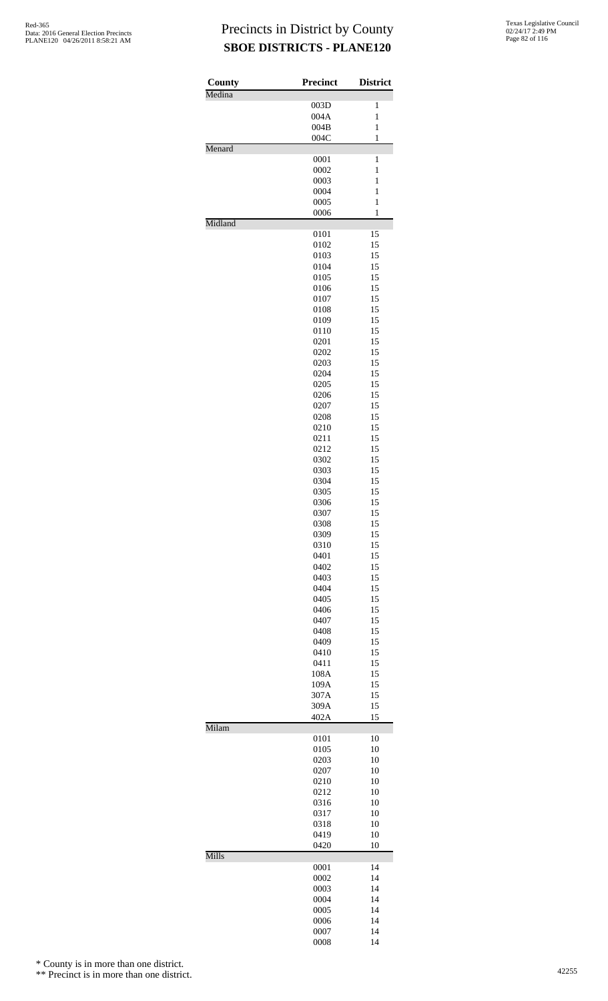| County  | <b>Precinct</b> | <b>District</b> |
|---------|-----------------|-----------------|
| Medina  | 003D            | $\mathbf{1}$    |
|         | 004A            | $\mathbf{1}$    |
|         | 004B            | $\mathbf{1}$    |
|         | 004C            | $\mathbf{1}$    |
| Menard  |                 |                 |
|         | 0001            | $\mathbf{1}$    |
|         | 0002            | $\mathbf{1}$    |
|         | 0003            | 1               |
|         | 0004            | $\mathbf{1}$    |
|         | 0005            | $\mathbf{1}$    |
| Midland | 0006            | $\mathbf{1}$    |
|         | 0101            | 15              |
|         | 0102            | 15              |
|         | 0103            | 15              |
|         | 0104            | 15              |
|         | 0105            | 15              |
|         | 0106            | 15              |
|         | 0107            | 15              |
|         | 0108            | 15              |
|         | 0109            | 15              |
|         | 0110            | 15              |
|         | 0201            | 15              |
|         | 0202            | 15              |
|         | 0203            | 15              |
|         | 0204            | 15              |
|         | 0205<br>0206    | 15<br>15        |
|         | 0207            | 15              |
|         | 0208            | 15              |
|         | 0210            | 15              |
|         | 0211            | 15              |
|         | 0212            | 15              |
|         | 0302            | 15              |
|         | 0303            | 15              |
|         | 0304            | 15              |
|         | 0305            | 15              |
|         | 0306            | 15              |
|         | 0307            | 15              |
|         | 0308            | 15              |
|         | 0309            | 15              |
|         | 0310            | 15              |
|         | 0401<br>0402    | 15<br>15        |
|         | 0403            | 15              |
|         | 0404            | 15              |
|         | 0405            | 15              |
|         | 0406            | 15              |
|         | 0407            | 15              |
|         | 0408            | 15              |
|         | 0409            | 15              |
|         | 0410            | 15              |
|         | 0411            | 15              |
|         | 108A            | 15              |
|         | 109A            | 15              |
|         | 307A            | 15              |
|         | 309A            | 15              |
| Milam   | 402A            | 15              |
|         | 0101            | 10              |
|         | 0105            | 10              |
|         | 0203            | 10              |
|         | 0207            | 10              |
|         | 0210            | 10              |
|         | 0212            | 10              |
|         | 0316            | 10              |
|         | 0317            | 10              |
|         | 0318            | 10              |
|         | 0419            | 10              |
| Mills   | 0420            | 10              |
|         | 0001            | 14              |
|         | 0002            | 14              |
|         | 0003            | 14              |
|         | 0004            | 14              |
|         | 0005            | 14              |
|         | 0006            | 14              |
|         | 0007            | 14              |
|         | 0008            | 14              |

\* County is in more than one district.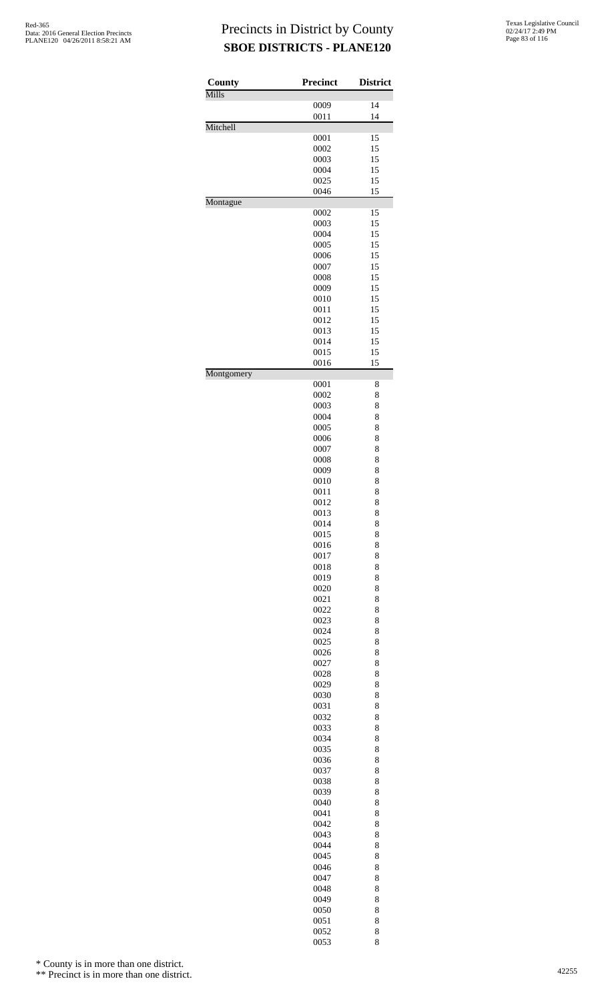| County     | <b>Precinct</b> | <b>District</b> |
|------------|-----------------|-----------------|
| Mills      | 0009            | 14              |
|            | 0011            | 14              |
| Mitchell   | 0001            | 15              |
|            | 0002            | 15              |
|            | 0003            | 15              |
|            | 0004<br>0025    | 15<br>15        |
|            | 0046            | 15              |
| Montague   | 0002            | 15              |
|            | 0003            | 15              |
|            | 0004            | 15              |
|            | 0005<br>0006    | 15<br>15        |
|            | 0007            | 15              |
|            | 0008            | 15              |
|            | 0009<br>0010    | 15<br>15        |
|            | 0011            | 15              |
|            | 0012            | 15              |
|            | 0013<br>0014    | 15<br>15        |
|            | 0015            | 15              |
|            | 0016            | 15              |
| Montgomery | 0001            | 8               |
|            | 0002            | 8               |
|            | 0003<br>0004    | 8<br>8          |
|            | 0005            | 8               |
|            | 0006            | 8               |
|            | 0007            | 8               |
|            | 0008<br>0009    | 8<br>8          |
|            | 0010            | 8               |
|            | 0011            | 8               |
|            | 0012<br>0013    | 8<br>8          |
|            | 0014            | 8               |
|            | 0015<br>0016    | 8<br>8          |
|            | 0017            | 8               |
|            | 0018            | 8               |
|            | 0019<br>0020    | 8<br>8          |
|            | 0021            | 8               |
|            | 0022            | 8               |
|            | 0023<br>0024    | 8<br>8          |
|            | 0025            | 8               |
|            | 0026            | 8               |
|            | 0027<br>0028    | 8<br>8          |
|            | 0029            | 8               |
|            | 0030            | 8               |
|            | 0031<br>0032    | 8<br>8          |
|            | 0033            | 8               |
|            | 0034            | 8               |
|            | 0035<br>0036    | 8<br>8          |
|            | 0037            | 8               |
|            | 0038            | 8               |
|            | 0039<br>0040    | 8<br>8          |
|            | 0041            | 8               |
|            | 0042<br>0043    | 8<br>8          |
|            | 0044            | 8               |
|            | 0045            | 8               |
|            | 0046            | 8               |
|            | 0047<br>0048    | 8<br>8          |
|            | 0049            | 8               |
|            | 0050            | 8               |
|            | 0051<br>0052    | 8<br>8          |
|            | 0053            | 8               |

\* County is in more than one district.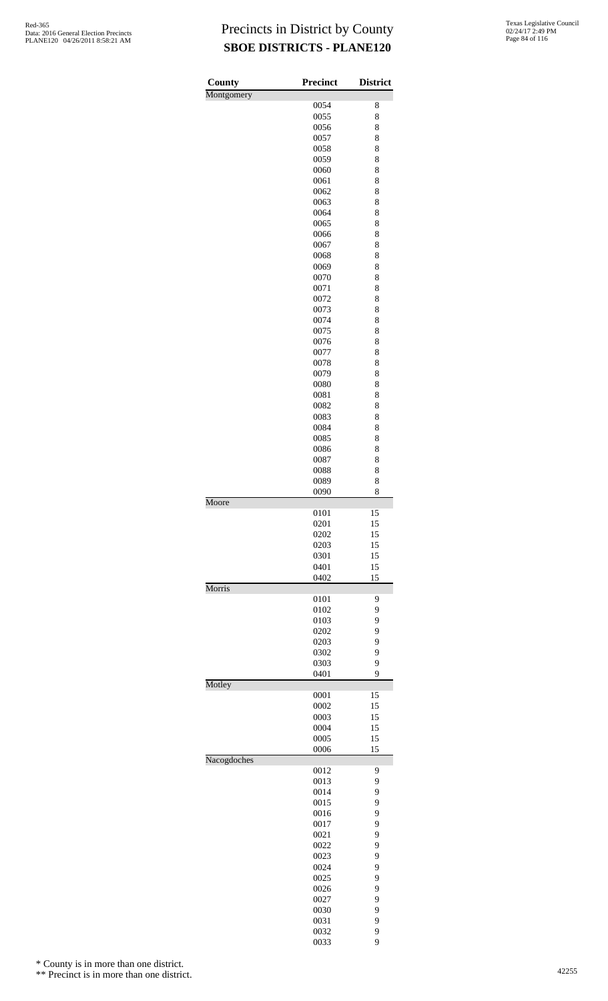| County      | <b>Precinct</b> | <b>District</b> |
|-------------|-----------------|-----------------|
| Montgomery  |                 |                 |
|             | 0054            | 8               |
|             | 0055            | 8               |
|             | 0056            | 8               |
|             | 0057<br>0058    | 8<br>8          |
|             | 0059            | 8               |
|             | 0060            | 8               |
|             | 0061            | 8               |
|             | 0062            | 8               |
|             | 0063            | 8               |
|             | 0064            | 8               |
|             | 0065<br>0066    | 8<br>8          |
|             | 0067            | 8               |
|             | 0068            | 8               |
|             | 0069            | 8               |
|             | 0070            | 8               |
|             | 0071            | 8               |
|             | 0072            | 8               |
|             | 0073            | 8               |
|             | 0074<br>0075    | 8<br>8          |
|             | 0076            | 8               |
|             | 0077            | 8               |
|             | 0078            | 8               |
|             | 0079            | 8               |
|             | 0080            | 8               |
|             | 0081            | 8               |
|             | 0082            | 8               |
|             | 0083            | 8               |
|             | 0084<br>0085    | 8<br>8          |
|             | 0086            | 8               |
|             | 0087            | 8               |
|             | 0088            | 8               |
|             | 0089            | 8               |
|             | 0090            | 8               |
| Moore       |                 |                 |
|             | 0101            | 15              |
|             | 0201<br>0202    | 15<br>15        |
|             | 0203            | 15              |
|             | 0301            | 15              |
|             | 0401            | 15              |
|             | 0402            | 15              |
| Morris      | 0101            | 9               |
|             | 0102            | 9               |
|             | 0103            | 9               |
|             | 0202            | 9               |
|             | 0203            | 9               |
|             | 0302            | 9               |
|             | 0303            | 9               |
| Motley      | 0401            | 9               |
|             | 0001            | 15              |
|             | 0002            | 15              |
|             | 0003            | 15              |
|             | 0004            | 15              |
|             | 0005            | 15              |
| Nacogdoches | 0006            | 15              |
|             | 0012            | 9               |
|             | 0013            | 9               |
|             | 0014            | 9               |
|             | 0015            | 9               |
|             | 0016            | 9               |
|             | 0017            | 9               |
|             | 0021            | 9               |
|             | 0022<br>0023    | 9<br>9          |
|             | 0024            | 9               |
|             | 0025            | 9               |
|             | 0026            | 9               |
|             | 0027            | 9               |
|             | 0030            | 9               |
|             | 0031            | 9               |
|             | 0032            | 9               |

9

\* County is in more than one district.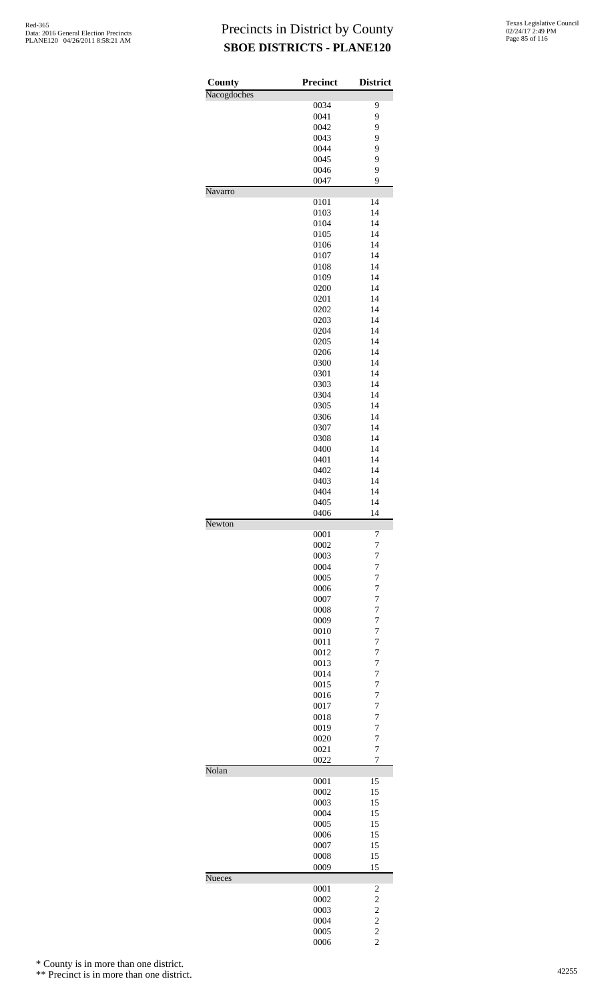| County      | <b>Precinct</b> | <b>District</b>     |
|-------------|-----------------|---------------------|
| Nacogdoches | 0034            | 9                   |
|             | 0041            | 9                   |
|             | 0042            | 9                   |
|             | 0043            | 9                   |
|             | 0044            | 9                   |
|             | 0045            | 9                   |
|             | 0046            | 9                   |
|             | 0047            | 9                   |
| Navarro     |                 |                     |
|             | 0101            | 14                  |
|             | 0103            | 14                  |
|             | 0104            | 14                  |
|             | 0105            | 14                  |
|             | 0106            | 14                  |
|             | 0107            | 14                  |
|             | 0108            | 14                  |
|             | 0109            | 14                  |
|             | 0200            | 14                  |
|             | 0201            | 14                  |
|             | 0202            | 14<br>14            |
|             | 0203<br>0204    | 14                  |
|             | 0205            | 14                  |
|             | 0206            | 14                  |
|             | 0300            | 14                  |
|             | 0301            | 14                  |
|             | 0303            | 14                  |
|             | 0304            | 14                  |
|             | 0305            | 14                  |
|             | 0306            | 14                  |
|             | 0307            | 14                  |
|             | 0308            | 14                  |
|             | 0400            | 14                  |
|             | 0401            | 14                  |
|             | 0402            | 14                  |
|             | 0403            | 14                  |
|             | 0404            | 14                  |
|             | 0405            | 14                  |
|             | 0406            | 14                  |
| Newton      |                 |                     |
|             | 0001            | 7                   |
|             | 0002<br>0003    | $\overline{7}$<br>7 |
|             | 0004            | 7                   |
|             | 0005            | $\overline{7}$      |
|             | 0006            | $\overline{7}$      |
|             | 0007            | $\overline{7}$      |
|             | 0008            | 7                   |
|             | 0009            | 7                   |
|             | 0010            | $\overline{7}$      |
|             | 0011            | $\overline{7}$      |
|             | 0012            | $\overline{7}$      |
|             | 0013            | 7                   |
|             | 0014            | 7                   |
|             | 0015            | $\overline{7}$      |
|             | 0016            | $\overline{7}$      |
|             | 0017            | $\overline{7}$      |
|             | 0018            | 7                   |
|             | 0019            | 7                   |
|             | 0020            | $\overline{7}$      |
|             | 0021            | $\overline{7}$      |
|             | 0022            | 7                   |
| Nolan       |                 |                     |
|             | 0001            | 15                  |
|             | 0002            | 15                  |
|             | 0003            | 15                  |
|             | 0004<br>0005    | 15<br>15            |
|             | 0006            | 15                  |
|             | 0007            | 15                  |
|             | 0008            | 15                  |
|             | 0009            | 15                  |
| Nueces      |                 |                     |
|             | 0001            | 2                   |
|             | 0002            | $\overline{c}$      |
|             | 0003            |                     |
|             | 0004            | $\frac{2}{2}$       |
|             | 0005            |                     |
|             | 0006            | $\frac{2}{2}$       |

\* County is in more than one district.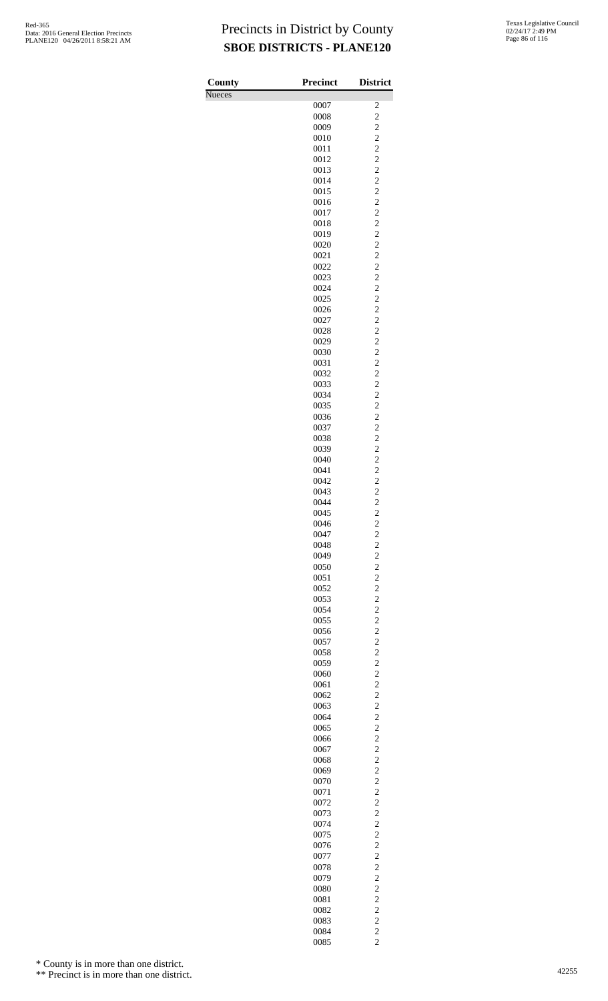| County<br><b>Nueces</b> | Precinct     | <b>District</b>                  |
|-------------------------|--------------|----------------------------------|
|                         | 0007         | 2                                |
|                         | 0008         | $\overline{c}$                   |
|                         | 0009         | $\overline{c}$                   |
|                         | 0010         | $\overline{c}$                   |
|                         | 0011<br>0012 | $\overline{c}$<br>$\overline{c}$ |
|                         | 0013         | $\overline{c}$                   |
|                         | 0014         | $\overline{c}$                   |
|                         | 0015         | $\overline{c}$                   |
|                         | 0016         | $\overline{c}$                   |
|                         | 0017<br>0018 | $\overline{c}$<br>$\overline{c}$ |
|                         | 0019         | $\overline{c}$                   |
|                         | 0020         | $\overline{c}$                   |
|                         | 0021         | $\overline{c}$                   |
|                         | 0022         | $\overline{c}$                   |
|                         | 0023<br>0024 | $\overline{c}$<br>$\overline{c}$ |
|                         | 0025         | $\overline{c}$                   |
|                         | 0026         | $\overline{c}$                   |
|                         | 0027         | $\overline{c}$                   |
|                         | 0028         | $\overline{c}$                   |
|                         | 0029<br>0030 | $\overline{c}$<br>$\overline{c}$ |
|                         | 0031         | $\overline{c}$                   |
|                         | 0032         | $\overline{c}$                   |
|                         | 0033         | $\overline{c}$                   |
|                         | 0034         | $\overline{c}$                   |
|                         | 0035<br>0036 | $\overline{c}$<br>$\overline{c}$ |
|                         | 0037         | $\overline{c}$                   |
|                         | 0038         | $\overline{c}$                   |
|                         | 0039         | $\overline{c}$                   |
|                         | 0040<br>0041 | $\overline{c}$<br>$\overline{c}$ |
|                         | 0042         | $\overline{c}$                   |
|                         | 0043         | $\overline{c}$                   |
|                         | 0044         | $\overline{c}$                   |
|                         | 0045         | $\overline{c}$                   |
|                         | 0046<br>0047 | $\frac{2}{2}$                    |
|                         | 0048         | $\overline{\mathbf{c}}$          |
|                         | 0049         | $\overline{c}$                   |
|                         | 0050         | $\overline{c}$                   |
|                         | 0051         | $\overline{c}$                   |
|                         | 0052<br>0053 | $\overline{c}$<br>$\overline{c}$ |
|                         | 0054         | $\overline{c}$                   |
|                         | 0055         | $\overline{c}$                   |
|                         | 0056         | $\overline{c}$                   |
|                         | 0057         | $\overline{c}$                   |
|                         | 0058<br>0059 | $\overline{c}$<br>$\overline{c}$ |
|                         | 0060         | $\overline{c}$                   |
|                         | 0061         | $\overline{c}$                   |
|                         | 0062         | $\overline{c}$                   |
|                         | 0063         | $\overline{\mathbf{c}}$          |
|                         | 0064<br>0065 | $\overline{c}$<br>$\overline{c}$ |
|                         | 0066         | $\overline{c}$                   |
|                         | 0067         | $\overline{c}$                   |
|                         | 0068         | $\overline{c}$                   |
|                         | 0069         | $\overline{c}$                   |
|                         | 0070<br>0071 | $\overline{c}$<br>$\overline{c}$ |
|                         | 0072         | $\overline{c}$                   |
|                         | 0073         | $\overline{\mathbf{c}}$          |
|                         | 0074         | $\overline{c}$                   |
|                         | 0075         | $\overline{c}$<br>$\overline{c}$ |
|                         | 0076<br>0077 | $\overline{c}$                   |
|                         | 0078         | $\overline{c}$                   |
|                         | 0079         | $\overline{c}$                   |
|                         | 0080         | $\overline{c}$                   |
|                         | 0081<br>0082 | $\overline{c}$<br>$\overline{c}$ |
|                         | 0083         | $\overline{c}$                   |
|                         | 0084         | $\overline{c}$                   |
|                         | 0085         | $\overline{c}$                   |

\* County is in more than one district.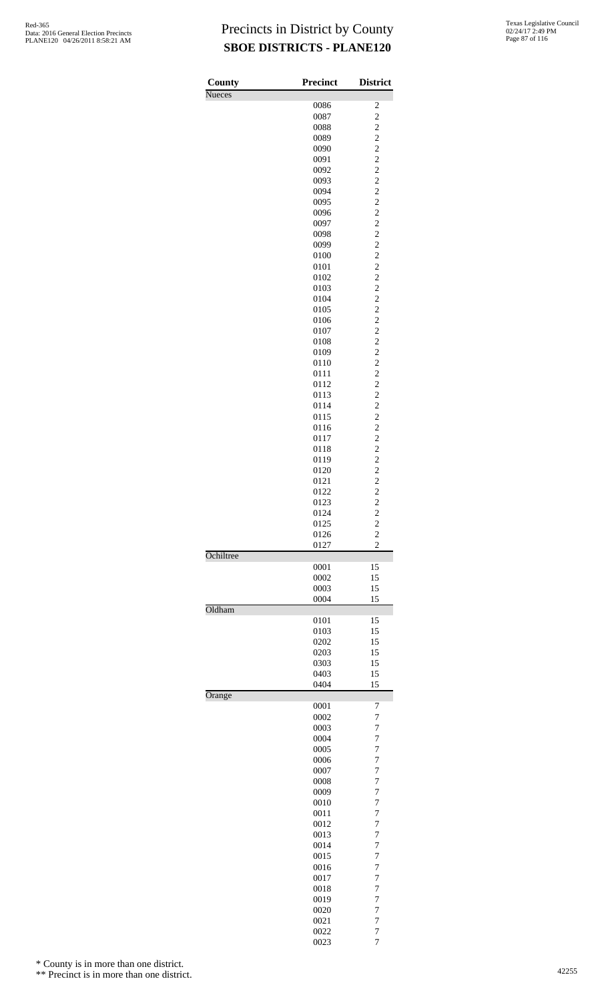| County        | <b>Precinct</b> | <b>District</b>                           |
|---------------|-----------------|-------------------------------------------|
| <b>Nueces</b> |                 |                                           |
|               | 0086<br>0087    | 2<br>$\overline{c}$                       |
|               | 0088            |                                           |
|               | 0089            | $\frac{2}{2}$                             |
|               | 0090            | $\overline{\mathbf{c}}$                   |
|               | 0091            | $\overline{c}$                            |
|               | 0092            | $\overline{c}$                            |
|               | 0093            | $\frac{2}{2}$                             |
|               | 0094            |                                           |
|               | 0095            | $\overline{\mathbf{c}}$                   |
|               | 0096<br>0097    | $\overline{c}$<br>$\overline{c}$          |
|               | 0098            |                                           |
|               | 0099            | $\frac{2}{2}$                             |
|               | 0100            | $\overline{\mathbf{c}}$                   |
|               | 0101            | $\overline{c}$                            |
|               | 0102            | $\overline{c}$                            |
|               | 0103            | $\frac{2}{2}$                             |
|               | 0104<br>0105    |                                           |
|               | 0106            | $\overline{\mathbf{c}}$<br>$\overline{c}$ |
|               | 0107            | $\overline{c}$                            |
|               | 0108            |                                           |
|               | 0109            | $\frac{2}{2}$                             |
|               | 0110            | $\overline{\mathbf{c}}$                   |
|               | 0111            | $\overline{c}$                            |
|               | 0112            | $\overline{c}$                            |
|               | 0113            | $\frac{2}{2}$                             |
|               | 0114            |                                           |
|               | 0115<br>0116    | $\overline{\mathbf{c}}$<br>$\overline{c}$ |
|               | 0117            | $\overline{c}$                            |
|               | 0118            |                                           |
|               | 0119            | $\frac{2}{2}$                             |
|               | 0120            | $\overline{c}$                            |
|               | 0121            | $\overline{c}$                            |
|               | 0122            | $\overline{c}$                            |
|               | 0123            | $\overline{\mathbf{c}}$                   |
|               | 0124            | $\overline{c}$                            |
|               | 0125<br>0126    | $\overline{\mathbf{c}}$<br>$\overline{c}$ |
|               | 0127            | $\overline{2}$                            |
| Ochiltree     |                 |                                           |
|               | 0001            | 15                                        |
|               | 0002            | 15                                        |
|               | 0003<br>0004    | 15<br>15                                  |
| Oldham        |                 |                                           |
|               | 0101            | 15                                        |
|               | 0103            | 15                                        |
|               | 0202            | 15                                        |
|               | 0203            | 15                                        |
|               | 0303            | 15                                        |
|               | 0403            | 15                                        |
|               | 0404            | 15                                        |
| Orange        | 0001            | 7                                         |
|               | 0002            | 7                                         |
|               | 0003            | 7                                         |
|               | 0004            | 7                                         |
|               | 0005            | 7                                         |
|               | 0006            | 7                                         |
|               | 0007            | $\overline{7}$                            |
|               | 0008<br>0009    | 7<br>7                                    |
|               | 0010            | 7                                         |
|               | 0011            | 7                                         |
|               | 0012            | 7                                         |
|               | 0013            | 7                                         |
|               | 0014            | 7                                         |
|               | 0015            | 7                                         |
|               | 0016            | 7                                         |
|               | 0017<br>0018    | 7<br>7                                    |
|               | 0019            | 7                                         |
|               | 0020            | 7                                         |
|               | 0021            | 7                                         |
|               | 0022            | 7                                         |
|               | 0023            | 7                                         |

\* County is in more than one district.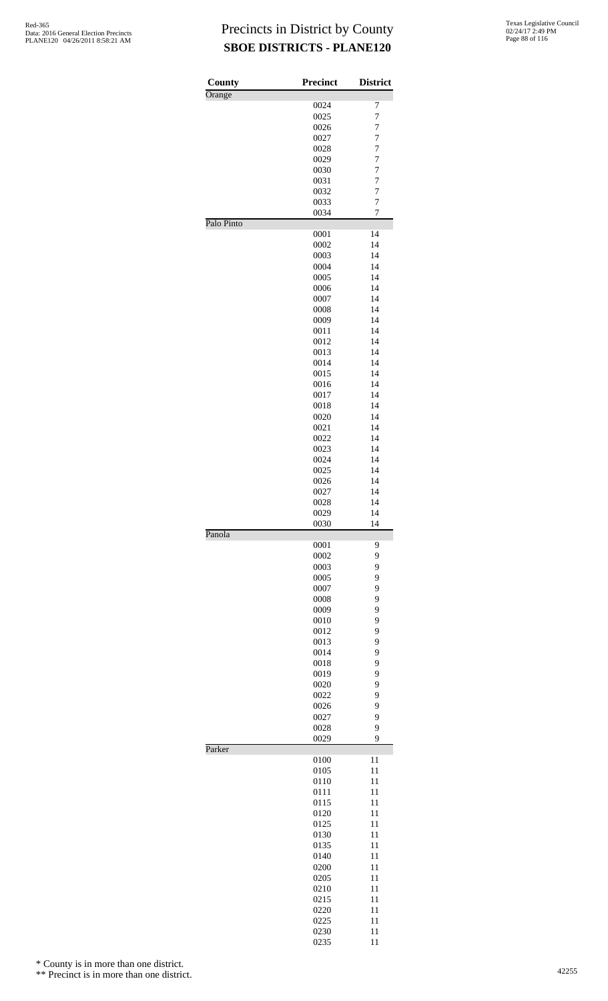| County     | <b>Precinct</b> | <b>District</b>     |
|------------|-----------------|---------------------|
| Orange     | 0024            | 7                   |
|            | 0025            | $\overline{7}$      |
|            | 0026            | $\overline{7}$      |
|            | 0027            | 7                   |
|            | 0028            | 7                   |
|            | 0029            | $\overline{7}$      |
|            | 0030            | $\overline{7}$      |
|            | 0031            | $\overline{7}$      |
|            | 0032            | 7                   |
|            | 0033<br>0034    | $\overline{7}$<br>7 |
| Palo Pinto |                 |                     |
|            | 0001            | 14                  |
|            | 0002            | 14                  |
|            | 0003            | 14                  |
|            | 0004            | 14                  |
|            | 0005            | 14                  |
|            | 0006            | 14                  |
|            | 0007            | 14                  |
|            | 0008<br>0009    | 14<br>14            |
|            | 0011            | 14                  |
|            | 0012            | 14                  |
|            | 0013            | 14                  |
|            | 0014            | 14                  |
|            | 0015            | 14                  |
|            | 0016            | 14                  |
|            | 0017            | 14                  |
|            | 0018            | 14                  |
|            | 0020            | 14                  |
|            | 0021<br>0022    | 14<br>14            |
|            | 0023            | 14                  |
|            | 0024            | 14                  |
|            | 0025            | 14                  |
|            | 0026            | 14                  |
|            | 0027            | 14                  |
|            | 0028            | 14                  |
|            | 0029            | 14                  |
| Panola     | 0030            | 14                  |
|            | 0001            | 9                   |
|            | 0002            | 9                   |
|            | 0003            | 9                   |
|            | 0005            | 9                   |
|            | 0007            | 9                   |
|            | 0008            | 9                   |
|            | 0009            | 9                   |
|            | 0010<br>0012    | 9<br>9              |
|            | 0013            | 9                   |
|            | 0014            | 9                   |
|            | 0018            | 9                   |
|            | 0019            | 9                   |
|            | 0020            | 9                   |
|            | 0022            | 9                   |
|            | 0026            | 9                   |
|            | 0027            | 9                   |
|            | 0028            | 9<br>9              |
| Parker     | 0029            |                     |
|            | 0100            | 11                  |
|            | 0105            | 11                  |
|            | 0110            | 11                  |
|            | 0111            | 11                  |
|            | 0115            | 11                  |
|            | 0120            | 11                  |
|            | 0125            | 11                  |
|            | 0130<br>0135    | 11<br>11            |
|            | 0140            | 11                  |
|            | 0200            | 11                  |
|            | 0205            | 11                  |
|            | 0210            | 11                  |
|            | 0215            | 11                  |
|            | 0220            | 11                  |
|            | 0225            | 11                  |
|            | 0230<br>0235    | 11<br>11            |
|            |                 |                     |

\* County is in more than one district.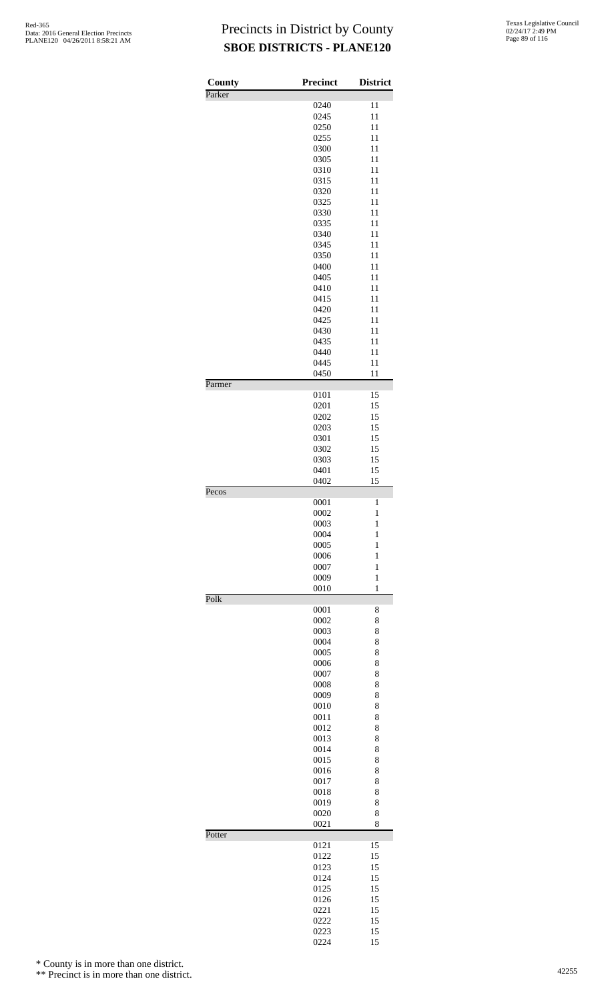| County | <b>Precinct</b> | <b>District</b> |
|--------|-----------------|-----------------|
| Parker | 0240            | 11              |
|        | 0245            | 11              |
|        | 0250            | 11              |
|        | 0255            | 11              |
|        | 0300            | 11              |
|        | 0305            | 11              |
|        | 0310            | 11              |
|        | 0315            | 11              |
|        | 0320            | 11              |
|        | 0325            | 11              |
|        | 0330            | 11              |
|        | 0335            | 11              |
|        | 0340<br>0345    | 11<br>11        |
|        | 0350            | 11              |
|        | 0400            | 11              |
|        | 0405            | 11              |
|        | 0410            | 11              |
|        | 0415            | 11              |
|        | 0420            | 11              |
|        | 0425            | 11              |
|        | 0430            | 11              |
|        | 0435            | 11              |
|        | 0440            | 11              |
|        | 0445            | 11              |
| Parmer | 0450            | 11              |
|        | 0101            | 15              |
|        | 0201            | 15              |
|        | 0202            | 15              |
|        | 0203            | 15              |
|        | 0301            | 15              |
|        | 0302<br>0303    | 15<br>15        |
|        | 0401            | 15              |
|        | 0402            | 15              |
| Pecos  | 0001            | $\mathbf{1}$    |
|        | 0002            | $\mathbf{1}$    |
|        | 0003            | 1               |
|        | 0004            | $\mathbf{1}$    |
|        | 0005            | 1               |
|        | 0006            | 1               |
|        | 0007            | $\mathbf{1}$    |
|        | 0009            | $\mathbf{1}$    |
| Polk   | 0010            | 1               |
|        | 0001            | 8               |
|        | 0002            | 8               |
|        | 0003            | 8               |
|        | 0004            | 8               |
|        | 0005            | 8               |
|        | 0006<br>0007    | 8<br>8          |
|        | 0008            | 8               |
|        | 0009            | 8               |
|        | 0010            | 8               |
|        | 0011            | 8               |
|        | 0012            | 8               |
|        | 0013            | 8               |
|        | 0014            | 8               |
|        | 0015            | 8               |
|        | 0016            | 8               |
|        | 0017            | 8               |
|        | 0018            | 8               |
|        | 0019            | 8               |
|        | 0020<br>0021    | 8<br>8          |
| Potter | 0121            | 15              |
|        | 0122            | 15              |
|        | 0123            | 15              |
|        | 0124            | 15              |
|        | 0125            | 15              |
|        | 0126            | 15              |
|        | 0221            | 15              |
|        | 0222            | 15              |
|        | 0223            | 15              |
|        | 0224            | 15              |

\* County is in more than one district.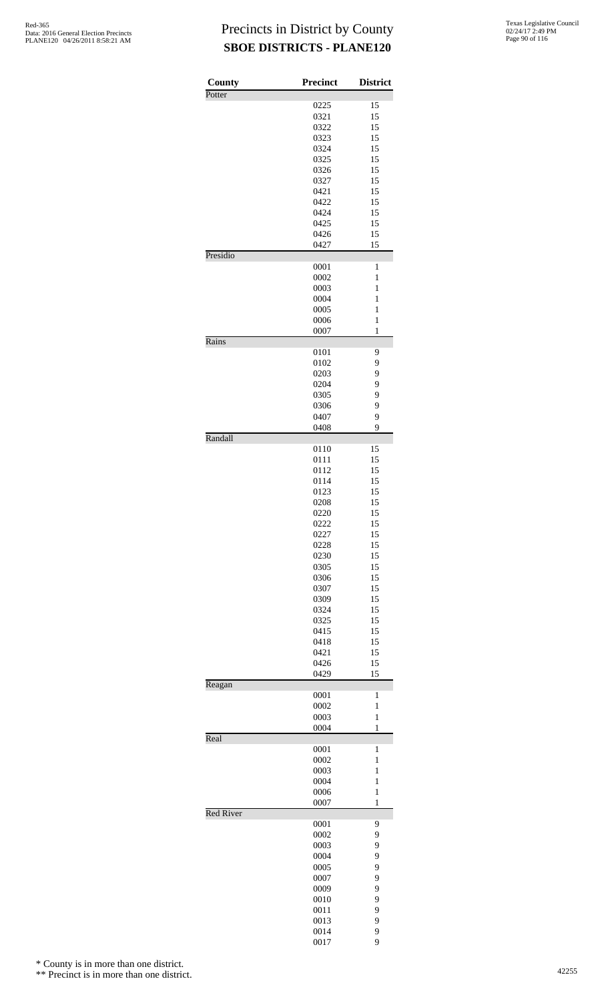| County           | Precinct     | <b>District</b>   |
|------------------|--------------|-------------------|
| Potter           | 0225         | 15                |
|                  | 0321         | 15                |
|                  | 0322         | 15                |
|                  | 0323         | 15                |
|                  | 0324         | 15                |
|                  | 0325         | 15                |
|                  | 0326         | 15                |
|                  | 0327         | 15                |
|                  | 0421         | 15                |
|                  | 0422<br>0424 | 15<br>15          |
|                  | 0425         | 15                |
|                  | 0426         | 15                |
|                  | 0427         | 15                |
| Presidio         |              |                   |
|                  | 0001         | 1                 |
|                  | 0002<br>0003 | 1<br>$\mathbf{1}$ |
|                  | 0004         | 1                 |
|                  | 0005         | 1                 |
|                  | 0006         | $\mathbf{1}$      |
|                  | 0007         | $\mathbf{1}$      |
| Rains            |              |                   |
|                  | 0101         | 9                 |
|                  | 0102<br>0203 | 9<br>9            |
|                  | 0204         | 9                 |
|                  | 0305         | 9                 |
|                  | 0306         | 9                 |
|                  | 0407         | 9                 |
|                  | 0408         | 9                 |
| Randall          |              |                   |
|                  | 0110<br>0111 | 15<br>15          |
|                  | 0112         | 15                |
|                  | 0114         | 15                |
|                  | 0123         | 15                |
|                  | 0208         | 15                |
|                  | 0220         | 15                |
|                  | 0222         | 15                |
|                  | 0227         | 15                |
|                  | 0228         | 15<br>15          |
|                  | 0230<br>0305 | 15                |
|                  | 0306         | 15                |
|                  | 0307         | 15                |
|                  | 0309         | 15                |
|                  | 0324         | 15                |
|                  | 0325         | 15                |
|                  | 0415         | 15                |
|                  | 0418         | 15                |
|                  | 0421<br>0426 | 15<br>15          |
|                  | 0429         | 15                |
| Reagan           |              |                   |
|                  | 0001         | 1                 |
|                  | 0002         | $\mathbf{1}$      |
|                  | 0003         | $\mathbf{1}$      |
| Real             | 0004         | $\mathbf{1}$      |
|                  | 0001         | $\mathbf{1}$      |
|                  | 0002         | $\mathbf{1}$      |
|                  | 0003         | $\mathbf{1}$      |
|                  | 0004         | $\mathbf{1}$      |
|                  | 0006         | $\mathbf{1}$      |
|                  | 0007         | $\mathbf{1}$      |
| <b>Red River</b> | 0001         | 9                 |
|                  | 0002         | 9                 |
|                  | 0003         | 9                 |
|                  | 0004         | 9                 |
|                  | 0005         | 9                 |
|                  | 0007         | 9                 |
|                  | 0009         | 9                 |
|                  | 0010         | 9                 |
|                  | 0011<br>0013 | 9<br>9            |
|                  | 0014         | 9                 |
|                  | 0017         | 9                 |

\* County is in more than one district.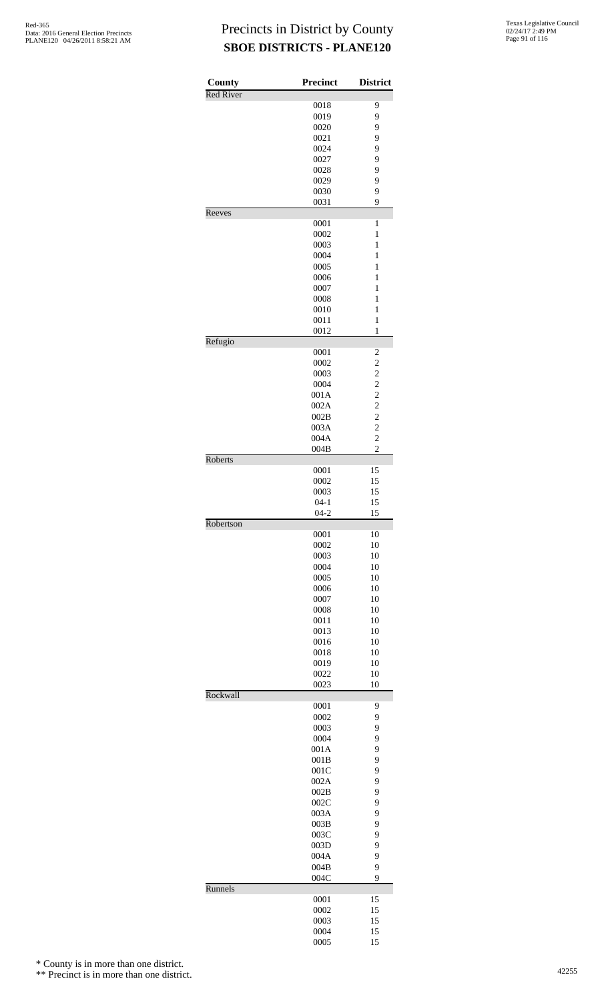| County           | Precinct           | <b>District</b>                                 |
|------------------|--------------------|-------------------------------------------------|
| <b>Red River</b> |                    |                                                 |
|                  | 0018               | 9                                               |
|                  | 0019               | 9                                               |
|                  | 0020<br>0021       | 9<br>9                                          |
|                  | 0024               | 9                                               |
|                  | 0027               | 9                                               |
|                  | 0028               | 9                                               |
|                  | 0029               | 9                                               |
|                  | 0030               | 9                                               |
|                  | 0031               | 9                                               |
| Reeves           |                    |                                                 |
|                  | 0001<br>0002       | 1<br>1                                          |
|                  | 0003               | $\mathbf{1}$                                    |
|                  | 0004               | $\mathbf{1}$                                    |
|                  | 0005               | $\mathbf{1}$                                    |
|                  | 0006               | 1                                               |
|                  | 0007               | 1                                               |
|                  | 0008               | $\mathbf{1}$                                    |
|                  | 0010               | $\mathbf{1}$                                    |
|                  | 0011               | $\mathbf{1}$                                    |
| Refugio          | 0012               | $\mathbf{1}$                                    |
|                  | 0001               | $\overline{\mathbf{c}}$                         |
|                  | 0002               | $\overline{c}$                                  |
|                  | 0003               |                                                 |
|                  | 0004               |                                                 |
|                  | 001A               |                                                 |
|                  | 002A               | $\begin{array}{c} 2 \\ 2 \\ 2 \\ 2 \end{array}$ |
|                  | 002B               |                                                 |
|                  | 003A<br>004A       | $\frac{1}{2}$<br>$\overline{c}$                 |
|                  | 004B               | $\overline{c}$                                  |
| Roberts          |                    |                                                 |
|                  | 0001               | 15                                              |
|                  | 0002               | 15                                              |
|                  | 0003               | 15                                              |
|                  | $04 - 1$<br>$04-2$ | 15<br>15                                        |
| Robertson        |                    |                                                 |
|                  | 0001               | 10                                              |
|                  | 0002               | 10                                              |
|                  | 0003               | 10                                              |
|                  | 0004               | 10                                              |
|                  | 0005               | 10                                              |
|                  | 0006               | 10<br>10                                        |
|                  | 0007<br>0008       | 10                                              |
|                  | 0011               | 10                                              |
|                  | 0013               | 10                                              |
|                  | 0016               | 10                                              |
|                  | 0018               | 10                                              |
|                  | 0019               | 10                                              |
|                  | 0022               | 10                                              |
| Rockwall         | 0023               | 10                                              |
|                  | 0001               | 9                                               |
|                  | 0002               | 9                                               |
|                  | 0003               | 9                                               |
|                  | 0004               | 9                                               |
|                  | 001A               | 9                                               |
|                  | 001B               | 9                                               |
|                  | 001C               | 9                                               |
|                  | 002A               | 9<br>9                                          |
|                  | 002B<br>002C       | 9                                               |
|                  | 003A               | 9                                               |
|                  | 003B               | 9                                               |
|                  | 003C               | 9                                               |
|                  | 003D               | 9                                               |
|                  | 004A               | 9                                               |
|                  | 004B               | 9                                               |
| Runnels          | 004C               | 9                                               |
|                  | 0001               | 15                                              |
|                  | 0002               | 15                                              |
|                  | 0003               | 15                                              |
|                  | 0004               | 15                                              |
|                  | 0005               | 15                                              |

\* County is in more than one district.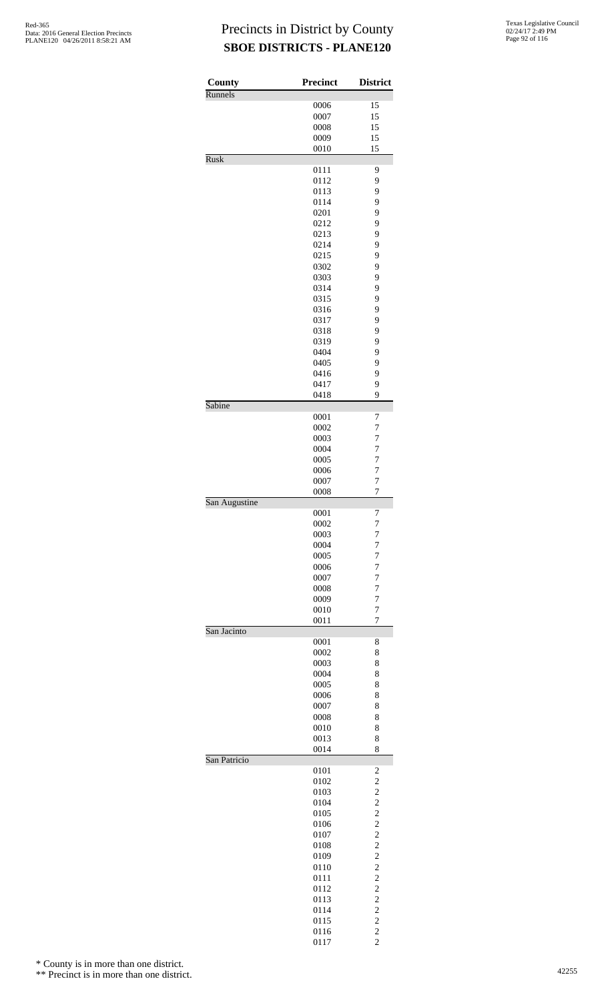| County<br>Runnels | <b>Precinct</b> | <b>District</b>                           |
|-------------------|-----------------|-------------------------------------------|
|                   | 0006            | 15                                        |
|                   | 0007            | 15                                        |
|                   | 0008            | 15                                        |
|                   | 0009            | 15                                        |
|                   | 0010            | 15                                        |
| <b>Rusk</b>       | 0111            | 9                                         |
|                   | 0112            | 9                                         |
|                   | 0113            | 9                                         |
|                   | 0114            | 9                                         |
|                   | 0201            | 9                                         |
|                   | 0212            | 9                                         |
|                   | 0213            | 9                                         |
|                   | 0214            | 9                                         |
|                   | 0215<br>0302    | 9<br>9                                    |
|                   | 0303            | 9                                         |
|                   | 0314            | 9                                         |
|                   | 0315            | 9                                         |
|                   | 0316            | 9                                         |
|                   | 0317            | 9                                         |
|                   | 0318            | 9                                         |
|                   | 0319            | 9                                         |
|                   | 0404            | 9                                         |
|                   | 0405            | 9                                         |
|                   | 0416<br>0417    | 9<br>9                                    |
|                   | 0418            | 9                                         |
| Sabine            |                 |                                           |
|                   | 0001            | 7                                         |
|                   | 0002            | 7                                         |
|                   | 0003<br>0004    | 7<br>$\overline{7}$                       |
|                   | 0005            | 7                                         |
|                   | 0006            | $\overline{7}$                            |
|                   | 0007            | 7                                         |
|                   | 0008            | $\overline{7}$                            |
| San Augustine     |                 | 7                                         |
|                   | 0001<br>0002    | 7                                         |
|                   | 0003            | 7                                         |
|                   | 0004            | 7                                         |
|                   | 0005            | 7                                         |
|                   | 0006            | 7                                         |
|                   | 0007            | $\overline{7}$                            |
|                   | 0008            | $\overline{7}$                            |
|                   | 0009<br>0010    | 7<br>7                                    |
|                   | 0011            | 7                                         |
| San Jacinto       |                 |                                           |
|                   | 0001            | 8                                         |
|                   | 0002<br>0003    | 8                                         |
|                   | 0004            | 8<br>8                                    |
|                   | 0005            | 8                                         |
|                   | 0006            | 8                                         |
|                   | 0007            | 8                                         |
|                   | 0008            | 8                                         |
|                   | 0010            | 8                                         |
|                   | 0013<br>0014    | 8<br>8                                    |
| San Patricio      |                 |                                           |
|                   | 0101            | $\overline{\mathbf{c}}$                   |
|                   | 0102            | $\overline{c}$                            |
|                   | 0103            | $\overline{c}$                            |
|                   | 0104<br>0105    | $\overline{c}$<br>$\overline{c}$          |
|                   | 0106            |                                           |
|                   | 0107            | $\frac{2}{2}$                             |
|                   | 0108            | $\overline{c}$                            |
|                   | 0109            | $\overline{c}$                            |
|                   | 0110            | $\overline{c}$                            |
|                   | 0111            | $\frac{2}{2}$                             |
|                   | 0112            |                                           |
|                   | 0113<br>0114    | $\overline{c}$<br>$\overline{\mathbf{c}}$ |
|                   | 0115            | $\overline{c}$                            |
|                   | 0116            |                                           |
|                   | 0117            | $\frac{2}{2}$                             |

\* County is in more than one district.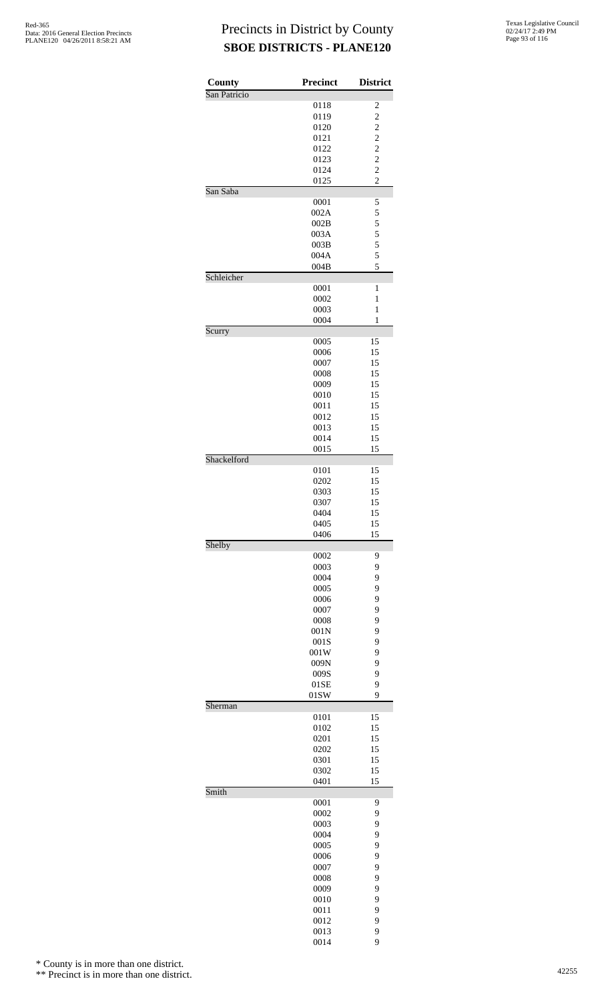| County       | Precinct     | <b>District</b>         |
|--------------|--------------|-------------------------|
| San Patricio |              |                         |
|              | 0118         | 2                       |
|              | 0119         | $\overline{\mathbf{c}}$ |
|              | 0120<br>0121 | $\frac{2}{2}$           |
|              | 0122         | $\overline{\mathbf{c}}$ |
|              | 0123         | $\overline{c}$          |
|              | 0124         | $\overline{c}$          |
|              | 0125         | $\overline{c}$          |
| San Saba     |              |                         |
|              | 0001<br>002A | 5<br>5                  |
|              | 002B         | 5                       |
|              | 003A         |                         |
|              | 003B         | $\frac{5}{5}$           |
|              | 004A         | 5                       |
|              | 004B         | 5                       |
| Schleicher   | 0001         | $\mathbf{1}$            |
|              | 0002         | $\mathbf{1}$            |
|              | 0003         | $\mathbf{1}$            |
|              | 0004         | 1                       |
| Scurry       |              |                         |
|              | 0005         | 15                      |
|              | 0006<br>0007 | 15<br>15                |
|              | 0008         | 15                      |
|              | 0009         | 15                      |
|              | 0010         | 15                      |
|              | 0011         | 15                      |
|              | 0012         | 15                      |
|              | 0013         | 15                      |
|              | 0014<br>0015 | 15<br>15                |
| Shackelford  |              |                         |
|              | 0101         | 15                      |
|              | 0202         | 15                      |
|              | 0303         | 15                      |
|              | 0307         | 15                      |
|              | 0404<br>0405 | 15<br>15                |
|              | 0406         | 15                      |
| Shelby       |              |                         |
|              | 0002         | 9                       |
|              | 0003         | 9                       |
|              | 0004<br>0005 | 9<br>9                  |
|              | 0006         | 9                       |
|              | 0007         | 9                       |
|              | 0008         | 9                       |
|              | 001N         | 9                       |
|              | 001S         | 9                       |
|              | 001W         | 9                       |
|              | 009N<br>009S | 9<br>9                  |
|              | 01SE         | 9                       |
|              | 01SW         | 9                       |
| Sherman      |              |                         |
|              | 0101         | 15<br>15                |
|              | 0102<br>0201 | 15                      |
|              | 0202         | 15                      |
|              | 0301         | 15                      |
|              | 0302         | 15                      |
|              | 0401         | 15                      |
| Smith        | 0001         | 9                       |
|              | 0002         | 9                       |
|              | 0003         | 9                       |
|              | 0004         | 9                       |
|              | 0005         | 9                       |
|              | 0006         | 9                       |
|              | 0007         | 9                       |
|              | 0008<br>0009 | 9<br>9                  |
|              | 0010         | 9                       |
|              | 0011         | 9                       |
|              | 0012         | 9                       |
|              | 0013         | 9                       |
|              | 0014         | 9                       |

\* County is in more than one district.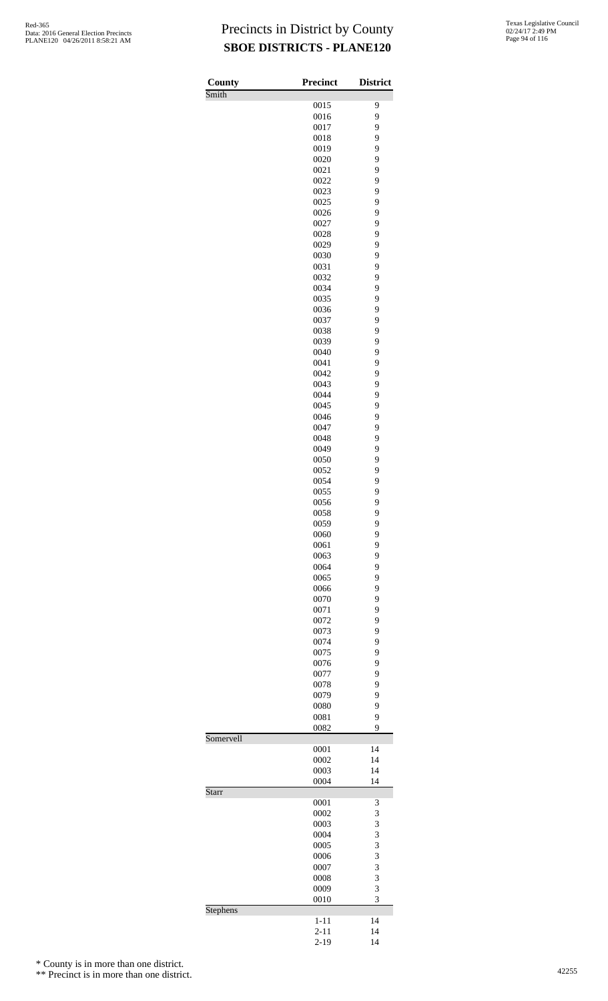| County    | <b>Precinct</b>      | <b>District</b> |
|-----------|----------------------|-----------------|
| Smith     | 0015                 | 9               |
|           | 0016                 | 9               |
|           | 0017                 | 9               |
|           | 0018                 | 9               |
|           | 0019                 | 9               |
|           | 0020                 | 9               |
|           | 0021                 | 9               |
|           | 0022                 | 9               |
|           | 0023<br>0025         | 9<br>9          |
|           | 0026                 | 9               |
|           | 0027                 | 9               |
|           | 0028                 | 9               |
|           | 0029                 | 9               |
|           | 0030                 | 9               |
|           | 0031                 | 9               |
|           | 0032                 | 9               |
|           | 0034<br>0035         | 9<br>9          |
|           | 0036                 | 9               |
|           | 0037                 | 9               |
|           | 0038                 | 9               |
|           | 0039                 | 9               |
|           | 0040                 | 9               |
|           | 0041                 | 9               |
|           | 0042                 | 9               |
|           | 0043                 | 9               |
|           | 0044                 | 9<br>9          |
|           | 0045<br>0046         | 9               |
|           | 0047                 | 9               |
|           | 0048                 | 9               |
|           | 0049                 | 9               |
|           | 0050                 | 9               |
|           | 0052                 | 9               |
|           | 0054                 | 9               |
|           | 0055                 | 9               |
|           | 0056<br>0058         | 9<br>9          |
|           | 0059                 | 9               |
|           | 0060                 | 9               |
|           | 0061                 | 9               |
|           | 0063                 | 9               |
|           | 0064                 | 9               |
|           | 0065                 | 9               |
|           | 0066                 | 9               |
|           | 0070                 | 9               |
|           | 0071<br>0072         | 9<br>9          |
|           | 0073                 | 9               |
|           | 0074                 | 9               |
|           | 0075                 | 9               |
|           | 0076                 | 9               |
|           | 0077                 | 9               |
|           | 0078                 | 9               |
|           | 0079                 | 9               |
|           | 0080                 | 9               |
|           | 0081                 | 9<br>9          |
| Somervell | 0082                 |                 |
|           | 0001                 | 14              |
|           | 0002                 | 14              |
|           | 0003                 | 14              |
|           | 0004                 | 14              |
| Starr     |                      |                 |
|           | 0001                 | 3               |
|           | 0002                 | 3               |
|           | 0003<br>0004         | 3<br>3          |
|           | 0005                 | 3               |
|           | 0006                 | 3               |
|           | 0007                 | 3               |
|           | 0008                 | 3               |
|           | 0009                 | 3               |
|           | 0010                 | 3               |
| Stephens  |                      |                 |
|           | $1 - 11$             | 14              |
|           | $2 - 11$<br>$2 - 19$ | 14<br>14        |
|           |                      |                 |

\* County is in more than one district.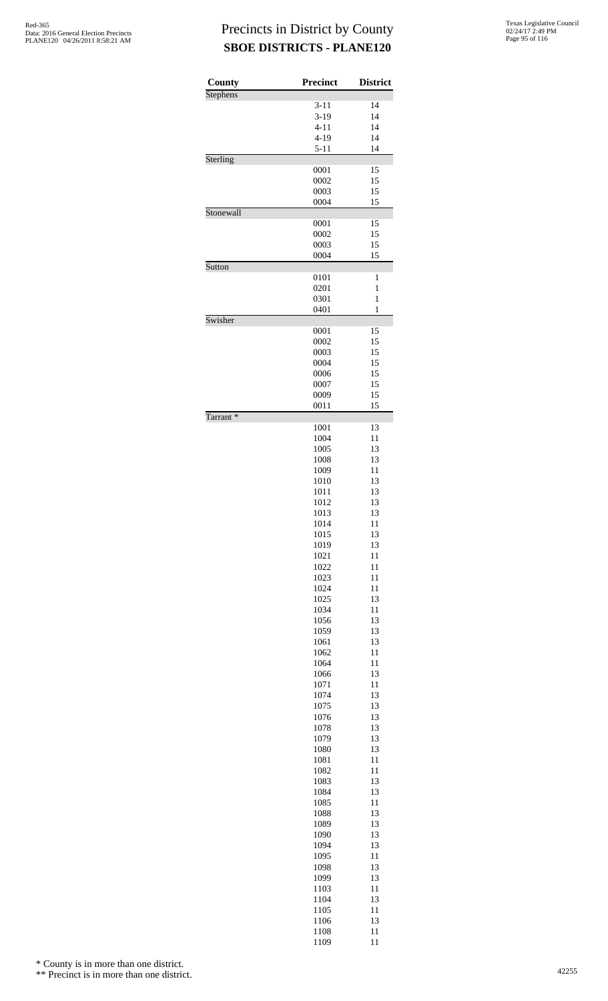| County    | <b>Precinct</b> | <b>District</b> |
|-----------|-----------------|-----------------|
| Stephens  | $3 - 11$        | 14              |
|           | $3-19$          | 14              |
|           | $4 - 11$        | 14              |
|           | $4 - 19$        | 14              |
|           | $5 - 11$        | 14              |
| Sterling  |                 |                 |
|           | 0001<br>0002    | 15<br>15        |
|           | 0003            | 15              |
|           | 0004            | 15              |
| Stonewall |                 |                 |
|           | 0001            | 15              |
|           | 0002            | 15              |
|           | 0003            | 15              |
| Sutton    | 0004            | 15              |
|           | 0101            | $\mathbf{1}$    |
|           | 0201            | 1               |
|           | 0301            | $\mathbf{1}$    |
|           | 0401            | 1               |
| Swisher   |                 |                 |
|           | 0001<br>0002    | 15<br>15        |
|           | 0003            | 15              |
|           | 0004            | 15              |
|           | 0006            | 15              |
|           | 0007            | 15              |
|           | 0009            | 15              |
| Tarrant*  | 0011            | 15              |
|           | 1001            | 13              |
|           | 1004            | 11              |
|           | 1005            | 13              |
|           | 1008            | 13              |
|           | 1009            | 11              |
|           | 1010            | 13              |
|           | 1011<br>1012    | 13<br>13        |
|           | 1013            | 13              |
|           | 1014            | 11              |
|           | 1015            | 13              |
|           | 1019            | 13              |
|           | 1021            | 11              |
|           | 1022<br>1023    | 11<br>11        |
|           | 1024            | 11              |
|           | 1025            | 13              |
|           | 1034            | 11              |
|           | 1056            | 13              |
|           | 1059            | 13              |
|           | 1061            | 13              |
|           | 1062<br>1064    | 11<br>11        |
|           | 1066            | 13              |
|           | 1071            | 11              |
|           | 1074            | 13              |
|           | 1075            | 13              |
|           | 1076            | 13              |
|           | 1078<br>1079    | 13<br>13        |
|           | 1080            | 13              |
|           | 1081            | 11              |
|           | 1082            | 11              |
|           | 1083            | 13              |
|           | 1084            | 13              |
|           | 1085            | 11              |
|           | 1088<br>1089    | 13<br>13        |
|           | 1090            | 13              |
|           | 1094            | 13              |
|           | 1095            | 11              |
|           | 1098            | 13              |
|           | 1099            | 13              |
|           | 1103            | 11              |
|           | 1104            | 13              |
|           | 1105<br>1106    | 11<br>13        |
|           | 1108            | 11              |
|           | 1109            | 11              |

\* County is in more than one district.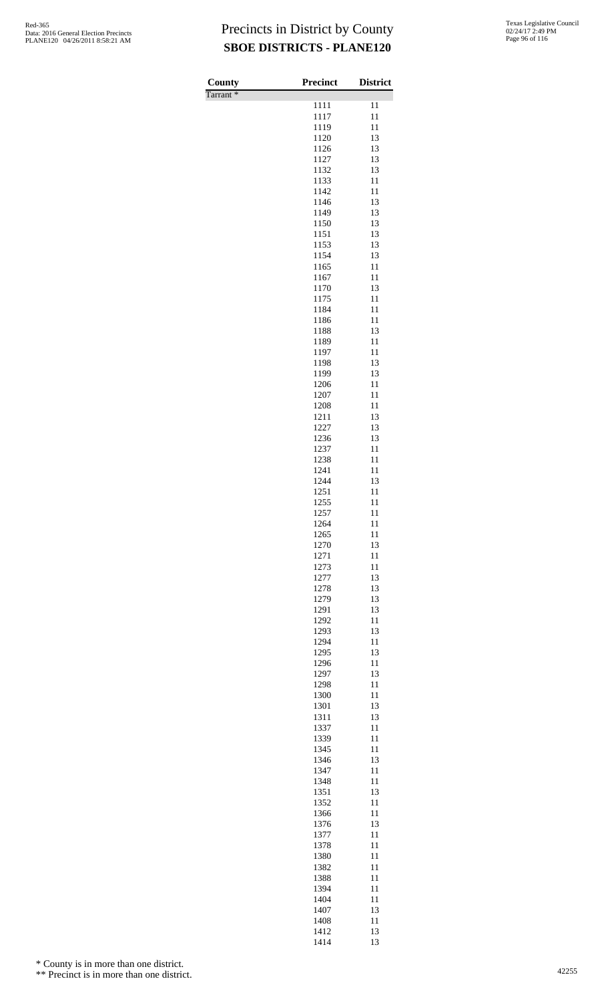| <b>County</b>        | <b>Precinct</b> | <b>District</b> |
|----------------------|-----------------|-----------------|
| Tarrant <sup>*</sup> | 1111            | 11              |
|                      | 1117            | 11              |
|                      | 1119            | 11              |
|                      | 1120<br>1126    | 13<br>13        |
|                      | 1127            | 13              |
|                      | 1132            | 13              |
|                      | 1133<br>1142    | 11<br>11        |
|                      | 1146            | 13              |
|                      | 1149            | 13              |
|                      | 1150<br>1151    | 13<br>13        |
|                      | 1153            | 13              |
|                      | 1154            | 13              |
|                      | 1165<br>1167    | 11<br>11        |
|                      | 1170            | 13              |
|                      | 1175            | 11<br>11        |
|                      | 1184<br>1186    | 11              |
|                      | 1188            | 13              |
|                      | 1189            | 11<br>11        |
|                      | 1197<br>1198    | 13              |
|                      | 1199            | 13              |
|                      | 1206            | 11<br>11        |
|                      | 1207<br>1208    | 11              |
|                      | 1211            | 13              |
|                      | 1227<br>1236    | 13<br>13        |
|                      | 1237            | 11              |
|                      | 1238            | 11              |
|                      | 1241<br>1244    | 11<br>13        |
|                      | 1251            | 11              |
|                      | 1255            | 11              |
|                      | 1257<br>1264    | 11<br>11        |
|                      | 1265            | 11              |
|                      | 1270            | 13              |
|                      | 1271<br>1273    | 11<br>11        |
|                      | 1277            | 13              |
|                      | 1278            | 13<br>13        |
|                      | 1279<br>1291    | 13              |
|                      | 1292            | 11              |
|                      | 1293<br>1294    | 13<br>11        |
|                      | 1295            | 13              |
|                      | 1296            | 11              |
|                      | 1297<br>1298    | 13<br>11        |
|                      | 1300            | 11              |
|                      | 1301            | 13              |
|                      | 1311<br>1337    | 13<br>11        |
|                      | 1339            | 11              |
|                      | 1345            | 11              |
|                      | 1346<br>1347    | 13<br>11        |
|                      | 1348            | 11              |
|                      | 1351<br>1352    | 13<br>11        |
|                      | 1366            | 11              |
|                      | 1376            | 13              |
|                      | 1377<br>1378    | 11<br>11        |
|                      | 1380            | 11              |
|                      | 1382            | 11              |
|                      | 1388<br>1394    | 11<br>11        |
|                      | 1404            | 11              |
|                      | 1407            | 13              |
|                      | 1408<br>1412    | 11<br>13        |

13

\* County is in more than one district.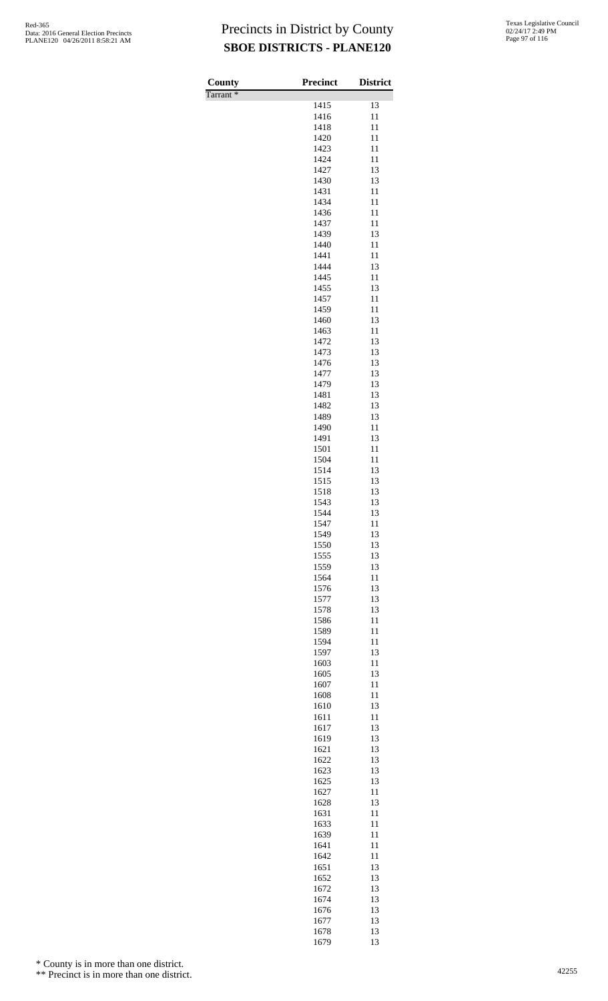Tarrant \*

| County               | <b>Precinct</b> | <b>District</b> |
|----------------------|-----------------|-----------------|
| Tarrant <sup>*</sup> | 1415            | 13              |
|                      | 1416            | 11              |
|                      | 1418            | 11              |
|                      | 1420            | 11              |
|                      | 1423            | 11              |
|                      | 1424<br>1427    | 11<br>13        |
|                      | 1430            | 13              |
|                      | 1431            | 11              |
|                      | 1434            | 11              |
|                      | 1436<br>1437    | 11<br>11        |
|                      | 1439            | 13              |
|                      | 1440            | 11              |
|                      | 1441            | 11              |
|                      | 1444<br>1445    | 13<br>11        |
|                      | 1455            | 13              |
|                      | 1457            | 11              |
|                      | 1459            | 11              |
|                      | 1460<br>1463    | 13<br>11        |
|                      | 1472            | 13              |
|                      | 1473            | 13              |
|                      | 1476            | 13              |
|                      | 1477<br>1479    | 13<br>13        |
|                      | 1481            | 13              |
|                      | 1482            | 13              |
|                      | 1489            | 13              |
|                      | 1490<br>1491    | 11<br>13        |
|                      | 1501            | 11              |
|                      | 1504            | 11              |
|                      | 1514            | 13              |
|                      | 1515<br>1518    | 13<br>13        |
|                      | 1543            | 13              |
|                      | 1544            | 13              |
|                      | 1547            | 11              |
|                      | 1549<br>1550    | 13<br>13        |
|                      | 1555            | 13              |
|                      | 1559            | 13              |
|                      | 1564            | 11              |
|                      | 1576<br>1577    | 13<br>13        |
|                      | 1578            | 13              |
|                      | 1586            | 11              |
|                      | 1589            | 11              |
|                      | 1594<br>1597    | 11<br>13        |
|                      | 1603            | 11              |
|                      | 1605            | 13              |
|                      | 1607            | 11              |
|                      | 1608<br>1610    | 11<br>13        |
|                      | 1611            | 11              |
|                      | 1617            | 13              |
|                      | 1619            | 13              |
|                      | 1621<br>1622    | 13<br>13        |
|                      | 1623            | 13              |
|                      | 1625            | 13              |
|                      | 1627            | 11<br>13        |
|                      | 1628<br>1631    | 11              |
|                      | 1633            | 11              |
|                      | 1639            | 11              |
|                      | 1641            | 11              |
|                      | 1642<br>1651    | 11<br>13        |
|                      | 1652            | 13              |
|                      | 1672            | 13              |
|                      | 1674            | 13              |
|                      | 1676<br>1677    | 13<br>13        |
|                      | 1678            | 13              |

1679 13

\* County is in more than one district.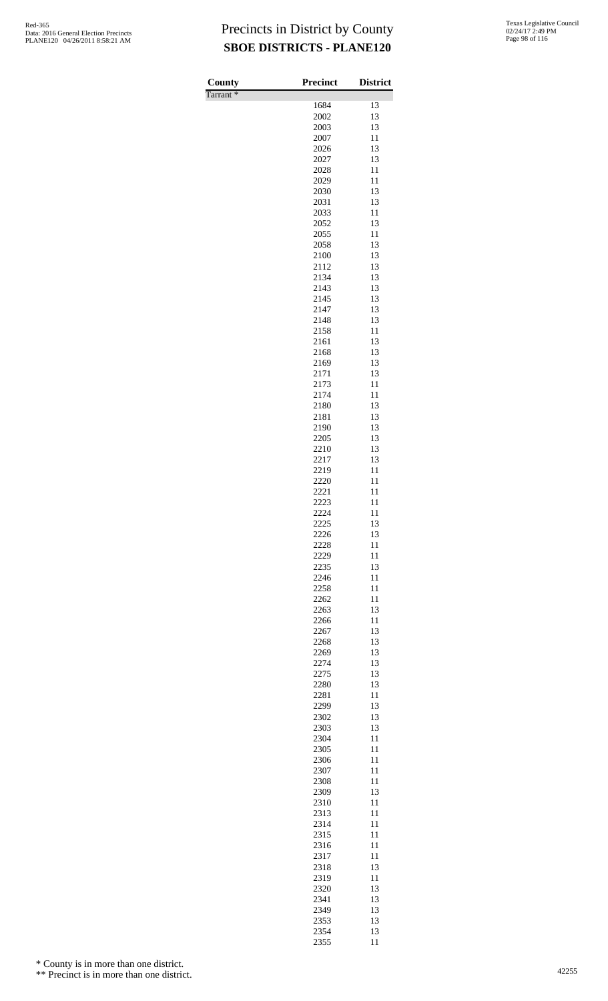| County               | Precinct     | <b>District</b> |
|----------------------|--------------|-----------------|
| Tarrant <sup>*</sup> | 1684         | 13              |
|                      | 2002         | 13              |
|                      | 2003         | 13              |
|                      | 2007         | 11              |
|                      | 2026         | 13              |
|                      | 2027<br>2028 | 13<br>11        |
|                      | 2029         | 11              |
|                      | 2030         | 13              |
|                      | 2031         | 13              |
|                      | 2033         | 11              |
|                      | 2052<br>2055 | 13<br>11        |
|                      | 2058         | 13              |
|                      | 2100         | 13              |
|                      | 2112         | 13              |
|                      | 2134         | 13              |
|                      | 2143<br>2145 | 13<br>13        |
|                      | 2147         | 13              |
|                      | 2148         | 13              |
|                      | 2158         | 11              |
|                      | 2161         | 13              |
|                      | 2168<br>2169 | 13<br>13        |
|                      | 2171         | 13              |
|                      | 2173         | 11              |
|                      | 2174         | 11              |
|                      | 2180         | 13              |
|                      | 2181<br>2190 | 13<br>13        |
|                      | 2205         | 13              |
|                      | 2210         | 13              |
|                      | 2217         | 13              |
|                      | 2219         | 11              |
|                      | 2220<br>2221 | 11<br>11        |
|                      | 2223         | 11              |
|                      | 2224         | 11              |
|                      | 2225         | 13              |
|                      | 2226         | 13              |
|                      | 2228<br>2229 | 11<br>11        |
|                      | 2235         | 13              |
|                      | 2246         | 11              |
|                      | 2258         | 11              |
|                      | 2262         | 11              |
|                      | 2263<br>2266 | 13<br>11        |
|                      | 2267         | 13              |
|                      | 2268         | 13              |
|                      | 2269         | 13              |
|                      | 2274         | 13              |
|                      | 2275<br>2280 | 13<br>13        |
|                      | 2281         | 11              |
|                      | 2299         | 13              |
|                      | 2302         | 13              |
|                      | 2303         | 13              |
|                      | 2304         | 11<br>11        |
|                      | 2305<br>2306 | 11              |
|                      | 2307         | 11              |
|                      | 2308         | 11              |
|                      | 2309         | 13              |
|                      | 2310<br>2313 | 11<br>11        |
|                      | 2314         | 11              |
|                      | 2315         | 11              |
|                      | 2316         | 11              |
|                      | 2317         | 11              |
|                      | 2318         | 13              |
|                      | 2319<br>2320 | 11<br>13        |
|                      | 2341         | 13              |
|                      | 2349         | 13              |
|                      | 2353         | 13              |
|                      | 2354<br>2355 | 13<br>11        |
|                      |              |                 |

\* County is in more than one district.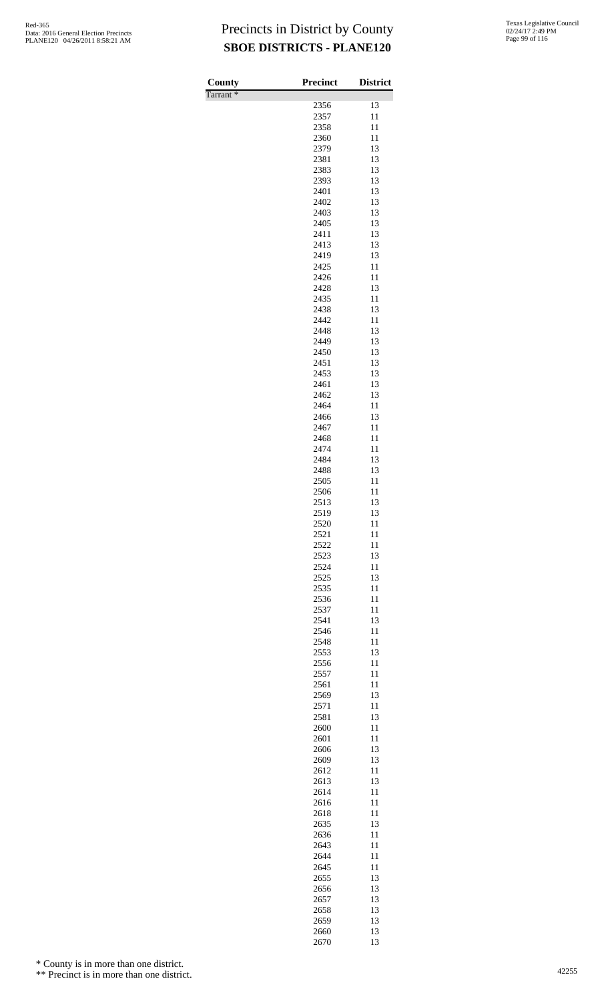| <b>County</b>        | <b>Precinct</b> | <b>District</b> |
|----------------------|-----------------|-----------------|
| Tarrant <sup>*</sup> |                 |                 |
|                      | 2356<br>2357    | 13<br>11        |
|                      | 2358            | 11              |
|                      | 2360            | 11              |
|                      | 2379            | 13              |
|                      | 2381            | 13              |
|                      | 2383<br>2393    | 13<br>13        |
|                      | 2401            | 13              |
|                      | 2402            | 13              |
|                      | 2403            | 13              |
|                      | 2405<br>2411    | 13<br>13        |
|                      | 2413            | 13              |
|                      | 2419            | 13              |
|                      | 2425            | 11              |
|                      | 2426<br>2428    | 11<br>13        |
|                      | 2435            | 11              |
|                      | 2438            | 13              |
|                      | 2442            | 11              |
|                      | 2448<br>2449    | 13<br>13        |
|                      | 2450            | 13              |
|                      | 2451            | 13              |
|                      | 2453            | 13              |
|                      | 2461<br>2462    | 13<br>13        |
|                      | 2464            | 11              |
|                      | 2466            | 13              |
|                      | 2467            | 11              |
|                      | 2468<br>2474    | 11<br>11        |
|                      | 2484            | 13              |
|                      | 2488            | 13              |
|                      | 2505            | 11              |
|                      | 2506<br>2513    | 11<br>13        |
|                      | 2519            | 13              |
|                      | 2520            | 11              |
|                      | 2521            | 11              |
|                      | 2522<br>2523    | 11<br>13        |
|                      | 2524            | 11              |
|                      | 2525            | 13              |
|                      | 2535            | 11              |
|                      | 2536<br>2537    | 11<br>11        |
|                      | 2541            | 13              |
|                      | 2546            | 11              |
|                      | 2548            | 11              |
|                      | 2553<br>2556    | 13<br>11        |
|                      | 2557            | 11              |
|                      | 2561            | 11              |
|                      | 2569            | 13              |
|                      | 2571<br>2581    | 11<br>13        |
|                      | 2600            | 11              |
|                      | 2601            | 11              |
|                      | 2606            | 13              |
|                      | 2609<br>2612    | 13<br>11        |
|                      | 2613            | 13              |
|                      | 2614            | 11              |
|                      | 2616<br>2618    | 11<br>11        |
|                      | 2635            | 13              |
|                      | 2636            | 11              |
|                      | 2643            | 11              |
|                      | 2644<br>2645    | 11<br>11        |
|                      | 2655            | 13              |
|                      | 2656            | 13              |
|                      | 2657            | 13              |
|                      | 2658<br>2659    | 13<br>13        |
|                      | 2660            | 13              |
|                      | 2670            | 13              |

\* County is in more than one district.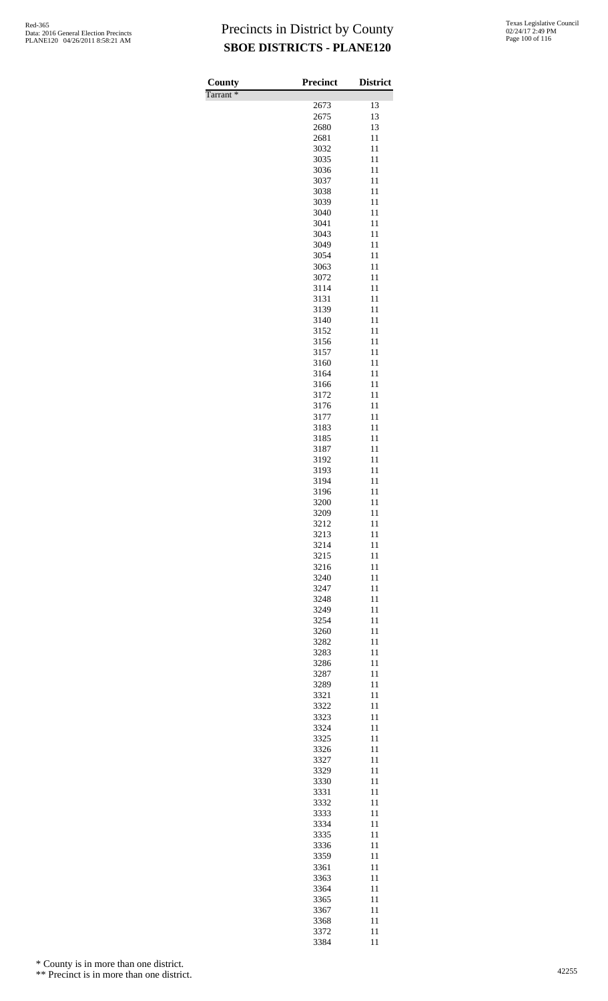| County               | <b>Precinct</b> | <b>District</b> |
|----------------------|-----------------|-----------------|
| Tarrant <sup>*</sup> |                 |                 |
|                      | 2673            | 13              |
|                      | 2675<br>2680    | 13<br>13        |
|                      | 2681            | 11              |
|                      | 3032            | 11              |
|                      | 3035            | 11              |
|                      | 3036            | 11              |
|                      | 3037<br>3038    | 11<br>11        |
|                      | 3039            | 11              |
|                      | 3040            | 11              |
|                      | 3041            | 11              |
|                      | 3043            | 11              |
|                      | 3049            | 11<br>11        |
|                      | 3054<br>3063    | 11              |
|                      | 3072            | 11              |
|                      | 3114            | 11              |
|                      | 3131            | 11              |
|                      | 3139            | 11              |
|                      | 3140<br>3152    | 11<br>11        |
|                      | 3156            | 11              |
|                      | 3157            | 11              |
|                      | 3160            | 11              |
|                      | 3164            | 11              |
|                      | 3166            | 11              |
|                      | 3172<br>3176    | 11<br>11        |
|                      | 3177            | 11              |
|                      | 3183            | 11              |
|                      | 3185            | 11              |
|                      | 3187            | 11              |
|                      | 3192<br>3193    | 11<br>11        |
|                      | 3194            | 11              |
|                      | 3196            | 11              |
|                      | 3200            | 11              |
|                      | 3209            | 11              |
|                      | 3212<br>3213    | 11<br>11        |
|                      | 3214            | 11              |
|                      | 3215            | 11              |
|                      | 3216            | 11              |
|                      | 3240            | 11              |
|                      | 3247<br>3248    | 11<br>11        |
|                      | 3249            | 11              |
|                      | 3254            | 11              |
|                      | 3260            | 11              |
|                      | 3282            | 11              |
|                      | 3283<br>3286    | 11<br>11        |
|                      | 3287            | 11              |
|                      | 3289            | 11              |
|                      | 3321            | 11              |
|                      | 3322            | 11              |
|                      | 3323<br>3324    | 11<br>11        |
|                      | 3325            | 11              |
|                      | 3326            | 11              |
|                      | 3327            | 11              |
|                      | 3329            | 11              |
|                      | 3330<br>3331    | 11<br>11        |
|                      | 3332            | 11              |
|                      | 3333            | 11              |
|                      | 3334            | 11              |
|                      | 3335            | 11              |
|                      | 3336<br>3359    | 11<br>11        |
|                      | 3361            | 11              |
|                      | 3363            | 11              |
|                      | 3364            | 11              |
|                      | 3365            | 11              |
|                      | 3367            | 11              |
|                      | 3368<br>3372    | 11<br>11        |
|                      | 3384            | 11              |

\* County is in more than one district.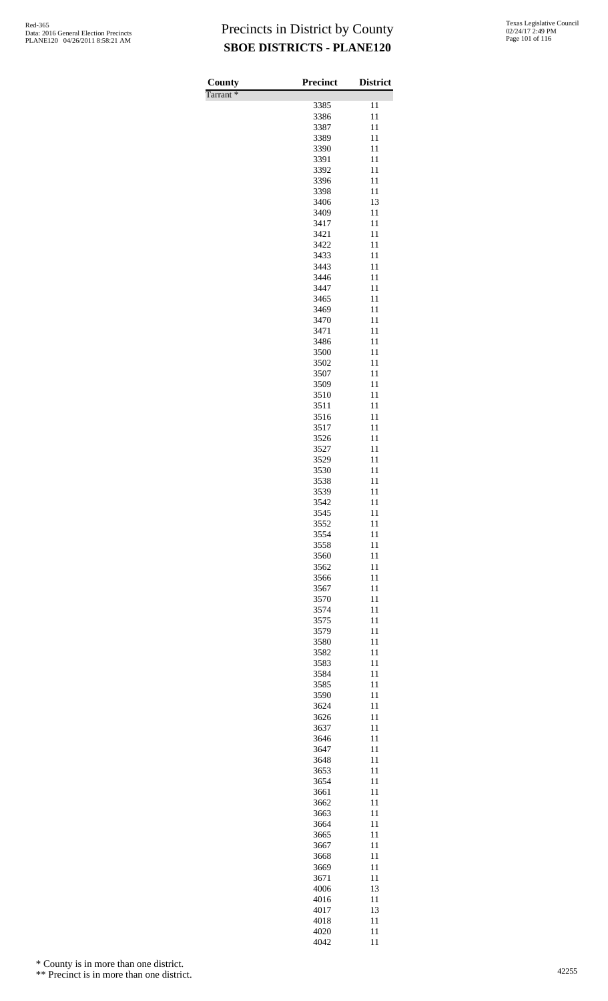| County               | <b>Precinct</b> | <b>District</b> |
|----------------------|-----------------|-----------------|
| Tarrant <sup>*</sup> |                 |                 |
|                      | 3385            | 11              |
|                      | 3386            | 11              |
|                      | 3387            | 11              |
|                      | 3389<br>3390    | 11<br>11        |
|                      | 3391            | 11              |
|                      | 3392            | 11              |
|                      | 3396            | 11              |
|                      | 3398            | 11              |
|                      | 3406            | 13              |
|                      | 3409            | 11              |
|                      | 3417            | 11              |
|                      | 3421            | 11<br>11        |
|                      | 3422<br>3433    | 11              |
|                      | 3443            | 11              |
|                      | 3446            | 11              |
|                      | 3447            | 11              |
|                      | 3465            | 11              |
|                      | 3469            | 11              |
|                      | 3470            | 11              |
|                      | 3471            | 11              |
|                      | 3486<br>3500    | 11<br>11        |
|                      | 3502            | 11              |
|                      | 3507            | 11              |
|                      | 3509            | 11              |
|                      | 3510            | 11              |
|                      | 3511            | 11              |
|                      | 3516            | 11              |
|                      | 3517            | 11              |
|                      | 3526<br>3527    | 11<br>11        |
|                      | 3529            | 11              |
|                      | 3530            | 11              |
|                      | 3538            | 11              |
|                      | 3539            | 11              |
|                      | 3542            | 11              |
|                      | 3545            | 11              |
|                      | 3552            | 11              |
|                      | 3554<br>3558    | 11<br>11        |
|                      | 3560            | 11              |
|                      | 3562            | 11              |
|                      | 3566            | 11              |
|                      | 3567            | 11              |
|                      | 3570            | 11              |
|                      | 3574            | 11              |
|                      | 3575            | 11              |
|                      | 3579            | 11              |
|                      | 3580<br>3582    | 11<br>11        |
|                      | 3583            | 11              |
|                      | 3584            | 11              |
|                      | 3585            | 11              |
|                      | 3590            | 11              |
|                      | 3624            | 11              |
|                      | 3626            | 11              |
|                      | 3637            | 11              |
|                      | 3646<br>3647    | 11<br>11        |
|                      | 3648            | 11              |
|                      | 3653            | 11              |
|                      | 3654            | 11              |
|                      | 3661            | 11              |
|                      | 3662            | 11              |
|                      | 3663            | 11              |
|                      | 3664            | 11              |
|                      | 3665<br>3667    | 11<br>11        |
|                      | 3668            | 11              |
|                      | 3669            | 11              |
|                      | 3671            | 11              |
|                      | 4006            | 13              |
|                      | 4016            | 11              |
|                      | 4017            | 13              |
|                      | 4018            | 11              |
|                      | 4020<br>4042    | 11<br>11        |
|                      |                 |                 |

\* County is in more than one district.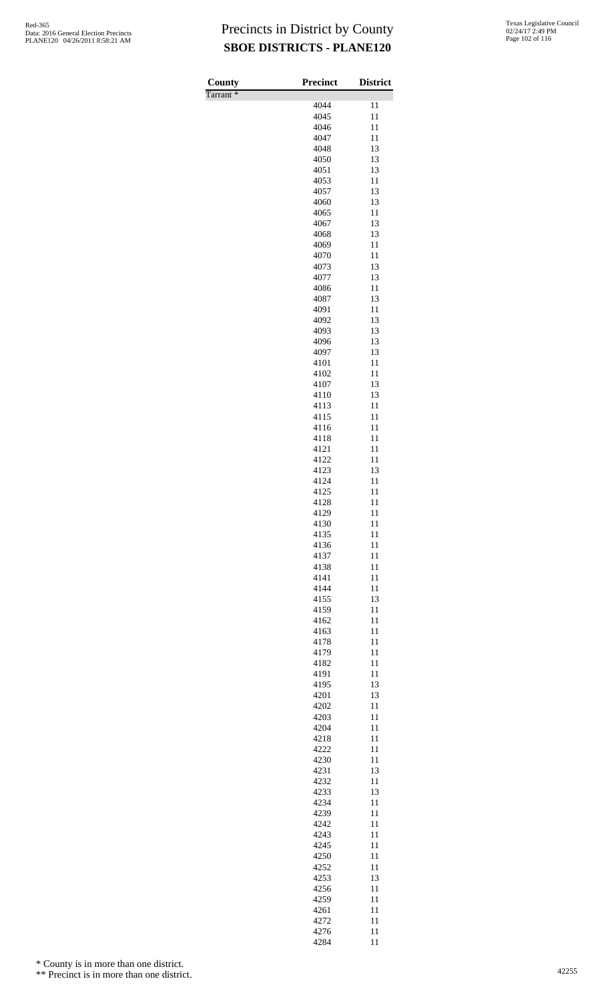| <b>County</b>        | <b>Precinct</b> | <b>District</b> |
|----------------------|-----------------|-----------------|
| Tarrant <sup>*</sup> |                 |                 |
|                      | 4044            | $\overline{11}$ |
|                      | 4045<br>4046    | 11<br>11        |
|                      | 4047            | 11              |
|                      | 4048            | 13              |
|                      | 4050            | 13              |
|                      | 4051            | 13              |
|                      | 4053            | 11              |
|                      | 4057            | 13              |
|                      | 4060            | 13              |
|                      | 4065            | 11              |
|                      | 4067<br>4068    | 13<br>13        |
|                      | 4069            | 11              |
|                      | 4070            | 11              |
|                      | 4073            | 13              |
|                      | 4077            | 13              |
|                      | 4086            | 11              |
|                      | 4087            | 13              |
|                      | 4091            | 11              |
|                      | 4092            | 13              |
|                      | 4093<br>4096    | 13<br>13        |
|                      | 4097            | 13              |
|                      | 4101            | 11              |
|                      | 4102            | 11              |
|                      | 4107            | 13              |
|                      | 4110            | 13              |
|                      | 4113            | 11              |
|                      | 4115            | 11<br>11        |
|                      | 4116<br>4118    | 11              |
|                      | 4121            | 11              |
|                      | 4122            | 11              |
|                      | 4123            | 13              |
|                      | 4124            | 11              |
|                      | 4125            | 11              |
|                      | 4128            | 11              |
|                      | 4129            | 11              |
|                      | 4130<br>4135    | 11<br>11        |
|                      | 4136            | 11              |
|                      | 4137            | 11              |
|                      | 4138            | 11              |
|                      | 4141            | 11              |
|                      | 4144            | 11              |
|                      | 4155            | 13              |
|                      | 4159            | 11              |
|                      | 4162            | 11<br>11        |
|                      | 4163<br>4178    | 11              |
|                      | 4179            | 11              |
|                      | 4182            | 11              |
|                      | 4191            | 11              |
|                      | 4195            | 13              |
|                      | 4201            | 13              |
|                      | 4202            | 11              |
|                      | 4203            | 11              |
|                      | 4204<br>4218    | 11<br>11        |
|                      | 4222            | 11              |
|                      | 4230            | 11              |
|                      | 4231            | 13              |
|                      | 4232            | 11              |
|                      | 4233            | 13              |
|                      | 4234            | 11              |
|                      | 4239<br>4242    | 11              |
|                      | 4243            | 11<br>11        |
|                      | 4245            | 11              |
|                      | 4250            | 11              |
|                      | 4252            | 11              |
|                      | 4253            | 13              |
|                      | 4256            | 11              |
|                      | 4259            | 11              |
|                      | 4261            | 11              |
|                      | 4272            | 11              |
|                      | 4276<br>4284    | 11<br>11        |

\* County is in more than one district.

<sup>\*\*</sup> Precinct is in more than one district.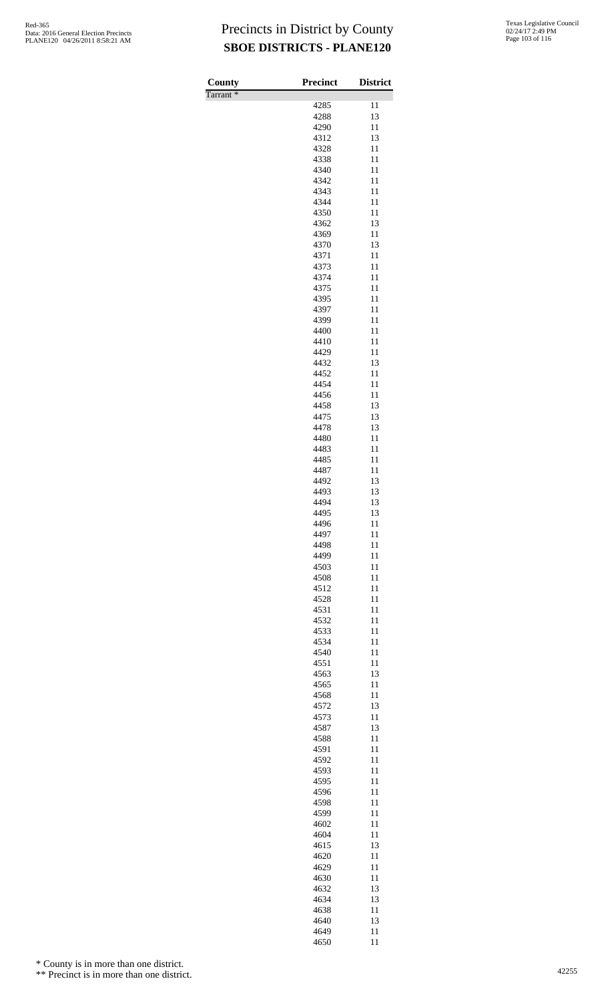| County               | <b>Precinct</b> | <b>District</b> |
|----------------------|-----------------|-----------------|
| Tarrant <sup>*</sup> | 4285            | 11              |
|                      | 4288            | 13              |
|                      | 4290            | 11              |
|                      | 4312<br>4328    | 13<br>11        |
|                      | 4338            | 11              |
|                      | 4340            | 11              |
|                      | 4342            | 11              |
|                      | 4343<br>4344    | 11<br>11        |
|                      | 4350            | 11              |
|                      | 4362            | 13              |
|                      | 4369<br>4370    | 11<br>13        |
|                      | 4371            | 11              |
|                      | 4373            | 11              |
|                      | 4374            | 11              |
|                      | 4375<br>4395    | 11<br>11        |
|                      | 4397            | 11              |
|                      | 4399            | 11              |
|                      | 4400            | 11              |
|                      | 4410<br>4429    | 11<br>11        |
|                      | 4432            | 13              |
|                      | 4452            | 11              |
|                      | 4454<br>4456    | 11<br>11        |
|                      | 4458            | 13              |
|                      | 4475            | 13              |
|                      | 4478            | 13              |
|                      | 4480<br>4483    | 11<br>11        |
|                      | 4485            | 11              |
|                      | 4487            | 11              |
|                      | 4492<br>4493    | 13              |
|                      | 4494            | 13<br>13        |
|                      | 4495            | 13              |
|                      | 4496            | 11              |
|                      | 4497<br>4498    | 11<br>11        |
|                      | 4499            | 11              |
|                      | 4503            | 11              |
|                      | 4508            | 11              |
|                      | 4512<br>4528    | 11<br>11        |
|                      | 4531            | 11              |
|                      | 4532            | 11              |
|                      | 4533<br>4534    | 11<br>11        |
|                      | 4540            | 11              |
|                      | 4551            | 11              |
|                      | 4563            | 13              |
|                      | 4565<br>4568    | 11<br>11        |
|                      | 4572            | 13              |
|                      | 4573            | 11              |
|                      | 4587            | 13              |
|                      | 4588<br>4591    | 11<br>11        |
|                      | 4592            | 11              |
|                      | 4593            | 11              |
|                      | 4595<br>4596    | 11<br>11        |
|                      | 4598            | 11              |
|                      | 4599            | 11              |
|                      | 4602            | 11              |
|                      | 4604<br>4615    | 11<br>13        |
|                      | 4620            | 11              |
|                      | 4629            | 11              |
|                      | 4630            | 11              |
|                      | 4632<br>4634    | 13<br>13        |
|                      | 4638            | 11              |
|                      | 4640            | 13              |
|                      | 4649<br>4650    | 11<br>11        |

\* County is in more than one district.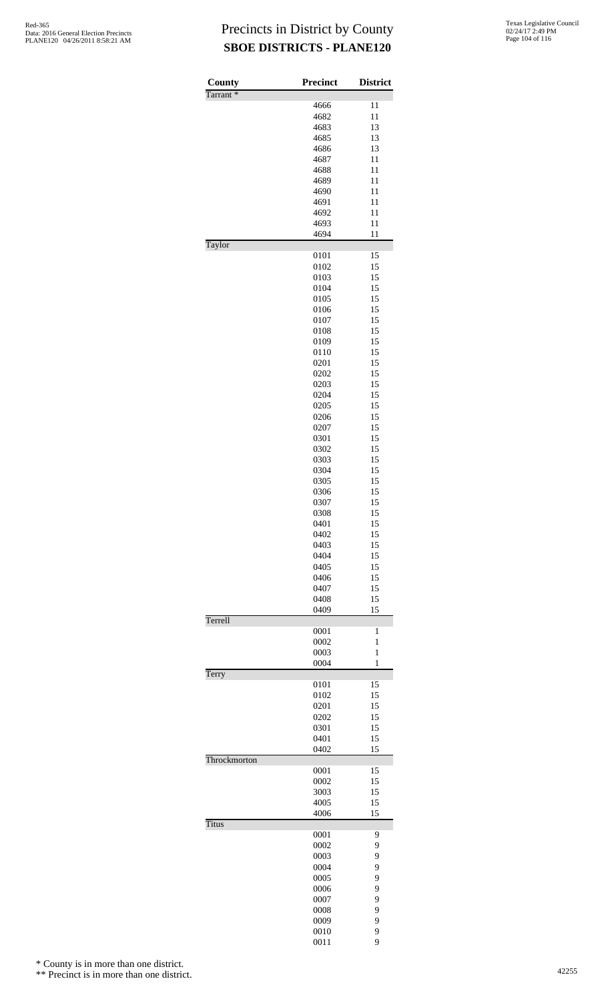| County<br>Tarrant <sup>*</sup> | <b>Precinct</b> | <b>District</b> |
|--------------------------------|-----------------|-----------------|
|                                | 4666            | 11              |
|                                | 4682            | 11              |
|                                | 4683            | 13              |
|                                | 4685            | 13              |
|                                | 4686            | 13              |
|                                | 4687            | 11              |
|                                | 4688            | 11              |
|                                | 4689            | 11              |
|                                | 4690            | 11              |
|                                | 4691            | 11              |
|                                | 4692            | 11              |
|                                | 4693            | 11              |
| Taylor                         | 4694            | 11              |
|                                | 0101            | 15              |
|                                | 0102            | 15              |
|                                | 0103            | 15              |
|                                | 0104            | 15              |
|                                | 0105            | 15              |
|                                | 0106            | 15              |
|                                | 0107            | 15              |
|                                | 0108            | 15              |
|                                | 0109            | 15<br>15        |
|                                | 0110<br>0201    | 15              |
|                                | 0202            | 15              |
|                                | 0203            | 15              |
|                                | 0204            | 15              |
|                                | 0205            | 15              |
|                                | 0206            | 15              |
|                                | 0207            | 15              |
|                                | 0301            | 15              |
|                                | 0302            | 15              |
|                                | 0303            | 15              |
|                                | 0304            | 15              |
|                                | 0305            | 15              |
|                                | 0306            | 15              |
|                                | 0307            | 15              |
|                                | 0308            | 15              |
|                                | 0401            | 15              |
|                                | 0402            | 15              |
|                                | 0403            | 15              |
|                                | 0404            | 15              |
|                                | 0405            | 15              |
|                                | 0406            | 15              |
|                                | 0407            | 15              |
|                                | 0408<br>0409    | 15<br>15        |
| Terrell                        |                 |                 |
|                                | 0001<br>0002    | 1<br>1          |
|                                | 0003            | $\mathbf{1}$    |
|                                | 0004            | 1               |
| Terry                          | 0101            | 15              |
|                                | 0102            | 15              |
|                                | 0201            | 15              |
|                                | 0202            | 15              |
|                                | 0301            | 15              |
|                                | 0401            | 15              |
|                                | 0402            | 15              |
| Throckmorton                   | 0001            | 15              |
|                                | 0002            | 15              |
|                                | 3003            | 15              |
|                                | 4005            | 15              |
|                                | 4006            | 15              |
| Titus                          | 0001            | 9               |
|                                | 0002            | 9               |
|                                | 0003            | 9               |
|                                | 0004            | 9               |
|                                | 0005            | 9               |
|                                | 0006            | 9               |
|                                | 0007            | 9               |
|                                | 0008            | 9               |
|                                | 0009            | 9               |
|                                | 0010            | 9               |
|                                | 0011            | 9               |

\* County is in more than one district.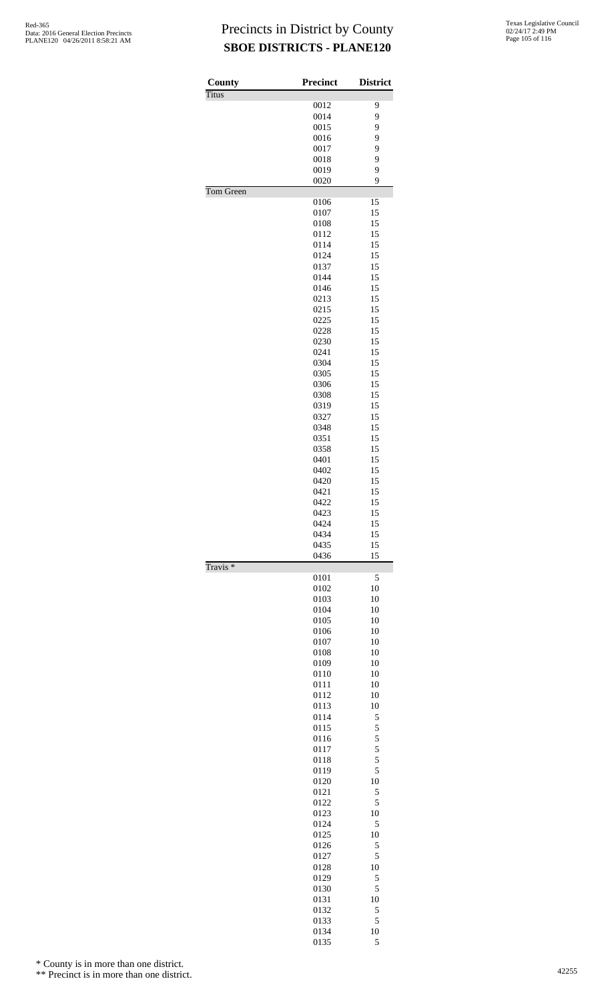| County              | <b>Precinct</b> | <b>District</b> |
|---------------------|-----------------|-----------------|
| <b>Titus</b>        |                 |                 |
|                     | 0012            | 9               |
|                     | 0014<br>0015    | 9<br>9          |
|                     | 0016            | 9               |
|                     | 0017            | 9               |
|                     | 0018            | 9               |
|                     | 0019<br>0020    | 9<br>9          |
| Tom Green           |                 |                 |
|                     | 0106            | 15              |
|                     | 0107            | 15              |
|                     | 0108            | 15              |
|                     | 0112<br>0114    | 15<br>15        |
|                     | 0124            | 15              |
|                     | 0137            | 15              |
|                     | 0144            | 15              |
|                     | 0146<br>0213    | 15<br>15        |
|                     | 0215            | 15              |
|                     | 0225            | 15              |
|                     | 0228            | 15              |
|                     | 0230<br>0241    | 15<br>15        |
|                     | 0304            | 15              |
|                     | 0305            | 15              |
|                     | 0306            | 15              |
|                     | 0308            | 15<br>15        |
|                     | 0319<br>0327    | 15              |
|                     | 0348            | 15              |
|                     | 0351            | 15              |
|                     | 0358            | 15              |
|                     | 0401<br>0402    | 15<br>15        |
|                     | 0420            | 15              |
|                     | 0421            | 15              |
|                     | 0422            | 15              |
|                     | 0423<br>0424    | 15<br>15        |
|                     | 0434            | 15              |
|                     | 0435            | 15              |
|                     | 0436            | 15              |
| Travis <sup>*</sup> | 0101            | 5               |
|                     | 0102            | 10              |
|                     | 0103            | 10              |
|                     | 0104            | 10              |
|                     | 0105<br>0106    | 10<br>10        |
|                     | 0107            | 10              |
|                     | 0108            | 10              |
|                     | 0109            | 10              |
|                     | 0110<br>0111    | 10<br>10        |
|                     | 0112            | 10              |
|                     | 0113            | 10              |
|                     | 0114            | 5               |
|                     | 0115            | 5<br>5          |
|                     | 0116<br>0117    | 5               |
|                     | 0118            | 5               |
|                     | 0119            | 5               |
|                     | 0120            | 10              |
|                     | 0121<br>0122    | 5<br>5          |
|                     | 0123            | 10              |
|                     | 0124            | 5               |
|                     | 0125            | 10              |
|                     | 0126<br>0127    | 5<br>5          |
|                     | 0128            | 10              |
|                     | 0129            | 5               |
|                     | 0130            | 5               |
|                     | 0131            | 10              |
|                     | 0132<br>0133    | 5<br>5          |
|                     | 0134            | 10              |
|                     | 0135            | 5               |

\* County is in more than one district.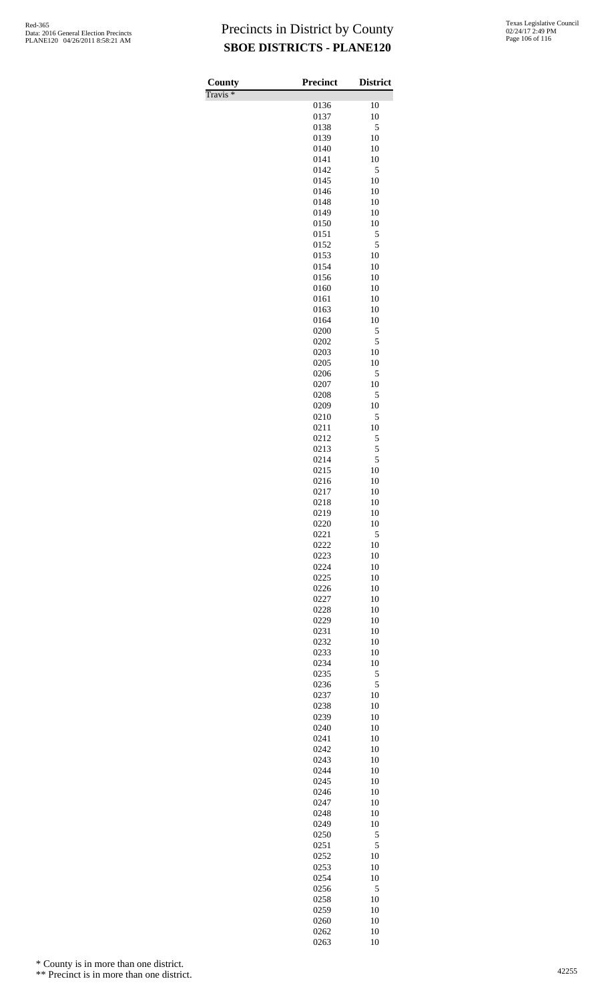Travis \*

| County                | <b>Precinct</b> | <b>District</b> |
|-----------------------|-----------------|-----------------|
| $\sqrt{\text{ravis}}$ | 0136            | 10              |
|                       | 0137            | 10              |
|                       | 0138            | 5               |
|                       | 0139<br>0140    | 10<br>10        |
|                       | 0141            | 10              |
|                       | 0142            | 5               |
|                       | 0145<br>0146    | 10<br>10        |
|                       | 0148            | 10              |
|                       | 0149            | 10              |
|                       | 0150            | 10              |
|                       | 0151<br>0152    | 5<br>5          |
|                       | 0153            | 10              |
|                       | 0154            | 10              |
|                       | 0156<br>0160    | 10<br>10        |
|                       | 0161            | 10              |
|                       | 0163            | 10              |
|                       | 0164            | 10              |
|                       | 0200<br>0202    | 5<br>5          |
|                       | 0203            | 10              |
|                       | 0205            | 10              |
|                       | 0206<br>0207    | 5<br>10         |
|                       | 0208            | 5               |
|                       | 0209            | 10              |
|                       | 0210            | 5<br>10         |
|                       | 0211<br>0212    | 5               |
|                       | 0213            | 5               |
|                       | 0214            | 5               |
|                       | 0215<br>0216    | 10<br>10        |
|                       | 0217            | 10              |
|                       | 0218            | 10              |
|                       | 0219            | 10              |
|                       | 0220<br>0221    | 10<br>5         |
|                       | 0222            | 10              |
|                       | 0223            | 10              |
|                       | 0224<br>0225    | 10<br>10        |
|                       | 0226            | 10              |
|                       | 0227            | 10              |
|                       | 0228            | 10              |
|                       | 0229<br>0231    | 10<br>10        |
|                       | 0232            | 10              |
|                       | 0233            | 10              |
|                       | 0234<br>0235    | 10<br>5         |
|                       | 0236            | 5               |
|                       | 0237            | 10              |
|                       | 0238            | 10              |
|                       | 0239<br>0240    | 10<br>10        |
|                       | 0241            | 10              |
|                       | 0242            | 10              |
|                       | 0243            | 10              |
|                       | 0244<br>0245    | 10<br>10        |
|                       | 0246            | 10              |
|                       | 0247            | 10              |
|                       | 0248<br>0249    | 10<br>10        |
|                       | 0250            | 5               |
|                       | 0251            | 5               |
|                       | 0252            | 10              |
|                       | 0253<br>0254    | 10<br>10        |
|                       | 0256            | 5               |
|                       | 0258            | 10              |
|                       | 0259<br>0260    | 10<br>10        |
|                       | 0262            | 10              |
|                       | 0263            | 10              |

\* County is in more than one district.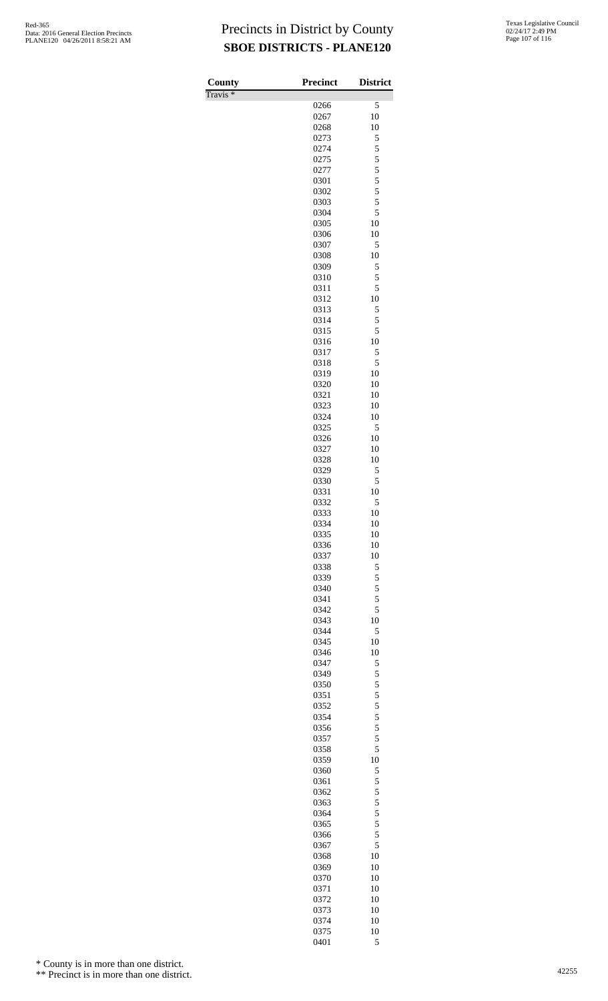Travis \*

| County<br>$\overline{\Gamma}$ ravis * | <b>Precinct</b> | <b>District</b>                            |
|---------------------------------------|-----------------|--------------------------------------------|
|                                       | 0266            | 5                                          |
|                                       | 0267            | 10                                         |
|                                       | 0268            | 10                                         |
|                                       | 0273            | 5<br>5                                     |
|                                       | 0274<br>0275    | 5                                          |
|                                       | 0277            |                                            |
|                                       | 0301            | $\begin{array}{c} 5 \\ 5 \\ 5 \end{array}$ |
|                                       | 0302            |                                            |
|                                       | 0303            | 5                                          |
|                                       | 0304<br>0305    | 5<br>10                                    |
|                                       | 0306            | 10                                         |
|                                       | 0307            | 5                                          |
|                                       | 0308            | 10                                         |
|                                       | 0309            | 5                                          |
|                                       | 0310<br>0311    | 5<br>5                                     |
|                                       | 0312            | 10                                         |
|                                       | 0313            | 5                                          |
|                                       | 0314            | 5                                          |
|                                       | 0315            | 5<br>10                                    |
|                                       | 0316<br>0317    | 5                                          |
|                                       | 0318            | 5                                          |
|                                       | 0319            | 10                                         |
|                                       | 0320            | 10                                         |
|                                       | 0321            | 10                                         |
|                                       | 0323<br>0324    | 10<br>10                                   |
|                                       | 0325            | 5                                          |
|                                       | 0326            | 10                                         |
|                                       | 0327            | 10                                         |
|                                       | 0328            | 10                                         |
|                                       | 0329<br>0330    | 5<br>5                                     |
|                                       | 0331            | 10                                         |
|                                       | 0332            | 5                                          |
|                                       | 0333            | 10                                         |
|                                       | 0334<br>0335    | 10<br>10                                   |
|                                       | 0336            | 10                                         |
|                                       | 0337            | 10                                         |
|                                       | 0338            | 5                                          |
|                                       | 0339            | 5                                          |
|                                       | 0340            | 5<br>5                                     |
|                                       | 0341<br>0342    | 5                                          |
|                                       | 0343            | 10                                         |
|                                       | 0344            | 5                                          |
|                                       | 0345            | 10                                         |
|                                       | 0346            | 10                                         |
|                                       | 0347<br>0349    | 5<br>5                                     |
|                                       | 0350            | 5                                          |
|                                       | 0351            | 5                                          |
|                                       | 0352            | 5                                          |
|                                       | 0354            | 5<br>5                                     |
|                                       | 0356<br>0357    | 5                                          |
|                                       | 0358            | 5                                          |
|                                       | 0359            | 10                                         |
|                                       | 0360            | 5                                          |
|                                       | 0361            | 5                                          |
|                                       | 0362<br>0363    | 5<br>5                                     |
|                                       | 0364            | $\overline{5}$                             |
|                                       | 0365            | 5                                          |
|                                       | 0366            | 5                                          |
|                                       | 0367            | 5<br>10                                    |
|                                       | 0368<br>0369    | 10                                         |
|                                       | 0370            | 10                                         |
|                                       | 0371            | 10                                         |
|                                       | 0372            | 10                                         |
|                                       | 0373<br>0374    | 10<br>10                                   |
|                                       | 0375            | 10                                         |
|                                       | 0401            | 5                                          |

\* County is in more than one district.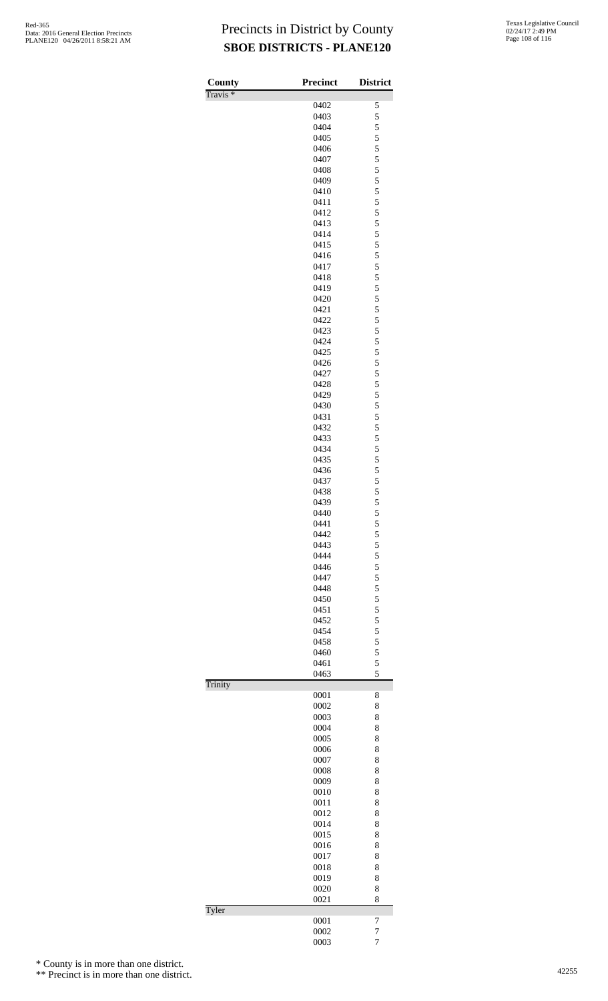| County              | <b>Precinct</b> | <b>District</b>    |
|---------------------|-----------------|--------------------|
| Travis <sup>*</sup> |                 |                    |
|                     | 0402<br>0403    | $\mathfrak s$<br>5 |
|                     | 0404            | 5                  |
|                     | 0405            | 5                  |
|                     | 0406            | 5                  |
|                     | 0407            | 5                  |
|                     | 0408            | 5                  |
|                     | 0409            | 5                  |
|                     | 0410            | 5                  |
|                     | 0411            | 5                  |
|                     | 0412            | 5                  |
|                     | 0413            | 5                  |
|                     | 0414            | 5                  |
|                     | 0415            | 5                  |
|                     | 0416            | 5                  |
|                     | 0417            | 5                  |
|                     | 0418            | 5                  |
|                     | 0419            | 5                  |
|                     | 0420            | 5                  |
|                     | 0421            | 5                  |
|                     | 0422            | 5                  |
|                     | 0423            | 5                  |
|                     | 0424            | 5                  |
|                     | 0425            | 5                  |
|                     | 0426            | 5                  |
|                     | 0427<br>0428    | 5<br>5             |
|                     | 0429            | 5                  |
|                     | 0430            | 5                  |
|                     | 0431            | 5                  |
|                     | 0432            | 5                  |
|                     | 0433            | 5                  |
|                     | 0434            | 5                  |
|                     | 0435            | 5                  |
|                     | 0436            | 5                  |
|                     | 0437            | 5                  |
|                     | 0438            | 5                  |
|                     | 0439            | 5                  |
|                     | 0440            | 5                  |
|                     | 0441            | 5                  |
|                     | 0442            | 5                  |
|                     | 0443            | 5                  |
|                     | 0444            | 5                  |
|                     | 0446            | 5                  |
|                     | 0447            | 5                  |
|                     | 0448            | 5                  |
|                     | 0450            | 5                  |
|                     | 0451            | 5                  |
|                     | 0452            | 5                  |
|                     | 0454            | 5                  |
|                     | 0458            | 5                  |
|                     | 0460            | 5                  |
|                     | 0461            | 5<br>5             |
| Trinity             | 0463            |                    |
|                     | 0001            | 8                  |
|                     | 0002            | 8                  |
|                     | 0003            | 8                  |
|                     | 0004            | 8                  |
|                     | 0005            | 8                  |
|                     | 0006            | 8                  |
|                     | 0007            | 8                  |
|                     | 0008            | 8                  |
|                     | 0009            | 8                  |
|                     | 0010            | 8                  |
|                     | 0011            | 8                  |
|                     | 0012            | 8                  |
|                     | 0014            | 8                  |
|                     | 0015            | 8                  |
|                     | 0016            | 8                  |
|                     | 0017            | 8                  |
|                     | 0018            | 8                  |
|                     | 0019            | 8                  |
|                     | 0020            | 8                  |
|                     | 0021            | 8                  |
| Tyler               |                 |                    |
|                     | 0001            | 7                  |
|                     | 0002            | $\overline{7}$     |
|                     | 0003            | $\overline{7}$     |

\* County is in more than one district.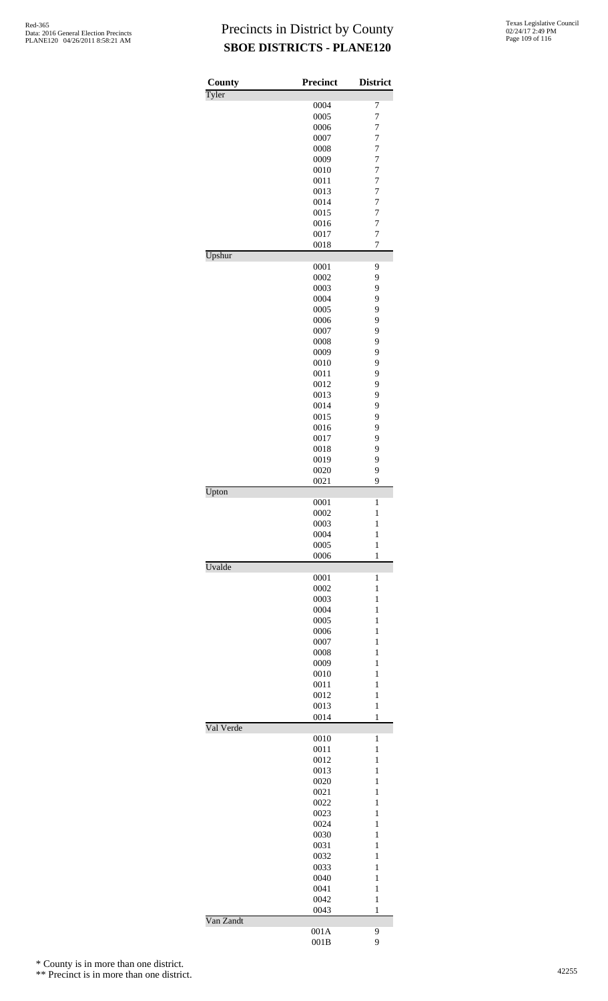| County    | Precinct     | <b>District</b>                  |
|-----------|--------------|----------------------------------|
| Tyler     |              |                                  |
|           | 0004         | 7                                |
|           | 0005<br>0006 | 7<br>$\overline{7}$              |
|           | 0007         | $\overline{7}$                   |
|           | 0008         | $\overline{7}$                   |
|           | 0009         | $\overline{7}$                   |
|           | 0010         | 7                                |
|           | 0011         | $\overline{7}$                   |
|           | 0013         | $\overline{7}$                   |
|           | 0014         | $\overline{7}$                   |
|           | 0015         | $\overline{7}$                   |
|           | 0016         | $\overline{7}$                   |
|           | 0017         | $\overline{7}$<br>$\overline{7}$ |
| Upshur    | 0018         |                                  |
|           | 0001         | 9                                |
|           | 0002         | 9                                |
|           | 0003         | 9                                |
|           | 0004         | 9                                |
|           | 0005         | 9                                |
|           | 0006         | 9                                |
|           | 0007         | 9                                |
|           | 0008         | 9                                |
|           | 0009         | 9                                |
|           | 0010         | 9                                |
|           | 0011         | 9                                |
|           | 0012<br>0013 | 9<br>9                           |
|           | 0014         | 9                                |
|           | 0015         | 9                                |
|           | 0016         | 9                                |
|           | 0017         | 9                                |
|           | 0018         | 9                                |
|           | 0019         | 9                                |
|           | 0020         | 9                                |
|           | 0021         | 9                                |
| Upton     |              |                                  |
|           | 0001<br>0002 | 1<br>$\mathbf{1}$                |
|           | 0003         | 1                                |
|           | 0004         | 1                                |
|           | 0005         | 1                                |
|           | 0006         | $\mathbf{1}$                     |
| Uvalde    |              |                                  |
|           | 0001         | 1                                |
|           | 0002         | 1                                |
|           | 0003         | 1                                |
|           | 0004<br>0005 | $\mathbf{1}$<br>$\mathbf{1}$     |
|           | 0006         | 1                                |
|           | 0007         | 1                                |
|           | 0008         | 1                                |
|           | 0009         | $\mathbf{1}$                     |
|           | 0010         | $\mathbf{1}$                     |
|           | 0011         | 1                                |
|           | 0012         | $\mathbf{1}$                     |
|           | 0013         | 1                                |
|           | 0014         | $\mathbf{1}$                     |
| Val Verde |              |                                  |
|           | 0010<br>0011 | 1<br>1                           |
|           | 0012         | 1                                |
|           | 0013         | $\mathbf{1}$                     |
|           | 0020         | $\mathbf{1}$                     |
|           | 0021         | 1                                |
|           | 0022         | 1                                |
|           | 0023         | 1                                |
|           | 0024         | $\mathbf{1}$                     |
|           | 0030         | $\mathbf{1}$                     |
|           | 0031         | 1                                |
|           | 0032         | 1                                |
|           | 0033         | 1                                |
|           | 0040         | $\mathbf{1}$                     |
|           | 0041         | $\mathbf{1}$                     |
|           | 0042         | $\mathbf{1}$                     |
| Van Zandt | 0043         | 1                                |
|           | 001A         | 9                                |
|           | 001B         | 9                                |

\* County is in more than one district.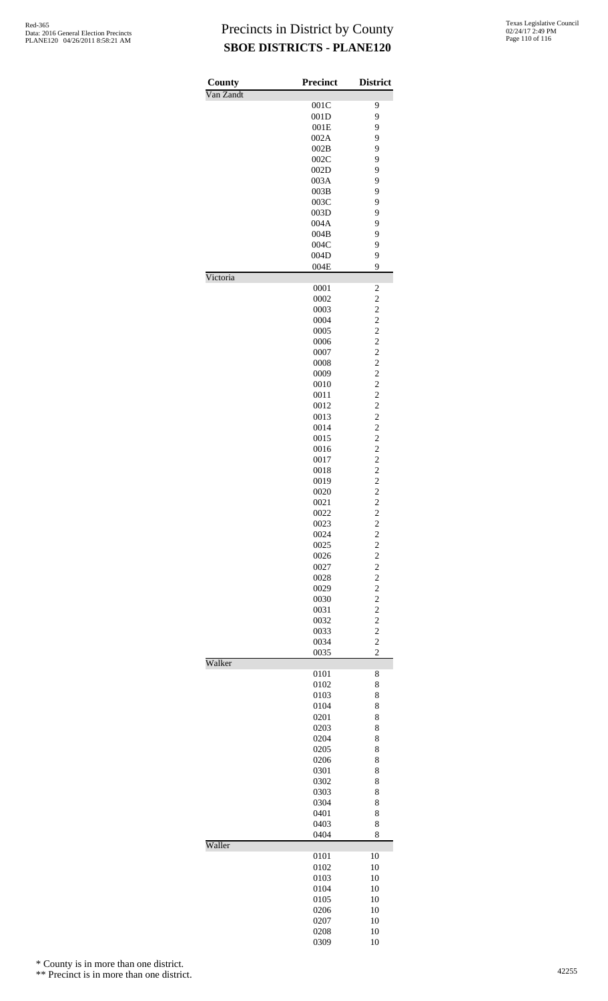| County    | <b>Precinct</b> | <b>District</b>                           |
|-----------|-----------------|-------------------------------------------|
| Van Zandt | 001C            | 9                                         |
|           | 001D            | 9                                         |
|           | 001E            | 9                                         |
|           | 002A            | 9                                         |
|           | 002B            | 9                                         |
|           | 002C            | 9                                         |
|           | 002D            | 9                                         |
|           | 003A<br>003B    | 9<br>9                                    |
|           | 003C            | 9                                         |
|           | 003D            | 9                                         |
|           | 004A            | 9                                         |
|           | 004B            | 9                                         |
|           | 004C            | 9                                         |
|           | 004D            | 9                                         |
| Victoria  | 004E            | 9                                         |
|           | 0001            | $\overline{\mathbf{c}}$                   |
|           | 0002            | $\overline{c}$                            |
|           | 0003            | $\overline{c}$                            |
|           | 0004            | $\overline{\mathbf{c}}$                   |
|           | 0005<br>0006    | $\overline{c}$                            |
|           | 0007            | $\frac{2}{2}$                             |
|           | 0008            | $\overline{c}$                            |
|           | 0009            | $\overline{\mathbf{c}}$                   |
|           | 0010            | $\overline{c}$                            |
|           | 0011            | $\frac{2}{2}$                             |
|           | 0012            |                                           |
|           | 0013            | $\overline{c}$                            |
|           | 0014            | $\overline{\mathbf{c}}$<br>$\overline{c}$ |
|           | 0015<br>0016    |                                           |
|           | 0017            | $\frac{2}{2}$                             |
|           | 0018            | $\overline{c}$                            |
|           | 0019            | $\overline{\mathbf{c}}$                   |
|           | 0020            | $\overline{c}$                            |
|           | 0021            | $\frac{2}{2}$                             |
|           | 0022            |                                           |
|           | 0023            | $\overline{\mathbf{c}}$                   |
|           | 0024<br>0025    | $\frac{2}{2}$                             |
|           | 0026            |                                           |
|           | 0027            | $\frac{2}{2}$                             |
|           | 0028            | $\overline{c}$                            |
|           | 0029            | $\overline{\mathbf{c}}$                   |
|           | 0030            | $\overline{c}$                            |
|           | 0031            | $\frac{2}{2}$                             |
|           | 0032            |                                           |
|           | 0033            | $\overline{c}$                            |
|           | 0034<br>0035    | $\overline{c}$<br>$\overline{c}$          |
| Walker    |                 |                                           |
|           | 0101            | 8                                         |
|           | 0102<br>0103    | 8<br>8                                    |
|           | 0104            | 8                                         |
|           | 0201            | 8                                         |
|           | 0203            | 8                                         |
|           | 0204            | 8                                         |
|           | 0205            | 8                                         |
|           | 0206            | 8                                         |
|           | 0301            | 8                                         |
|           | 0302<br>0303    | 8<br>8                                    |
|           | 0304            | 8                                         |
|           | 0401            | 8                                         |
|           | 0403            | 8                                         |
|           | 0404            | 8                                         |
| Waller    | 0101            | 10                                        |
|           | 0102            | 10                                        |
|           | 0103            | 10                                        |
|           | 0104            | 10                                        |
|           | 0105            | 10                                        |
|           | 0206            | 10                                        |
|           | 0207            | 10                                        |
|           | 0208<br>0309    | 10<br>10                                  |
|           |                 |                                           |

\* County is in more than one district.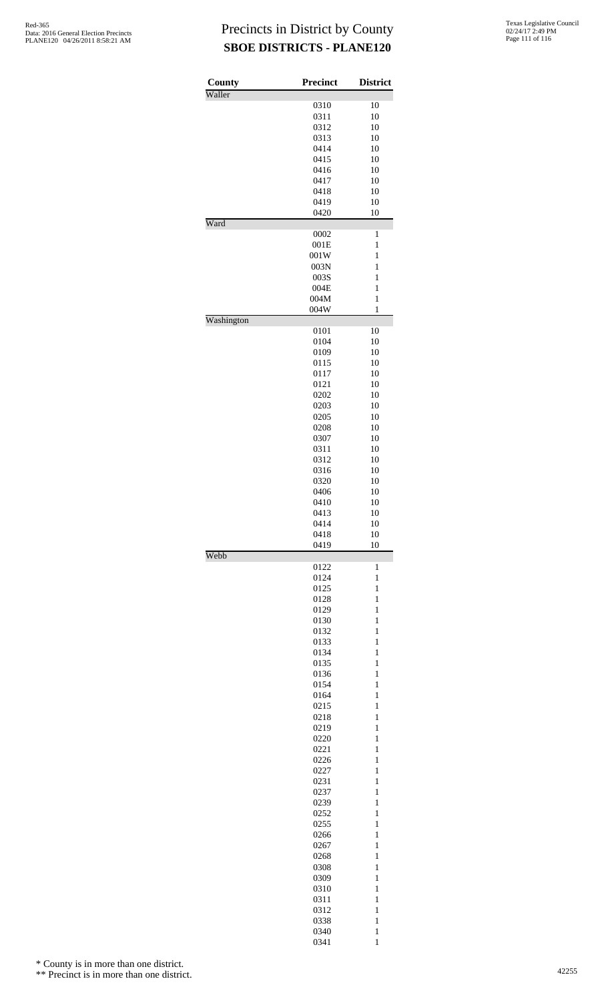| County     | <b>Precinct</b> | <b>District</b>              |
|------------|-----------------|------------------------------|
| Waller     |                 |                              |
|            | 0310            | 10                           |
|            | 0311            | 10                           |
|            | 0312            | 10                           |
|            | 0313            | 10                           |
|            | 0414            | 10                           |
|            | 0415<br>0416    | 10<br>10                     |
|            | 0417            | 10                           |
|            | 0418            | 10                           |
|            | 0419            | 10                           |
|            | 0420            | 10                           |
| Ward       |                 |                              |
|            | 0002<br>001E    | 1<br>$\mathbf{1}$            |
|            | 001W            | 1                            |
|            | 003N            | 1                            |
|            | 003S            | $\mathbf{1}$                 |
|            | 004E            | $\mathbf{1}$                 |
|            | 004M            | $\mathbf{1}$                 |
|            | 004W            | $\mathbf{1}$                 |
| Washington | 0101            | 10                           |
|            | 0104            | 10                           |
|            | 0109            | 10                           |
|            | 0115            | 10                           |
|            | 0117            | 10                           |
|            | 0121            | 10                           |
|            | 0202            | 10                           |
|            | 0203            | 10                           |
|            | 0205            | 10                           |
|            | 0208            | 10                           |
|            | 0307            | 10                           |
|            | 0311            | 10<br>10                     |
|            | 0312<br>0316    | 10                           |
|            | 0320            | 10                           |
|            | 0406            | 10                           |
|            | 0410            | 10                           |
|            | 0413            | 10                           |
|            | 0414            | 10                           |
|            | 0418            | 10                           |
|            | 0419            | 10                           |
| Webb       | 0122            | $\mathbf{1}$                 |
|            | 0124            | $\mathbf{1}$                 |
|            | 0125            | $\mathbf{1}$                 |
|            | 0128            | $\mathbf{1}$                 |
|            | 0129            | $\mathbf{1}$                 |
|            | 0130            | $\mathbf{1}$                 |
|            | 0132            | $\mathbf{1}$                 |
|            | 0133            | $\mathbf{1}$                 |
|            | 0134<br>0135    | $\mathbf{1}$<br>$\mathbf{1}$ |
|            | 0136            | $\mathbf{1}$                 |
|            | 0154            | $\mathbf{1}$                 |
|            | 0164            | $\mathbf{1}$                 |
|            | 0215            | $\mathbf{1}$                 |
|            | 0218            | $\mathbf{1}$                 |
|            | 0219            | $\mathbf{1}$                 |
|            | 0220            | $\mathbf{1}$                 |
|            | 0221            | $\mathbf{1}$                 |
|            | 0226            | $\mathbf{1}$                 |
|            | 0227            | $\mathbf{1}$                 |
|            | 0231            | $\mathbf{1}$                 |
|            | 0237            | $\mathbf{1}$                 |
|            | 0239            | $\mathbf{1}$                 |
|            | 0252            | $\mathbf{1}$<br>$\mathbf{1}$ |
|            | 0255<br>0266    | $\mathbf{1}$                 |
|            | 0267            | $\mathbf{1}$                 |
|            | 0268            | $\mathbf{1}$                 |
|            | 0308            | $\mathbf{1}$                 |
|            | 0309            | $\mathbf{1}$                 |
|            | 0310            | $\mathbf{1}$                 |
|            | 0311            | $\mathbf{1}$                 |
|            | 0312            | $\mathbf{1}$                 |
|            | 0338            | $\mathbf{1}$                 |
|            | 0340            | $\mathbf{1}$                 |
|            | 0341            | $\mathbf{1}$                 |

\* County is in more than one district.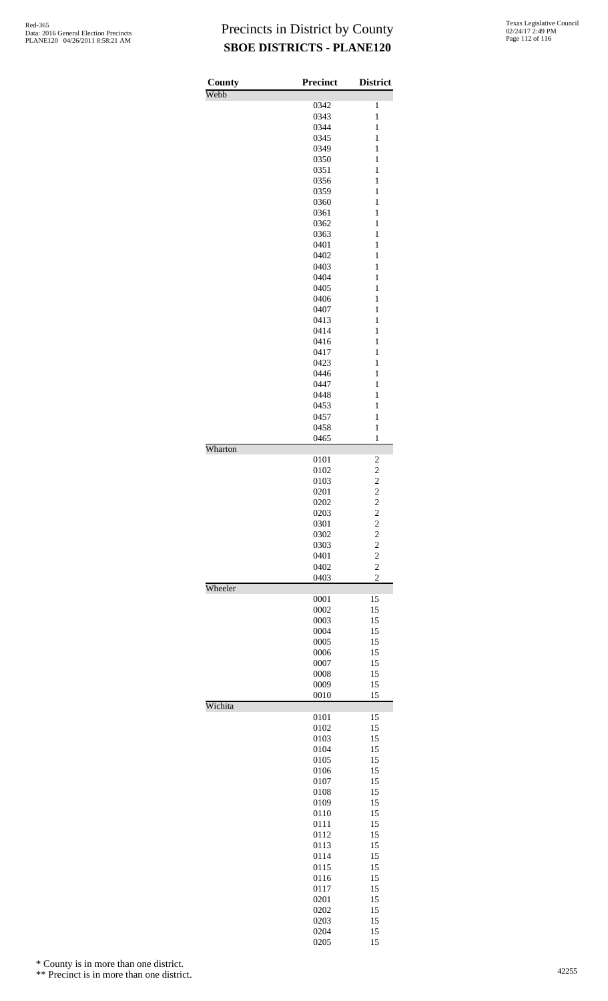| County  | <b>Precinct</b> | <b>District</b>                  |
|---------|-----------------|----------------------------------|
| Webb    |                 |                                  |
|         | 0342<br>0343    | 1<br>$\mathbf{1}$                |
|         | 0344            | $\mathbf{1}$                     |
|         | 0345            | $\mathbf{1}$                     |
|         | 0349            | $\mathbf{1}$                     |
|         | 0350            | $\mathbf{1}$                     |
|         | 0351            | $\mathbf{1}$                     |
|         | 0356            | 1                                |
|         | 0359            | 1                                |
|         | 0360<br>0361    | 1<br>$\mathbf{1}$                |
|         | 0362            | $\mathbf{1}$                     |
|         | 0363            | $\mathbf{1}$                     |
|         | 0401            | $\mathbf{1}$                     |
|         | 0402            | $\mathbf{1}$                     |
|         | 0403            | $\mathbf{1}$                     |
|         | 0404            | $\mathbf{1}$                     |
|         | 0405            | 1                                |
|         | 0406<br>0407    | 1<br>1                           |
|         | 0413            | $\mathbf{1}$                     |
|         | 0414            | $\mathbf{1}$                     |
|         | 0416            | $\mathbf{1}$                     |
|         | 0417            | 1                                |
|         | 0423            | $\mathbf{1}$                     |
|         | 0446            | $\mathbf{1}$                     |
|         | 0447            | $\mathbf{1}$                     |
|         | 0448            | 1                                |
|         | 0453            | 1                                |
|         | 0457            | $\mathbf{1}$<br>$\mathbf{1}$     |
|         | 0458<br>0465    | $\mathbf{1}$                     |
| Wharton |                 |                                  |
|         | 0101            | 2                                |
|         | 0102            | $\overline{\mathbf{c}}$          |
|         | 0103            | $\overline{c}$                   |
|         | 0201<br>0202    | $\overline{c}$<br>$\overline{c}$ |
|         | 0203            | $\overline{c}$                   |
|         | 0301            | $\overline{\mathbf{c}}$          |
|         | 0302            | $\overline{c}$                   |
|         | 0303            | $\overline{c}$                   |
|         | 0401            | $\frac{2}{2}$                    |
|         | 0402            | $\overline{c}$                   |
| Wheeler | 0403            |                                  |
|         | 0001            | 15                               |
|         | 0002            | 15                               |
|         | 0003            | 15                               |
|         | 0004            | 15                               |
|         | 0005            | 15                               |
|         | 0006<br>0007    | 15<br>15                         |
|         | 0008            | 15                               |
|         | 0009            | 15                               |
|         | 0010            | 15                               |
| Wichita |                 |                                  |
|         | 0101<br>0102    | 15<br>15                         |
|         | 0103            | 15                               |
|         | 0104            | 15                               |
|         | 0105            | 15                               |
|         | 0106            | 15                               |
|         | 0107            | 15                               |
|         | 0108            | 15                               |
|         | 0109            | 15                               |
|         | 0110<br>0111    | 15<br>15                         |
|         | 0112            | 15                               |
|         | 0113            | 15                               |
|         | 0114            | 15                               |
|         | 0115            | 15                               |
|         | 0116            | 15                               |
|         | 0117            | 15                               |
|         | 0201            | 15                               |
|         | 0202            | 15                               |
|         | 0203            | 15                               |
|         | 0204<br>0205    | 15<br>15                         |
|         |                 |                                  |

\* County is in more than one district.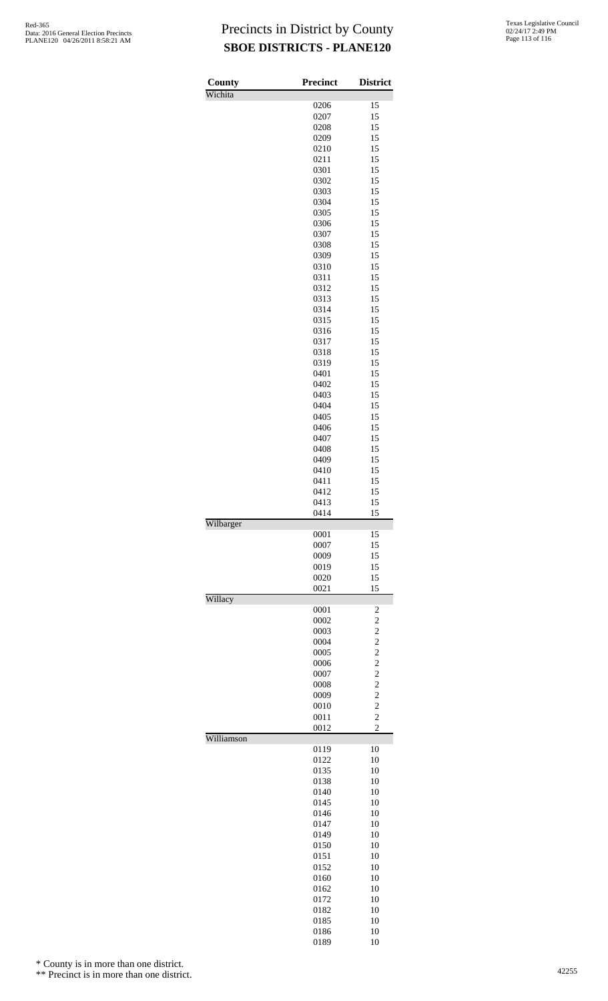| County     | <b>Precinct</b> | <b>District</b>                  |
|------------|-----------------|----------------------------------|
| Wichita    |                 |                                  |
|            | 0206            | 15                               |
|            | 0207            | 15                               |
|            | 0208            | 15                               |
|            | 0209<br>0210    | 15<br>15                         |
|            | 0211            | 15                               |
|            | 0301            | 15                               |
|            | 0302            | 15                               |
|            | 0303            | 15                               |
|            | 0304            | 15                               |
|            | 0305            | 15                               |
|            | 0306            | 15                               |
|            | 0307            | 15                               |
|            | 0308            | 15                               |
|            | 0309            | 15                               |
|            | 0310            | 15                               |
|            | 0311            | 15                               |
|            | 0312            | 15                               |
|            | 0313            | 15<br>15                         |
|            | 0314<br>0315    | 15                               |
|            | 0316            | 15                               |
|            | 0317            | 15                               |
|            | 0318            | 15                               |
|            | 0319            | 15                               |
|            | 0401            | 15                               |
|            | 0402            | 15                               |
|            | 0403            | 15                               |
|            | 0404            | 15                               |
|            | 0405            | 15                               |
|            | 0406            | 15                               |
|            | 0407            | 15                               |
|            | 0408            | 15                               |
|            | 0409            | 15                               |
|            | 0410            | 15                               |
|            | 0411<br>0412    | 15                               |
|            | 0413            | 15<br>15                         |
|            | 0414            | 15                               |
| Wilbarger  |                 |                                  |
|            | 0001            | 15                               |
|            | 0007            | 15                               |
|            | 0009            | 15                               |
|            | 0019            | 15                               |
|            |                 |                                  |
|            | 0020            | 15                               |
|            | 0021            | 15                               |
| Willacy    | 0001            | 2                                |
|            | 0002            | $\overline{c}$                   |
|            | 0003            | $\overline{\mathbf{c}}$          |
|            | 0004            | $\overline{c}$                   |
|            | 0005            | $\overline{c}$                   |
|            | 0006            | $\overline{c}$                   |
|            | 0007            | $\overline{c}$                   |
|            | 0008            | $\overline{c}$                   |
|            | 0009            | $\overline{c}$                   |
|            | 0010<br>0011    | $\overline{c}$<br>$\overline{c}$ |
|            | 0012            | $\overline{c}$                   |
| Williamson |                 |                                  |
|            | 0119            | 10                               |
|            | 0122            | 10                               |
|            | 0135            | 10                               |
|            | 0138            | 10                               |
|            | 0140<br>0145    | 10<br>10                         |
|            | 0146            | 10                               |
|            | 0147            | 10                               |
|            | 0149            | 10                               |
|            | 0150            | 10                               |
|            | 0151            | 10                               |
|            | 0152            | 10                               |
|            | 0160            | 10                               |
|            | 0162            | 10                               |
|            | 0172            | 10                               |
|            | 0182<br>0185    | 10<br>10                         |

10

\* County is in more than one district.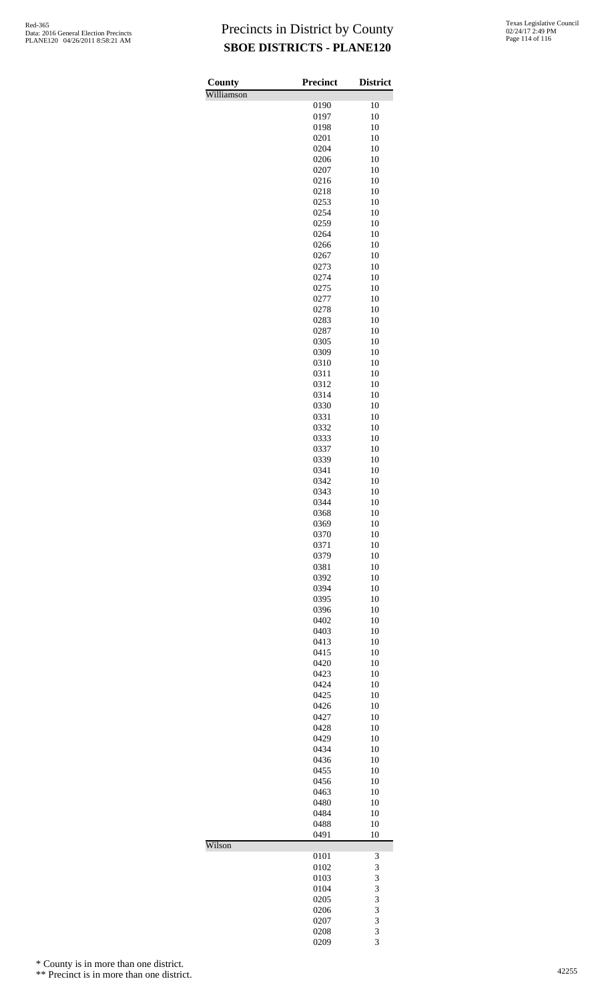| County     | Precinct     | <b>District</b> |
|------------|--------------|-----------------|
| Williamson | 0190         | 10              |
|            | 0197         | 10              |
|            | 0198         | 10              |
|            | 0201         | 10              |
|            | 0204         | 10              |
|            | 0206         | 10<br>10        |
|            | 0207<br>0216 | 10              |
|            | 0218         | 10              |
|            | 0253         | 10              |
|            | 0254         | 10              |
|            | 0259         | 10              |
|            | 0264         | 10              |
|            | 0266<br>0267 | 10<br>10        |
|            | 0273         | 10              |
|            | 0274         | 10              |
|            | 0275         | 10              |
|            | 0277         | 10              |
|            | 0278         | 10              |
|            | 0283         | 10              |
|            | 0287<br>0305 | 10<br>10        |
|            | 0309         | 10              |
|            | 0310         | 10              |
|            | 0311         | 10              |
|            | 0312         | 10              |
|            | 0314         | 10              |
|            | 0330<br>0331 | 10<br>10        |
|            | 0332         | 10              |
|            | 0333         | 10              |
|            | 0337         | 10              |
|            | 0339         | 10              |
|            | 0341         | 10              |
|            | 0342<br>0343 | 10<br>10        |
|            | 0344         | 10              |
|            | 0368         | 10              |
|            | 0369         | 10              |
|            | 0370         | 10              |
|            | 0371         | 10              |
|            | 0379<br>0381 | 10<br>10        |
|            | 0392         | 10              |
|            | 0394         | 10              |
|            | 0395         | 10              |
|            | 0396         | 10              |
|            | 0402         | 10              |
|            | 0403<br>0413 | 10<br>10        |
|            | 0415         | 10              |
|            | 0420         | 10              |
|            | 0423         | 10              |
|            | 0424         | 10              |
|            | 0425         | 10<br>10        |
|            | 0426<br>0427 | 10              |
|            | 0428         | 10              |
|            | 0429         | 10              |
|            | 0434         | 10              |
|            | 0436         | 10              |
|            | 0455         | 10<br>10        |
|            | 0456<br>0463 | 10              |
|            | 0480         | 10              |
|            | 0484         | 10              |
|            | 0488         | 10              |
|            | 0491         | 10              |
| Wilson     | 0101         | 3               |
|            | 0102         | 3               |
|            | 0103         | 3               |
|            | 0104         | 3               |
|            | 0205         | 3               |
|            | 0206<br>0207 | 3<br>3          |
|            | 0208         | 3               |
|            | 0209         | 3               |

\* County is in more than one district.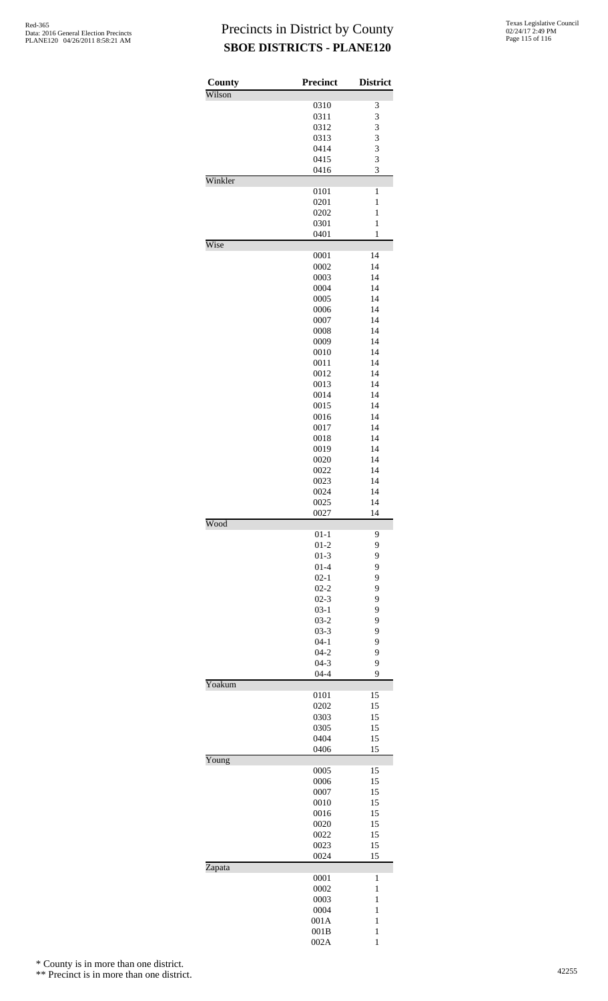| County  | <b>Precinct</b>      | <b>District</b> |
|---------|----------------------|-----------------|
| Wilson  |                      |                 |
|         | 0310                 | 3               |
|         | 0311<br>0312         | 3<br>3          |
|         | 0313                 | 3               |
|         | 0414                 | 3               |
|         | 0415                 | 3               |
|         | 0416                 | 3               |
| Winkler |                      |                 |
|         | 0101                 | $\mathbf{1}$    |
|         | 0201                 | $\mathbf{1}$    |
|         | 0202                 | $\mathbf{1}$    |
|         | 0301                 | $\mathbf{1}$    |
|         | 0401                 | 1               |
| Wise    |                      |                 |
|         | 0001                 | 14              |
|         | 0002                 | 14              |
|         | 0003                 | 14              |
|         | 0004                 | 14              |
|         | 0005                 | 14              |
|         | 0006                 | 14              |
|         | 0007                 | 14              |
|         | 0008                 | 14              |
|         | 0009                 | 14              |
|         | 0010<br>0011         | 14<br>14        |
|         | 0012                 | 14              |
|         | 0013                 | 14              |
|         | 0014                 | 14              |
|         | 0015                 | 14              |
|         | 0016                 | 14              |
|         | 0017                 | 14              |
|         | 0018                 | 14              |
|         | 0019                 | 14              |
|         | 0020                 | 14              |
|         | 0022                 | 14              |
|         | 0023                 | 14              |
|         | 0024                 | 14              |
|         | 0025                 | 14              |
|         | 0027                 | 14              |
| Wood    |                      |                 |
|         | $01 - 1$             | 9               |
|         | $01 - 2$             | 9               |
|         | $01-3$               | 9               |
|         | $01 - 4$             | 9<br>9          |
|         | $02 - 1$<br>$02 - 2$ | 9               |
|         | $02 - 3$             | 9               |
|         | $03-1$               | 9               |
|         | $03-2$               | 9               |
|         | $03 - 3$             | 9               |
|         | $04 - 1$             | 9               |
|         | $04 - 2$             | 9               |
|         | $04-3$               | 9               |
|         | $04 - 4$             | 9               |
| Yoakum  |                      |                 |
|         | 0101                 | 15              |
|         | 0202                 | 15              |
|         | 0303                 | 15              |
|         | 0305                 | 15              |
|         | 0404                 | 15              |
|         | 0406                 | 15              |
| Young   |                      |                 |
|         | 0005                 | 15              |
|         | 0006<br>0007         | 15<br>15        |
|         | 0010                 | 15              |
|         | 0016                 | 15              |
|         | 0020                 | 15              |
|         | 0022                 | 15              |
|         | 0023                 | 15              |
|         | 0024                 | 15              |
| Zapata  |                      |                 |
|         | 0001                 | 1               |
|         | 0002                 | 1               |
|         | 0003                 | 1               |
|         | 0004                 | $\mathbf{1}$    |
|         | 001A                 | $\mathbf{1}$    |
|         | 001B                 | 1               |
|         | 002A                 | 1               |

\* County is in more than one district.